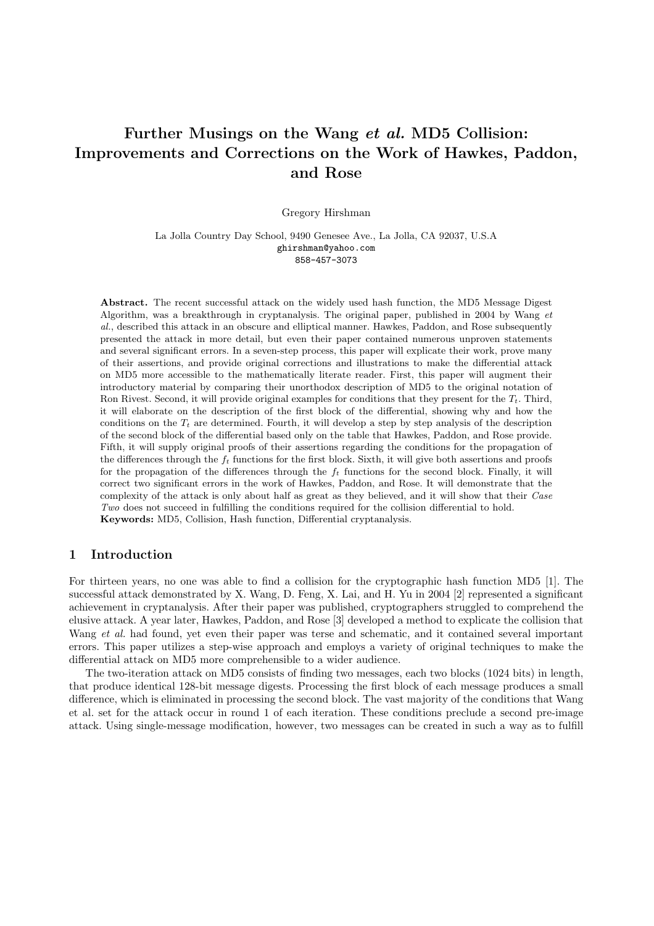# Further Musings on the Wang et al. MD5 Collision: Improvements and Corrections on the Work of Hawkes, Paddon, and Rose

Gregory Hirshman

La Jolla Country Day School, 9490 Genesee Ave., La Jolla, CA 92037, U.S.A ghirshman@yahoo.com 858-457-3073

Abstract. The recent successful attack on the widely used hash function, the MD5 Message Digest Algorithm, was a breakthrough in cryptanalysis. The original paper, published in 2004 by Wang et al., described this attack in an obscure and elliptical manner. Hawkes, Paddon, and Rose subsequently presented the attack in more detail, but even their paper contained numerous unproven statements and several significant errors. In a seven-step process, this paper will explicate their work, prove many of their assertions, and provide original corrections and illustrations to make the differential attack on MD5 more accessible to the mathematically literate reader. First, this paper will augment their introductory material by comparing their unorthodox description of MD5 to the original notation of Ron Rivest. Second, it will provide original examples for conditions that they present for the  $T_t$ . Third, it will elaborate on the description of the first block of the differential, showing why and how the conditions on the  $T_t$  are determined. Fourth, it will develop a step by step analysis of the description of the second block of the differential based only on the table that Hawkes, Paddon, and Rose provide. Fifth, it will supply original proofs of their assertions regarding the conditions for the propagation of the differences through the  $f_t$  functions for the first block. Sixth, it will give both assertions and proofs for the propagation of the differences through the  $f_t$  functions for the second block. Finally, it will correct two significant errors in the work of Hawkes, Paddon, and Rose. It will demonstrate that the complexity of the attack is only about half as great as they believed, and it will show that their Case Two does not succeed in fulfilling the conditions required for the collision differential to hold. Keywords: MD5, Collision, Hash function, Differential cryptanalysis.

## 1 Introduction

For thirteen years, no one was able to find a collision for the cryptographic hash function MD5 [1]. The successful attack demonstrated by X. Wang, D. Feng, X. Lai, and H. Yu in 2004 [2] represented a significant achievement in cryptanalysis. After their paper was published, cryptographers struggled to comprehend the elusive attack. A year later, Hawkes, Paddon, and Rose [3] developed a method to explicate the collision that Wang et al. had found, yet even their paper was terse and schematic, and it contained several important errors. This paper utilizes a step-wise approach and employs a variety of original techniques to make the differential attack on MD5 more comprehensible to a wider audience.

The two-iteration attack on MD5 consists of finding two messages, each two blocks (1024 bits) in length, that produce identical 128-bit message digests. Processing the first block of each message produces a small difference, which is eliminated in processing the second block. The vast majority of the conditions that Wang et al. set for the attack occur in round 1 of each iteration. These conditions preclude a second pre-image attack. Using single-message modification, however, two messages can be created in such a way as to fulfill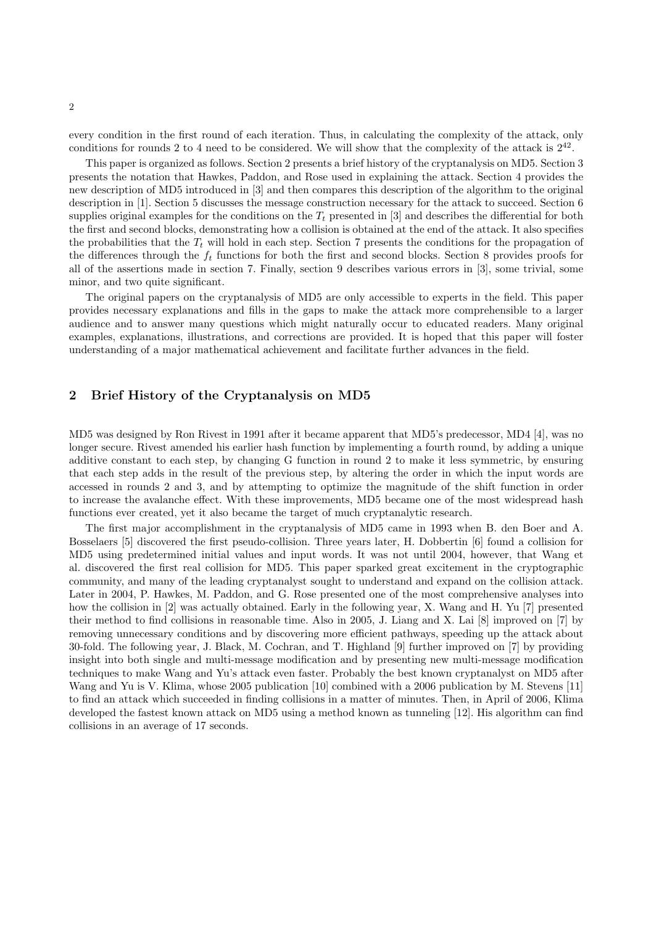every condition in the first round of each iteration. Thus, in calculating the complexity of the attack, only conditions for rounds 2 to 4 need to be considered. We will show that the complexity of the attack is  $2^{42}$ .

This paper is organized as follows. Section 2 presents a brief history of the cryptanalysis on MD5. Section 3 presents the notation that Hawkes, Paddon, and Rose used in explaining the attack. Section 4 provides the new description of MD5 introduced in [3] and then compares this description of the algorithm to the original description in [1]. Section 5 discusses the message construction necessary for the attack to succeed. Section 6 supplies original examples for the conditions on the  $T_t$  presented in [3] and describes the differential for both the first and second blocks, demonstrating how a collision is obtained at the end of the attack. It also specifies the probabilities that the  $T_t$  will hold in each step. Section 7 presents the conditions for the propagation of the differences through the  $f_t$  functions for both the first and second blocks. Section 8 provides proofs for all of the assertions made in section 7. Finally, section 9 describes various errors in [3], some trivial, some minor, and two quite significant.

The original papers on the cryptanalysis of MD5 are only accessible to experts in the field. This paper provides necessary explanations and fills in the gaps to make the attack more comprehensible to a larger audience and to answer many questions which might naturally occur to educated readers. Many original examples, explanations, illustrations, and corrections are provided. It is hoped that this paper will foster understanding of a major mathematical achievement and facilitate further advances in the field.

# 2 Brief History of the Cryptanalysis on MD5

MD5 was designed by Ron Rivest in 1991 after it became apparent that MD5's predecessor, MD4 [4], was no longer secure. Rivest amended his earlier hash function by implementing a fourth round, by adding a unique additive constant to each step, by changing G function in round 2 to make it less symmetric, by ensuring that each step adds in the result of the previous step, by altering the order in which the input words are accessed in rounds 2 and 3, and by attempting to optimize the magnitude of the shift function in order to increase the avalanche effect. With these improvements, MD5 became one of the most widespread hash functions ever created, yet it also became the target of much cryptanalytic research.

The first major accomplishment in the cryptanalysis of MD5 came in 1993 when B. den Boer and A. Bosselaers [5] discovered the first pseudo-collision. Three years later, H. Dobbertin [6] found a collision for MD5 using predetermined initial values and input words. It was not until 2004, however, that Wang et al. discovered the first real collision for MD5. This paper sparked great excitement in the cryptographic community, and many of the leading cryptanalyst sought to understand and expand on the collision attack. Later in 2004, P. Hawkes, M. Paddon, and G. Rose presented one of the most comprehensive analyses into how the collision in [2] was actually obtained. Early in the following year, X. Wang and H. Yu [7] presented their method to find collisions in reasonable time. Also in 2005, J. Liang and X. Lai [8] improved on [7] by removing unnecessary conditions and by discovering more efficient pathways, speeding up the attack about 30-fold. The following year, J. Black, M. Cochran, and T. Highland [9] further improved on [7] by providing insight into both single and multi-message modification and by presenting new multi-message modification techniques to make Wang and Yu's attack even faster. Probably the best known cryptanalyst on MD5 after Wang and Yu is V. Klima, whose 2005 publication [10] combined with a 2006 publication by M. Stevens [11] to find an attack which succeeded in finding collisions in a matter of minutes. Then, in April of 2006, Klima developed the fastest known attack on MD5 using a method known as tunneling [12]. His algorithm can find collisions in an average of 17 seconds.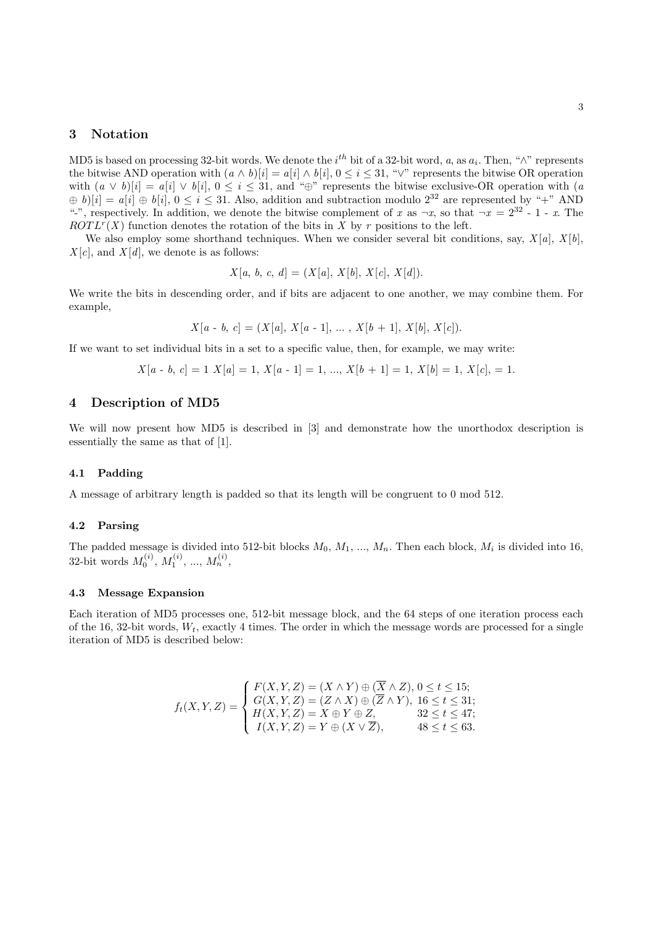# 3 Notation

MD5 is based on processing 32-bit words. We denote the  $i^{th}$  bit of a 32-bit word, a, as  $a_i$ . Then, " $\wedge$ " represents the bitwise AND operation with  $(a \wedge b)[i] = a[i] \wedge b[i], 0 \le i \le 31$ , " $\vee$ " represents the bitwise OR operation with  $(a \vee b)[i] = a[i] \vee b[i], 0 \le i \le 31$ , and "⊕" represents the bitwise exclusive-OR operation with  $(a \vee b)[i] = a[i] \vee b[i], 0 \le i \le 31$  $\hat{p}(b)$ [i] =  $a[i] \hat{p}(b[i], 0 \le i \le 31$ . Also, addition and subtraction modulo  $2^{32}$  are represented by "+" AND "-", respectively. In addition, we denote the bitwise complement of x as  $\neg x$ , so that  $\neg x = 2^{32} - 1 - x$ . The  $ROTL<sup>r</sup>(X)$  function denotes the rotation of the bits in X by r positions to the left.

We also employ some shorthand techniques. When we consider several bit conditions, say,  $X[a]$ ,  $X[b]$ ,  $X[c]$ , and  $X[d]$ , we denote is as follows:

$$
X[a, b, c, d] = (X[a], X[b], X[c], X[d]).
$$

We write the bits in descending order, and if bits are adjacent to one another, we may combine them. For example,

$$
X[a - b, c] = (X[a], X[a - 1], \dots, X[b + 1], X[b], X[c]).
$$

If we want to set individual bits in a set to a specific value, then, for example, we may write:

$$
X[a - b, c] = 1 X[a] = 1, X[a - 1] = 1, ..., X[b + 1] = 1, X[b] = 1, X[c], = 1.
$$

# 4 Description of MD5

We will now present how MD5 is described in  $[3]$  and demonstrate how the unorthodox description is essentially the same as that of [1].

#### 4.1 Padding

A message of arbitrary length is padded so that its length will be congruent to 0 mod 512.

#### 4.2 Parsing

The padded message is divided into 512-bit blocks  $M_0, M_1, ..., M_n$ . Then each block,  $M_i$  is divided into 16, 32-bit words  $M_0^{(i)}$ ,  $M_1^{(i)}$ , ...,  $M_n^{(i)}$ ,

#### 4.3 Message Expansion

Each iteration of MD5 processes one, 512-bit message block, and the 64 steps of one iteration process each of the 16, 32-bit words,  $W_t$ , exactly 4 times. The order in which the message words are processed for a single iteration of MD5 is described below:

$$
f_t(X, Y, Z) = \begin{cases} F(X, Y, Z) = (X \wedge Y) \oplus (\overline{X} \wedge Z), 0 \le t \le 15; \\ G(X, Y, Z) = (Z \wedge X) \oplus (\overline{Z} \wedge Y), 16 \le t \le 31; \\ H(X, Y, Z) = X \oplus Y \oplus Z, & 32 \le t \le 47; \\ I(X, Y, Z) = Y \oplus (X \vee \overline{Z}), & 48 \le t \le 63. \end{cases}
$$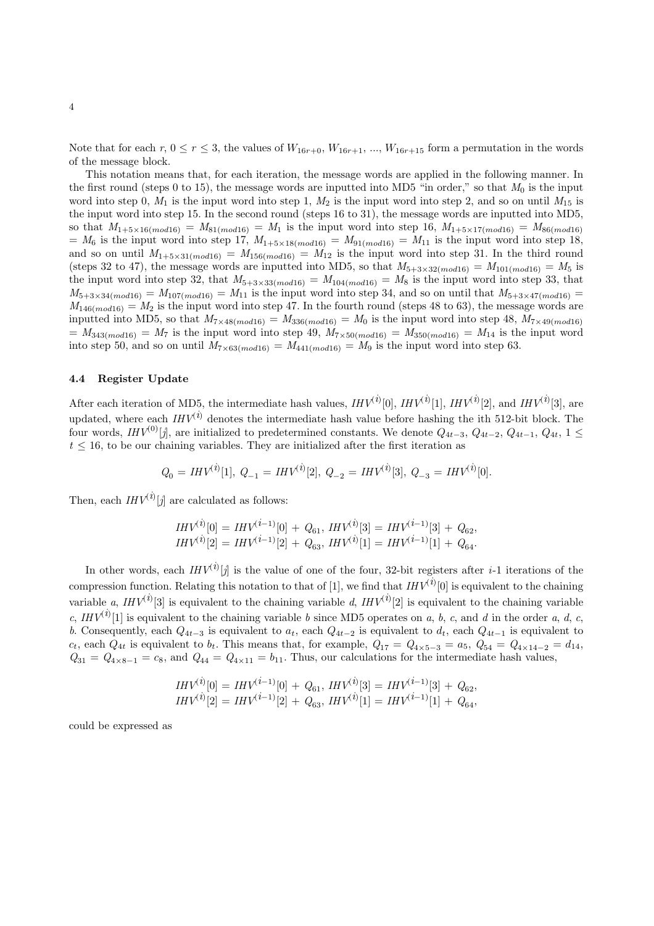Note that for each  $r, 0 \le r \le 3$ , the values of  $W_{16r+0}, W_{16r+1}, ..., W_{16r+15}$  form a permutation in the words of the message block.

This notation means that, for each iteration, the message words are applied in the following manner. In the first round (steps 0 to 15), the message words are inputted into MD5 "in order," so that  $M_0$  is the input word into step 0,  $M_1$  is the input word into step 1,  $M_2$  is the input word into step 2, and so on until  $M_{15}$  is the input word into step 15. In the second round (steps 16 to 31), the message words are inputted into MD5, so that  $M_{1+5\times16(mod16)} = M_{81(mod16)} = M_1$  is the input word into step 16,  $M_{1+5\times17(mod16)} = M_{86(mod16)}$  $= M_6$  is the input word into step 17,  $M_{1+5\times18(mod16)} = M_{91(mod16)} = M_{11}$  is the input word into step 18, and so on until  $M_{1+5\times31(mod16)} = M_{156(mod16)} = M_{12}$  is the input word into step 31. In the third round (steps 32 to 47), the message words are inputted into MD5, so that  $M_{5+3\times32(mod16)} = M_{101(mod16)} = M_5$  is the input word into step 32, that  $M_{5+3\times33(mod16)} = M_{104(mod16)} = M_8$  is the input word into step 33, that  $M_{5+3\times34(mod16)} = M_{107(mod16)} = M_{11}$  is the input word into step 34, and so on until that  $M_{5+3\times47(mod16)} =$  $M_{146(mod16)} = M_2$  is the input word into step 47. In the fourth round (steps 48 to 63), the message words are inputted into MD5, so that  $M_{7\times48(mod16)} = M_{336(mod16)} = M_0$  is the input word into step 48,  $M_{7\times49(mod16)}$  $= M_{343(mod16)} = M_7$  is the input word into step 49,  $M_{7\times50(mod16)} = M_{350(mod16)} = M_{14}$  is the input word into step 50, and so on until  $M_{7\times63(mod16)} = M_{441(mod16)} = M_9$  is the input word into step 63.

#### 4.4 Register Update

After each iteration of MD5, the intermediate hash values,  $HW^{(i)}[0]$ ,  $HW^{(i)}[1]$ ,  $HW^{(i)}[2]$ , and  $HW^{(i)}[3]$ , are updated, where each  $IHV^{(i)}$  denotes the intermediate hash value before hashing the ith 512-bit block. The four words,  $IHV^{(0)}[j]$ , are initialized to predetermined constants. We denote  $Q_{4t-3}$ ,  $Q_{4t-2}$ ,  $Q_{4t-1}$ ,  $Q_{4t}$ , 1 ≤  $t \leq 16$ , to be our chaining variables. They are initialized after the first iteration as

$$
Q_0 = \mathit{IHV}^{(i)}[1], \ Q_{-1} = \mathit{IHV}^{(i)}[2], \ Q_{-2} = \mathit{IHV}^{(i)}[3], \ Q_{-3} = \mathit{IHV}^{(i)}[0].
$$

Then, each  $IHV^{(i)}[j]$  are calculated as follows:

$$
IHV^{(i)}[0] = IHV^{(i-1)}[0] + Q_{61}, IHV^{(i)}[3] = IHV^{(i-1)}[3] + Q_{62},IHV^{(i)}[2] = IHV^{(i-1)}[2] + Q_{63}, IHV^{(i)}[1] = IHV^{(i-1)}[1] + Q_{64}.
$$

In other words, each  $IHV^{(i)}[j]$  is the value of one of the four, 32-bit registers after *i*-1 iterations of the compression function. Relating this notation to that of [1], we find that  $IHV^{(i)}[0]$  is equivalent to the chaining variable a,  $IHV^{(i)}[3]$  is equivalent to the chaining variable d,  $IHV^{(i)}[2]$  is equivalent to the chaining variable c,  $IHV^{(i)}[1]$  is equivalent to the chaining variable b since MD5 operates on a, b, c, and d in the order a, d, c, b. Consequently, each  $Q_{4t-3}$  is equivalent to  $a_t$ , each  $Q_{4t-2}$  is equivalent to  $d_t$ , each  $Q_{4t-1}$  is equivalent to  $c_t$ , each  $Q_{4t}$  is equivalent to  $b_t$ . This means that, for example,  $Q_{17} = Q_{4\times 5-3} = a_5$ ,  $Q_{54} = Q_{4\times 14-2} = d_{14}$ ,  $Q_{31} = Q_{4 \times 8-1} = c_8$ , and  $Q_{44} = Q_{4 \times 11} = b_{11}$ . Thus, our calculations for the intermediate hash values,

$$
IHV^{(i)}[0] = IHV^{(i-1)}[0] + Q_{61}, IHV^{(i)}[3] = IHV^{(i-1)}[3] + Q_{62},IHV^{(i)}[2] = IHV^{(i-1)}[2] + Q_{63}, IHV^{(i)}[1] = IHV^{(i-1)}[1] + Q_{64},
$$

could be expressed as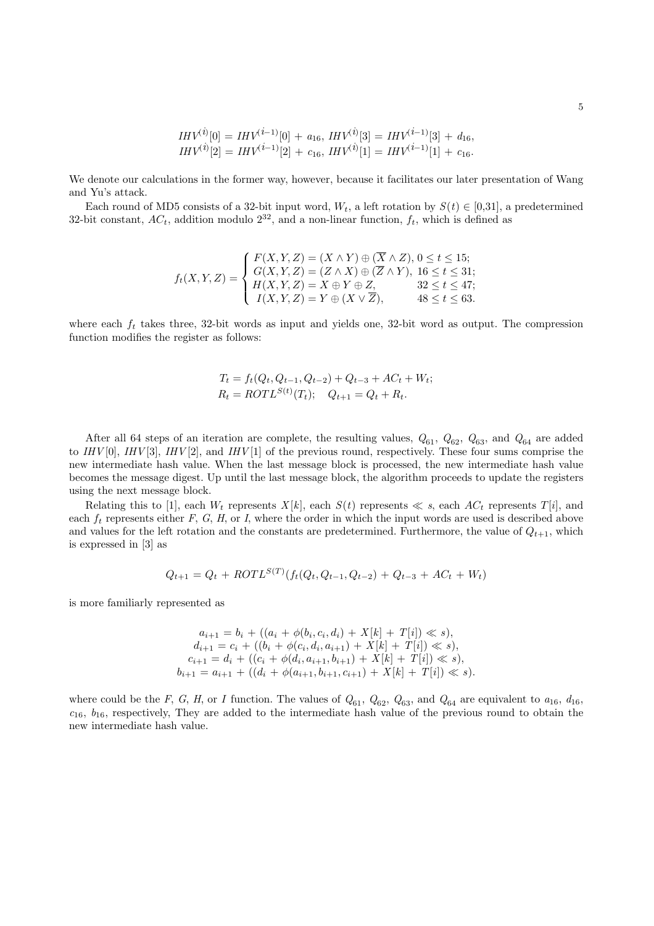$$
IHV^{(i)}[0] = IHV^{(i-1)}[0] + a_{16}, IHV^{(i)}[3] = IHV^{(i-1)}[3] + d_{16},IHV^{(i)}[2] = IHV^{(i-1)}[2] + c_{16}, IHV^{(i)}[1] = IHV^{(i-1)}[1] + c_{16}.
$$

We denote our calculations in the former way, however, because it facilitates our later presentation of Wang and Yu's attack.

Each round of MD5 consists of a 32-bit input word,  $W_t$ , a left rotation by  $S(t) \in [0,31]$ , a predetermined 32-bit constant,  $AC_t$ , addition modulo  $2^{32}$ , and a non-linear function,  $f_t$ , which is defined as

$$
f_t(X, Y, Z) = \begin{cases} F(X, Y, Z) = (X \wedge Y) \oplus (\overline{X} \wedge Z), 0 \le t \le 15; \\ G(X, Y, Z) = (Z \wedge X) \oplus (\overline{Z} \wedge Y), 16 \le t \le 31; \\ H(X, Y, Z) = X \oplus Y \oplus Z, \qquad 32 \le t \le 47; \\ I(X, Y, Z) = Y \oplus (X \vee \overline{Z}), \qquad 48 \le t \le 63. \end{cases}
$$

where each  $f_t$  takes three, 32-bit words as input and yields one, 32-bit word as output. The compression function modifies the register as follows:

$$
T_t = f_t(Q_t, Q_{t-1}, Q_{t-2}) + Q_{t-3} + AC_t + W_t;
$$
  
\n
$$
R_t = \text{ROTL}^{S(t)}(T_t); \quad Q_{t+1} = Q_t + R_t.
$$

After all 64 steps of an iteration are complete, the resulting values,  $Q_{61}$ ,  $Q_{62}$ ,  $Q_{63}$ , and  $Q_{64}$  are added to  $IHV[0], IHV[3], IHV[2],$  and  $IHV[1]$  of the previous round, respectively. These four sums comprise the new intermediate hash value. When the last message block is processed, the new intermediate hash value becomes the message digest. Up until the last message block, the algorithm proceeds to update the registers using the next message block.

Relating this to [1], each  $W_t$  represents  $X[k]$ , each  $S(t)$  represents  $\ll s$ , each  $AC_t$  represents  $T[i]$ , and each  $f_t$  represents either F, G, H, or I, where the order in which the input words are used is described above and values for the left rotation and the constants are predetermined. Furthermore, the value of  $Q_{t+1}$ , which is expressed in [3] as

$$
Q_{t+1} = Q_t + ROTL^{S(T)}(f_t(Q_t, Q_{t-1}, Q_{t-2}) + Q_{t-3} + AC_t + W_t)
$$

is more familiarly represented as

$$
a_{i+1} = b_i + ((a_i + \phi(b_i, c_i, d_i) + X[k] + T[i]) \ll s),
$$
  
\n
$$
d_{i+1} = c_i + ((b_i + \phi(c_i, d_i, a_{i+1}) + X[k] + T[i]) \ll s),
$$
  
\n
$$
c_{i+1} = d_i + ((c_i + \phi(d_i, a_{i+1}, b_{i+1}) + X[k] + T[i]) \ll s),
$$
  
\n
$$
b_{i+1} = a_{i+1} + ((d_i + \phi(a_{i+1}, b_{i+1}, c_{i+1}) + X[k] + T[i]) \ll s).
$$

where could be the F, G, H, or I function. The values of  $Q_{61}$ ,  $Q_{62}$ ,  $Q_{63}$ , and  $Q_{64}$  are equivalent to  $a_{16}$ ,  $d_{16}$ ,  $c_{16}$ ,  $b_{16}$ , respectively, They are added to the intermediate hash value of the previous round to obtain the new intermediate hash value.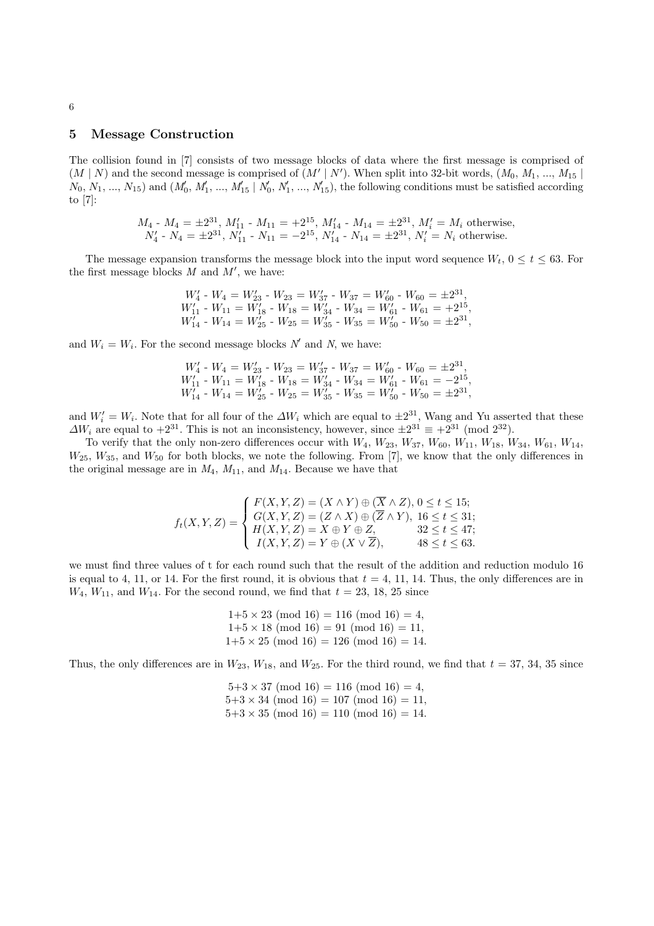# 5 Message Construction

The collision found in [7] consists of two message blocks of data where the first message is comprised of  $(M | N)$  and the second message is comprised of  $(M' | N')$ . When split into 32-bit words,  $(M_0, M_1, ..., M_{15} | N)$  $N_0, N_1, ..., N_{15}$  and  $(M'_0, M'_1, ..., M'_{15} | N'_0, N'_1, ..., N'_{15})$ , the following conditions must be satisfied according to [7]:

$$
M_4
$$
 -  $M_4 = \pm 2^{31}$ ,  $M'_{11}$  -  $M_{11} = +2^{15}$ ,  $M'_{14}$  -  $M_{14} = \pm 2^{31}$ ,  $M'_{i} = M_{i}$  otherwise,  
 $N'_{4}$  -  $N_{4} = \pm 2^{31}$ ,  $N'_{11}$  -  $N_{11} = -2^{15}$ ,  $N'_{14}$  -  $N_{14} = \pm 2^{31}$ ,  $N'_{i} = N_{i}$  otherwise.

The message expansion transforms the message block into the input word sequence  $W_t$ ,  $0 \le t \le 63$ . For the first message blocks  $M$  and  $M'$ , we have:

$$
W'_4 - W_4 = W'_{23} - W_{23} = W'_{37} - W_{37} = W'_{60} - W_{60} = \pm 2^{31},
$$
  
\n
$$
W'_{11} - W_{11} = W'_{18} - W_{18} = W'_{34} - W_{34} = W'_{61} - W_{61} = +2^{15},
$$
  
\n
$$
W'_{14} - W_{14} = W'_{25} - W_{25} = W'_{35} - W_{35} = W'_{50} - W_{50} = \pm 2^{31},
$$

and  $W_i = W_i$ . For the second message blocks  $N'$  and N, we have:

$$
W'_4 - W_4 = W'_{23} - W_{23} = W'_{37} - W_{37} = W'_{60} - W_{60} = \pm 2^{31},
$$
  
\n
$$
W'_{11} - W_{11} = W'_{18} - W_{18} = W'_{34} - W_{34} = W'_{61} - W_{61} = -2^{15},
$$
  
\n
$$
W'_{14} - W_{14} = W'_{25} - W_{25} = W'_{35} - W_{35} = W'_{50} - W_{50} = \pm 2^{31},
$$

and  $W_i' = W_i$ . Note that for all four of the  $\Delta W_i$  which are equal to  $\pm 2^{31}$ , Wang and Yu asserted that these  $\Delta W_i$  are equal to  $+2^{31}$ . This is not an inconsistency, however, since  $\pm 2^{31} \equiv +2^{31} \pmod{2^{32}}$ .

To verify that the only non-zero differences occur with  $W_4, W_{23}, W_{37}, W_{60}, W_{11}, W_{18}, W_{34}, W_{61}, W_{14}, W_{15}$  $W_{25}$ ,  $W_{35}$ , and  $W_{50}$  for both blocks, we note the following. From [7], we know that the only differences in the original message are in  $M_4$ ,  $M_{11}$ , and  $M_{14}$ . Because we have that

$$
f_t(X, Y, Z) = \begin{cases} F(X, Y, Z) = (X \wedge Y) \oplus (\overline{X} \wedge Z), 0 \le t \le 15; \\ G(X, Y, Z) = (Z \wedge X) \oplus (\overline{Z} \wedge Y), 16 \le t \le 31; \\ H(X, Y, Z) = X \oplus Y \oplus Z, & 32 \le t \le 47; \\ I(X, Y, Z) = Y \oplus (X \vee \overline{Z}), & 48 \le t \le 63. \end{cases}
$$

we must find three values of t for each round such that the result of the addition and reduction modulo 16 is equal to 4, 11, or 14. For the first round, it is obvious that  $t = 4, 11, 14$ . Thus, the only differences are in  $W_4$ ,  $W_{11}$ , and  $W_{14}$ . For the second round, we find that  $t = 23$ , 18, 25 since

$$
1+5 \times 23 \pmod{16} = 116 \pmod{16} = 4,
$$
  
 $1+5 \times 18 \pmod{16} = 91 \pmod{16} = 11,$   
 $1+5 \times 25 \pmod{16} = 126 \pmod{16} = 14.$ 

Thus, the only differences are in  $W_{23}$ ,  $W_{18}$ , and  $W_{25}$ . For the third round, we find that  $t = 37, 34, 35$  since

 $5+3 \times 37 \pmod{16} = 116 \pmod{16} = 4$ ,  $5+3 \times 34 \pmod{16} = 107 \pmod{16} = 11$ ,  $5+3 \times 35 \pmod{16} = 110 \pmod{16} = 14.$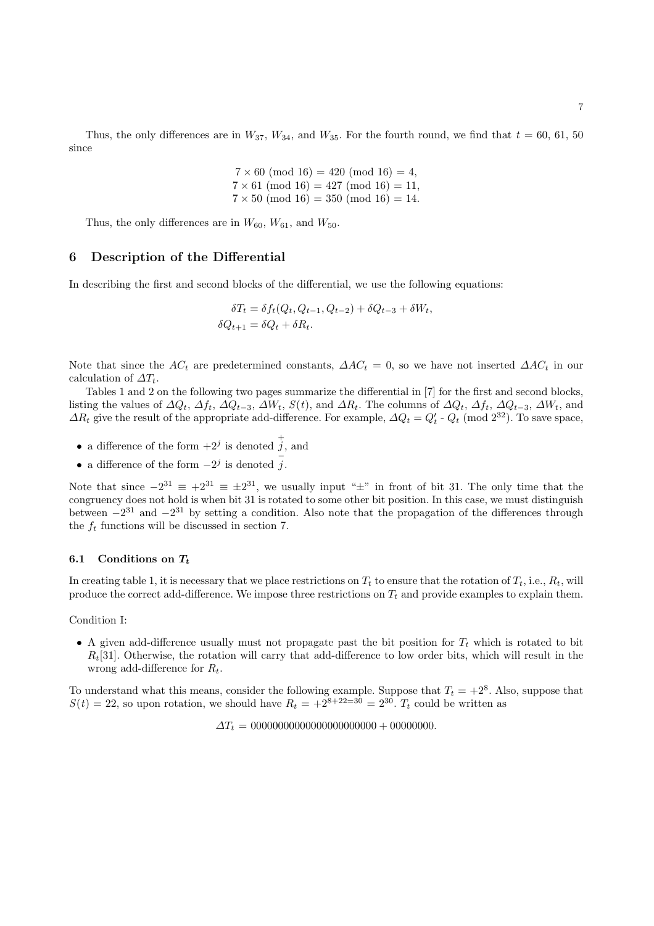Thus, the only differences are in  $W_{37}$ ,  $W_{34}$ , and  $W_{35}$ . For the fourth round, we find that  $t = 60, 61, 50$ since

> $7 \times 60 \pmod{16} = 420 \pmod{16} = 4$ ,  $7 \times 61 \pmod{16} = 427 \pmod{16} = 11$ .  $7 \times 50 \pmod{16} = 350 \pmod{16} = 14.$

Thus, the only differences are in  $W_{60}$ ,  $W_{61}$ , and  $W_{50}$ .

# 6 Description of the Differential

In describing the first and second blocks of the differential, we use the following equations:

$$
\delta T_t = \delta f_t(Q_t, Q_{t-1}, Q_{t-2}) + \delta Q_{t-3} + \delta W_t,
$$
  

$$
\delta Q_{t+1} = \delta Q_t + \delta R_t.
$$

Note that since the AC<sub>t</sub> are predetermined constants,  $\Delta AC_t = 0$ , so we have not inserted  $\Delta AC_t$  in our calculation of  $\Delta T_t$ .

Tables 1 and 2 on the following two pages summarize the differential in [7] for the first and second blocks, listing the values of  $\Delta Q_t$ ,  $\Delta f_t$ ,  $\Delta Q_{t-3}$ ,  $\Delta W_t$ ,  $S(t)$ , and  $\Delta R_t$ . The columns of  $\Delta Q_t$ ,  $\Delta f_t$ ,  $\Delta Q_{t-3}$ ,  $\Delta W_t$ , and  $\Delta R_t$  give the result of the appropriate add-difference. For example,  $\Delta Q_t = Q'_t$  -  $Q_t$  (mod  $2^{32}$ ). To save space,

- a difference of the form  $+2^j$  is denoted  $\dot{j}$ , and
- a difference of the form  $-2^j$  is denoted  $\overline{j}$ .

Note that since  $-2^{31} \equiv \pm 2^{31}$ , we usually input " $\pm$ " in front of bit 31. The only time that the congruency does not hold is when bit 31 is rotated to some other bit position. In this case, we must distinguish between  $-2^{31}$  and  $-2^{31}$  by setting a condition. Also note that the propagation of the differences through the  $f_t$  functions will be discussed in section 7.

#### 6.1 Conditions on  $T_t$

In creating table 1, it is necessary that we place restrictions on  $T_t$  to ensure that the rotation of  $T_t$ , i.e.,  $R_t$ , will produce the correct add-difference. We impose three restrictions on  $T_t$  and provide examples to explain them.

Condition I:

• A given add-difference usually must not propagate past the bit position for  $T_t$  which is rotated to bit  $R_t[31]$ . Otherwise, the rotation will carry that add-difference to low order bits, which will result in the wrong add-difference for  $R_t$ .

To understand what this means, consider the following example. Suppose that  $T_t = +2^8$ . Also, suppose that  $S(t) = 22$ , so upon rotation, we should have  $R_t = +2^{8+22=30} = 2^{30}$ .  $T_t$  could be written as

∆T<sup>t</sup> = 00000000000000000000000 + 00000000.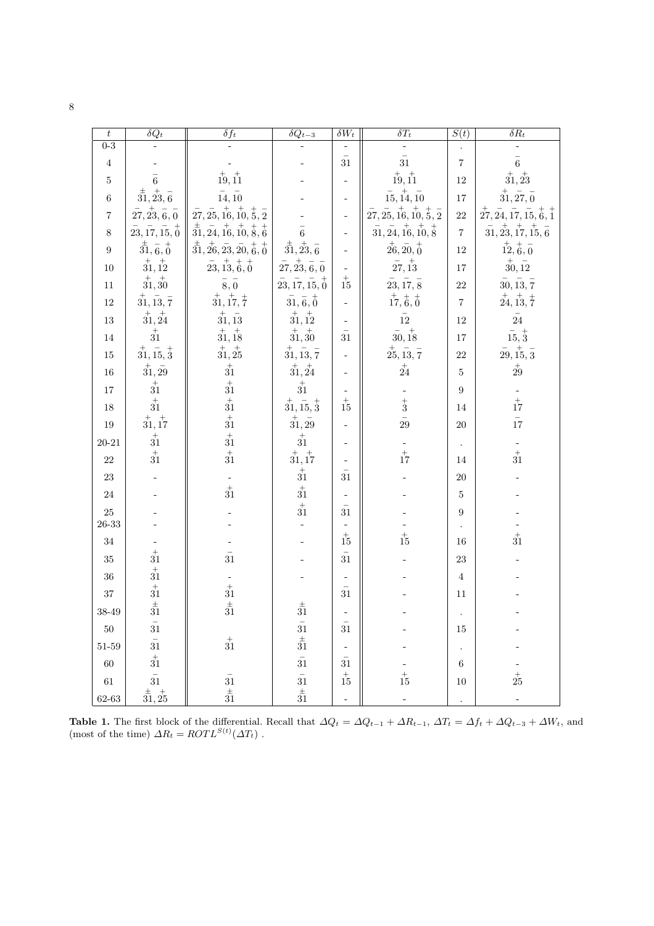| ۰.      |              |
|---------|--------------|
|         | ٦            |
| ۰,<br>٦ | ×            |
|         | I<br>I<br>۰, |
|         | ×            |

| $\boldsymbol{t}$ | $\overline{\delta Q_t}$                                         | $\delta f_t$                                                                                             | $\overline{\delta Q_{t-3}}$                        | $\delta W_t$             | $\overline{\delta T_t}$                                                                              | S(t)             | $\overline{\delta R_t}$                                                                  |
|------------------|-----------------------------------------------------------------|----------------------------------------------------------------------------------------------------------|----------------------------------------------------|--------------------------|------------------------------------------------------------------------------------------------------|------------------|------------------------------------------------------------------------------------------|
| $0 - 3$          |                                                                 |                                                                                                          |                                                    |                          |                                                                                                      |                  |                                                                                          |
| $\,4\,$          |                                                                 |                                                                                                          |                                                    | 31                       | 31                                                                                                   | $\,7$            | $\overline{6}$                                                                           |
| $\bf 5$          | $\,6$                                                           | $\frac{+}{19}$ , $\frac{+}{11}$                                                                          |                                                    |                          | $\overset{+}{19},\overset{+}{11}$                                                                    | $12\,$           | $\overset{+}{31},\overset{+}{23}$                                                        |
| $\,6$            | $\overset{\pm}{31},\overset{+}{23},\overset{-}{6}$              | $\bar{14}, \bar{10}$                                                                                     |                                                    |                          | $\bar{15}, \bar{14}, \bar{10}$                                                                       | 17               | $\overset{+}{31}, \overset{-}{27}, \overset{-}{0}$                                       |
| $\,7$            | $\overset{-}{27},\overset{+}{23},\overset{-}{6},\overset{-}{0}$ | $\bar{27}, \bar{25}, \bar{16}, \bar{10}, \bar{5}, \bar{2}$                                               |                                                    |                          | $\overset{-}{27}, \overset{-}{25}, \overset{+}{16}, \overset{+}{10}, \overset{+}{5}, \overset{-}{2}$ | 22               | $\overline{27}, \overline{24}, \overline{17}, \overline{15}, \overline{6}, \overline{1}$ |
| $8\,$            | $\bar{23}, \bar{17}, \bar{15}, \bar{0}$                         | $\overset{\pm}{31}, \overset{-}{24}, \overset{+}{16}, \overset{+}{10}, \overset{+}{8}, \overset{+}{6}$   | 6                                                  | $\blacksquare$           | $\bar{31}, \bar{24}, \bar{16}, \bar{10}, \bar{8}$                                                    | $\overline{7}$   | 31, 23, 17, 15, 6                                                                        |
| $\boldsymbol{9}$ | $\frac{1}{31}, \frac{1}{6}, \frac{1}{0}$                        | $\overset{\pm}{31}, \overset{\pm}{26}, \overset{-}{23}, \overset{-}{20}, \overset{+}{6}, \overset{+}{0}$ | $\overset{\pm}{31},\overset{+}{23},\overset{-}{6}$ | -                        | $\frac{1}{26}, \frac{1}{20}, \frac{1}{0}$                                                            | 12               | 12, 6, 0                                                                                 |
| $10\,$           | $\overset{+}{31}, \overset{+}{12}$                              | $\overset{-}{23}, \overset{+}{13}, \overset{+}{6}, \overset{+}{0}$                                       | $\bar{27}, \bar{23}, \bar{6}, \bar{0}$             |                          | $\bar{27}, \overset{+}{13}$                                                                          | 17               | $\stackrel{+}{30},\stackrel{-}{12}$                                                      |
| $11\,$           | $\stackrel{+}{3}\stackrel{+}{1},\stackrel{+}{3}0$               | $\bar{\bf 8}, \bar{\bf 0}$                                                                               | $\bar{23}, \bar{17}, \bar{15}, \bar{6}$            | $\frac{1}{15}$           | 23, 17, 8                                                                                            | $\bf{22}$        | $30, \overline{13}, \overline{7}$                                                        |
| $12\,$           | $\bar{31}, \bar{13}, \bar{7}$                                   | $\overline{31}$ , $\overline{17}$ , $\overline{7}$                                                       | 31, 6, 0                                           | ÷                        | 17, 6, 0                                                                                             | $\,7$            | $\frac{1}{24}$ , $\frac{1}{13}$ , $\frac{1}{7}$                                          |
| $13\,$           | $\overset{+}{31}, \overset{+}{24}$                              | $\stackrel{+}{3}\stackrel{-}{1}, \stackrel{-}{13}$                                                       | $\overset{+}{31}, \overset{+}{12}$                 | $\overline{\phantom{a}}$ | $\overline{12}$                                                                                      | 12               | $\bar{24}$                                                                               |
| $14\,$           | $\stackrel{+}{3}\stackrel{+}{1}$                                | $\frac{+}{31}$ , 18                                                                                      | $\overset{+}{31},\overset{+}{30}$                  | $\overline{31}$          | $\frac{1}{30}$ , $\frac{1}{18}$                                                                      | $17\,$           | $\frac{1}{15}$ , $\frac{1}{3}$                                                           |
| $15\,$           | $\overset{+}{31}, \overset{-}{15}, \overset{+}{3}$              | 31, 25                                                                                                   | $\overset{+}{31}, \overset{-}{13}, \overset{-}{7}$ |                          | $\bar{25}, \bar{13}, \bar{7}$                                                                        | 22               | $\bar{29}, \bar{15}, \bar{3}$                                                            |
| $16\,$           | $\stackrel{+}{3}\stackrel{-}{1},\stackrel{-}{29}$               | $\begin{array}{c} + \\ 31 \\ +31 \end{array}$                                                            | $\overset{+}{31}, \overset{+}{24}$                 |                          | $\stackrel{+}{24}$                                                                                   | $\bf 5$          | $\overset{+}{29}$                                                                        |
| $17\,$           | $\stackrel{+}{3}\stackrel{+}{1}$                                |                                                                                                          | $\stackrel{+}{3}\stackrel{+}{1}$                   |                          |                                                                                                      | $\boldsymbol{9}$ |                                                                                          |
| $18\,$           | $\stackrel{+}{3}\stackrel{+}{1}$                                | $\frac{1}{31}$                                                                                           | $\overset{+}{31}, \overset{-}{15}, \overset{+}{3}$ | $\frac{1}{15}$           | $\begin{array}{c}\n- \\ +3 \\ \hline\n29\n\end{array}$                                               | 14               | $\begin{array}{c} -1 \\ 17 \\ \bar{17} \end{array}$                                      |
| $19\,$           | $\stackrel{+}{3}\stackrel{+}{1}, \stackrel{+}{17}$              | $\frac{1}{31}$                                                                                           | $\frac{+}{31}, \frac{-}{29}$                       | $\overline{\phantom{0}}$ |                                                                                                      | $20\,$           |                                                                                          |
| $20 - 21$        | $\stackrel{+}{3}\stackrel{+}{1}$                                | $\frac{1}{31}$                                                                                           | $rac{+}{31}$                                       | $\overline{\phantom{m}}$ |                                                                                                      |                  |                                                                                          |
| $22\,$           | $\frac{1}{31}$                                                  | $\frac{1}{31}$                                                                                           | $\overset{+}{31}, \overset{+}{17}$                 |                          | $\frac{1}{17}$                                                                                       | 14               | $\frac{1}{31}$                                                                           |
| $23\,$           |                                                                 |                                                                                                          | $\frac{1}{31}$                                     | $\overline{31}$          |                                                                                                      | $20\,$           |                                                                                          |
| $24\,$           |                                                                 | $\frac{1}{31}$                                                                                           | $\frac{+}{31}$<br>$\frac{+}{31}$                   |                          |                                                                                                      | $\bf 5$          |                                                                                          |
| $25\,$           |                                                                 |                                                                                                          |                                                    | $\frac{1}{31}$           |                                                                                                      | $\boldsymbol{9}$ |                                                                                          |
| $26 - 33$        |                                                                 |                                                                                                          |                                                    | $\frac{1}{15}$           |                                                                                                      |                  | $\frac{1}{31}$                                                                           |
| $34\,$           |                                                                 |                                                                                                          |                                                    |                          | $\frac{1}{15}$                                                                                       | 16               |                                                                                          |
| $35\,$           | $\overset{+}{31}$                                               | $\frac{1}{31}$                                                                                           |                                                    | $\bar{31}$               |                                                                                                      | $23\,$           |                                                                                          |
| $36\,$           | $\frac{1}{31}$                                                  |                                                                                                          |                                                    | $\frac{1}{31}$           |                                                                                                      | $\overline{4}$   |                                                                                          |
| $37\,$           | $\overset{+}{3}\overset{+}{1}$                                  | $\frac{1}{31}$<br>$\frac{1}{31}$                                                                         |                                                    |                          |                                                                                                      | 11               |                                                                                          |
| 38-49            |                                                                 |                                                                                                          | $\overset{\pm}{31}$                                |                          |                                                                                                      |                  |                                                                                          |
| $50\,$           | $31\,$                                                          |                                                                                                          |                                                    | 31                       |                                                                                                      | 15               |                                                                                          |
| $51\hbox{-}59$   | 31                                                              | $\stackrel{+}{3}\stackrel{+}{1}$                                                                         | $\begin{array}{c} 31 \\ \pm \\ 31 \end{array}$     | $\bar{\mathbb{I}}$       |                                                                                                      | $\cdot$          |                                                                                          |
| $60\,$           | $\stackrel{+}{3}\stackrel{+}{1}$                                |                                                                                                          | $\frac{1}{31}$                                     | $31\,$                   |                                                                                                      | 6                |                                                                                          |
| $61\,$           | $\bar{\bar{31}}$                                                | $\begin{array}{c} -\\ 31 \\ \pm\\ 31 \end{array}$                                                        | $\begin{array}{c} -\\ 31 \\ \pm\\ 31 \end{array}$  | $\stackrel{+}{15}$       | $\stackrel{+}{15}$                                                                                   | 10               | $\stackrel{+}{25}$                                                                       |
| $62 - 63$        | $\frac{1}{31}, \frac{1}{25}$                                    |                                                                                                          |                                                    | $\blacksquare$           |                                                                                                      | $\Box$           | $\blacksquare$                                                                           |

**Table 1.** The first block of the differential. Recall that  $\Delta Q_t = \Delta Q_{t-1} + \Delta R_{t-1}$ ,  $\Delta T_t = \Delta f_t + \Delta Q_{t-3} + \Delta W_t$ , and (most of the time)  $\Delta R_t = ROTL^{S(t)}(\Delta T_t)$ .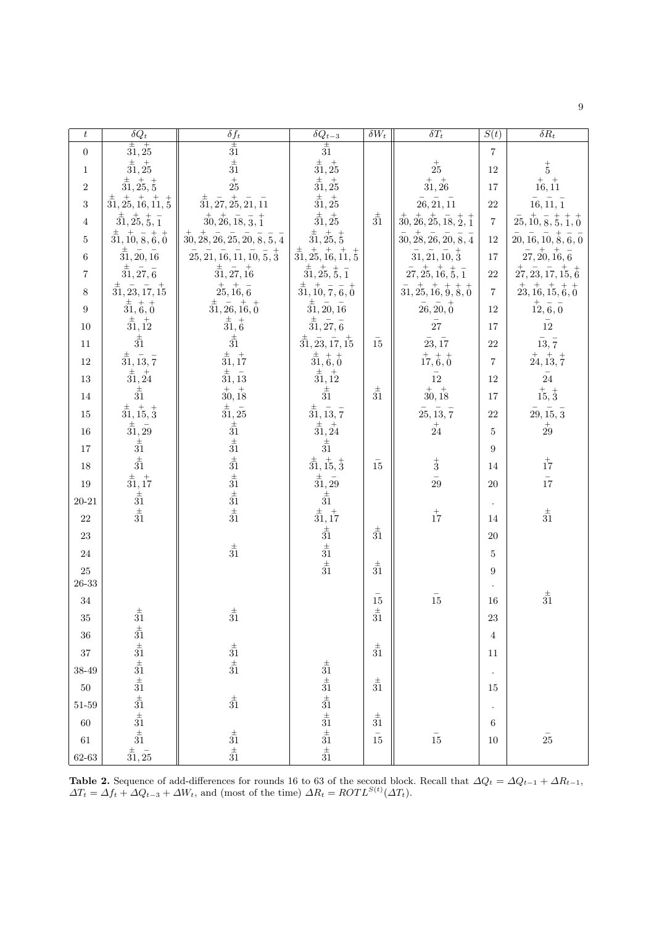| ٧<br>I      |
|-------------|
|             |
| ł           |
| I<br>×<br>٠ |

| $\boldsymbol{t}$ | $\delta Q_t$                                                                                                                                               | $\delta f_t$                                                                                                                                                | $\overline{\delta Q_{t-3}}$                                                                    | $\delta W_t$                                         | $\overline{\delta T_t}$                                                                              | S(t)           | $\overline{\delta R_t}$                                                                             |
|------------------|------------------------------------------------------------------------------------------------------------------------------------------------------------|-------------------------------------------------------------------------------------------------------------------------------------------------------------|------------------------------------------------------------------------------------------------|------------------------------------------------------|------------------------------------------------------------------------------------------------------|----------------|-----------------------------------------------------------------------------------------------------|
| $\boldsymbol{0}$ | $\frac{1}{31,25}$                                                                                                                                          | $\frac{1}{31}$<br>$\frac{1}{31}$                                                                                                                            | $\frac{1}{31}$                                                                                 |                                                      |                                                                                                      | $\overline{7}$ |                                                                                                     |
| $\mathbf{1}$     | $\overset{\pm}{31},\overset{\pm}{25}$                                                                                                                      |                                                                                                                                                             | $\overset{\pm}{31}, \overset{+}{25}$                                                           |                                                      | $\stackrel{+}{25}$                                                                                   | 12             | $_{5}^+$                                                                                            |
| $\overline{2}$   |                                                                                                                                                            | $\frac{1}{25}$                                                                                                                                              | $\frac{1}{31}$ , $\frac{1}{25}$                                                                |                                                      | $\overset{+}{31},\overset{+}{26}$                                                                    | $17\,$         | $\stackrel{+}{16},\stackrel{+}{11}$                                                                 |
| 3                | $\overset{\pm}{31}, \overset{\pm}{25}, \overset{\pm}{5}$<br>$\overset{\pm}{31}, \overset{\pm}{25}, \overset{\pm}{16}, \overset{\pm}{11}, \overset{\pm}{5}$ | $\overset{\pm}{31}, \overset{-}{27}, \overset{+}{25}, \overset{-}{21}, \overset{-}{11}$                                                                     | $\frac{1}{31}$ , $\frac{1}{25}$                                                                |                                                      | $\bar{26}, \bar{21}, \bar{11}$                                                                       | $22\,$         | $\bar{16}, \bar{11}, \bar{1}$                                                                       |
| $\overline{4}$   | $\frac{1}{31}, \frac{1}{25}, \frac{1}{5}, \frac{1}{1}$                                                                                                     | $\overline{30}, \overline{26}, \overline{18}, \overline{3}, \overline{1}$                                                                                   | $\frac{1}{31}, \frac{1}{25}$                                                                   | $\stackrel{\pm}{31}$                                 | $\overset{+}{30}, \overset{+}{26}, \overset{+}{25}, \overset{-}{18}, \overset{+}{2}, \overset{+}{1}$ | $\,7$          | $\bar{25}, \bar{10}, \bar{8}, \bar{5}, \bar{1}, \bar{0}$                                            |
| $\bf 5$          | $\overset{\pm}{31}, \overset{+}{10}, \overset{-}{8}, \overset{+}{6}, \overset{+}{0}$                                                                       | $\overset{+}{30}, \overset{+}{28}, \overset{-}{26}, \overset{-}{25}, \overset{-}{20}, \overset{-}{8}, \overset{-}{5}, \overset{-}{4}$                       | $\overset{\pm}{31}, \overset{+}{25}, \overset{+}{5}$                                           |                                                      | $\overset{-}{30},\overset{+}{28},\overset{-}{26},\overset{-}{20},\overset{-}{8},\overset{-}{4}$      | 12             | $\overset{-}{20}, \overset{-}{16}, \overset{-}{10}, \overset{+}{8}, \overset{-}{6}, \overset{-}{0}$ |
| $\,6$            | $\stackrel{\pm}{31}, \stackrel{-}{20}, \stackrel{-}{16}$                                                                                                   | $\overline{25}, \overline{21}, \overline{16}, \overline{11}, \overline{10}, \overline{5}, \overline{3}$                                                     | $\overset{\pm}{31}, \overset{\pm}{25}, \overset{\pm}{16}, \overset{\pm}{11}, \overset{\pm}{5}$ |                                                      | $\bar{31}, \bar{21}, \bar{10}, \bar{3}$                                                              | 17             | $\overline{27}, \overline{20}, \overline{16}, \overline{6}$                                         |
| 7                | $\overset{\pm}{31}, \overset{-}{27}, \overset{-}{6}$                                                                                                       | $\frac{1}{31}, \frac{1}{27}, \frac{1}{16}$                                                                                                                  | $\overset{\pm}{31}, \overset{+}{25}, \overset{+}{5}, \overset{-}{1}$                           |                                                      | $\overline{27}, \overline{25}, \overline{16}, \overline{5}, \overline{1}$                            | $22\,$         | $\overset{+}{27}, \overset{-}{23}, \overset{-}{17}, \overset{+}{15}, \overset{+}{6}$                |
| $8\,$            | $\overset{\pm}{31}, \overset{-}{23}, \overset{-}{17}, \overset{+}{15}$                                                                                     | $\overset{+}{25}, \overset{+}{16}, \overset{-}{6}$                                                                                                          | $\frac{1}{31}$ , $\frac{1}{10}$ , $\frac{1}{7}$ , $\frac{1}{6}$ , $\frac{1}{0}$                |                                                      | $\overline{31}, \overline{25}, \overline{16}, \overline{9}, \overline{8}, \overline{0}$              | $\,7$          | $\overset{+}{23}, \overset{+}{16}, \overset{+}{15}, \overset{+}{6}, \overset{+}{0}$                 |
| $\boldsymbol{9}$ | $(\frac{1}{31}, \frac{1}{6}, \frac{1}{0})$                                                                                                                 | $\overset{\pm}{31}, \overset{-}{26}, \overset{+}{16}, \overset{+}{0}$                                                                                       | $\overset{\pm}{31},\overset{-}{20},\overset{-}{16}$                                            |                                                      | $\bar{26}, \bar{20}, \bar{0}$                                                                        | 12             | $\frac{1}{12}, \frac{1}{6}, \frac{1}{0}$                                                            |
| $10\,$           | $\frac{1}{31}, \frac{1}{12}$                                                                                                                               | $\frac{1}{31}, \frac{1}{6}$                                                                                                                                 | $\frac{1}{31}, \frac{-}{27}, \frac{-}{6}$                                                      |                                                      | $\bar{27}$                                                                                           | 17             | $\bar{12}$                                                                                          |
| $11\,$           | $_{31}^\pm$                                                                                                                                                | $\frac{1}{31}$                                                                                                                                              | $\frac{1}{31}, \frac{1}{23}, \frac{1}{17}, \frac{1}{15}$                                       | 15                                                   | 23, 17                                                                                               | 22             | $\stackrel{-}{13},\stackrel{-}{7}$                                                                  |
| $12\,$           | $\frac{1}{31}$ , $\frac{-}{13}$ , $\frac{-}{7}$                                                                                                            | $\frac{1}{31}$ , $\frac{1}{17}$<br>$\frac{1}{31}$ , $\frac{1}{13}$                                                                                          | $\overline{\overset{+}{31}}, \overset{+}{6}, \overset{+}{0}$                                   |                                                      | $\overset{+}{1}\overset{+}{7}, \overset{+}{6}, \overset{+}{0}$                                       | $\overline{7}$ | $\overset{+}{24}, \overset{+}{13}, \overset{+}{7}$                                                  |
| $13\,$           | $\stackrel{\scriptscriptstyle +}{\phantom{}_{31}^{\scriptscriptstyle +}},\stackrel{\scriptscriptstyle +}{\phantom{}_{24}^{\scriptscriptstyle +}}$          |                                                                                                                                                             | $\frac{1}{31}$ , 12                                                                            |                                                      | $\bar{12}$                                                                                           | 12             | $\bar{24}$                                                                                          |
| $14\,$           | $_{31}^\pm$                                                                                                                                                | $\frac{1}{30}$ , $\frac{1}{18}$<br>$\frac{1}{31}$ , $\frac{1}{25}$                                                                                          | $\stackrel{\pm}{3}\stackrel{\pm}{1}$                                                           | $\stackrel{\pm}{3}\stackrel{\pm}{1}$                 | $\stackrel{+}{30}, \stackrel{+}{18}$                                                                 | 17             | $\stackrel{+}{15}, \stackrel{+}{3}$                                                                 |
| $15\,$           | $\frac{1}{31}$ , $\frac{1}{15}$ , $\frac{1}{3}$                                                                                                            |                                                                                                                                                             | $\frac{1}{31}$ , $\frac{-}{13}$ , $\frac{-}{7}$                                                |                                                      | $\bar{25}, \bar{13}, \bar{7}$                                                                        | 22             | $\bar{29}, \bar{15}, \bar{3}$                                                                       |
| $16\,$           | $\stackrel{\pm}{31}, \stackrel{-}{29}$                                                                                                                     | $\begin{array}{c}\n\pm \overline{3}1 \\ \pm \overline{3}1 \\ \pm \overline{3}1 \\ \pm \overline{3}1 \\ \pm \overline{3}1 \\ \pm \overline{3}1\n\end{array}$ | $\frac{1}{31}, \frac{1}{24}$                                                                   |                                                      | $\stackrel{+}{24}$                                                                                   | $\overline{5}$ | $\overset{+}{29}$                                                                                   |
| $17\,$           | $\frac{1}{31}$<br>$\frac{1}{31}$                                                                                                                           |                                                                                                                                                             | $\stackrel{\pm}{31}$                                                                           |                                                      |                                                                                                      | 9              |                                                                                                     |
| $18\,$           |                                                                                                                                                            |                                                                                                                                                             | $\frac{1}{31}$ , $\frac{1}{15}$ , $\frac{1}{3}$                                                | $\bar{15}$                                           | $\begin{array}{c} + \\ 3 \\ \bar{29} \end{array}$                                                    | 14             | $\stackrel{+}{17}$                                                                                  |
| $19\,$           | $\frac{1}{31}$ , 17                                                                                                                                        |                                                                                                                                                             | $\frac{1}{31}, \frac{1}{29}$                                                                   |                                                      |                                                                                                      | $20\,$         | $\frac{1}{17}$                                                                                      |
| $20\hbox{-}21$   | $\frac{1}{31}$<br>$\frac{1}{31}$                                                                                                                           |                                                                                                                                                             | $\frac{1}{31}$                                                                                 |                                                      |                                                                                                      |                |                                                                                                     |
| $22\,$           |                                                                                                                                                            |                                                                                                                                                             | $\frac{1}{31}$ , 17                                                                            |                                                      | $\stackrel{+}{17}$                                                                                   | 14             | $\stackrel{\pm}{3}\stackrel{\pm}{1}$                                                                |
| $23\,$           |                                                                                                                                                            |                                                                                                                                                             | $\frac{1}{31}$<br>$\frac{1}{31}$                                                               | $\stackrel{\pm}{3}\stackrel{\pm}{1}$                 |                                                                                                      | $20\,$         |                                                                                                     |
| $24\,$           |                                                                                                                                                            | $\stackrel{\pm}{3}\stackrel{\pm}{1}$                                                                                                                        |                                                                                                |                                                      |                                                                                                      | $\bf 5$        |                                                                                                     |
| $25\,$           |                                                                                                                                                            |                                                                                                                                                             | $\stackrel{\pm}{3}\stackrel{\pm}{1}$                                                           | $\stackrel{\pm}{31}$                                 |                                                                                                      | 9              |                                                                                                     |
| $26\hbox{-}33$   |                                                                                                                                                            |                                                                                                                                                             |                                                                                                |                                                      |                                                                                                      |                | $\stackrel{\pm}{3}\stackrel{\pm}{1}$                                                                |
| $34\,$           |                                                                                                                                                            | $\stackrel{\pm}{3}\stackrel{\pm}{1}$                                                                                                                        |                                                                                                | $\begin{array}{c} -1 \\ 15 \\ \pm \\ 31 \end{array}$ | $\bar{15}$                                                                                           | $16\,$         |                                                                                                     |
| $35\,$           | $_{31}^\pm$                                                                                                                                                |                                                                                                                                                             |                                                                                                |                                                      |                                                                                                      | 23             |                                                                                                     |
| $36\,$           |                                                                                                                                                            |                                                                                                                                                             |                                                                                                | $\overset{\pm}{31}$                                  |                                                                                                      | 4              |                                                                                                     |
| $37\,$           |                                                                                                                                                            | $\stackrel{\pm}{3}\stackrel{\pm}{1}$ $\stackrel{\pm}{3}\stackrel{\pm}{1}$                                                                                   |                                                                                                |                                                      |                                                                                                      | $11\,$         |                                                                                                     |
| $38 - 49$        | $\begin{array}{c}\n\pm 31 \pm 31 \pm 31 \pm 31 \pm 31 \pm 31 \\ \pm 31 \pm 31 \pm 31 \pm 31\n\end{array}$                                                  |                                                                                                                                                             | $\begin{array}{c}\n\pm 31 \pm 31 \pm 31 \pm 31 \pm 31 \\ \pm 31 \pm 31 \pm 31\n\end{array}$    | $\overset{\pm}{31}$                                  |                                                                                                      |                |                                                                                                     |
| $50\,$           |                                                                                                                                                            | $\frac{1}{31}$                                                                                                                                              |                                                                                                |                                                      |                                                                                                      | 15             |                                                                                                     |
| $51\hbox{-}59$   |                                                                                                                                                            |                                                                                                                                                             |                                                                                                | $\stackrel{\pm}{3}\stackrel{\pm}{1}$                 |                                                                                                      |                |                                                                                                     |
| $60\,$           |                                                                                                                                                            |                                                                                                                                                             |                                                                                                | $\frac{1}{15}$                                       |                                                                                                      | 6              |                                                                                                     |
| $61\,$           | $\frac{1}{31}, \frac{1}{25}$                                                                                                                               | $\stackrel{\pm}{3}\stackrel{\pm}{1}$ $\stackrel{\pm}{3}\stackrel{\pm}{1}$                                                                                   |                                                                                                |                                                      | $\bar{15}$                                                                                           | $10\,$         | $\bar{25}$                                                                                          |
| $62\hbox{-}63$   |                                                                                                                                                            |                                                                                                                                                             |                                                                                                |                                                      |                                                                                                      |                |                                                                                                     |

**Table 2.** Sequence of add-differences for rounds 16 to 63 of the second block. Recall that  $\Delta Q_t = \Delta Q_{t-1} + \Delta R_{t-1}$ ,  $\Delta T_t = \Delta f_t + \Delta Q_{t-3} + \Delta W_t$ , and (most of the time)  $\Delta R_t = ROT L^{S(t)}(\Delta T_t)$ .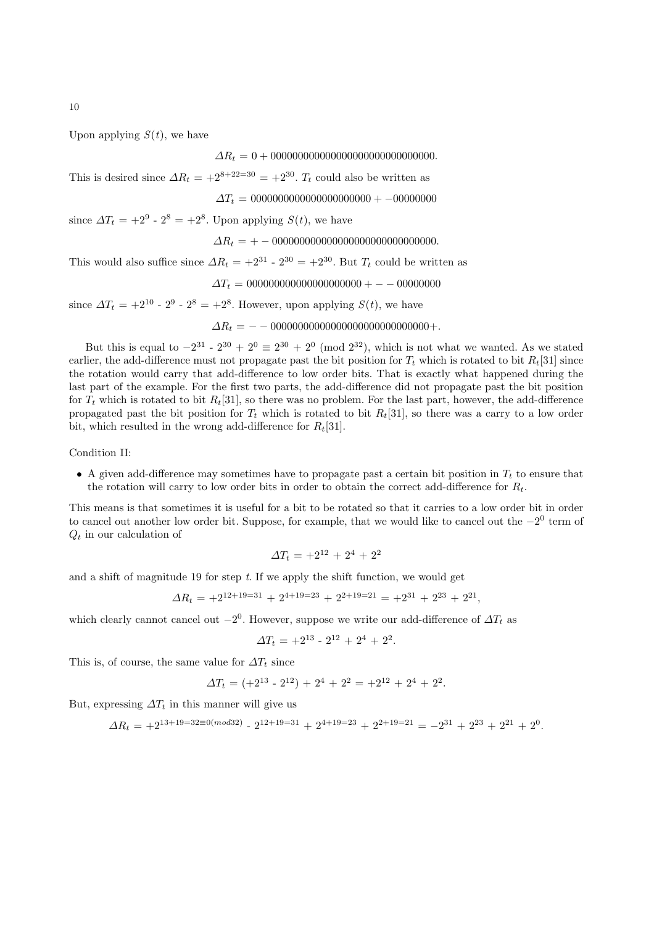Upon applying  $S(t)$ , we have

∆R<sup>t</sup> = 0 + 000000000000000000000000000000.

This is desired since  $\Delta R_t = +2^{8+22=30} = +2^{30}$ .  $T_t$  could also be written as

∆T<sup>t</sup> = 0000000000000000000000 + −00000000

since  $\Delta T_t = +2^9 - 2^8 = +2^8$ . Upon applying  $S(t)$ , we have

$$
\Delta R_t = + -00000000000000000000000000000.
$$

This would also suffice since  $\Delta R_t = +2^{31} \cdot 2^{30} = +2^{30}$ . But  $T_t$  could be written as

$$
\Delta T_t = 000000000000000000000 + -000000000
$$

since  $\Delta T_t = +2^{10} - 2^9 - 2^8 = +2^8$ . However, upon applying  $S(t)$ , we have

∆R<sup>t</sup> = − − 00000000000000000000000000000+.

But this is equal to  $-2^{31}$  -  $2^{30} + 2^{0} \equiv 2^{30} + 2^{0} \pmod{2^{32}}$ , which is not what we wanted. As we stated earlier, the add-difference must not propagate past the bit position for  $T_t$  which is rotated to bit  $R_t[31]$  since the rotation would carry that add-difference to low order bits. That is exactly what happened during the last part of the example. For the first two parts, the add-difference did not propagate past the bit position for  $T_t$  which is rotated to bit  $R_t[31]$ , so there was no problem. For the last part, however, the add-difference propagated past the bit position for  $T_t$  which is rotated to bit  $R_t[31]$ , so there was a carry to a low order bit, which resulted in the wrong add-difference for  $R_t[31]$ .

Condition II:

• A given add-difference may sometimes have to propagate past a certain bit position in  $T_t$  to ensure that the rotation will carry to low order bits in order to obtain the correct add-difference for  $R_t$ .

This means is that sometimes it is useful for a bit to be rotated so that it carries to a low order bit in order to cancel out another low order bit. Suppose, for example, that we would like to cancel out the  $-2<sup>0</sup>$  term of  $Q_t$  in our calculation of

$$
\Delta T_t = +2^{12} + 2^4 + 2^2
$$

and a shift of magnitude 19 for step  $t$ . If we apply the shift function, we would get

$$
\Delta R_t = +2^{12+19=31} + 2^{4+19=23} + 2^{2+19=21} = +2^{31} + 2^{23} + 2^{21},
$$

which clearly cannot cancel out  $-2^0$ . However, suppose we write our add-difference of  $\Delta T_t$  as

$$
\Delta T_t = +2^{13} - 2^{12} + 2^4 + 2^2.
$$

This is, of course, the same value for  $\Delta T_t$  since

$$
\Delta T_t = (+2^{13} \cdot 2^{12}) + 2^4 + 2^2 = +2^{12} + 2^4 + 2^2.
$$

But, expressing  $\Delta T_t$  in this manner will give us

$$
\Delta R_t = +2^{13+19=32\equiv 0 \pmod{32}} - 2^{12+19=31} + 2^{4+19=23} + 2^{2+19=21} = -2^{31} + 2^{23} + 2^{21} + 2^0.
$$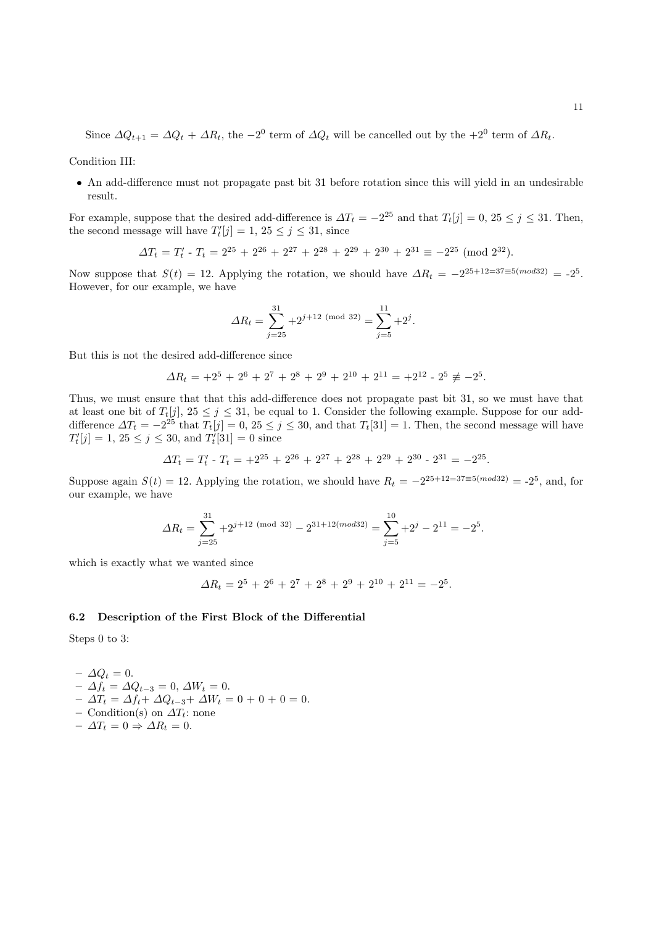Since  $\Delta Q_{t+1} = \Delta Q_t + \Delta R_t$ , the  $-2^0$  term of  $\Delta Q_t$  will be cancelled out by the  $+2^0$  term of  $\Delta R_t$ .

Condition III:

• An add-difference must not propagate past bit 31 before rotation since this will yield in an undesirable result.

For example, suppose that the desired add-difference is  $\Delta T_t = -2^{25}$  and that  $T_t[j] = 0$ ,  $25 \le j \le 31$ . Then, the second message will have  $T'_{t}[j] = 1, 25 \leq j \leq 31$ , since

$$
\Delta T_t = T'_t - T_t = 2^{25} + 2^{26} + 2^{27} + 2^{28} + 2^{29} + 2^{30} + 2^{31} \equiv -2^{25} \pmod{2^{32}}.
$$

Now suppose that  $S(t) = 12$ . Applying the rotation, we should have  $\Delta R_t = -2^{25+12=37\equiv 5(mod 32)} = -2^5$ . However, for our example, we have

$$
\Delta R_t = \sum_{j=25}^{31} + 2^{j+12 \pmod{32}} = \sum_{j=5}^{11} + 2^j.
$$

But this is not the desired add-difference since

$$
\Delta R_t = +2^5 + 2^6 + 2^7 + 2^8 + 2^9 + 2^{10} + 2^{11} = +2^{12} - 2^5 \not\equiv -2^5.
$$

Thus, we must ensure that that this add-difference does not propagate past bit 31, so we must have that at least one bit of  $T_t[j]$ ,  $25 \leq j \leq 31$ , be equal to 1. Consider the following example. Suppose for our adddifference  $\Delta T_t = -2^{25}$  that  $T_t[j] = 0, 25 \le j \le 30$ , and that  $T_t[31] = 1$ . Then, the second message will have  $T'_{t}[j] = 1, 25 \leq j \leq 30$ , and  $T'_{t}[31] = 0$  since

$$
\Delta T_t = T'_t - T_t = +2^{25} + 2^{26} + 2^{27} + 2^{28} + 2^{29} + 2^{30} - 2^{31} = -2^{25}.
$$

Suppose again  $S(t) = 12$ . Applying the rotation, we should have  $R_t = -2^{25+12=37\equiv 5(mod 32)} = -2^5$ , and, for our example, we have

$$
\Delta R_t = \sum_{j=25}^{31} +2^{j+12 \pmod{32}} - 2^{31+12 \pmod{32}} = \sum_{j=5}^{10} +2^j - 2^{11} = -2^5.
$$

which is exactly what we wanted since

$$
\Delta R_t = 2^5 + 2^6 + 2^7 + 2^8 + 2^9 + 2^{10} + 2^{11} = -2^5.
$$

#### 6.2 Description of the First Block of the Differential

Steps 0 to 3:

$$
- \Delta Q_t = 0.
$$
  
-  $\Delta f_t = \Delta Q_{t-3} = 0, \Delta W_t = 0.$   
-  $\Delta T_t = \Delta f_t + \Delta Q_{t-3} + \Delta W_t = 0 + 0 + 0 = 0.$ 

– Condition(s) on  $\Delta T_t$ : none  $- \Delta T_t = 0 \Rightarrow \Delta R_t = 0.$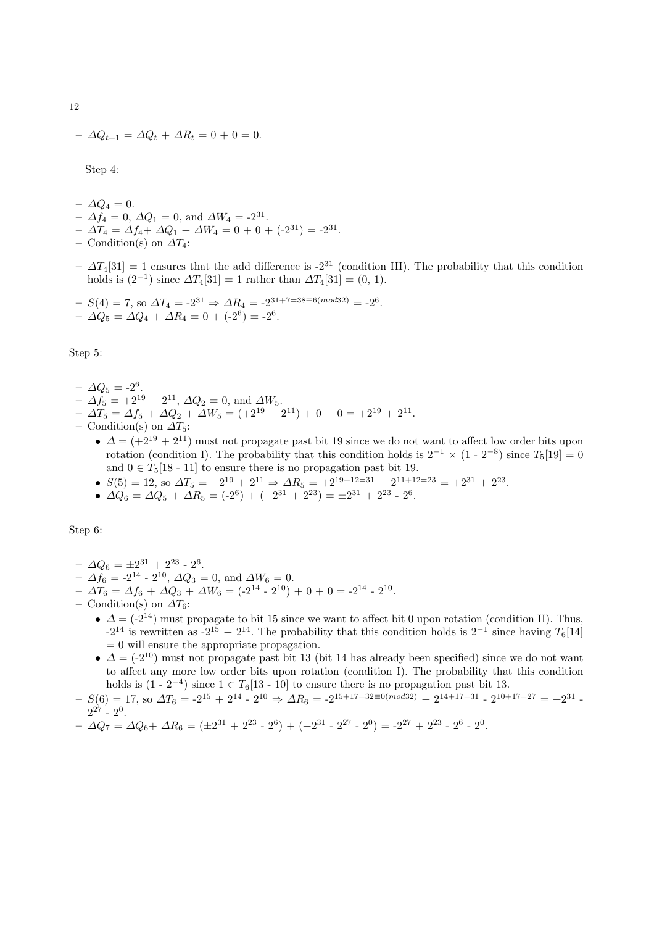$$
- \Delta Q_{t+1} = \Delta Q_t + \Delta R_t = 0 + 0 = 0.
$$

Step 4:

- $-\Delta Q_4=0.$
- $\Delta f_4 = 0, \, \Delta Q_1 = 0, \, \text{and } \Delta W_4 = -2^{31}.$
- $\Delta T_4 = \Delta f_4 + \Delta Q_1 + \Delta W_4 = 0 + 0 + (-2^{31}) = -2^{31}.$
- Condition(s) on  $\Delta T_4$ :
- $-\Delta T_4[31] = 1$  ensures that the add difference is -2<sup>31</sup> (condition III). The probability that this condition holds is  $(2^{-1})$  since  $\Delta T_4[31] = 1$  rather than  $\Delta T_4[31] = (0, 1)$ .

$$
- S(4) = 7, \text{ so } \Delta T_4 = -2^{31} \Rightarrow \Delta R_4 = -2^{31+7=38 \equiv 6 \pmod{32}} = -2^6.
$$
  

$$
- \Delta Q_5 = \Delta Q_4 + \Delta R_4 = 0 + (-2^6) = -2^6.
$$

Step 5:

- $\Delta Q_5 = -2^6.$
- $\Delta f_5 = +2^{19} + 2^{11}, \Delta Q_2 = 0$ , and  $\Delta W_5$ .
- $\Delta T_5 = \Delta f_5 + \Delta Q_2 + \Delta W_5 = (+2^{19} + 2^{11}) + 0 + 0 = +2^{19} + 2^{11}.$
- Condition(s) on  $\Delta T_5$ :
	- $\Delta = (+2^{19} + 2^{11})$  must not propagate past bit 19 since we do not want to affect low order bits upon rotation (condition I). The probability that this condition holds is  $2^{-1} \times (1 \cdot 2^{-8})$  since  $T_5[19] = 0$ and  $0 \in T_5[18 \tcdot 11]$  to ensure there is no propagation past bit 19.
	- $S(5) = 12$ , so  $\Delta T_5 = +2^{19} + 2^{11} \Rightarrow \Delta R_5 = +2^{19+12=31} + 2^{11+12=23} = +2^{31} + 2^{23}$ .
	- $\Delta Q_6 = \Delta Q_5 + \Delta R_5 = (-2^6) + (+2^{31} + 2^{23}) = \pm 2^{31} + 2^{23} 2^6.$

Step 6:

- $\Delta Q_6 = \pm 2^{31} + 2^{23}$   $2^6$ .
- $-\Delta f_6 = -2^{14} 2^{10}, \Delta Q_3 = 0$ , and  $\Delta W_6 = 0$ .
- $\Delta T_6 = \Delta f_6 + \Delta Q_3 + \Delta W_6 = (-2^{14} 2^{10}) + 0 + 0 = -2^{14} 2^{10}.$
- Condition(s) on  $\Delta T_6$ :
	- $\Delta = (-2^{14})$  must propagate to bit 15 since we want to affect bit 0 upon rotation (condition II). Thus,  $-2^{14}$  is rewritten as  $-2^{15} + 2^{14}$ . The probability that this condition holds is  $2^{-1}$  since having  $T_6[14]$  $= 0$  will ensure the appropriate propagation.
	- $\Delta = (-2^{10})$  must not propagate past bit 13 (bit 14 has already been specified) since we do not want to affect any more low order bits upon rotation (condition I). The probability that this condition holds is  $(1 - 2^{-4})$  since  $1 \in T_6[13 - 10]$  to ensure there is no propagation past bit 13.
- $-S(6) = 17$ , so  $\Delta T_6 = -2^{15} + 2^{14} 2^{10} \Rightarrow \Delta R_6 = -2^{15+17=32 \equiv 0 (mod 32)} + 2^{14+17=31} 2^{10+17=27} = +2^{31} 2^{10}$  $2^{27}$  -  $2^0$ .
- $\Delta Q_7 = \Delta Q_6 + \Delta R_6 = (\pm 2^{31} + 2^{23} 2^6) + (+2^{31} 2^{27} 2^0) = -2^{27} + 2^{23} 2^6 2^0.$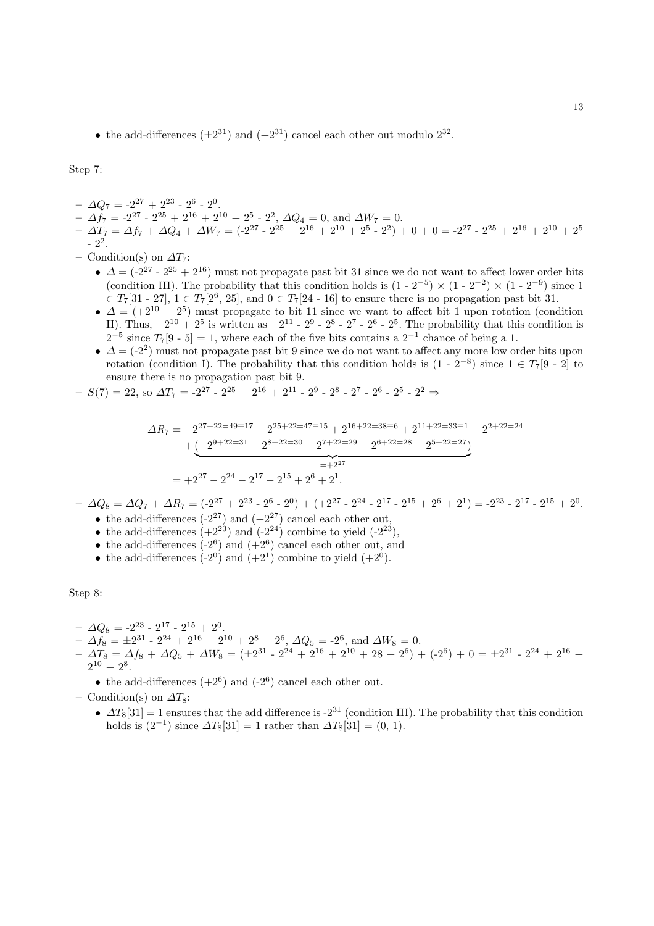• the add-differences  $(\pm 2^{31})$  and  $(+2^{31})$  cancel each other out modulo  $2^{32}$ .

Step 7:

- $\Delta Q_7 = -2^{27} + 2^{23} 2^6 2^0$ .
- $\Delta f_7 = -2^{27} 2^{25} + 2^{16} + 2^{10} + 2^5 2^2$ ,  $\Delta Q_4 = 0$ , and  $\Delta W_7 = 0$ .
- $\Delta T_7 = \Delta f_7 + \Delta Q_4 + \Delta W_7 = (-2^{27} 2^{25} + 2^{16} + 2^{10} + 2^5 2^2) + 0 + 0 = -2^{27} 2^{25} + 2^{16} + 2^{10} + 2^5$  $-2^2$ .
- Condition(s) on  $\Delta T_7$ :
	- $\Delta = (-2^{27} 2^{25} + 2^{16})$  must not propagate past bit 31 since we do not want to affect lower order bits (condition III). The probability that this condition holds is  $(1 - 2^{-5}) \times (1 - 2^{-2}) \times (1 - 2^{-9})$  since 1  $\in T_7[31 - 27], 1 \in T_7[2^6, 25],$  and  $0 \in T_7[24 - 16]$  to ensure there is no propagation past bit 31.
	- $\Delta = (+2^{10} + 2^5)$  must propagate to bit 11 since we want to affect bit 1 upon rotation (condition II). Thus,  $+2^{10} + 2^5$  is written as  $+2^{11} - 2^9 - 2^8 - 2^7 - 2^6 - 2^5$ . The probability that this condition is  $2^{-5}$  since  $T_7[9-5]=1$ , where each of the five bits contains a  $2^{-1}$  chance of being a 1.
	- $\Delta = (-2^2)$  must not propagate past bit 9 since we do not want to affect any more low order bits upon rotation (condition I). The probability that this condition holds is  $(1 - 2^{-8})$  since  $1 \in T_7[9 - 2]$  to ensure there is no propagation past bit 9.

- 
$$
S(7) = 22
$$
, so  $\Delta T_7 = -2^{27} - 2^{25} + 2^{16} + 2^{11} - 2^9 - 2^8 - 2^7 - 2^6 - 2^5 - 2^2 \Rightarrow$ 

$$
\Delta R_7 = -2^{27+22=49\equiv 17} - 2^{25+22=47\equiv 15} + 2^{16+22=38\equiv 6} + 2^{11+22=33\equiv 1} - 2^{2+22=24}
$$

$$
+ \underbrace{(-2^{9+22=31} - 2^{8+22=30} - 2^{7+22=29} - 2^{6+22=28} - 2^{5+22=27})}_{=+2^{27}}
$$

$$
= +2^{27} - 2^{24} - 2^{17} - 2^{15} + 2^6 + 2^1.
$$

 $- \Delta Q_8 = \Delta Q_7 + \Delta R_7 = (2^{27} + 2^{23} - 2^6 - 2^0) + (2^{27} - 2^{24} - 2^{17} - 2^{15} + 2^6 + 2^1) = -2^{23} - 2^{17} - 2^{15} + 2^0$ 

- the add-differences  $(-2^{27})$  and  $(+2^{27})$  cancel each other out,
- the add-differences  $(+2^{23})$  and  $(-2^{24})$  combine to yield  $(-2^{23})$ ,
- the add-differences  $(-2^6)$  and  $(+2^6)$  cancel each other out, and
- the add-differences  $(-2^0)$  and  $(+2^1)$  combine to yield  $(+2^0)$ .

Step 8:

- $\Delta Q_8 = -2^{23} 2^{17} 2^{15} + 2^0.$
- $\Delta f_8 = \pm 2^{31} 2^{24} + 2^{16} + 2^{10} + 2^8 + 2^6$ ,  $\Delta Q_5 = -2^6$ , and  $\Delta W_8 = 0$ .
- $\Delta T_8 = \Delta f_8 + \Delta Q_5 + \Delta W_8 = (\pm 2^{31} 2^{24} + 2^{16} + 2^{10} + 28 + 2^6) + (-2^6) + 0 = \pm 2^{31} 2^{24} + 2^{16} +$  $2^{10} + 2^8$ .
	- the add-differences  $(+2^6)$  and  $(-2^6)$  cancel each other out.
- Condition(s) on  $\Delta T_8$ :
	- $\Delta T_8[31] = 1$  ensures that the add difference is -2<sup>31</sup> (condition III). The probability that this condition holds is  $(2^{-1})$  since  $\Delta T_8[31] = 1$  rather than  $\Delta T_8[31] = (0, 1)$ .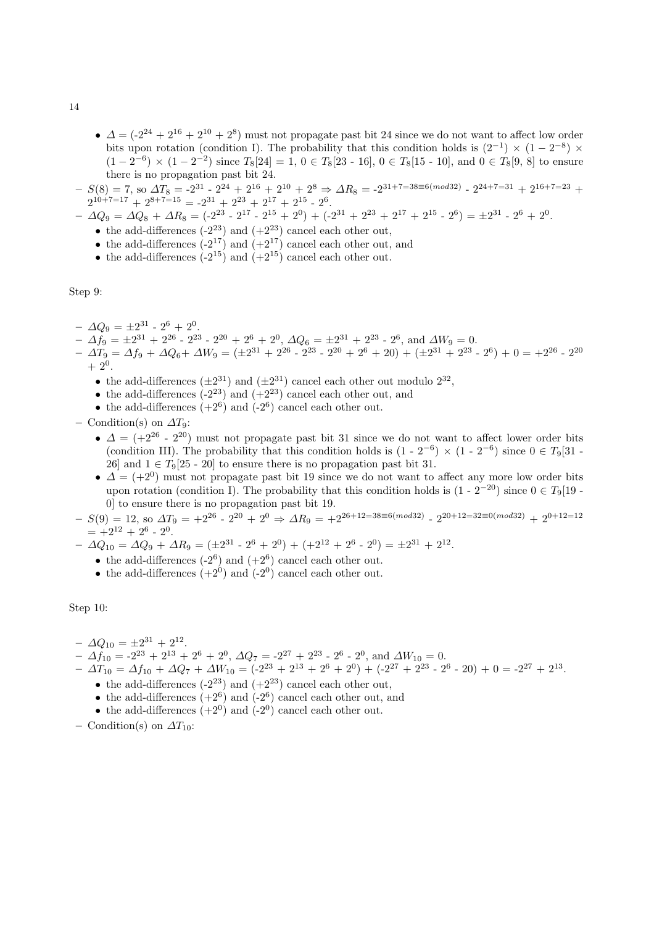- $\Delta = (-2^{24} + 2^{16} + 2^{10} + 2^8)$  must not propagate past bit 24 since we do not want to affect low order bits upon rotation (condition I). The probability that this condition holds is  $(2^{-1}) \times (1 - 2^{-8}) \times$  $(1-2^{-6}) \times (1-2^{-2})$  since  $T_8[24] = 1, 0 \in T_8[23 - 16], 0 \in T_8[15 - 10]$ , and  $0 \in T_8[9, 8]$  to ensure there is no propagation past bit 24.
- $-S(8) = 7$ , so  $\Delta T_8 = -2^{31} 2^{24} + 2^{16} + 2^{10} + 2^8 \Rightarrow \Delta R_8 = -2^{31+7=38\equiv 6(mod32)} 2^{24+7=31} + 2^{16+7=23} +$  $2^{10+7=17} + 2^{8+7=15} = -2^{31} + 2^{23} + 2^{17} + 2^{15} - 2^6$ .
- $\Delta Q_9 = \Delta Q_8 + \Delta R_8 = (-2^{23} 2^{17} 2^{15} + 2^0) + (-2^{31} + 2^{23} + 2^{17} + 2^{15} 2^6) = \pm 2^{31} 2^6 + 2^0.$ 
	- the add-differences  $(-2^{23})$  and  $(+2^{23})$  cancel each other out,
	- the add-differences  $(-2^{17})$  and  $(+2^{17})$  cancel each other out, and
	- the add-differences  $(-2^{15})$  and  $(+2^{15})$  cancel each other out.

Step 9:

- $\Delta Q_9 = \pm 2^{31} 2^6 + 2^0$ .
- $\Delta f_9 = ±2^{31} + 2^{26} 2^{23} 2^{20} + 2^6 + 2^0$ ,  $\Delta Q_6 = ±2^{31} + 2^{23} 2^6$ , and  $\Delta W_9 = 0$ .
- $\Delta T_9 = \Delta f_9 + \Delta Q_6 + \Delta W_9 = (\pm 2^{31} + 2^{26} 2^{23} 2^{20} + 2^6 + 20) + (\pm 2^{31} + 2^{23} 2^6) + 0 = +2^{26} 2^{20}$  $+ 2^0.$ 
	- the add-differences  $(\pm 2^{31})$  and  $(\pm 2^{31})$  cancel each other out modulo  $2^{32}$ ,
	- the add-differences  $(-2^{23})$  and  $(+2^{23})$  cancel each other out, and
	- the add-differences  $(+2^6)$  and  $(-2^6)$  cancel each other out.

– Condition(s) on  $\Delta T_9$ :

- $\Delta = (+2^{26} 2^{20})$  must not propagate past bit 31 since we do not want to affect lower order bits (condition III). The probability that this condition holds is  $(1 - 2^{-6}) \times (1 - 2^{-6})$  since  $0 \in T_9[31 -$ 26] and  $1 \in T_9[25 - 20]$  to ensure there is no propagation past bit 31.
- $\Delta = (+2^0)$  must not propagate past bit 19 since we do not want to affect any more low order bits upon rotation (condition I). The probability that this condition holds is  $(1 - 2^{-20})$  since  $0 \in T_9[19 - 10^{-10}]$ 0] to ensure there is no propagation past bit 19.
- $-S(9) = 12$ , so  $\Delta T_9 = +2^{26} 2^{20} + 2^0 \Rightarrow \Delta R_9 = +2^{26+12=38 \equiv 6 \pmod{32}} 2^{20+12=32 \equiv 0 \pmod{32}} + 2^{0+12=12}$  $= +2^{12} + 2^6 - 2^0$ .

 $- \Delta Q_{10} = \Delta Q_9 + \Delta R_9 = (\pm 2^{31} - 2^6 + 2^0) + (+2^{12} + 2^6 - 2^0) = \pm 2^{31} + 2^{12}.$ 

- the add-differences  $(-2^6)$  and  $(+2^6)$  cancel each other out.
- the add-differences  $(+2^0)$  and  $(-2^0)$  cancel each other out.

Step 10:

- $\Delta Q_{10} = \pm 2^{31} + 2^{12}.$
- $\Delta f_{10} = -2^{23} + 2^{13} + 2^6 + 2^0$ ,  $\Delta Q_7 = -2^{27} + 2^{23} 2^6 2^0$ , and  $\Delta W_{10} = 0$ .
- $\Delta T_{10} = \Delta f_{10} + \Delta Q_7 + \Delta W_{10} = (-2^{23} + 2^{13} + 2^6 + 2^0) + (-2^{27} + 2^{23} 2^6 20) + 0 = -2^{27} + 2^{13}$ 
	- the add-differences  $(-2^{23})$  and  $(+2^{23})$  cancel each other out,
		- the add-differences  $(+2^6)$  and  $(-2^6)$  cancel each other out, and
		- the add-differences  $(+2^0)$  and  $(-2^0)$  cancel each other out.
- Condition(s) on  $\Delta T_{10}$ :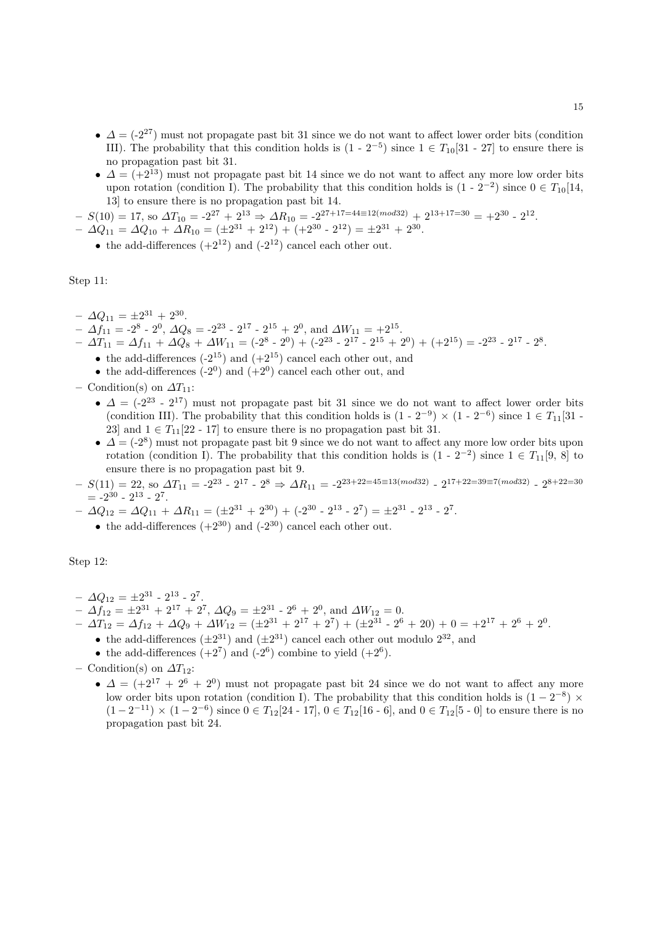- $\Delta = (-2^{27})$  must not propagate past bit 31 since we do not want to affect lower order bits (condition III). The probability that this condition holds is  $(1 - 2^{-5})$  since  $1 \in T_{10}[31 - 27]$  to ensure there is no propagation past bit 31.
- $\Delta = (+2^{13})$  must not propagate past bit 14 since we do not want to affect any more low order bits upon rotation (condition I). The probability that this condition holds is  $(1 - 2^{-2})$  since  $0 \in T_{10}[14, 1]$ 13] to ensure there is no propagation past bit 14.
- $-S(10) = 17$ , so  $\Delta T_{10} = -2^{27} + 2^{13} \Rightarrow \Delta R_{10} = -2^{27+17=44 \equiv 12 (mod 32)} + 2^{13+17=30} = +2^{30} 2^{12}$ .
- $\Delta Q_{11} = \Delta Q_{10} + \Delta R_{10} = (\pm 2^{31} + 2^{12}) + (+2^{30} 2^{12}) = \pm 2^{31} + 2^{30}.$ 
	- the add-differences  $(+2^{12})$  and  $(-2^{12})$  cancel each other out.

Step 11:

- $\Delta Q_{11} = \pm 2^{31} + 2^{30}.$
- $\Delta f_{11} = -2^8 2^0$ ,  $\Delta Q_8 = -2^{23} 2^{17} 2^{15} + 2^0$ , and  $\Delta W_{11} = +2^{15}$ .
- $\Delta T_{11} = \Delta f_{11} + \Delta Q_8 + \Delta W_{11} = (-2^8 2^0) + (-2^{23} 2^{17} 2^{15} + 2^0) + (+2^{15}) = -2^{23} 2^{17} 2^8$ .
	- the add-differences  $(-2^{15})$  and  $(+2^{15})$  cancel each other out, and
	- the add-differences  $(-2^0)$  and  $(+2^0)$  cancel each other out, and
- Condition(s) on  $\Delta T_{11}$ :
	- $\Delta = (-2^{23} 2^{17})$  must not propagate past bit 31 since we do not want to affect lower order bits (condition III). The probability that this condition holds is  $(1 - 2^{-9}) \times (1 - 2^{-6})$  since  $1 \in T_{11}[31 -$ 23] and  $1 \in T_{11}[22 - 17]$  to ensure there is no propagation past bit 31.
	- $\Delta = (-2^8)$  must not propagate past bit 9 since we do not want to affect any more low order bits upon rotation (condition I). The probability that this condition holds is  $(1 - 2^{-2})$  since  $1 \in T_{11}[9, 8]$  to ensure there is no propagation past bit 9.
- $S(11) = 22$ , so  $\Delta T_{11} = -2^{23}$   $2^{17}$   $2^8 \Rightarrow \Delta R_{11} = -2^{23+22=45 \equiv 13 (mod 32)}$   $2^{17+22=39 \equiv 7 (mod 32)}$   $2^{8+22=30}$  $= -2^{30} - 2^{13} - 2^7.$
- $\Delta Q_{12} = \Delta Q_{11} + \Delta R_{11} = (\pm 2^{31} + 2^{30}) + (-2^{30} 2^{13} 2^7) = \pm 2^{31} 2^{13} 2^7.$ 
	- the add-differences  $(+2^{30})$  and  $(-2^{30})$  cancel each other out.

Step 12:

- $\Delta Q_{12} = \pm 2^{31} 2^{13} 2^7.$
- $\Delta f_{12} = \pm 2^{31} + 2^{17} + 2^7$ ,  $\Delta Q_9 = \pm 2^{31} 2^6 + 2^0$ , and  $\Delta W_{12} = 0$ .
- $\Delta T_{12} = \Delta f_{12} + \Delta Q_9 + \Delta W_{12} = (\pm 2^{31} + 2^{17} + 2^7) + (\pm 2^{31} 2^6 + 20) + 0 = \pm 2^{17} + 2^6 + 2^0.$ 
	- the add-differences  $(\pm 2^{31})$  and  $(\pm 2^{31})$  cancel each other out modulo  $2^{32}$ , and
	- the add-differences  $(+2^7)$  and  $(-2^6)$  combine to yield  $(+2^6)$ .
- Condition(s) on  $\Delta T_{12}$ :
	- $\Delta = (+2^{17} + 2^6 + 2^0)$  must not propagate past bit 24 since we do not want to affect any more low order bits upon rotation (condition I). The probability that this condition holds is  $(1 - 2^{-8}) \times$  $(1-2^{-11}) \times (1-2^{-6})$  since  $0 \in T_{12}[24 - 17], 0 \in T_{12}[16 - 6]$ , and  $0 \in T_{12}[5 - 0]$  to ensure there is no propagation past bit 24.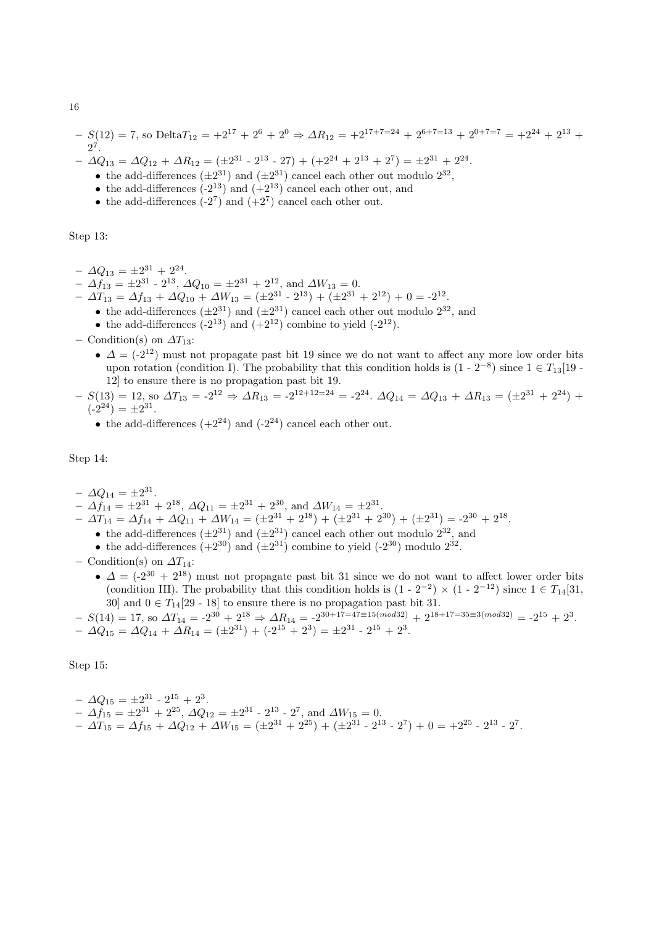$$
- S(12) = 7, \text{ so Delta} \quad T_{12} = +2^{17} + 2^6 + 2^0 \Rightarrow \Delta R_{12} = +2^{17+7=24} + 2^{6+7=13} + 2^{0+7=7} = +2^{24} + 2^{13} + 2^7.
$$

 $- \Delta Q_{13} = \Delta Q_{12} + \Delta R_{12} = (\pm 2^{31} - 2^{13} - 27) + (+2^{24} + 2^{13} + 2^7) = \pm 2^{31} + 2^{24}.$ 

- the add-differences  $(\pm 2^{31})$  and  $(\pm 2^{31})$  cancel each other out modulo  $2^{32}$ ,
- the add-differences  $(-2^{13})$  and  $(+2^{13})$  cancel each other out, and
- the add-differences  $(-2^7)$  and  $(+2^7)$  cancel each other out.

Step 13:

- $\Delta Q_{13} = \pm 2^{31} + 2^{24}.$
- $\Delta f_{13} = \pm 2^{31} 2^{13}, \, \Delta Q_{10} = \pm 2^{31} + 2^{12}, \text{ and } \Delta W_{13} = 0.$
- $\Delta T_{13} = \Delta f_{13} + \Delta Q_{10} + \Delta W_{13} = (\pm 2^{31} 2^{13}) + (\pm 2^{31} + 2^{12}) + 0 = -2^{12}.$ 
	- the add-differences  $(\pm 2^{31})$  and  $(\pm 2^{31})$  cancel each other out modulo  $2^{32}$ , and
	- the add-differences  $(-2^{13})$  and  $(+2^{12})$  combine to yield  $(-2^{12})$ .
- Condition(s) on  $\Delta T_{13}$ :
	- $\Delta = (-2^{12})$  must not propagate past bit 19 since we do not want to affect any more low order bits upon rotation (condition I). The probability that this condition holds is  $(1 - 2^{-8})$  since  $1 \in T_{13}[19 - 1]$ 12] to ensure there is no propagation past bit 19.
- $-S(13) = 12$ , so  $\Delta T_{13} = -2^{12} \Rightarrow \Delta R_{13} = -2^{12+12=24} = -2^{24}$ .  $\Delta Q_{14} = \Delta Q_{13} + \Delta R_{13} = (\pm 2^{31} + 2^{24}) +$  $(-2^{24}) = \pm 2^{31}$ .
	- the add-differences  $(+2^{24})$  and  $(-2^{24})$  cancel each other out.

Step 14:

- $\Delta Q_{14} = \pm 2^{31}$ .
- $\Delta f_{14} = \pm 2^{31} + 2^{18}, \Delta Q_{11} = \pm 2^{31} + 2^{30}, \text{ and } \Delta W_{14} = \pm 2^{31}.$
- $\Delta T_{14} = \Delta f_{14} + \Delta Q_{11} + \Delta W_{14} = (\pm 2^{31} + 2^{18}) + (\pm 2^{31} + 2^{30}) + (\pm 2^{31}) = -2^{30} + 2^{18}.$ 
	- the add-differences  $(\pm 2^{31})$  and  $(\pm 2^{31})$  cancel each other out modulo  $2^{32}$ , and
	- the add-differences  $(+2^{30})$  and  $(\pm 2^{31})$  combine to yield  $(-2^{30})$  modulo  $2^{32}$ .
- Condition(s) on  $\Delta T_{14}$ :
	- $\Delta = (2^{30} + 2^{18})$  must not propagate past bit 31 since we do not want to affect lower order bits (condition III). The probability that this condition holds is  $(1 - 2^{-2}) \times (1 - 2^{-12})$  since  $1 \in T_{14}[31, 1]$ 30] and  $0 \in T_{14}[29 - 18]$  to ensure there is no propagation past bit 31.

$$
- S(14) = 17, \text{ so } \Delta T_{14} = -2^{30} + 2^{18} \Rightarrow \Delta R_{14} = -2^{30+17=47\equiv 15 (mod 32)} + 2^{18+17=35\equiv 3 (mod 32)} = -2^{15} + 2^3.
$$
  

$$
- \Delta Q_{15} = \Delta Q_{14} + \Delta R_{14} = (\pm 2^{31}) + (-2^{15} + 2^3) = \pm 2^{31} - 2^{15} + 2^3.
$$

Step 15:

$$
-\Delta Q_{15} = \pm 2^{31} - 2^{15} + 2^3.
$$
  
\n
$$
-\Delta f_{15} = \pm 2^{31} + 2^{25}, \Delta Q_{12} = \pm 2^{31} - 2^{13} - 2^7, \text{ and } \Delta W_{15} = 0.
$$
  
\n
$$
-\Delta T_{15} = \Delta f_{15} + \Delta Q_{12} + \Delta W_{15} = (\pm 2^{31} + 2^{25}) + (\pm 2^{31} - 2^{13} - 2^7) + 0 = +2^{25} - 2^{13} - 2^7.
$$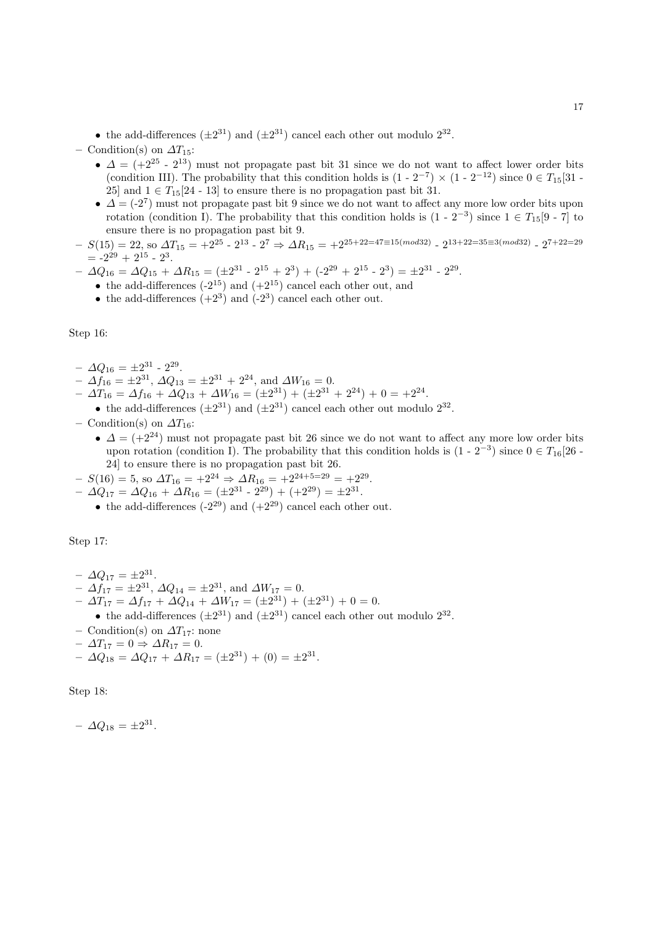• the add-differences  $(\pm 2^{31})$  and  $(\pm 2^{31})$  cancel each other out modulo  $2^{32}$ .

– Condition(s) on  $\Delta T_{15}$ :

- $\Delta = (+2^{25} 2^{13})$  must not propagate past bit 31 since we do not want to affect lower order bits (condition III). The probability that this condition holds is  $(1 - 2^{-7}) \times (1 - 2^{-12})$  since  $0 \in T_{15}[31 -$ 25] and  $1 \in T_{15}[24 - 13]$  to ensure there is no propagation past bit 31.
- $\Delta = (-2^7)$  must not propagate past bit 9 since we do not want to affect any more low order bits upon rotation (condition I). The probability that this condition holds is  $(1 - 2^{-3})$  since  $1 \in T_{15}[9 - 7]$  to ensure there is no propagation past bit 9.
- $-S(15) = 22$ , so  $\Delta T_{15} = +2^{25}$   $2^{13}$   $2^7$   $\Rightarrow$   $\Delta R_{15} = +2^{25+22=47 \equiv 15 (mod 32)}$   $2^{13+22=35 \equiv 3 (mod 32)}$   $2^{7+22=29}$  $= -2^{29} + 2^{15} - 2^3$ .
- $\Delta Q_{16} = \Delta Q_{15} + \Delta R_{15} = (\pm 2^{31} 2^{15} + 2^3) + (-2^{29} + 2^{15} 2^3) = \pm 2^{31} 2^{29}.$ 
	- the add-differences  $(-2^{15})$  and  $(+2^{15})$  cancel each other out, and
	- the add-differences  $(+2^3)$  and  $(-2^3)$  cancel each other out.

Step 16:

- $\Delta Q_{16} = \pm 2^{31} 2^{29}.$
- $\Delta f_{16} = \pm 2^{31}, \Delta Q_{13} = \pm 2^{31} + 2^{24}, \text{ and } \Delta W_{16} = 0.$
- $\Delta T_{16} = \Delta f_{16} + \Delta Q_{13} + \Delta W_{16} = (\pm 2^{31}) + (\pm 2^{31} + 2^{24}) + 0 = \pm 2^{24}.$
- the add-differences  $(\pm 2^{31})$  and  $(\pm 2^{31})$  cancel each other out modulo  $2^{32}$ .
- Condition(s) on  $\Delta T_{16}$ :
	- $\Delta = (+2^{24})$  must not propagate past bit 26 since we do not want to affect any more low order bits upon rotation (condition I). The probability that this condition holds is  $(1 - 2^{-3})$  since  $0 \in T_{16}[26 - 1]$ 24] to ensure there is no propagation past bit 26.
- $-S(16) = 5$ , so  $\Delta T_{16} = +2^{24} \Rightarrow \Delta R_{16} = +2^{24+5=29} = +2^{29}$ .
- $\Delta Q_{17} = \Delta Q_{16} + \Delta R_{16} = (\pm 2^{31} 2^{29}) + (+2^{29}) = \pm 2^{31}.$ 
	- the add-differences  $(-2^{29})$  and  $(+2^{29})$  cancel each other out.

Step 17:

- $\Delta Q_{17} = \pm 2^{31}$ .  $- \Delta f_{17} = \pm 2^{31}, \, \Delta Q_{14} = \pm 2^{31}, \text{ and } \Delta W_{17} = 0.$  $- \Delta T_{17} = \Delta f_{17} + \Delta Q_{14} + \Delta W_{17} = (\pm 2^{31}) + (\pm 2^{31}) + 0 = 0.$ • the add-differences  $(\pm 2^{31})$  and  $(\pm 2^{31})$  cancel each other out modulo  $2^{32}$ . – Condition(s) on  $\Delta T_{17}$ : none  $-\Delta T_{17} = 0 \Rightarrow \Delta R_{17} = 0.$
- $\Delta Q_{18} = \Delta Q_{17} + \Delta R_{17} = (\pm 2^{31}) + (0) = \pm 2^{31}.$

Step 18:

 $- \Delta Q_{18} = \pm 2^{31}.$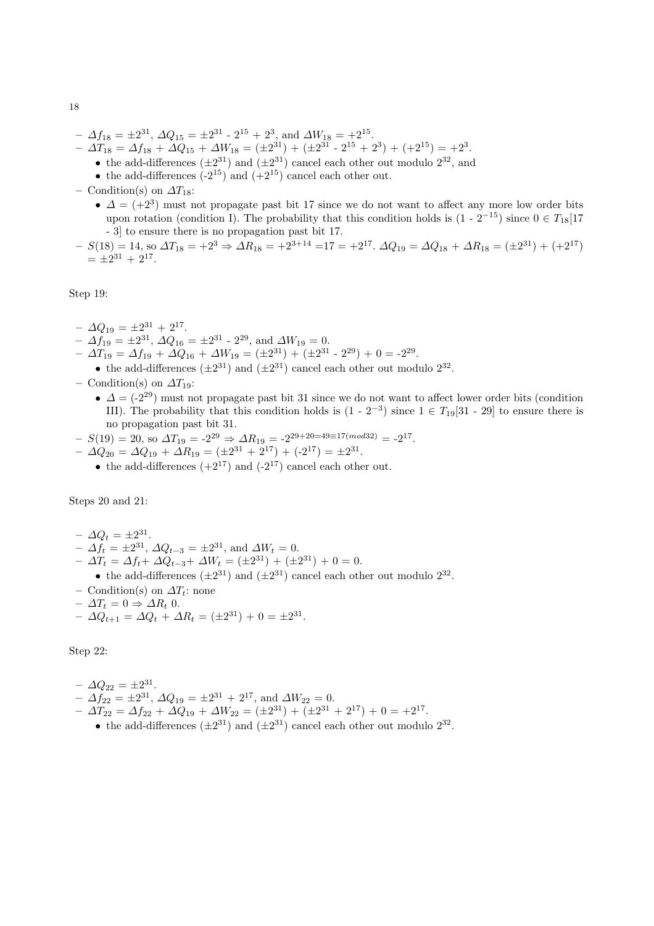- $\Delta f_{18} = \pm 2^{31}, \Delta Q_{15} = \pm 2^{31} 2^{15} + 2^3$ , and  $\Delta W_{18} = +2^{15}$ .
- $\Delta T_{18} = \Delta f_{18} + \Delta Q_{15} + \Delta W_{18} = (\pm 2^{31}) + (\pm 2^{31} 2^{15} + 2^{3}) + (\pm 2^{15}) = \pm 2^{3}.$ 
	- the add-differences  $(\pm 2^{31})$  and  $(\pm 2^{31})$  cancel each other out modulo  $2^{32}$ , and
	- the add-differences  $(-2^{15})$  and  $(+2^{15})$  cancel each other out.
- Condition(s) on  $\Delta T_{18}$ :
	- $\Delta = (+2^3)$  must not propagate past bit 17 since we do not want to affect any more low order bits upon rotation (condition I). The probability that this condition holds is  $(1 - 2^{-15})$  since  $0 \in T_{18}[17]$ - 3] to ensure there is no propagation past bit 17.
- $-S(18) = 14$ , so  $\Delta T_{18} = +2^3 \Rightarrow \Delta R_{18} = +2^{3+14} = 17 = +2^{17}$ .  $\Delta Q_{19} = \Delta Q_{18} + \Delta R_{18} = (\pm 2^{31}) + (+2^{17})$  $= \pm 2^{31} + 2^{17}.$

Step 19:

- $\Delta Q_{19} = \pm 2^{31} + 2^{17}.$
- $\Delta f_{19} = \pm 2^{31}, \Delta Q_{16} = \pm 2^{31} 2^{29}, \text{ and } \Delta W_{19} = 0.$
- $\Delta T_{19} = \Delta f_{19} + \Delta Q_{16} + \Delta W_{19} = (\pm 2^{31}) + (\pm 2^{31} 2^{29}) + 0 = -2^{29}.$
- the add-differences  $(\pm 2^{31})$  and  $(\pm 2^{31})$  cancel each other out modulo  $2^{32}$ .
- Condition(s) on  $\Delta T_{19}$ :
	- $\Delta = (-2^{29})$  must not propagate past bit 31 since we do not want to affect lower order bits (condition III). The probability that this condition holds is  $(1 - 2^{-3})$  since  $1 \in T_{19}[31 - 29]$  to ensure there is no propagation past bit 31.
- $-S(19) = 20$ , so  $\Delta T_{19} = -2^{29} \Rightarrow \Delta R_{19} = -2^{29+20=49 \equiv 17 \pmod{32}} = -2^{17}$ .
- $\Delta Q_{20} = \Delta Q_{19} + \Delta R_{19} = (\pm 2^{31} + 2^{17}) + (-2^{17}) = \pm 2^{31}.$ 
	- the add-differences  $(+2^{17})$  and  $(-2^{17})$  cancel each other out.

Steps 20 and 21:

- $\Delta Q_t = \pm 2^{31}.$  $- \Delta f_t = \pm 2^{31}, \, \Delta Q_{t-3} = \pm 2^{31}, \, \text{and } \Delta W_t = 0.$  $- \Delta T_t = \Delta f_t + \Delta Q_{t-3} + \Delta W_t = (\pm 2^{31}) + (\pm 2^{31}) + 0 = 0.$
- the add-differences  $(\pm 2^{31})$  and  $(\pm 2^{31})$  cancel each other out modulo  $2^{32}$ .
- Condition(s) on  $\Delta T_t$ : none
- $\Delta T_t = 0 \Rightarrow \Delta R_t$  0.

$$
- \Delta Q_{t+1} = \Delta Q_t + \Delta R_t = (\pm 2^{31}) + 0 = \pm 2^{31}.
$$

Step 22:

$$
- \Delta Q_{22} = \pm 2^{31}.
$$
  
\n
$$
- \Delta f_{22} = \pm 2^{31}, \Delta Q_{19} = \pm 2^{31} + 2^{17}, \text{ and } \Delta W_{22} = 0.
$$
  
\n
$$
- \Delta T_{22} = \Delta f_{22} + \Delta Q_{19} + \Delta W_{22} = (\pm 2^{31}) + (\pm 2^{31} + 2^{17}) + 0 = \pm 2^{17}.
$$

• the add-differences  $(\pm 2^{31})$  and  $(\pm 2^{31})$  cancel each other out modulo  $2^{32}$ .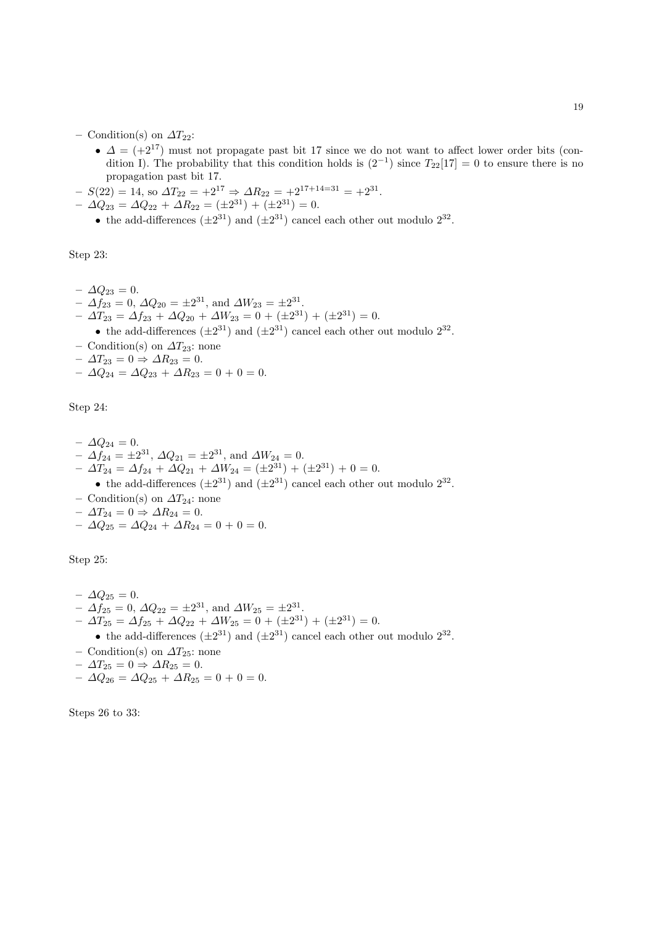– Condition(s) on  $\Delta T_{22}$ :

- $\Delta = (+2^{17})$  must not propagate past bit 17 since we do not want to affect lower order bits (condition I). The probability that this condition holds is  $(2^{-1})$  since  $T_{22}[17] = 0$  to ensure there is no propagation past bit 17.
- $-S(22) = 14$ , so  $\Delta T_{22} = +2^{17} \Rightarrow \Delta R_{22} = +2^{17+14=31} = +2^{31}$ .
- $\Delta Q_{23} = \Delta Q_{22} + \Delta R_{22} = (\pm 2^{31}) + (\pm 2^{31}) = 0.$ 
	- the add-differences  $(\pm 2^{31})$  and  $(\pm 2^{31})$  cancel each other out modulo  $2^{32}$ .

Step 23:

- $-$  Δ $Q_{23} = 0$ .
- $\Delta f_{23} = 0, \, \Delta Q_{20} = \pm 2^{31}, \text{ and } \Delta W_{23} = \pm 2^{31}.$
- $\Delta T_{23} = \Delta f_{23} + \Delta Q_{20} + \Delta W_{23} = 0 + (\pm 2^{31}) + (\pm 2^{31}) = 0.$
- the add-differences  $(\pm 2^{31})$  and  $(\pm 2^{31})$  cancel each other out modulo  $2^{32}$ .
- Condition(s) on  $\Delta T_{23}$ : none
- $\Delta T_{23} = 0 \Rightarrow \Delta R_{23} = 0.$
- $-\Delta Q_{24} = \Delta Q_{23} + \Delta R_{23} = 0 + 0 = 0.$

Step 24:

- $\Delta Q_{24} = 0.$  $- \Delta f_{24} = \pm 2^{31}, \, \Delta Q_{21} = \pm 2^{31}, \text{ and } \Delta W_{24} = 0.$  $- \Delta T_{24} = \Delta f_{24} + \Delta Q_{21} + \Delta W_{24} = (\pm 2^{31}) + (\pm 2^{31}) + 0 = 0.$ • the add-differences  $(\pm 2^{31})$  and  $(\pm 2^{31})$  cancel each other out modulo  $2^{32}$ .
- Condition(s) on  $\Delta T_{24}$ : none
- $\Delta T_{24} = 0 \Rightarrow \Delta R_{24} = 0.$
- $\Delta Q_{25} = \Delta Q_{24} + \Delta R_{24} = 0 + 0 = 0.$

Step 25:

- $\Delta Q_{25} = 0.$  $- \Delta f_{25} = 0, \, \Delta Q_{22} = \pm 2^{31}, \text{ and } \Delta W_{25} = \pm 2^{31}.$  $- \Delta T_{25} = \Delta f_{25} + \Delta Q_{22} + \Delta W_{25} = 0 + (\pm 2^{31}) + (\pm 2^{31}) = 0.$ • the add-differences  $(\pm 2^{31})$  and  $(\pm 2^{31})$  cancel each other out modulo  $2^{32}$ . – Condition(s) on  $\Delta T_{25}$ : none  $- \Delta T_{25} = 0 \Rightarrow \Delta R_{25} = 0.$
- $\Delta Q_{26} = \Delta Q_{25} + \Delta R_{25} = 0 + 0 = 0.$

Steps 26 to 33: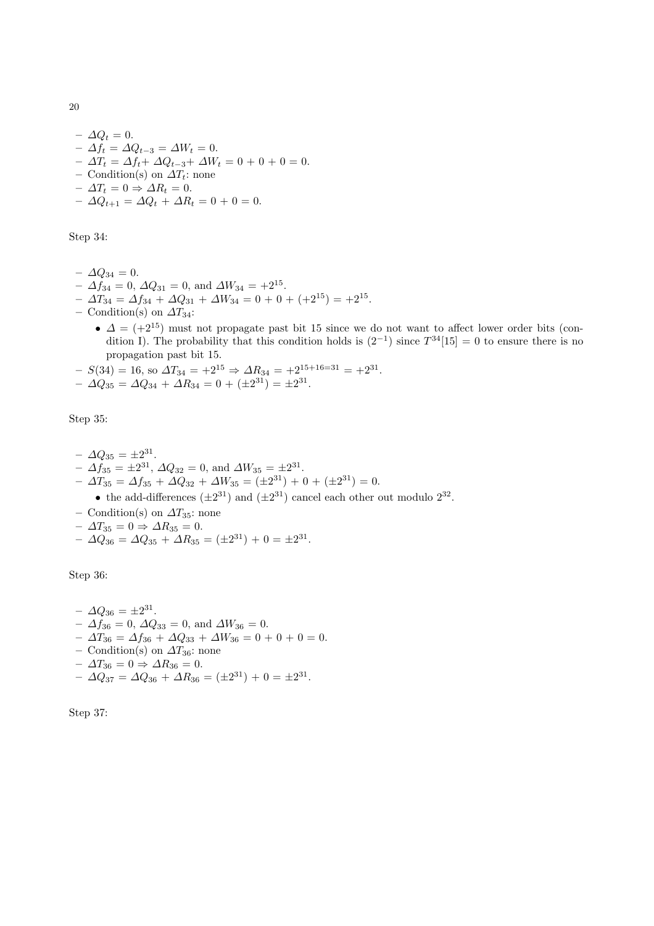–  $\varDelta Q_t = 0$ . –  $\Delta f_t = \Delta Q_{t-3} = \Delta W_t = 0.$  $-ΔT_t = Δf_t + ΔQ_{t-3} + ΔW_t = 0 + 0 + 0 = 0.$ – Condition(s) on  $\Delta T_t$ : none  $-\Delta T_t = 0 \Rightarrow \Delta R_t = 0.$  $- \Delta Q_{t+1} = \Delta Q_t + \Delta R_t = 0 + 0 = 0.$ 

Step 34:

- $-\Delta Q_{34} = 0.$
- $\Delta f_{34} = 0, \, \Delta Q_{31} = 0, \text{ and } \Delta W_{34} = +2^{15}.$
- $\Delta T_{34} = \Delta f_{34} + \Delta Q_{31} + \Delta W_{34} = 0 + 0 + (+2^{15}) = +2^{15}.$
- Condition(s) on  $\Delta T_{34}$ :
	- $\Delta = (+2^{15})$  must not propagate past bit 15 since we do not want to affect lower order bits (condition I). The probability that this condition holds is  $(2^{-1})$  since  $T^{34}[15] = 0$  to ensure there is no propagation past bit 15.
- $-S(34) = 16$ , so  $\Delta T_{34} = +2^{15} \Rightarrow \Delta R_{34} = +2^{15+16=31} = +2^{31}$ .  $- \Delta Q_{35} = \Delta Q_{34} + \Delta R_{34} = 0 + (\pm 2^{31}) = \pm 2^{31}.$
- 

Step 35:

$$
-\Delta Q_{35} = \pm 2^{31}.
$$
  
\n
$$
-\Delta f_{35} = \pm 2^{31}, \Delta Q_{32} = 0, \text{ and } \Delta W_{35} = \pm 2^{31}.
$$
  
\n
$$
-\Delta T_{35} = \Delta f_{35} + \Delta Q_{32} + \Delta W_{35} = (\pm 2^{31}) + 0 + (\pm 2^{31}) = 0.
$$
  
\n• the add-differences  $(\pm 2^{31})$  and  $(\pm 2^{31})$  cancel each other out modulo  $2^{32}$ .  
\n- Condition(s) on  $\Delta T_{35}$ : none  
\n
$$
-\Delta T_{35} = 0 \Rightarrow \Delta R_{35} = 0.
$$

 $- \Delta Q_{36} = \Delta Q_{35} + \Delta R_{35} = (\pm 2^{31}) + 0 = \pm 2^{31}.$ 

Step 36:

$$
-\Delta Q_{36} = \pm 2^{31}.
$$
  
\n
$$
-\Delta f_{36} = 0, \Delta Q_{33} = 0, \text{ and } \Delta W_{36} = 0.
$$
  
\n
$$
-\Delta T_{36} = \Delta f_{36} + \Delta Q_{33} + \Delta W_{36} = 0 + 0 + 0 = 0.
$$
  
\n
$$
-\text{Condition(s) on } \Delta T_{36}: \text{ none}
$$
  
\n
$$
-\Delta T_{36} = 0 \Rightarrow \Delta R_{36} = 0.
$$
  
\n
$$
-\Delta Q_{37} = \Delta Q_{36} + \Delta R_{36} = (\pm 2^{31}) + 0 = \pm 2^{31}.
$$

Step 37: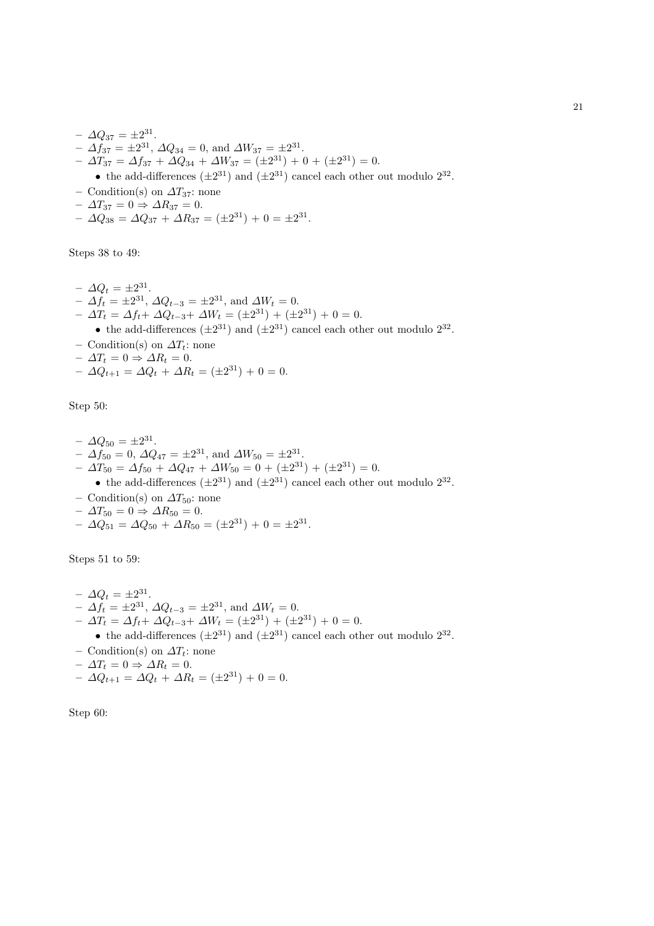- $\Delta Q_{37} = \pm 2^{31}$ .  $- \Delta f_{37} = \pm 2^{31}, \Delta Q_{34} = 0$ , and  $\Delta W_{37} = \pm 2^{31}.$  $- \Delta T_{37} = \Delta f_{37} + \Delta Q_{34} + \Delta W_{37} = (\pm 2^{31}) + 0 + (\pm 2^{31}) = 0.$ • the add-differences  $(\pm 2^{31})$  and  $(\pm 2^{31})$  cancel each other out modulo  $2^{32}$ . – Condition(s) on  $\Delta T_{37}$ : none
- $\Delta T_{37} = 0 \Rightarrow \Delta R_{37} = 0.$
- $\Delta Q_{38} = \Delta Q_{37} + \Delta R_{37} = (\pm 2^{31}) + 0 = \pm 2^{31}.$

Steps 38 to 49:

 $- \Delta Q_t = \pm 2^{31}$ .  $- \Delta f_t = \pm 2^{31}, \, \Delta Q_{t-3} = \pm 2^{31}, \, \text{and } \Delta W_t = 0.$  $- \Delta T_t = \Delta f_t + \Delta Q_{t-3} + \Delta W_t = (\pm 2^{31}) + (\pm 2^{31}) + 0 = 0.$ • the add-differences  $(\pm 2^{31})$  and  $(\pm 2^{31})$  cancel each other out modulo  $2^{32}$ . – Condition(s) on  $\Delta T_t$ : none  $- \Delta T_t = 0 \Rightarrow \Delta R_t = 0.$  $- \Delta Q_{t+1} = \Delta Q_t + \Delta R_t = (\pm 2^{31}) + 0 = 0.$ 

Step 50:

- $\Delta Q_{50} = \pm 2^{31}$ .  $- \Delta f_{50} = 0, \, \Delta Q_{47} = \pm 2^{31}, \text{ and } \Delta W_{50} = \pm 2^{31}.$  $- \Delta T_{50} = \Delta f_{50} + \Delta Q_{47} + \Delta W_{50} = 0 + (\pm 2^{31}) + (\pm 2^{31}) = 0.$
- the add-differences  $(\pm 2^{31})$  and  $(\pm 2^{31})$  cancel each other out modulo  $2^{32}$ .
- Condition(s) on  $\Delta T_{50}$ : none
- $-\Delta T_{50} = 0 \Rightarrow \Delta R_{50} = 0.$
- $\Delta Q_{51} = \Delta Q_{50} + \Delta R_{50} = (\pm 2^{31}) + 0 = \pm 2^{31}.$

Steps 51 to 59:

 $- \Delta Q_t = \pm 2^{31}.$  $- \Delta f_t = \pm 2^{31}, \, \Delta Q_{t-3} = \pm 2^{31}, \, \text{and } \Delta W_t = 0.$  $- \Delta T_t = \Delta f_t + \Delta Q_{t-3} + \Delta W_t = (\pm 2^{31}) + (\pm 2^{31}) + 0 = 0.$ • the add-differences  $(\pm 2^{31})$  and  $(\pm 2^{31})$  cancel each other out modulo  $2^{32}$ . – Condition(s) on  $\Delta T_t$ : none  $- \Delta T_t = 0 \Rightarrow \Delta R_t = 0.$  $- \Delta Q_{t+1} = \Delta Q_t + \Delta R_t = (\pm 2^{31}) + 0 = 0.$ 

Step 60: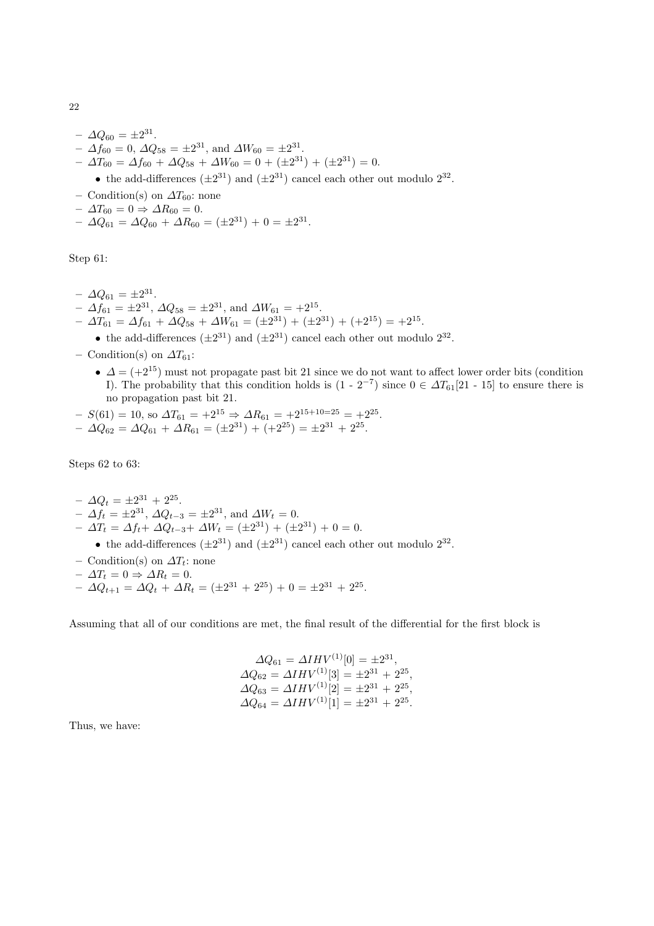- $\Delta Q_{60} = \pm 2^{31}$ .
- $\Delta f_{60} = 0, \, \Delta Q_{58} = \pm 2^{31}, \text{ and } \Delta W_{60} = \pm 2^{31}.$
- $\Delta T_{60} = \Delta f_{60} + \Delta Q_{58} + \Delta W_{60} = 0 + (\pm 2^{31}) + (\pm 2^{31}) = 0.$ 
	- the add-differences  $(\pm 2^{31})$  and  $(\pm 2^{31})$  cancel each other out modulo  $2^{32}$ .
- Condition(s) on  $\Delta T_{60}$ : none
- $\Delta T_{60} = 0 \Rightarrow \Delta R_{60} = 0.$
- $\Delta Q_{61} = \Delta Q_{60} + \Delta R_{60} = (\pm 2^{31}) + 0 = \pm 2^{31}.$

Step 61:

- $\Delta Q_{61} = \pm 2^{31}.$
- $\Delta f_{61} = \pm 2^{31}, \, \Delta Q_{58} = \pm 2^{31}, \, \text{and } \Delta W_{61} = +2^{15}.$
- $\Delta T_{61} = \Delta f_{61} + \Delta Q_{58} + \Delta W_{61} = (\pm 2^{31}) + (\pm 2^{31}) + (+2^{15}) = +2^{15}.$ 
	- the add-differences  $(\pm 2^{31})$  and  $(\pm 2^{31})$  cancel each other out modulo  $2^{32}$ .
- Condition(s) on  $\Delta T_{61}$ :
	- $\Delta = (+2^{15})$  must not propagate past bit 21 since we do not want to affect lower order bits (condition I). The probability that this condition holds is  $(1 - 2^{-7})$  since  $0 \in \Delta T_{61}[21 - 15]$  to ensure there is no propagation past bit 21.

$$
- S(61) = 10, \text{ so } \Delta T_{61} = +2^{15} \Rightarrow \Delta R_{61} = +2^{15+10=25} = +2^{25}.
$$
  

$$
- \Delta Q_{62} = \Delta Q_{61} + \Delta R_{61} = (\pm 2^{31}) + (+2^{25}) = \pm 2^{31} + 2^{25}.
$$

Steps 62 to 63:

- $\Delta Q_t = \pm 2^{31} + 2^{25}.$
- $\Delta f_t = \pm 2^{31}, \, \Delta Q_{t-3} = \pm 2^{31}, \, \text{and } \Delta W_t = 0.$
- $\Delta T_t = \Delta f_t + \Delta Q_{t-3} + \Delta W_t = (\pm 2^{31}) + (\pm 2^{31}) + 0 = 0.$ 
	- the add-differences  $(\pm 2^{31})$  and  $(\pm 2^{31})$  cancel each other out modulo  $2^{32}$ .
- Condition(s) on  $\Delta T_t$ : none
- $-\Delta T_t = 0 \Rightarrow \Delta R_t = 0.$
- $\Delta Q_{t+1} = \Delta Q_t + \Delta R_t = (\pm 2^{31} + 2^{25}) + 0 = \pm 2^{31} + 2^{25}.$

Assuming that all of our conditions are met, the final result of the differential for the first block is

$$
\begin{aligned}\n\Delta Q_{61} &= \Delta IHV^{(1)}[0] = \pm 2^{31}, \\
\Delta Q_{62} &= \Delta IHV^{(1)}[3] = \pm 2^{31} + 2^{25}, \\
\Delta Q_{63} &= \Delta IHV^{(1)}[2] = \pm 2^{31} + 2^{25}, \\
\Delta Q_{64} &= \Delta IHV^{(1)}[1] = \pm 2^{31} + 2^{25}.\n\end{aligned}
$$

Thus, we have: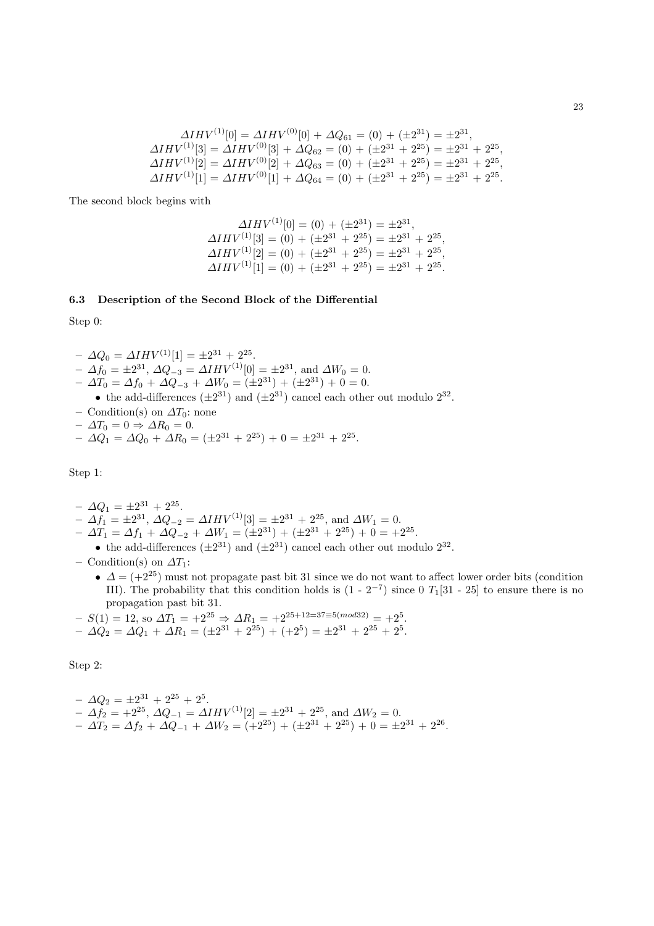$$
\Delta IHV^{(1)}[0] = \Delta IHV^{(0)}[0] + \Delta Q_{61} = (0) + (\pm 2^{31}) = \pm 2^{31},
$$
  
\n
$$
\Delta IHV^{(1)}[3] = \Delta IHV^{(0)}[3] + \Delta Q_{62} = (0) + (\pm 2^{31} + 2^{25}) = \pm 2^{31} + 2^{25},
$$
  
\n
$$
\Delta IHV^{(1)}[2] = \Delta IHV^{(0)}[2] + \Delta Q_{63} = (0) + (\pm 2^{31} + 2^{25}) = \pm 2^{31} + 2^{25},
$$
  
\n
$$
\Delta IHV^{(1)}[1] = \Delta IHV^{(0)}[1] + \Delta Q_{64} = (0) + (\pm 2^{31} + 2^{25}) = \pm 2^{31} + 2^{25}.
$$

The second block begins with

$$
\Delta IHV^{(1)}[0] = (0) + (\pm 2^{31}) = \pm 2^{31},
$$
  
\n
$$
\Delta IHV^{(1)}[3] = (0) + (\pm 2^{31} + 2^{25}) = \pm 2^{31} + 2^{25},
$$
  
\n
$$
\Delta IHV^{(1)}[2] = (0) + (\pm 2^{31} + 2^{25}) = \pm 2^{31} + 2^{25},
$$
  
\n
$$
\Delta IHV^{(1)}[1] = (0) + (\pm 2^{31} + 2^{25}) = \pm 2^{31} + 2^{25}.
$$

# 6.3 Description of the Second Block of the Differential

Step 0:

- $\Delta Q_0 = \Delta IHV^{(1)}[1] = \pm 2^{31} + 2^{25}.$
- $-\Delta f_0 = \pm 2^{31}, \Delta Q_{-3} = \Delta IHV^{(1)}[0] = \pm 2^{31}, \text{ and } \Delta W_0 = 0.$
- $\Delta T_0 = \Delta f_0 + \Delta Q_{-3} + \Delta W_0 = (\pm 2^{31}) + (\pm 2^{31}) + 0 = 0.$ 
	- the add-differences  $(\pm 2^{31})$  and  $(\pm 2^{31})$  cancel each other out modulo  $2^{32}$ .
- Condition(s) on  $\Delta T_0$ : none
- $\Delta T_0 = 0 \Rightarrow \Delta R_0 = 0.$
- $\Delta Q_1 = \Delta Q_0 + \Delta R_0 = (\pm 2^{31} + 2^{25}) + 0 = \pm 2^{31} + 2^{25}.$

Step 1:

- $\Delta Q_1 = \pm 2^{31} + 2^{25}.$
- $-\Delta f_1 = \pm 2^{31}, \Delta Q_{-2} = \Delta IHV^{(1)}[3] = \pm 2^{31} + 2^{25}, \text{ and } \Delta W_1 = 0.$
- $\Delta T_1 = \Delta f_1 + \Delta Q_{-2} + \Delta W_1 = (\pm 2^{31}) + (\pm 2^{31} + 2^{25}) + 0 = \pm 2^{25}.$ 
	- the add-differences  $(\pm 2^{31})$  and  $(\pm 2^{31})$  cancel each other out modulo  $2^{32}$ .
- Condition(s) on  $\Delta T_1$ :
	- $\Delta = (+2^{25})$  must not propagate past bit 31 since we do not want to affect lower order bits (condition III). The probability that this condition holds is  $(1 - 2^{-7})$  since 0  $T_1[31 - 25]$  to ensure there is no propagation past bit 31.

.

$$
-S(1) = 12
$$
, so  $\Delta T_1 = +2^{25} \Rightarrow \Delta R_1 = +2^{25+12=37\equiv 5(mod32)} = +2^5$ .

$$
- \Delta Q_2 = \Delta Q_1 + \Delta R_1 = (\pm 2^{31} + 2^{25}) + (+2^5) = \pm 2^{31} + 2^{25} + 2^5.
$$

Step 2:

$$
-\Delta Q_2 = \pm 2^{31} + 2^{25} + 2^5.
$$
  
\n
$$
-\Delta f_2 = +2^{25}, \Delta Q_{-1} = \Delta IHV^{(1)}[2] = \pm 2^{31} + 2^{25}, \text{ and } \Delta W_2 = 0.
$$
  
\n
$$
-\Delta T_2 = \Delta f_2 + \Delta Q_{-1} + \Delta W_2 = (+2^{25}) + (\pm 2^{31} + 2^{25}) + 0 = \pm 2^{31} + 2^{26}
$$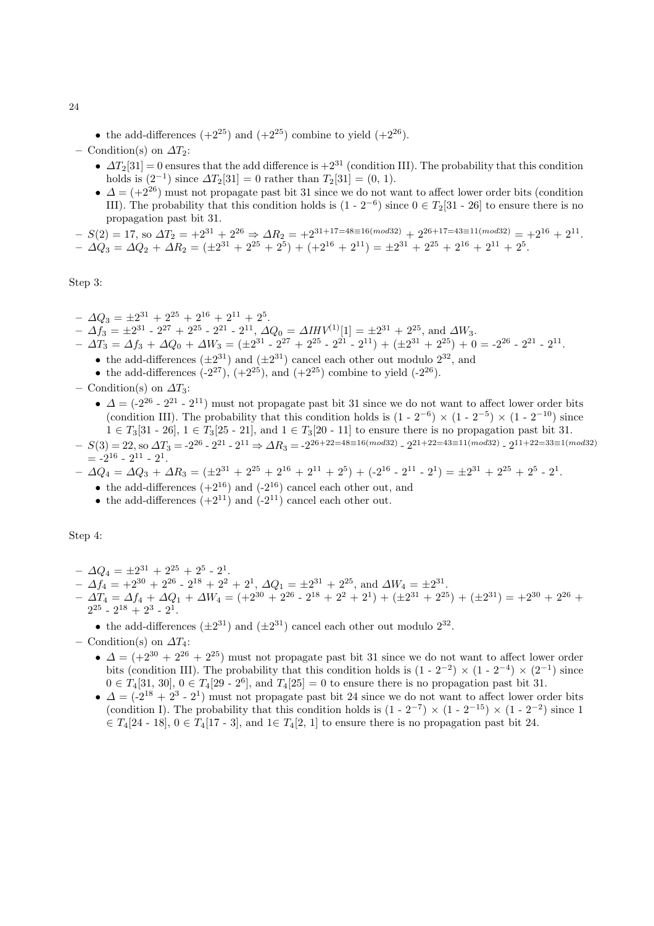• the add-differences  $(+2^{25})$  and  $(+2^{25})$  combine to yield  $(+2^{26})$ .

– Condition(s) on  $\Delta T_2$ :

- $\Delta T_2[31] = 0$  ensures that the add difference is  $+2^{31}$  (condition III). The probability that this condition holds is  $(2^{-1})$  since  $\Delta T_2[31] = 0$  rather than  $T_2[31] = (0, 1)$ .
- $\Delta = (+2^{26})$  must not propagate past bit 31 since we do not want to affect lower order bits (condition III). The probability that this condition holds is  $(1 - 2^{-6})$  since  $0 \in T_2[31 - 26]$  to ensure there is no propagation past bit 31.

 $-S(2) = 17$ , so  $\Delta T_2 = +2^{31} + 2^{26} \Rightarrow \Delta R_2 = +2^{31+17=48 \equiv 16 (mod 32)} + 2^{26+17=43 \equiv 11 (mod 32)} = +2^{16} + 2^{11}$ .  $- \Delta Q_3 = \Delta Q_2 + \Delta R_2 = (\pm 2^{31} + 2^{25} + 2^5) + (+2^{16} + 2^{11}) = \pm 2^{31} + 2^{25} + 2^{16} + 2^{11} + 2^5$ 

Step 3:

- $\Delta Q_3 = \pm 2^{31} + 2^{25} + 2^{16} + 2^{11} + 2^5.$
- $\Delta f_3 = \pm 2^{31}$   $2^{27} + 2^{25}$   $2^{21}$   $2^{11}$ ,  $\Delta Q_0 = \Delta IHV^{(1)}[1] = \pm 2^{31} + 2^{25}$ , and  $\Delta W_3$ .
- $\Delta T_3 = \Delta f_3 + \Delta Q_0 + \Delta W_3 = (\pm 2^{31} 2^{27} + 2^{25} 2^{21} 2^{11}) + (\pm 2^{31} + 2^{25}) + 0 = -2^{26} 2^{21} 2^{11}$ 
	- the add-differences  $(\pm 2^{31})$  and  $(\pm 2^{31})$  cancel each other out modulo  $2^{32}$ , and
	- the add-differences  $(-2^{27})$ ,  $(+2^{25})$ , and  $(+2^{25})$  combine to yield  $(-2^{26})$ .
- Condition(s) on  $\Delta T_3$ :
	- $\Delta = (-2^{26} 2^{21} 2^{11})$  must not propagate past bit 31 since we do not want to affect lower order bits (condition III). The probability that this condition holds is  $(1 - 2^{-6}) \times (1 - 2^{-5}) \times (1 - 2^{-10})$  since  $1 \in T_3[31 - 26], 1 \in T_3[25 - 21],$  and  $1 \in T_3[20 - 11]$  to ensure there is no propagation past bit 31.
- $-S(3) = 22$ , so  $\Delta T_3 = -2^{26} 2^{21} 2^{11} \Rightarrow \Delta R_3 = -2^{26+22=48 \equiv 16 (mod 32)} 2^{21+22=43 \equiv 11 (mod 32)} 2^{11+22=33 \equiv 1 (mod 32)}$  $= -2^{16} - 2^{11} - 2^1.$
- $\Delta Q_4 = \Delta Q_3 + \Delta R_3 = (\pm 2^{31} + 2^{25} + 2^{16} + 2^{11} + 2^5) + (-2^{16} 2^{11} 2^1) = \pm 2^{31} + 2^{25} + 2^5 2^1$ 
	- the add-differences  $(+2^{16})$  and  $(-2^{16})$  cancel each other out, and
	- the add-differences  $(+2^{11})$  and  $(-2^{11})$  cancel each other out.

Step 4:

- $\Delta Q_4 = \pm 2^{31} + 2^{25} + 2^5 2^1$ .
- $\Delta f_4 = +2^{30} + 2^{26} 2^{18} + 2^2 + 2^1$ ,  $\Delta Q_1 = \pm 2^{31} + 2^{25}$ , and  $\Delta W_4 = \pm 2^{31}$ .
- $\Delta T_4 = \Delta f_4 + \Delta Q_1 + \Delta W_4 = (+2^{30} + 2^{26} 2^{18} + 2^2 + 2^1) + (\pm 2^{31} + 2^{25}) + (\pm 2^{31}) = +2^{30} + 2^{26} +$  $2^{25}$  -  $2^{18}$  +  $2^3$  -  $2^1$ .
	- the add-differences  $(\pm 2^{31})$  and  $(\pm 2^{31})$  cancel each other out modulo  $2^{32}$ .
- Condition(s) on  $\Delta T_4$ :
	- $\Delta = (+2^{30} + 2^{26} + 2^{25})$  must not propagate past bit 31 since we do not want to affect lower order bits (condition III). The probability that this condition holds is  $(1 - 2^{-2}) \times (1 - 2^{-4}) \times (2^{-1})$  since  $0 \in T_4[31, 30], 0 \in T_4[29 - 2^6],$  and  $T_4[25] = 0$  to ensure there is no propagation past bit 31.
	- $\bullet$   $\Delta = (-2^{18} + 2^3 2^1)$  must not propagate past bit 24 since we do not want to affect lower order bits (condition I). The probability that this condition holds is  $(1 - 2^{-7}) \times (1 - 2^{-15}) \times (1 - 2^{-2})$  since 1  $\in T_4[24 \cdot 18]$ ,  $0 \in T_4[17 \cdot 3]$ , and  $1 \in T_4[2, 1]$  to ensure there is no propagation past bit 24.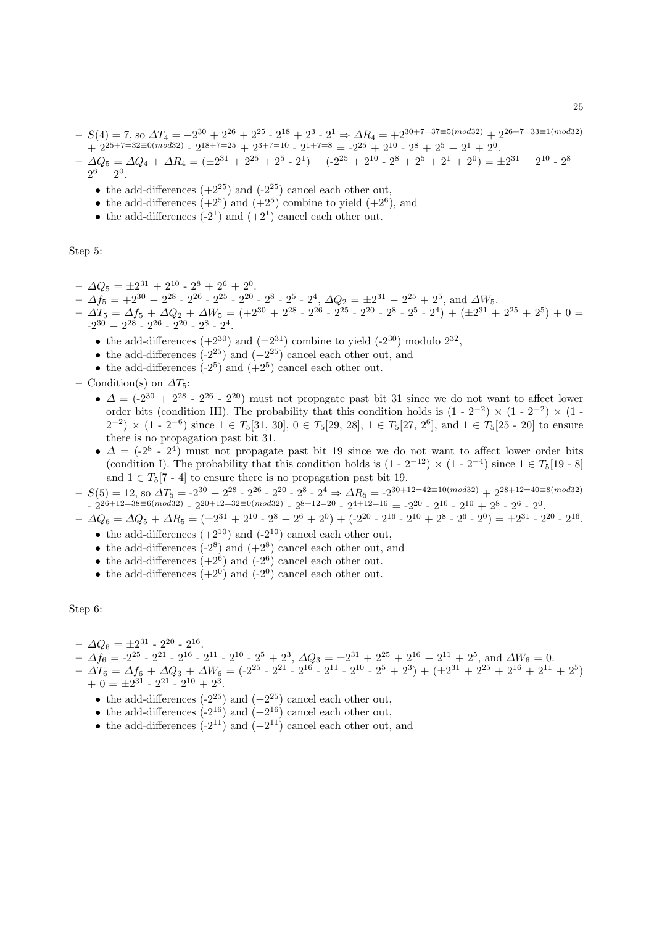$-S(4) = 7$ , so  $\Delta T_4 = +2^{30} + 2^{26} + 2^{25} - 2^{18} + 2^3 - 2^1 \Rightarrow \Delta R_4 = +2^{30+7=37 \equiv 5 (mod 32)} + 2^{26+7=33 \equiv 1 (mod 32)}$  $+ 2^{25+7=32 \equiv 0 (mod 32)} - 2^{18+7=25} + 2^{3+7=10} - 2^{1+7=8} = -2^{25} + 2^{10} - 2^8 + 2^5 + 2^1 + 2^0$ 

 $- \Delta Q_5 = \Delta Q_4 + \Delta R_4 = (\pm 2^{31} + 2^{25} + 2^5 \cdot 2^1) + (-2^{25} + 2^{10} \cdot 2^8 + 2^5 \cdot 2^1 + 2^0) = \pm 2^{31} + 2^{10} \cdot 2^8 +$  $2^6 + 2^0$ .

- the add-differences  $(+2^{25})$  and  $(-2^{25})$  cancel each other out,
- the add-differences  $(+2^5)$  and  $(+2^5)$  combine to yield  $(+2^6)$ , and
- the add-differences  $(-2^1)$  and  $(+2^1)$  cancel each other out.

Step 5:

- $\Delta Q_5 = \pm 2^{31} + 2^{10} 2^8 + 2^6 + 2^0.$
- $-$  Δ $f_5 = +2^{30} + 2^{28} 2^{26} 2^{25} 2^{20} 2^8 2^5 2^4$ , Δ $Q_2 = ±2^{31} + 2^{25} + 2^5$ , and ΔW<sub>5</sub>.

$$
-\Delta T_5 = \Delta f_5 + \Delta Q_2 + \Delta W_5 = (+2^{30} + 2^{28} - 2^{26} - 2^{25} - 2^{20} - 2^8 - 2^5 - 2^4) + (\pm 2^{31} + 2^{25} + 2^5) + 0 =
$$
  
-2<sup>30</sup> + 2<sup>28</sup> - 2<sup>26</sup> - 2<sup>20</sup> - 2<sup>8</sup> - 2<sup>4</sup>.

- the add-differences  $(+2^{30})$  and  $(\pm 2^{31})$  combine to yield  $(-2^{30})$  modulo  $2^{32}$ ,
- the add-differences  $(-2^{25})$  and  $(+2^{25})$  cancel each other out, and
- the add-differences  $(-2^5)$  and  $(+2^5)$  cancel each other out.
- Condition(s) on  $\Delta T_5$ :
	- $\Delta = (-2^{30} + 2^{28} 2^{26} 2^{20})$  must not propagate past bit 31 since we do not want to affect lower order bits (condition III). The probability that this condition holds is  $(1 - 2^{-2}) \times (1 - 2^{-2}) \times (1 (2^{-2}) \times (1 - 2^{-6})$  since  $1 \in T_5[31, 30], 0 \in T_5[29, 28], 1 \in T_5[27, 2^6]$ , and  $1 \in T_5[25 - 20]$  to ensure there is no propagation past bit 31.
	- $\bullet$   $\Delta = (-2^8 2^4)$  must not propagate past bit 19 since we do not want to affect lower order bits (condition I). The probability that this condition holds is  $(1 - 2^{-12}) \times (1 - 2^{-4})$  since  $1 \in T_5[19 - 8]$ and  $1 \in T_5[7 - 4]$  to ensure there is no propagation past bit 19.

 $-S(5) = 12$ , so  $\Delta T_5 = -2^{30} + 2^{28} - 2^{26} - 2^{20} - 2^8 - 2^4 \Rightarrow \Delta R_5 = -2^{30+12=42 \equiv 10 (mod 32)} + 2^{28+12=40 \equiv 8 (mod 32)}$  $-2^{26+12=38\equiv 6(mod 32)} - 2^{20+12=32\equiv 0(mod 32)} - 2^{8+12=20} - 2^{4+12=16} = -2^{20} - 2^{16} - 2^{10} + 2^8 - 2^6 - 2^0$ 

- $\Delta Q_6 = \Delta Q_5 + \Delta R_5 = (\pm 2^{31} + 2^{10} 2^8 + 2^6 + 2^0) + (-2^{20} 2^{16} 2^{10} + 2^8 2^6 2^0) = \pm 2^{31} 2^{20} 2^{16}.$ • the add-differences  $(+2^{10})$  and  $(-2^{10})$  cancel each other out,
	- the add-differences  $(-2^8)$  and  $(+2^8)$  cancel each other out, and
	- the add-differences  $(+2^6)$  and  $(-2^6)$  cancel each other out.
	- the add-differences  $(+2^0)$  and  $(-2^0)$  cancel each other out.

# Step 6:

- $\Delta Q_6 = \pm 2^{31} 2^{20} 2^{16}.$
- $\Delta f_6 = -2^{25} 2^{21} 2^{16} 2^{11} 2^{10} 2^5 + 2^3$ ,  $\Delta Q_3 = \pm 2^{31} + 2^{25} + 2^{16} + 2^{11} + 2^5$ , and  $\Delta W_6 = 0$ .
- $\Delta T_6 = \Delta f_6 + \Delta Q_3 + \Delta W_6 = (-2^{25} 2^{21} 2^{16} 2^{11} 2^{10} 2^5 + 2^3) + (\pm 2^{31} + 2^{25} + 2^{16} + 2^{11} + 2^5)$  $+ 0 = \pm 2^{31} - 2^{21} - 2^{10} + 2^3$ .
	- the add-differences  $(-2^{25})$  and  $(+2^{25})$  cancel each other out,
	- the add-differences  $(-2^{16})$  and  $(+2^{16})$  cancel each other out,
	- the add-differences  $(-2^{11})$  and  $(+2^{11})$  cancel each other out, and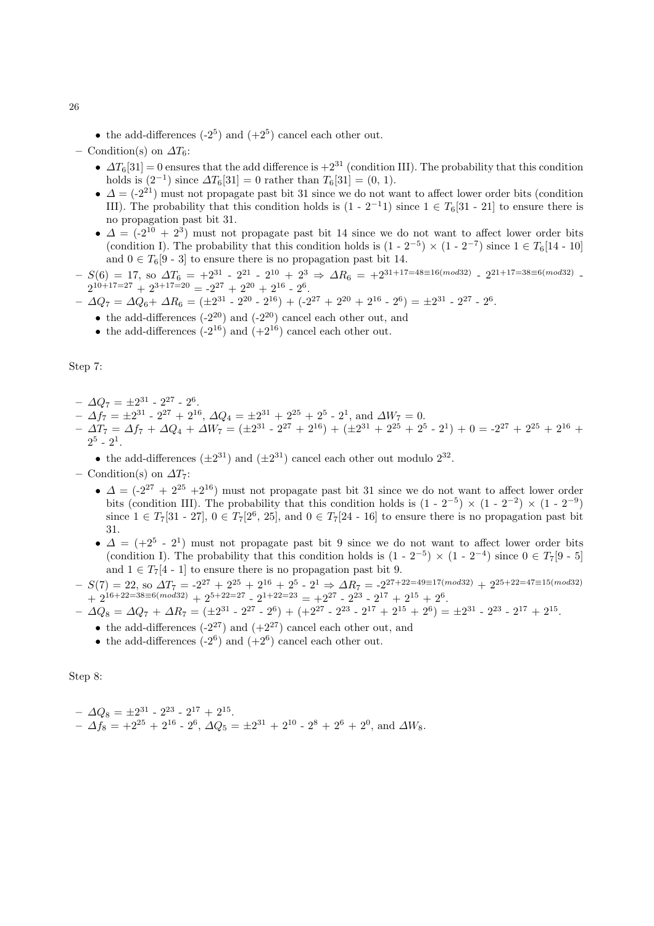• the add-differences  $(-2^5)$  and  $(+2^5)$  cancel each other out.

– Condition(s) on  $\Delta T_6$ :

- $\Delta T_6[31] = 0$  ensures that the add difference is  $+2^{31}$  (condition III). The probability that this condition holds is  $(2^{-1})$  since  $\Delta T_6[31] = 0$  rather than  $T_6[31] = (0, 1)$ .
- $\Delta = (-2^{21})$  must not propagate past bit 31 since we do not want to affect lower order bits (condition III). The probability that this condition holds is  $(1 - 2^{-1}1)$  since  $1 \in T_6[31 - 21]$  to ensure there is no propagation past bit 31.
- $\Delta = (-2^{10} + 2^3)$  must not propagate past bit 14 since we do not want to affect lower order bits (condition I). The probability that this condition holds is  $(1 - 2^{-5}) \times (1 - 2^{-7})$  since  $1 \in T_6[14 - 10]$ and  $0 \in T_6[9-3]$  to ensure there is no propagation past bit 14.
- $S(6) = 17$ , so  $\Delta T_6 = +2^{31}$   $2^{21}$   $2^{10}$  +  $2^3$   $\Rightarrow$   $\Delta R_6 = +2^{31+17=48 \equiv 16 (mod 32)}$   $2^{21+17=38 \equiv 6 (mod 32)}$  - $2^{10+17=27} + 2^{3+17=20} = -2^{27} + 2^{20} + 2^{16} - 2^6$ .
- $\Delta Q_7 = \Delta Q_6 + \Delta R_6 = (\pm 2^{31} 2^{20} 2^{16}) + (-2^{27} + 2^{20} + 2^{16} 2^6) = \pm 2^{31} 2^{27} 2^6.$ 
	- the add-differences  $(-2^{20})$  and  $(-2^{20})$  cancel each other out, and
	- the add-differences  $(-2^{16})$  and  $(+2^{16})$  cancel each other out.

Step 7:

- $\Delta Q_7 = \pm 2^{31} 2^{27} 2^6.$
- $\Delta f_7 = \pm 2^{31} 2^{27} + 2^{16}, \, \Delta Q_4 = \pm 2^{31} + 2^{25} + 2^5 2^1, \text{ and } \Delta W_7 = 0.$
- $\Delta T_7 = \Delta f_7 + \Delta Q_4 + \Delta W_7 = (\pm 2^{31} 2^{27} + 2^{16}) + (\pm 2^{31} + 2^{25} + 2^5 2^1) + 0 = -2^{27} + 2^{25} + 2^{16} +$  $2^5$  -  $2^1$ .
	- the add-differences  $(\pm 2^{31})$  and  $(\pm 2^{31})$  cancel each other out modulo  $2^{32}$ .
- Condition(s) on  $\Delta T_7$ :
	- $\Delta = (-2^{27} + 2^{25} + 2^{16})$  must not propagate past bit 31 since we do not want to affect lower order bits (condition III). The probability that this condition holds is  $(1 - 2^{-5}) \times (1 - 2^{-2}) \times (1 - 2^{-9})$ since  $1 \in T_7[31 - 27], 0 \in T_7[2^6, 25]$ , and  $0 \in T_7[24 - 16]$  to ensure there is no propagation past bit 31.
	- $\bullet$   $\Delta = (+2^5 \cdot 2^1)$  must not propagate past bit 9 since we do not want to affect lower order bits (condition I). The probability that this condition holds is  $(1 - 2^{-5}) \times (1 - 2^{-4})$  since  $0 \in T_7[9 - 5]$ and  $1 \in T_7[4 \t-1]$  to ensure there is no propagation past bit 9.
- $-S(7) = 22$ , so  $\Delta T_7 = -2^{27} + 2^{25} + 2^{16} + 2^5 2^1 \Rightarrow \Delta R_7 = -2^{27+22=49 \equiv 17 (mod 32)} + 2^{25+22=47 \equiv 15 (mod 32)}$  $+ 2^{16+22=38 \equiv 6(mod 32)} + 2^{5+22=27} - 2^{1+22=23} = +2^{27} - 2^{23} - 2^{17} + 2^{15} + 2^{6}.$
- $\Delta Q_8 = \Delta Q_7 + \Delta R_7 = (\pm 2^{31} 2^{27} 2^6) + (+2^{27} 2^{23} 2^{17} + 2^{15} + 2^6) = \pm 2^{31} 2^{23} 2^{17} + 2^{15}.$ 
	- the add-differences  $(-2^{27})$  and  $(+2^{27})$  cancel each other out, and
	- the add-differences  $(-2^6)$  and  $(+2^6)$  cancel each other out.

Step 8:

 $- \Delta Q_8 = \pm 2^{31} - 2^{23} - 2^{17} + 2^{15}$ .  $- \Delta f_8 = +2^{25} + 2^{16} - 2^6$ ,  $\Delta Q_5 = \pm 2^{31} + 2^{10} - 2^8 + 2^6 + 2^0$ , and  $\Delta W_8$ .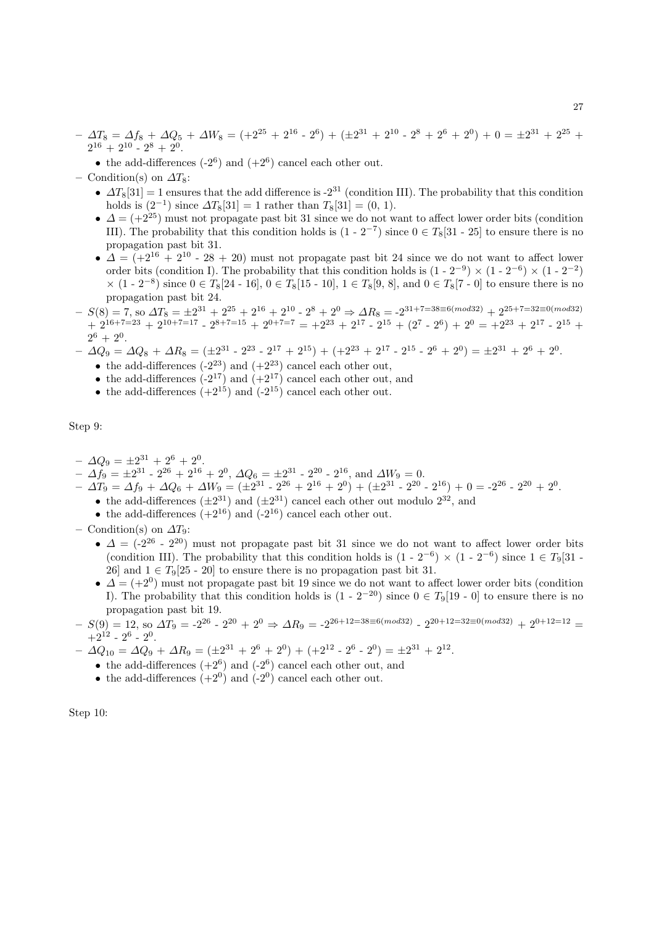$- \Delta T_8 = \Delta f_8 + \Delta Q_5 + \Delta W_8 = (+2^{25} + 2^{16} - 2^6) + (\pm 2^{31} + 2^{10} - 2^8 + 2^6 + 2^0) + 0 = \pm 2^{31} + 2^{25} +$  $2^{16} + 2^{10} - 2^8 + 2^0$ .

- the add-differences  $(-2^6)$  and  $(+2^6)$  cancel each other out.
- Condition(s) on  $\Delta T_8$ :
	- $\Delta T_8[31] = 1$  ensures that the add difference is -2<sup>31</sup> (condition III). The probability that this condition holds is  $(2^{-1})$  since  $\Delta T_8[31] = 1$  rather than  $T_8[31] = (0, 1)$ .
	- $\Delta = (+2^{25})$  must not propagate past bit 31 since we do not want to affect lower order bits (condition III). The probability that this condition holds is  $(1 - 2^{-7})$  since  $0 \in T_8[31 - 25]$  to ensure there is no propagation past bit 31.
	- $\Delta = (+2^{16} + 2^{10} 28 + 20)$  must not propagate past bit 24 since we do not want to affect lower order bits (condition I). The probability that this condition holds is  $(1 - 2^{-9}) \times (1 - 2^{-6}) \times (1 - 2^{-2})$  $\times$  (1 - 2<sup>-8</sup>) since 0 ∈ T<sub>8</sub>[24 - 16], 0 ∈ T<sub>8</sub>[15 - 10], 1 ∈ T<sub>8</sub>[9, 8], and 0 ∈ T<sub>8</sub>[7 - 0] to ensure there is no propagation past bit 24.
- $-S(8) = 7$ , so  $\Delta T_8 = \pm 2^{31} + 2^{25} + 2^{16} + 2^{10} 2^8 + 2^0 \Rightarrow \Delta R_8 = -2^{31+7=38 \equiv 6 (mod 32)} + 2^{25+7=32 \equiv 0 (mod 32)}$  $+ 2^{16+7=23} + 2^{10+7=17} - 2^{8+7=15} + 2^{0+7=7} = +2^{23} + 2^{17} - 2^{15} + (2^7 - 2^6) + 2^0 = +2^{23} + 2^{17} - 2^{15} +$  $2^6 + 2^0$ .
- $\Delta Q_9 = \Delta Q_8 + \Delta R_8 = (\pm 2^{31} 2^{23} 2^{17} + 2^{15}) + (+2^{23} + 2^{17} 2^{15} 2^6 + 2^0) = \pm 2^{31} + 2^6 + 2^0.$ 
	- the add-differences  $(-2^{23})$  and  $(+2^{23})$  cancel each other out,
	- the add-differences  $(-2^{17})$  and  $(+2^{17})$  cancel each other out, and
	- the add-differences  $(+2^{15})$  and  $(-2^{15})$  cancel each other out.

Step 9:

- $\Delta Q_9 = \pm 2^{31} + 2^6 + 2^0.$
- $\Delta f_9 = \pm 2^{31} 2^{26} + 2^{16} + 2^0$ ,  $\Delta Q_6 = \pm 2^{31} 2^{20} 2^{16}$ , and  $\Delta W_9 = 0$ .
- $\Delta T_9 = \Delta f_9 + \Delta Q_6 + \Delta W_9 = (\pm 2^{31} 2^{26} + 2^{16} + 2^0) + (\pm 2^{31} 2^{20} 2^{16}) + 0 = -2^{26} 2^{20} + 2^{0}.$ 
	- the add-differences  $(\pm 2^{31})$  and  $(\pm 2^{31})$  cancel each other out modulo  $2^{32}$ , and
	- the add-differences  $(+2^{16})$  and  $(-2^{16})$  cancel each other out.
- Condition(s) on  $\Delta T_9$ :
	- $\Delta = (-2^{26} 2^{20})$  must not propagate past bit 31 since we do not want to affect lower order bits (condition III). The probability that this condition holds is  $(1 - 2^{-6}) \times (1 - 2^{-6})$  since  $1 \in T_9[31 -$ 26] and  $1 \in T_9[25 - 20]$  to ensure there is no propagation past bit 31.
	- $\Delta = (+2^0)$  must not propagate past bit 19 since we do not want to affect lower order bits (condition I). The probability that this condition holds is  $(1 - 2^{-20})$  since  $0 \in T_9[19 - 0]$  to ensure there is no propagation past bit 19.
- $-S(9) = 12$ , so  $\Delta T_9 = -2^{26} 2^{20} + 2^0 \Rightarrow \Delta R_9 = -2^{26+12=38 \equiv 6 (mod 32)} 2^{20+12=32 \equiv 0 (mod 32)} + 2^{0+12=12} =$  $+2^{12}$  -  $2^6$  -  $2^0$ .
- $\Delta Q_{10} = \Delta Q_9 + \Delta R_9 = (\pm 2^{31} + 2^6 + 2^0) + (+2^{12} 2^6 2^0) = \pm 2^{31} + 2^{12}.$ 
	- the add-differences  $(+2^6)$  and  $(-2^6)$  cancel each other out, and
	- the add-differences  $(+2^0)$  and  $(-2^0)$  cancel each other out.

Step 10: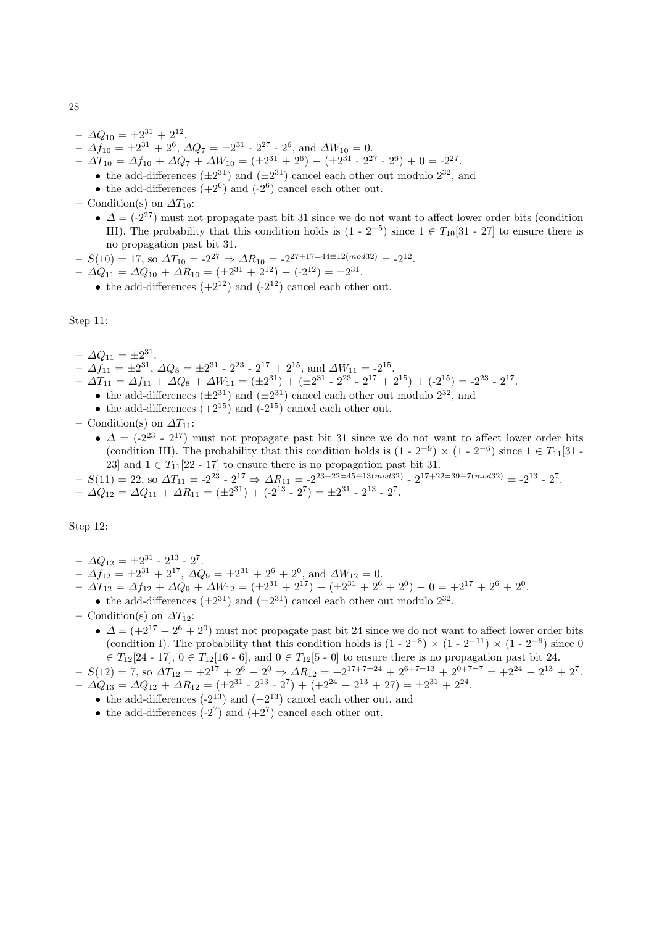- $\Delta Q_{10} = \pm 2^{31} + 2^{12}.$
- $\Delta f_{10} = \pm 2^{31} + 2^6$ ,  $\Delta Q_7 = \pm 2^{31}$   $2^{27}$   $2^6$ , and  $\Delta W_{10} = 0$ .

 $- \Delta T_{10} = \Delta f_{10} + \Delta Q_7 + \Delta W_{10} = (\pm 2^{31} + 2^6) + (\pm 2^{31} - 2^{27} - 2^6) + 0 = -2^{27}.$ 

- the add-differences  $(\pm 2^{31})$  and  $(\pm 2^{31})$  cancel each other out modulo  $2^{32}$ , and
- the add-differences  $(+2^6)$  and  $(-2^6)$  cancel each other out.
- Condition(s) on  $\Delta T_{10}$ :
	- $\Delta = (-2^{27})$  must not propagate past bit 31 since we do not want to affect lower order bits (condition III). The probability that this condition holds is  $(1 - 2^{-5})$  since  $1 \in T_{10}[31 - 27]$  to ensure there is no propagation past bit 31.
- $-S(10) = 17$ , so  $\Delta T_{10} = -2^{27} \Rightarrow \Delta R_{10} = -2^{27+17=44 \equiv 12 \pmod{32}} = -2^{12}$ .
- $\Delta Q_{11} = \Delta Q_{10} + \Delta R_{10} = (\pm 2^{31} + 2^{12}) + (-2^{12}) = \pm 2^{31}.$ 
	- the add-differences  $(+2^{12})$  and  $(-2^{12})$  cancel each other out.

Step 11:

- $\Delta Q_{11} = \pm 2^{31}$ .
- $\Delta f_{11} = \pm 2^{31}, \, \Delta Q_8 = \pm 2^{31} 2^{23} 2^{17} + 2^{15}, \, \text{and } \Delta W_{11} = -2^{15}.$
- $\Delta T_{11} = \Delta f_{11} + \Delta Q_8 + \Delta W_{11} = (\pm 2^{31}) + (\pm 2^{31} 2^{23} 2^{17} + 2^{15}) + (-2^{15}) = -2^{23} 2^{17}.$ 
	- the add-differences  $(\pm 2^{31})$  and  $(\pm 2^{31})$  cancel each other out modulo  $2^{32}$ , and
	- the add-differences  $(+2^{15})$  and  $(-2^{15})$  cancel each other out.
- Condition(s) on  $\Delta T_{11}$ :
	- $\Delta = (-2^{23} 2^{17})$  must not propagate past bit 31 since we do not want to affect lower order bits (condition III). The probability that this condition holds is  $(1 - 2^{-9}) \times (1 - 2^{-6})$  since  $1 \in T_{11}[31 -$ 23] and  $1 \in T_{11}[22 - 17]$  to ensure there is no propagation past bit 31.
- $S(11) = 22$ , so  $\Delta T_{11} = -2^{23} 2^{17} \Rightarrow \Delta R_{11} = -2^{23+22=45 \equiv 13 (mod 32)} 2^{17+22=39 \equiv 7 (mod 32)} = -2^{13} 2^7$ .  $- \Delta Q_{12} = \Delta Q_{11} + \Delta R_{11} = (\pm 2^{31}) + (-2^{13} - 2^7) = \pm 2^{31} - 2^{13} - 2^7.$

Step 12:

- $\Delta Q_{12} = \pm 2^{31} 2^{13} 2^7.$
- $\Delta f_{12} = \pm 2^{31} + 2^{17}, \, \Delta Q_9 = \pm 2^{31} + 2^6 + 2^0, \text{ and } \Delta W_{12} = 0.$
- $\Delta T_{12} = \Delta f_{12} + \Delta Q_9 + \Delta W_{12} = (\pm 2^{31} + 2^{17}) + (\pm 2^{31} + 2^6 + 2^0) + 0 = \pm 2^{17} + 2^6 + 2^0.$
- the add-differences  $(\pm 2^{31})$  and  $(\pm 2^{31})$  cancel each other out modulo  $2^{32}$ .
- Condition(s) on  $\Delta T_{12}$ :
	- $\Delta = (+2^{17} + 2^6 + 2^0)$  must not propagate past bit 24 since we do not want to affect lower order bits (condition I). The probability that this condition holds is  $(1 - 2^{-8}) \times (1 - 2^{-11}) \times (1 - 2^{-6})$  since 0  $\in T_{12}[24 - 17], 0 \in T_{12}[16 - 6],$  and  $0 \in T_{12}[5 - 0]$  to ensure there is no propagation past bit 24.
- $-S(12) = 7$ , so  $\Delta T_{12} = +2^{17} + 2^6 + 2^0 \Rightarrow \Delta R_{12} = +2^{17+7=24} + 2^{6+7=13} + 2^{0+7=7} = +2^{24} + 2^{13} + 2^7$ .  $- \Delta Q_{13} = \Delta Q_{12} + \Delta R_{12} = (\pm 2^{31} - 2^{13} - 2^7) + (+2^{24} + 2^{13} + 27) = \pm 2^{31} + 2^{24}.$ 
	- the add-differences  $(-2^{13})$  and  $(+2^{13})$  cancel each other out, and
	- the add-differences  $(-2^7)$  and  $(+2^7)$  cancel each other out.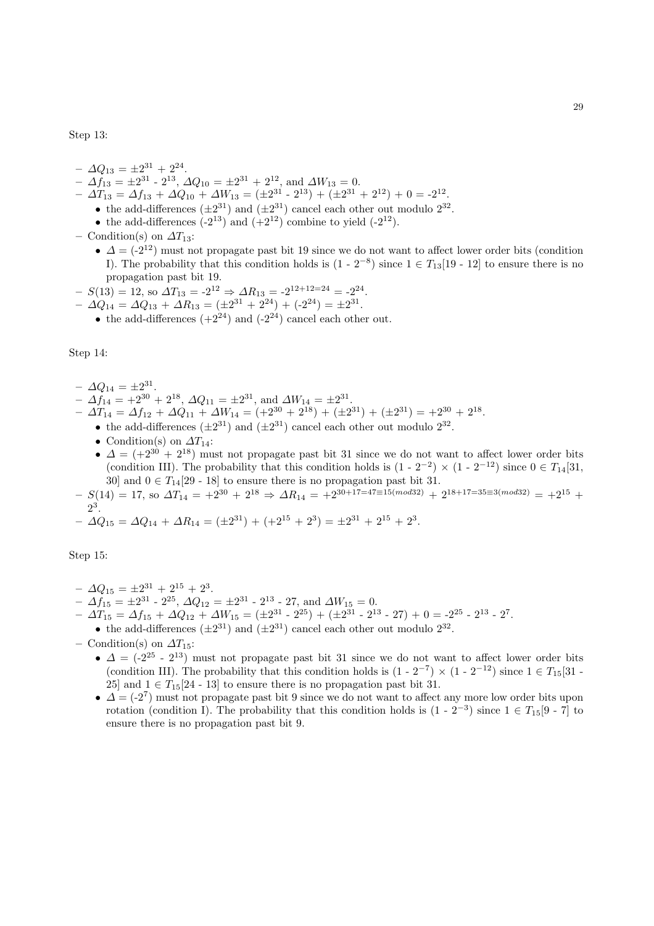Step 13:

- $\Delta Q_{13} = \pm 2^{31} + 2^{24}.$
- $\Delta f_{13} = \pm 2^{31} 2^{13}, \, \Delta Q_{10} = \pm 2^{31} + 2^{12}, \text{ and } \Delta W_{13} = 0.$  $- \Delta T_{13} = \Delta f_{13} + \Delta Q_{10} + \Delta W_{13} = (\pm 2^{31} - 2^{13}) + (\pm 2^{31} + 2^{12}) + 0 = -2^{12}.$
- the add-differences  $(\pm 2^{31})$  and  $(\pm 2^{31})$  cancel each other out modulo  $2^{32}$ .
	- the add-differences  $(-2^{13})$  and  $(+2^{12})$  combine to yield  $(-2^{12})$ .
- Condition(s) on  $\Delta T_{13}$ :
	- $\Delta = (-2^{12})$  must not propagate past bit 19 since we do not want to affect lower order bits (condition I). The probability that this condition holds is  $(1 - 2^{-8})$  since  $1 \in T_{13}[19 - 12]$  to ensure there is no propagation past bit 19.
- $S(13) = 12$ , so  $\Delta T_{13} = -2^{12} \Rightarrow \Delta R_{13} = -2^{12+12=24} = -2^{24}$ .
- $\Delta Q_{14} = \Delta Q_{13} + \Delta R_{13} = (\pm 2^{31} + 2^{24}) + (-2^{24}) = \pm 2^{31}.$ 
	- the add-differences  $(+2^{24})$  and  $(-2^{24})$  cancel each other out.

Step 14:

- $\Delta Q_{14} = \pm 2^{31}$ .
- $\Delta f_{14} = +2^{30} + 2^{18}, \Delta Q_{11} = \pm 2^{31}, \text{ and } \Delta W_{14} = \pm 2^{31}.$
- $\Delta T_{14} = \Delta f_{12} + \Delta Q_{11} + \Delta W_{14} = (+2^{30} + 2^{18}) + (\pm 2^{31}) + (\pm 2^{31}) = +2^{30} + 2^{18}.$ 
	- the add-differences  $(\pm 2^{31})$  and  $(\pm 2^{31})$  cancel each other out modulo  $2^{32}$ .
	- Condition(s) on  $\Delta T_{14}$ :
	- $\Delta = (+2^{30} + 2^{18})$  must not propagate past bit 31 since we do not want to affect lower order bits (condition III). The probability that this condition holds is  $(1 - 2^{-2}) \times (1 - 2^{-12})$  since  $0 \in T_{14}[31, 1]$ 30] and  $0 \in T_{14}[29 - 18]$  to ensure there is no propagation past bit 31.
- $-S(14) = 17$ , so  $\Delta T_{14} = +2^{30} + 2^{18} \Rightarrow \Delta R_{14} = +2^{30+17=47 \equiv 15 (mod 32)} + 2^{18+17=35 \equiv 3 (mod 32)} = +2^{15} + 3^{3}$ 2 .
- $\Delta Q_{15} = \Delta Q_{14} + \Delta R_{14} = (\pm 2^{31}) + (+2^{15} + 2^3) = \pm 2^{31} + 2^{15} + 2^3.$

Step 15:

- $\Delta Q_{15} = \pm 2^{31} + 2^{15} + 2^3.$
- $\Delta f_{15} = \pm 2^{31} 2^{25}, \, \Delta Q_{12} = \pm 2^{31} 2^{13} 27, \, \text{and } \Delta W_{15} = 0.$
- $\Delta T_{15} = \Delta f_{15} + \Delta Q_{12} + \Delta W_{15} = (\pm 2^{31} 2^{25}) + (\pm 2^{31} 2^{13} 27) + 0 = -2^{25} 2^{13} 2^7.$ 
	- the add-differences  $(\pm 2^{31})$  and  $(\pm 2^{31})$  cancel each other out modulo  $2^{32}$ .
- Condition(s) on  $\Delta T_{15}$ :
	- $\Delta = (-2^{25} 2^{13})$  must not propagate past bit 31 since we do not want to affect lower order bits (condition III). The probability that this condition holds is  $(1 - 2^{-7}) \times (1 - 2^{-12})$  since  $1 \in T_{15}[31 -$ 25] and  $1 \in T_{15}[24 - 13]$  to ensure there is no propagation past bit 31.
	- $\Delta = (-2^7)$  must not propagate past bit 9 since we do not want to affect any more low order bits upon rotation (condition I). The probability that this condition holds is  $(1 - 2^{-3})$  since  $1 \in T_{15}[9 - 7]$  to ensure there is no propagation past bit 9.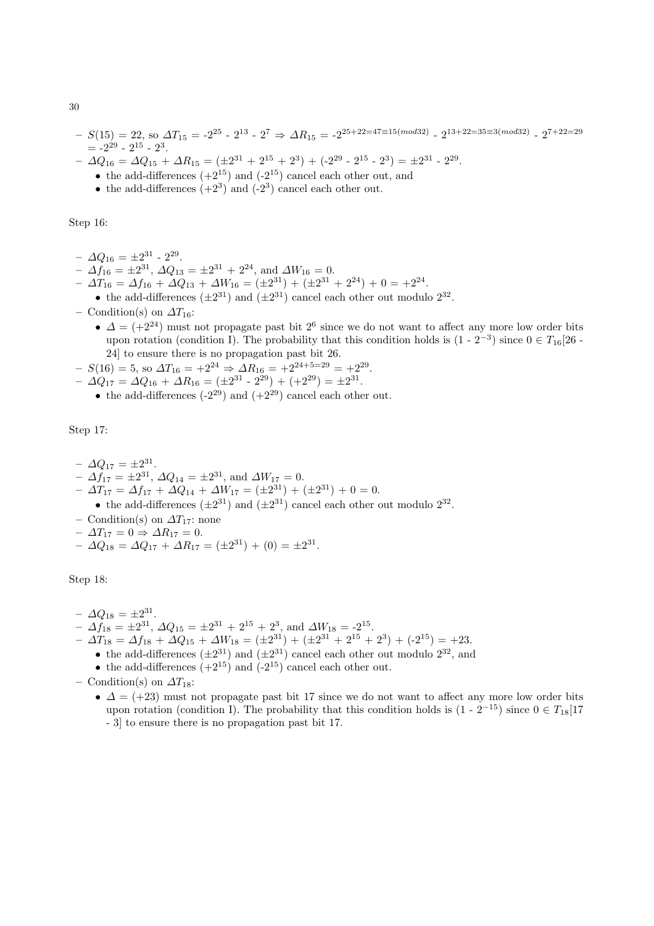- $S(15) = 22$ , so  $\Delta T_{15} = -2^{25}$   $2^{13}$   $2^7$   $\Rightarrow \Delta R_{15} = -2^{25+22=47\equiv 15 (mod 32)}$   $2^{13+22=35\equiv 3 (mod 32)}$   $2^{7+22=29}$  $= -2^{29} - 2^{15} - 2^3.$
- $\Delta Q_{16} = \Delta Q_{15} + \Delta R_{15} = (\pm 2^{31} + 2^{15} + 2^3) + (-2^{29} 2^{15} 2^3) = \pm 2^{31} 2^{29}.$ 
	- the add-differences  $(+2^{15})$  and  $(-2^{15})$  cancel each other out, and
		- the add-differences  $(+2^3)$  and  $(-2^3)$  cancel each other out.

Step 16:

- $\Delta Q_{16} = \pm 2^{31} 2^{29}.$
- $\Delta f_{16} = \pm 2^{31}, \Delta Q_{13} = \pm 2^{31} + 2^{24}, \text{ and } \Delta W_{16} = 0.$
- $\Delta T_{16} = \Delta f_{16} + \Delta Q_{13} + \Delta W_{16} = (\pm 2^{31}) + (\pm 2^{31} + 2^{24}) + 0 = \pm 2^{24}.$ 
	- the add-differences  $(\pm 2^{31})$  and  $(\pm 2^{31})$  cancel each other out modulo  $2^{32}$ .
- Condition(s) on  $\Delta T_{16}$ :
	- $\Delta = (+2^{24})$  must not propagate past bit  $2^6$  since we do not want to affect any more low order bits upon rotation (condition I). The probability that this condition holds is  $(1 - 2^{-3})$  since  $0 \in T_{16}[26 - 1]$ 24] to ensure there is no propagation past bit 26.
- $-S(16) = 5$ , so  $\Delta T_{16} = +2^{24} \Rightarrow \Delta R_{16} = +2^{24+5=29} = +2^{29}$ .
- $\Delta Q_{17} = \Delta Q_{16} + \Delta R_{16} = (\pm 2^{31} 2^{29}) + (+2^{29}) = \pm 2^{31}.$ 
	- the add-differences  $(-2^{29})$  and  $(+2^{29})$  cancel each other out.

Step 17:

 $- \Delta Q_{17} = \pm 2^{31}$ .

- $\Delta f_{17} = \pm 2^{31}, \Delta Q_{14} = \pm 2^{31}, \text{ and } \Delta W_{17} = 0.$
- $\Delta T_{17} = \Delta f_{17} + \Delta Q_{14} + \Delta W_{17} = (\pm 2^{31}) + (\pm 2^{31}) + 0 = 0.$
- the add-differences  $(\pm 2^{31})$  and  $(\pm 2^{31})$  cancel each other out modulo  $2^{32}$ .
- Condition(s) on  $\Delta T_{17}$ : none
- $\Delta T_{17} = 0 \Rightarrow \Delta R_{17} = 0.$

$$
- \Delta Q_{18} = \Delta Q_{17} + \Delta R_{17} = (\pm 2^{31}) + (0) = \pm 2^{31}.
$$

Step 18:

- $\Delta Q_{18} = \pm 2^{31}.$
- $\Delta f_{18} = \pm 2^{31}, \Delta Q_{15} = \pm 2^{31} + 2^{15} + 2^3$ , and  $\Delta W_{18} = -2^{15}$ .
- $\Delta T_{18} = \Delta f_{18} + \Delta Q_{15} + \Delta W_{18} = (\pm 2^{31}) + (\pm 2^{31} + 2^{15} + 2^{3}) + (-2^{15}) = +23.$ 
	- the add-differences  $(\pm 2^{31})$  and  $(\pm 2^{31})$  cancel each other out modulo  $2^{32}$ , and
	- the add-differences  $(+2^{15})$  and  $(-2^{15})$  cancel each other out.

– Condition(s) on  $\Delta T_{18}$ :

•  $\Delta = (+23)$  must not propagate past bit 17 since we do not want to affect any more low order bits upon rotation (condition I). The probability that this condition holds is  $(1 - 2^{-15})$  since  $0 \in T_{18}[17]$ - 3] to ensure there is no propagation past bit 17.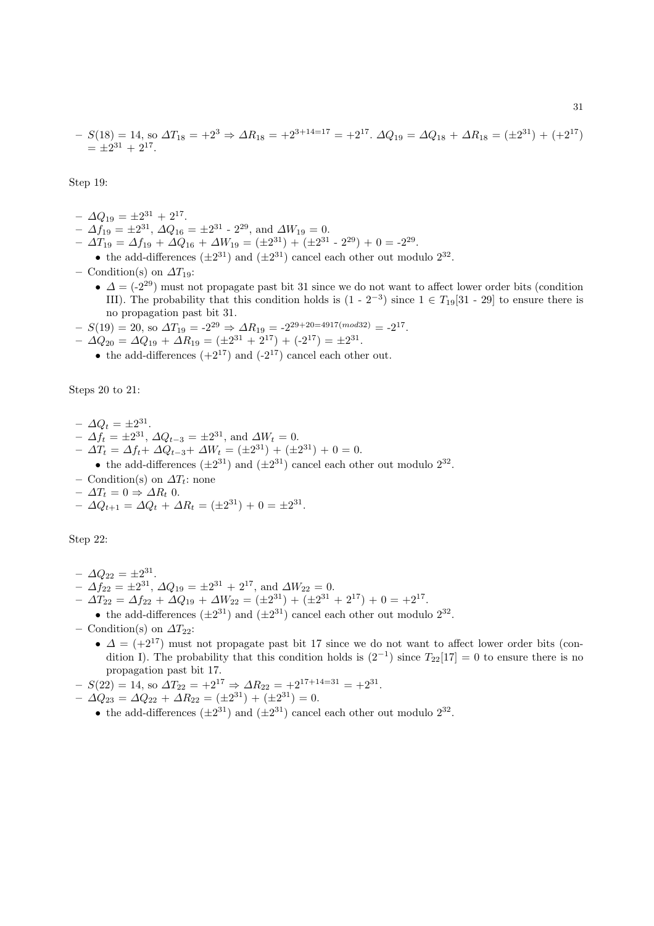$$
- S(18) = 14, \text{ so } \Delta T_{18} = +2^3 \Rightarrow \Delta R_{18} = +2^{3+14=17} = +2^{17}. \ \Delta Q_{19} = \Delta Q_{18} + \Delta R_{18} = (\pm 2^{31}) + (+2^{17}) = \pm 2^{31} + 2^{17}.
$$

Step 19:

- $\Delta Q_{19} = \pm 2^{31} + 2^{17}.$
- $\Delta f_{19} = \pm 2^{31}, \Delta Q_{16} = \pm 2^{31} 2^{29}, \text{ and } \Delta W_{19} = 0.$
- $\Delta T_{19} = \Delta f_{19} + \Delta Q_{16} + \Delta W_{19} = (\pm 2^{31}) + (\pm 2^{31} 2^{29}) + 0 = -2^{29}.$
- the add-differences  $(\pm 2^{31})$  and  $(\pm 2^{31})$  cancel each other out modulo  $2^{32}$ .
- Condition(s) on  $\Delta T_{19}$ :
	- $\Delta = (-2^{29})$  must not propagate past bit 31 since we do not want to affect lower order bits (condition III). The probability that this condition holds is  $(1 - 2^{-3})$  since  $1 \in T_{19}[31 - 29]$  to ensure there is no propagation past bit 31.
- $-S(19) = 20$ , so  $\Delta T_{19} = -2^{29} \Rightarrow \Delta R_{19} = -2^{29+20=4917 \pmod{32}} = -2^{17}$ .
- $\Delta Q_{20} = \Delta Q_{19} + \Delta R_{19} = (\pm 2^{31} + 2^{17}) + (-2^{17}) = \pm 2^{31}.$ 
	- the add-differences  $(+2^{17})$  and  $(-2^{17})$  cancel each other out.

Steps 20 to 21:

- $\Delta Q_t = \pm 2^{31}.$
- $\Delta f_t = \pm 2^{31}, \, \Delta Q_{t-3} = \pm 2^{31}, \, \text{and } \Delta W_t = 0.$
- $\Delta T_t = \Delta f_t + \Delta Q_{t-3} + \Delta W_t = (\pm 2^{31}) + (\pm 2^{31}) + 0 = 0.$ 
	- the add-differences  $(\pm 2^{31})$  and  $(\pm 2^{31})$  cancel each other out modulo  $2^{32}$ .
- Condition(s) on  $\Delta T_t$ : none
- $\Delta T_t = 0 \Rightarrow \Delta R_t$  0.

$$
- \Delta Q_{t+1} = \Delta Q_t + \Delta R_t = (\pm 2^{31}) + 0 = \pm 2^{31}.
$$

Step 22:

- $\Delta Q_{22} = \pm 2^{31}$ .
- $\Delta f_{22} = \pm 2^{31}, \, \Delta Q_{19} = \pm 2^{31} + 2^{17}, \text{ and } \Delta W_{22} = 0.$
- $\Delta T_{22} = \Delta f_{22} + \Delta Q_{19} + \Delta W_{22} = (\pm 2^{31}) + (\pm 2^{31} + 2^{17}) + 0 = \pm 2^{17}.$
- the add-differences  $(\pm 2^{31})$  and  $(\pm 2^{31})$  cancel each other out modulo  $2^{32}$ .
- Condition(s) on  $\Delta T_{22}$ :
	- $\Delta = (+2^{17})$  must not propagate past bit 17 since we do not want to affect lower order bits (condition I). The probability that this condition holds is  $(2^{-1})$  since  $T_{22}[17] = 0$  to ensure there is no propagation past bit 17.
- $-S(22) = 14$ , so  $\Delta T_{22} = +2^{17} \Rightarrow \Delta R_{22} = +2^{17+14=31} = +2^{31}$ .
- $\Delta Q_{23} = \Delta Q_{22} + \Delta R_{22} = (\pm 2^{31}) + (\pm 2^{31}) = 0.$ 
	- the add-differences  $(\pm 2^{31})$  and  $(\pm 2^{31})$  cancel each other out modulo  $2^{32}$ .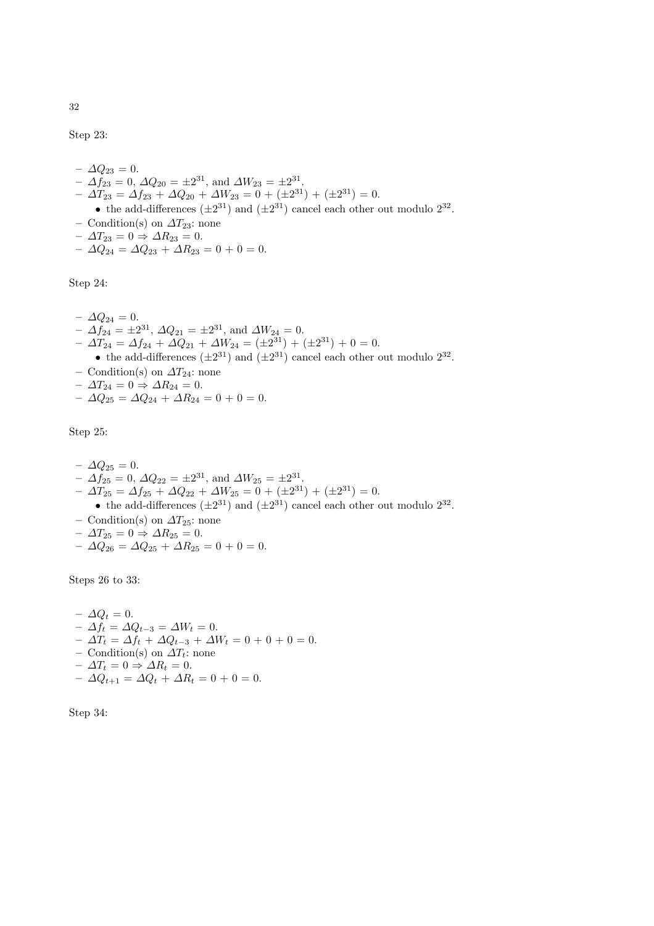Step 23:

- $-\Delta Q_{23} = 0.$  $- \Delta f_{23} = 0, \, \Delta Q_{20} = \pm 2^{31}, \text{ and } \Delta W_{23} = \pm 2^{31}.$  $- \Delta T_{23} = \Delta f_{23} + \Delta Q_{20} + \Delta W_{23} = 0 + (\pm 2^{31}) + (\pm 2^{31}) = 0.$ • the add-differences  $(\pm 2^{31})$  and  $(\pm 2^{31})$  cancel each other out modulo  $2^{32}$ .
- Condition(s) on  $\Delta T_{23}$ : none
- $\Delta T_{23} = 0 \Rightarrow \Delta R_{23} = 0.$
- $\Delta Q_{24} = \Delta Q_{23} + \Delta R_{23} = 0 + 0 = 0.$

Step 24:

 $-$  Δ $Q_{24} = 0$ .  $- \Delta f_{24} = \pm 2^{31}, \, \Delta Q_{21} = \pm 2^{31}, \text{ and } \Delta W_{24} = 0.$  $- \Delta T_{24} = \Delta f_{24} + \Delta Q_{21} + \Delta W_{24} = (\pm 2^{31}) + (\pm 2^{31}) + 0 = 0.$ 

• the add-differences  $(\pm 2^{31})$  and  $(\pm 2^{31})$  cancel each other out modulo  $2^{32}$ .

- Condition(s) on  $\Delta T_{24}$ : none
- $\Delta T_{24} = 0 \Rightarrow \Delta R_{24} = 0.$
- $\Delta Q_{25} = \Delta Q_{24} + \Delta R_{24} = 0 + 0 = 0.$

Step 25:

- $-\Delta Q_{25} = 0.$  $- \Delta f_{25} = 0, \, \Delta Q_{22} = \pm 2^{31}, \text{ and } \Delta W_{25} = \pm 2^{31}.$
- $\Delta T_{25} = \Delta f_{25} + \Delta Q_{22} + \Delta W_{25} = 0 + (\pm 2^{31}) + (\pm 2^{31}) = 0.$

• the add-differences  $(\pm 2^{31})$  and  $(\pm 2^{31})$  cancel each other out modulo  $2^{32}$ .

- Condition(s) on  $\Delta T_{25}$ : none
- $\Delta T_{25} = 0 \Rightarrow \Delta R_{25} = 0.$
- $\Delta Q_{26} = \Delta Q_{25} + \Delta R_{25} = 0 + 0 = 0.$

Steps 26 to 33:

 $-\Delta Q_t = 0.$  $- Δf_t = ΔQ_{t-3} = ΔW_t = 0.$  $- \Delta T_t = \Delta f_t + \Delta Q_{t-3} + \Delta W_t = 0 + 0 + 0 = 0.$ – Condition(s) on  $\Delta T_t$ : none  $- \Delta T_t = 0 \Rightarrow \Delta R_t = 0.$  $- \Delta Q_{t+1} = \Delta Q_t + \Delta R_t = 0 + 0 = 0.$ 

Step 34: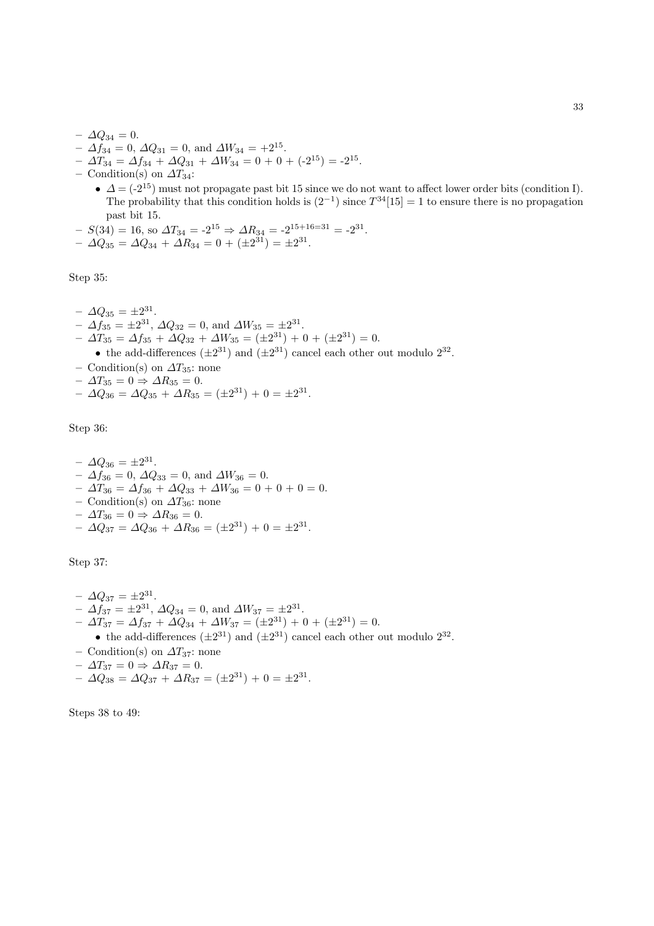- $ΔQ_{34} = 0.$  $- \Delta f_{34} = 0, \, \Delta Q_{31} = 0, \text{ and } \Delta W_{34} = +2^{15}.$
- $\Delta T_{34} = \Delta f_{34} + \Delta Q_{31} + \Delta W_{34} = 0 + 0 + (-2^{15}) = -2^{15}.$
- Condition(s) on  $\Delta T_{34}$ :
	- $\Delta = (-2^{15})$  must not propagate past bit 15 since we do not want to affect lower order bits (condition I). The probability that this condition holds is  $(2^{-1})$  since  $T^{34}[15] = 1$  to ensure there is no propagation past bit 15.
- $-S(34) = 16$ , so  $\Delta T_{34} = -2^{15} \Rightarrow \Delta R_{34} = -2^{15+16=31} = -2^{31}$ .  $- \Delta Q_{35} = \Delta Q_{34} + \Delta R_{34} = 0 + (\pm 2^{31}) = \pm 2^{31}.$

Step 35:

- $\Delta Q_{35} = \pm 2^{31}.$
- $\Delta f_{35} = \pm 2^{31}, \Delta Q_{32} = 0$ , and  $\Delta W_{35} = \pm 2^{31}.$
- $\Delta T_{35} = \Delta f_{35} + \Delta Q_{32} + \Delta W_{35} = (\pm 2^{31}) + 0 + (\pm 2^{31}) = 0.$ 
	- the add-differences  $(\pm 2^{31})$  and  $(\pm 2^{31})$  cancel each other out modulo  $2^{32}$ .
- Condition(s) on  $\Delta T_{35}$ : none
- $\Delta T_{35} = 0 \Rightarrow \Delta R_{35} = 0.$
- $\Delta Q_{36} = \Delta Q_{35} + \Delta R_{35} = (\pm 2^{31}) + 0 = \pm 2^{31}.$

Step 36:

 $- \Delta Q_{36} = \pm 2^{31}.$  $- \Delta f_{36} = 0, \Delta Q_{33} = 0, \text{ and } \Delta W_{36} = 0.$  $- \Delta T_{36} = \Delta f_{36} + \Delta Q_{33} + \Delta W_{36} = 0 + 0 + 0 = 0.$ – Condition(s) on  $\Delta T_{36}$ : none  $-\Delta T_{36} = 0 \Rightarrow \Delta R_{36} = 0.$  $- \Delta Q_{37} = \Delta Q_{36} + \Delta R_{36} = (\pm 2^{31}) + 0 = \pm 2^{31}.$ 

Step 37:

- $\Delta Q_{37} = \pm 2^{31}$ .  $- \Delta f_{37} = \pm 2^{31}, \Delta Q_{34} = 0$ , and  $\Delta W_{37} = \pm 2^{31}.$  $- \Delta T_{37} = \Delta f_{37} + \Delta Q_{34} + \Delta W_{37} = (\pm 2^{31}) + 0 + (\pm 2^{31}) = 0.$ • the add-differences  $(\pm 2^{31})$  and  $(\pm 2^{31})$  cancel each other out modulo  $2^{32}$ . – Condition(s) on  $\Delta T_{37}$ : none  $- \Delta T_{37} = 0 \Rightarrow \Delta R_{37} = 0.$
- $\Delta Q_{38} = \Delta Q_{37} + \Delta R_{37} = (\pm 2^{31}) + 0 = \pm 2^{31}.$

Steps 38 to 49: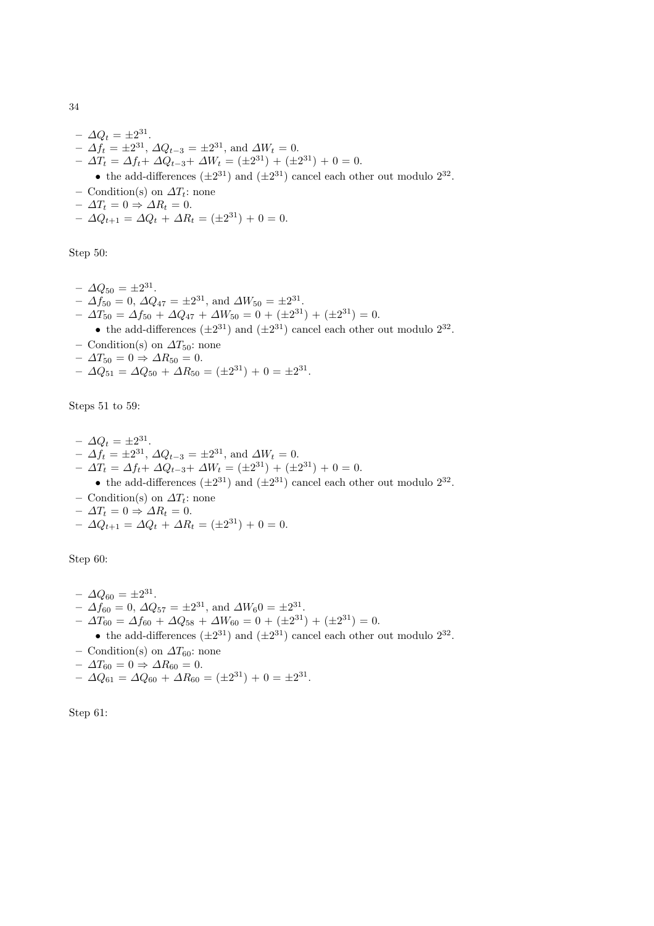$$
-\Delta Q_t = \pm 2^{31}.
$$
  
\n
$$
-\Delta f_t = \pm 2^{31}, \Delta Q_{t-3} = \pm 2^{31}, \text{ and } \Delta W_t = 0.
$$
  
\n
$$
-\Delta T_t = \Delta f_t + \Delta Q_{t-3} + \Delta W_t = (\pm 2^{31}) + (\pm 2^{31}) + 0 = 0.
$$
  
\n• the add-differences  $(\pm 2^{31})$  and  $(\pm 2^{31})$  cancel each other out modulo  $2^{32}$ .  
\n
$$
-\text{Condition(s) on }\Delta T_t: \text{ none}
$$
  
\n
$$
-\Delta T_t = 0 \Rightarrow \Delta R_t = 0.
$$
  
\n
$$
-\Delta Q_{t+1} = \Delta Q_t + \Delta R_t = (\pm 2^{31}) + 0 = 0.
$$

Step 50:

- $\Delta Q_{50} = \pm 2^{31}$ .  $- \Delta f_{50} = 0, \, \Delta Q_{47} = \pm 2^{31}, \text{ and } \Delta W_{50} = \pm 2^{31}.$  $- \Delta T_{50} = \Delta f_{50} + \Delta Q_{47} + \Delta W_{50} = 0 + (\pm 2^{31}) + (\pm 2^{31}) = 0.$ • the add-differences  $(\pm 2^{31})$  and  $(\pm 2^{31})$  cancel each other out modulo  $2^{32}$ . – Condition(s) on  $\Delta T_{50}$ : none
- $\Delta T_{50} = 0 \Rightarrow \Delta R_{50} = 0.$
- $\Delta Q_{51} = \Delta Q_{50} + \Delta R_{50} = (\pm 2^{31}) + 0 = \pm 2^{31}.$

Steps 51 to 59:

- $\Delta Q_t = \pm 2^{31}.$  $- \Delta f_t = \pm 2^{31}, \, \Delta Q_{t-3} = \pm 2^{31}, \, \text{and } \Delta W_t = 0.$  $- \Delta T_t = \Delta f_t + \Delta Q_{t-3} + \Delta W_t = (\pm 2^{31}) + (\pm 2^{31}) + 0 = 0.$ • the add-differences  $(\pm 2^{31})$  and  $(\pm 2^{31})$  cancel each other out modulo  $2^{32}$ .
- Condition(s) on  $\Delta T_t$ : none
- $-\Delta T_t = 0 \Rightarrow \Delta R_t = 0.$
- $\Delta Q_{t+1} = \Delta Q_t + \Delta R_t = (\pm 2^{31}) + 0 = 0.$

Step 60:

- $\Delta Q_{60} = \pm 2^{31}$ .  $- \Delta f_{60} = 0, \, \Delta Q_{57} = \pm 2^{31}, \text{ and } \Delta W_6 = \pm 2^{31}.$  $- \Delta T_{60} = \Delta f_{60} + \Delta Q_{58} + \Delta W_{60} = 0 + (\pm 2^{31}) + (\pm 2^{31}) = 0.$ • the add-differences  $(\pm 2^{31})$  and  $(\pm 2^{31})$  cancel each other out modulo  $2^{32}$ . – Condition(s) on  $\Delta T_{60}$ : none  $- \Delta T_{60} = 0 \Rightarrow \Delta R_{60} = 0.$
- $\Delta Q_{61} = \Delta Q_{60} + \Delta R_{60} = (\pm 2^{31}) + 0 = \pm 2^{31}.$

Step 61: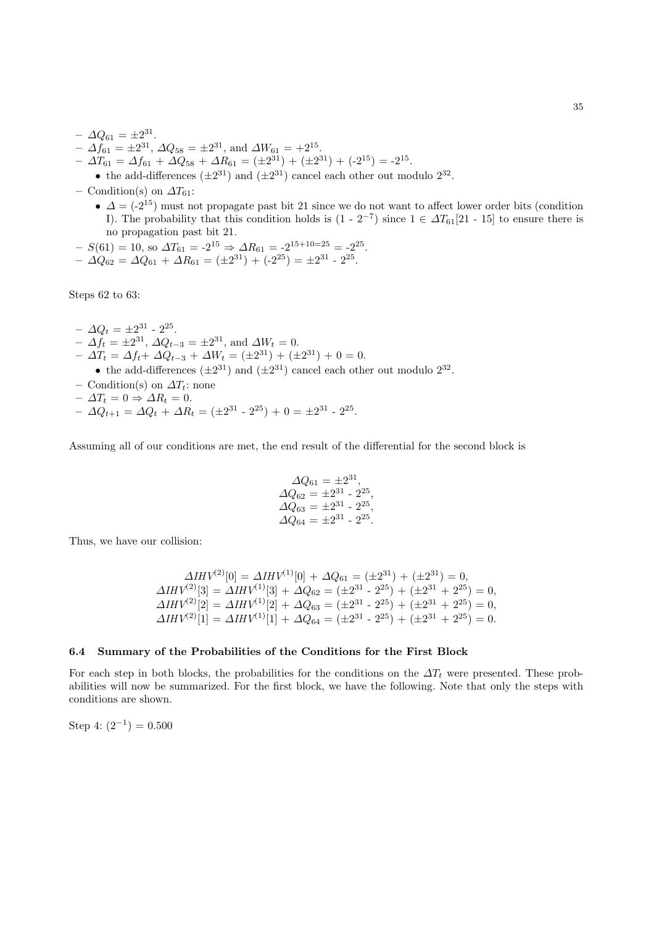- $\Delta Q_{61} = \pm 2^{31}.$  $- \Delta f_{61} = \pm 2^{31}, \, \Delta Q_{58} = \pm 2^{31}, \, \text{and } \Delta W_{61} = +2^{15}.$
- $\Delta T_{61} = \Delta f_{61} + \Delta Q_{58} + \Delta R_{61} = (\pm 2^{31}) + (\pm 2^{31}) + (-2^{15}) = -2^{15}.$

• the add-differences  $(\pm 2^{31})$  and  $(\pm 2^{31})$  cancel each other out modulo  $2^{32}$ .

- Condition(s) on  $\Delta T_{61}$ :
	- $\Delta = (-2^{15})$  must not propagate past bit 21 since we do not want to affect lower order bits (condition I). The probability that this condition holds is  $(1 - 2^{-7})$  since  $1 \in \Delta T_{61}[21 - 15]$  to ensure there is no propagation past bit 21.
- $-S(61) = 10$ , so  $\Delta T_{61} = -2^{15} \Rightarrow \Delta R_{61} = -2^{15+10=25} = -2^{25}$ .
- $\Delta Q_{62} = \Delta Q_{61} + \Delta R_{61} = (\pm 2^{31}) + (-2^{25}) = \pm 2^{31} 2^{25}.$

Steps 62 to 63:

- $\Delta Q_t = \pm 2^{31} 2^{25}.$
- $\Delta f_t = \pm 2^{31}, \, \Delta Q_{t-3} = \pm 2^{31}, \, \text{and } \Delta W_t = 0.$  $- \Delta T_t = \Delta f_t + \Delta Q_{t-3} + \Delta W_t = (\pm 2^{31}) + (\pm 2^{31}) + 0 = 0.$ 
	- the add-differences  $(\pm 2^{31})$  and  $(\pm 2^{31})$  cancel each other out modulo  $2^{32}$ .
- Condition(s) on  $\Delta T_t$ : none
- $-\Delta T_t = 0 \Rightarrow \Delta R_t = 0.$
- $\Delta Q_{t+1} = \Delta Q_t + \Delta R_t = (\pm 2^{31} 2^{25}) + 0 = \pm 2^{31} 2^{25}.$

Assuming all of our conditions are met, the end result of the differential for the second block is

$$
\begin{array}{c}\n\Delta Q_{61} = \pm 2^{31}, \\
\Delta Q_{62} = \pm 2^{31} - 2^{25}, \\
\Delta Q_{63} = \pm 2^{31} - 2^{25}, \\
\Delta Q_{64} = \pm 2^{31} - 2^{35}.\n\end{array}
$$

Thus, we have our collision:

$$
\Delta IHV^{(2)}[0] = \Delta IHV^{(1)}[0] + \Delta Q_{61} = (\pm 2^{31}) + (\pm 2^{31}) = 0,
$$
  
\n
$$
\Delta IHV^{(2)}[3] = \Delta IHV^{(1)}[3] + \Delta Q_{62} = (\pm 2^{31} - 2^{25}) + (\pm 2^{31} + 2^{25}) = 0,
$$
  
\n
$$
\Delta IHV^{(2)}[2] = \Delta IHV^{(1)}[2] + \Delta Q_{63} = (\pm 2^{31} - 2^{25}) + (\pm 2^{31} + 2^{25}) = 0,
$$
  
\n
$$
\Delta IHV^{(2)}[1] = \Delta IHV^{(1)}[1] + \Delta Q_{64} = (\pm 2^{31} - 2^{25}) + (\pm 2^{31} + 2^{25}) = 0.
$$

#### 6.4 Summary of the Probabilities of the Conditions for the First Block

For each step in both blocks, the probabilities for the conditions on the  $\Delta T_t$  were presented. These probabilities will now be summarized. For the first block, we have the following. Note that only the steps with conditions are shown.

Step 4:  $(2^{-1}) = 0.500$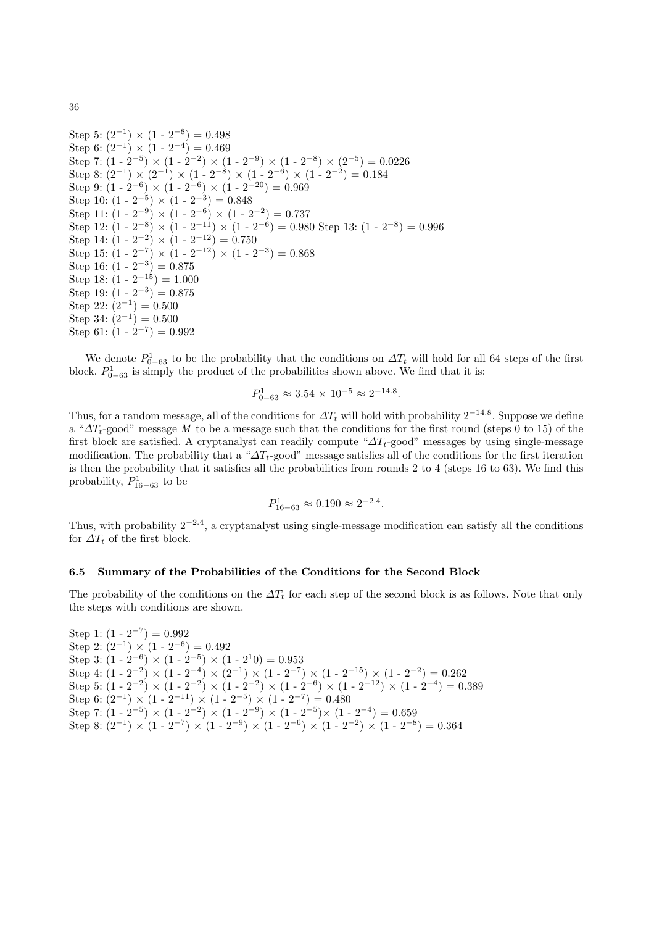Step 5:  $(2^{-1}) \times (1 - 2^{-8}) = 0.498$ Step 6:  $(2^{-1}) \times (1 - 2^{-4}) = 0.469$ Step 7:  $(1 - 2^{-5}) \times (1 - 2^{-2}) \times (1 - 2^{-9}) \times (1 - 2^{-8}) \times (2^{-5}) = 0.0226$ Step 8:  $(2^{-1}) \times (2^{-1}) \times (1 - 2^{-8}) \times (1 - 2^{-6}) \times (1 - 2^{-2}) = 0.184$ Step 9:  $(1 - 2^{-6}) \times (1 - 2^{-6}) \times (1 - 2^{-20}) = 0.969$ Step 10:  $(1 - 2^{-5}) \times (1 - 2^{-3}) = 0.848$ Step 11:  $(1 - 2^{-9}) \times (1 - 2^{-6}) \times (1 - 2^{-2}) = 0.737$ Step 12:  $(1 - 2^{-8}) \times (1 - 2^{-11}) \times (1 - 2^{-6}) = 0.980$  Step 13:  $(1 - 2^{-8}) = 0.996$ Step 14:  $(1 - 2^{-2}) \times (1 - 2^{-12}) = 0.750$ Step 15:  $(1 - 2^{-7}) \times (1 - 2^{-12}) \times (1 - 2^{-3}) = 0.868$ Step 16:  $(1 - 2^{-3}) = 0.875$ Step 18:  $(1 - 2^{-15}) = 1.000$ Step 19:  $(1 - 2^{-3}) = 0.875$ Step 22:  $(2^{-1}) = 0.500$ Step 34:  $(2^{-1}) = 0.500$ Step 61:  $(1 - 2^{-7}) = 0.992$ 

We denote  $P_{0-63}^1$  to be the probability that the conditions on  $\Delta T_t$  will hold for all 64 steps of the first block.  $P_{0-63}^1$  is simply the product of the probabilities shown above. We find that it is:

$$
P_{0-63}^1 \approx 3.54 \times 10^{-5} \approx 2^{-14.8}.
$$

Thus, for a random message, all of the conditions for  $\Delta T_t$  will hold with probability  $2^{-14.8}$ . Suppose we define a " $\Delta T_t$ -good" message M to be a message such that the conditions for the first round (steps 0 to 15) of the first block are satisfied. A cryptanalyst can readily compute " $\Delta T_t$ -good" messages by using single-message modification. The probability that a " $\Delta T_t$ -good" message satisfies all of the conditions for the first iteration is then the probability that it satisfies all the probabilities from rounds 2 to 4 (steps 16 to 63). We find this probability,  $P_{16-63}^1$  to be

$$
P_{16-63}^1 \approx 0.190 \approx 2^{-2.4}.
$$

Thus, with probability  $2^{-2.4}$ , a cryptanalyst using single-message modification can satisfy all the conditions for  $\Delta T_t$  of the first block.

## 6.5 Summary of the Probabilities of the Conditions for the Second Block

The probability of the conditions on the  $\Delta T_t$  for each step of the second block is as follows. Note that only the steps with conditions are shown.

Step 1:  $(1 - 2^{-7}) = 0.992$ Step 2:  $(2^{-1}) \times (1 - 2^{-6}) = 0.492$ Step 3:  $(1 - 2^{-6}) \times (1 - 2^{-5}) \times (1 - 2^{10}) = 0.953$ Step 4:  $(1 - 2^{-2}) \times (1 - 2^{-4}) \times (2^{-1}) \times (1 - 2^{-7}) \times (1 - 2^{-15}) \times (1 - 2^{-2}) = 0.262$ Step 5:  $(1 - 2^{-2}) \times (1 - 2^{-2}) \times (1 - 2^{-2}) \times (1 - 2^{-6}) \times (1 - 2^{-12}) \times (1 - 2^{-4}) = 0.389$ Step 6:  $(2^{-1}) \times (1 - 2^{-11}) \times (1 - 2^{-5}) \times (1 - 2^{-7}) = 0.480$ Step 7:  $(1 - 2^{-5}) \times (1 - 2^{-2}) \times (1 - 2^{-9}) \times (1 - 2^{-5}) \times (1 - 2^{-4}) = 0.659$ Step 8:  $(2^{-1}) \times (1 \cdot 2^{-7}) \times (1 \cdot 2^{-9}) \times (1 \cdot 2^{-6}) \times (1 \cdot 2^{-2}) \times (1 \cdot 2^{-8}) = 0.364$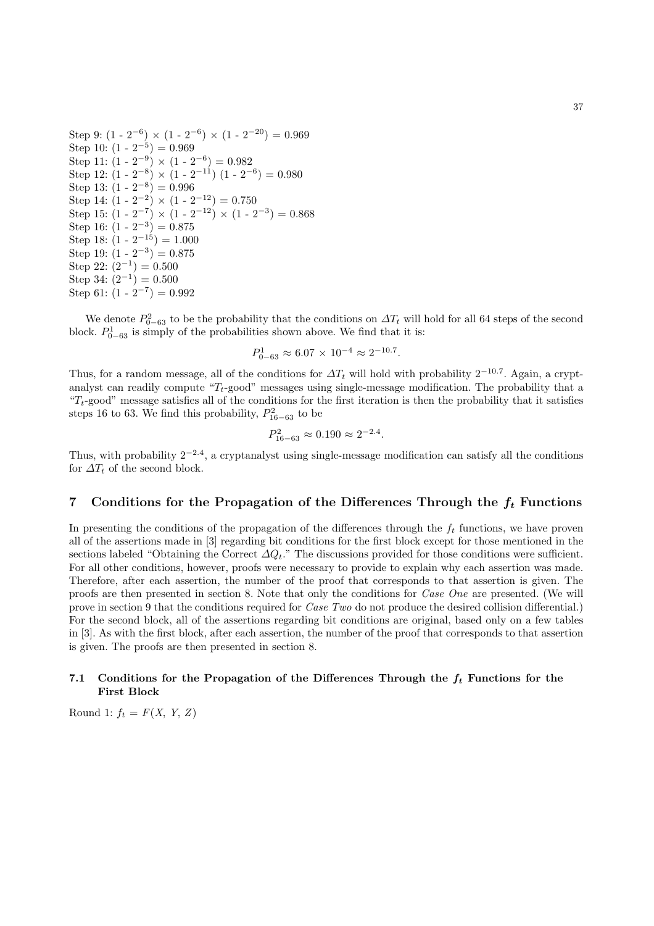Step 9:  $(1 - 2^{-6}) \times (1 - 2^{-6}) \times (1 - 2^{-20}) = 0.969$ Step 10:  $(1 - 2^{-5}) = 0.969$ Step 11:  $(1 - 2^{-9}) \times (1 - 2^{-6}) = 0.982$ Step 12:  $(1 - 2^{-8}) \times (1 - 2^{-11}) (1 - 2^{-6}) = 0.980$ Step 13:  $(1 - 2^{-8}) = 0.996$ Step 14:  $(1 - 2^{-2}) \times (1 - 2^{-12}) = 0.750$ Step 15:  $(1 - 2^{-7}) \times (1 - 2^{-12}) \times (1 - 2^{-3}) = 0.868$ Step 16:  $(1 - 2^{-3}) = 0.875$ Step 18:  $(1 - 2^{-15}) = 1.000$ Step 19:  $(1 - 2^{-3}) = 0.875$ Step 22:  $(2^{-1}) = 0.500$ Step 34:  $(2^{-1}) = 0.500$ Step 61:  $(1 - 2^{-7}) = 0.992$ 

We denote  $P_{0-63}^2$  to be the probability that the conditions on  $\Delta T_t$  will hold for all 64 steps of the second block.  $P_{0-63}^1$  is simply of the probabilities shown above. We find that it is:

$$
P_{0-63}^1 \approx 6.07 \times 10^{-4} \approx 2^{-10.7}.
$$

Thus, for a random message, all of the conditions for  $\Delta T_t$  will hold with probability 2<sup>-10.7</sup>. Again, a cryptanalyst can readily compute " $T_t$ -good" messages using single-message modification. The probability that a " $T_t$ -good" message satisfies all of the conditions for the first iteration is then the probability that it satisfies steps 16 to 63. We find this probability,  $P_{16-63}^2$  to be

$$
P_{16-63}^2 \approx 0.190 \approx 2^{-2.4}.
$$

Thus, with probability  $2^{-2.4}$ , a cryptanalyst using single-message modification can satisfy all the conditions for  $\Delta T_t$  of the second block.

# 7 Conditions for the Propagation of the Differences Through the  $f_t$  Functions

In presenting the conditions of the propagation of the differences through the  $f_t$  functions, we have proven all of the assertions made in [3] regarding bit conditions for the first block except for those mentioned in the sections labeled "Obtaining the Correct  $\Delta Q_t$ ." The discussions provided for those conditions were sufficient. For all other conditions, however, proofs were necessary to provide to explain why each assertion was made. Therefore, after each assertion, the number of the proof that corresponds to that assertion is given. The proofs are then presented in section 8. Note that only the conditions for Case One are presented. (We will prove in section 9 that the conditions required for *Case Two* do not produce the desired collision differential.) For the second block, all of the assertions regarding bit conditions are original, based only on a few tables in [3]. As with the first block, after each assertion, the number of the proof that corresponds to that assertion is given. The proofs are then presented in section 8.

## 7.1 Conditions for the Propagation of the Differences Through the  $f_t$  Functions for the First Block

Round 1:  $f_t = F(X, Y, Z)$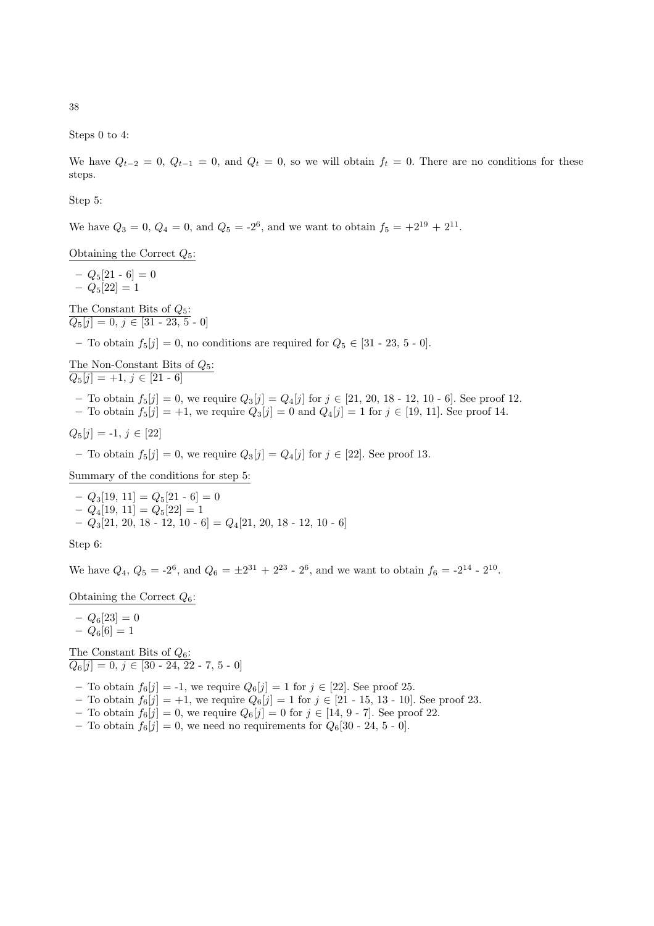38

Steps 0 to 4:

We have  $Q_{t-2} = 0$ ,  $Q_{t-1} = 0$ , and  $Q_t = 0$ , so we will obtain  $f_t = 0$ . There are no conditions for these steps.

Step 5:

We have  $Q_3 = 0$ ,  $Q_4 = 0$ , and  $Q_5 = -2^6$ , and we want to obtain  $f_5 = +2^{19} + 2^{11}$ .

Obtaining the Correct  $Q_5$ :

 $- Q_5[21 - 6] = 0$  $- Q_5[22] = 1$ 

The Constant Bits of  $Q_5$ :  $Q_5[j] = 0, j \in [31 - 23, 5 - 0]$ 

– To obtain  $f_5[j] = 0$ , no conditions are required for  $Q_5 \in [31 - 23, 5 - 0]$ .

The Non-Constant Bits of  $Q_5$ :  $Q_5[j] = +1, j \in [21 - 6]$ 

– To obtain  $f_5[j] = 0$ , we require  $Q_3[j] = Q_4[j]$  for  $j \in [21, 20, 18 - 12, 10 - 6]$ . See proof 12.

– To obtain  $f_5[j] = +1$ , we require  $Q_3[j] = 0$  and  $Q_4[j] = 1$  for  $j \in [19, 11]$ . See proof 14.

 $Q_5[j] = -1, j \in [22]$ 

– To obtain  $f_5[j] = 0$ , we require  $Q_3[j] = Q_4[j]$  for  $j \in [22]$ . See proof 13.

Summary of the conditions for step 5:

 $- Q_3[19, 11] = Q_5[21 \cdot 6] = 0$  $- Q_4[19, 11] = Q_5[22] = 1$  $-Q_3[21, 20, 18 - 12, 10 - 6] = Q_4[21, 20, 18 - 12, 10 - 6]$ 

Step 6:

We have  $Q_4$ ,  $Q_5 = -2^6$ , and  $Q_6 = \pm 2^{31} + 2^{23} - 2^6$ , and we want to obtain  $f_6 = -2^{14} - 2^{10}$ .

Obtaining the Correct  $Q_6$ :

 $- Q_6[23] = 0$  $- Q_6[6] = 1$ 

The Constant Bits of  $Q_6$ :  $Q_6[j] = 0, j \in [30 - 24, 22 - 7, 5 - 0]$ 

– To obtain  $f_6[j] = -1$ , we require  $Q_6[j] = 1$  for  $j \in [22]$ . See proof 25.

- To obtain  $f_6[j] = +1$ , we require  $Q_6[j] = 1$  for  $j \in [21 15, 13 10]$ . See proof 23.
- To obtain  $f_6[j] = 0$ , we require  $Q_6[j] = 0$  for  $j \in [14, 9 \text{ } 7]$ . See proof 22.
- To obtain  $f_6[j] = 0$ , we need no requirements for  $Q_6[30 24, 5 0]$ .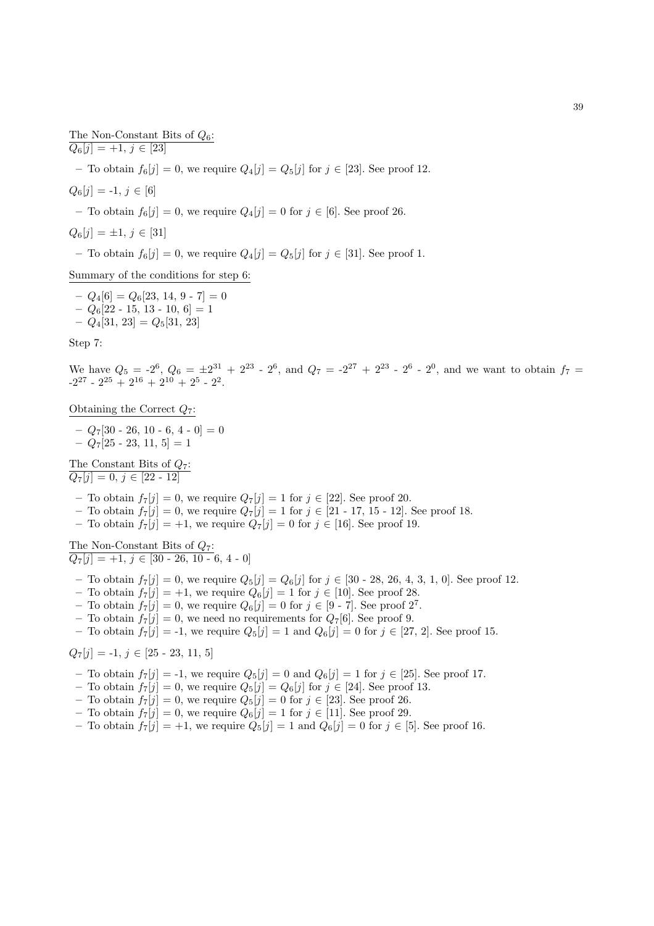The Non-Constant Bits of  $Q_6$ :  $Q_6[j] = +1, j \in [23]$ – To obtain  $f_6[j] = 0$ , we require  $Q_4[j] = Q_5[j]$  for  $j \in [23]$ . See proof 12.  $Q_6[j] = -1, j \in [6]$ – To obtain  $f_6[j] = 0$ , we require  $Q_4[j] = 0$  for  $j \in [6]$ . See proof 26.  $Q_6[j] = \pm 1, j \in [31]$ – To obtain  $f_6[j] = 0$ , we require  $Q_4[j] = Q_5[j]$  for  $j \in [31]$ . See proof 1. Summary of the conditions for step 6:

 $-Q_4[6] = Q_6[23, 14, 9 - 7] = 0$  $-Q_6[22 - 15, 13 - 10, 6] = 1$  $- Q_4[31, 23] = Q_5[31, 23]$ 

Step 7:

We have  $Q_5 = -2^6$ ,  $Q_6 = \pm 2^{31} + 2^{23} - 2^6$ , and  $Q_7 = -2^{27} + 2^{23} - 2^6 - 2^0$ , and we want to obtain  $f_7 =$  $-2^{27} - 2^{25} + 2^{16} + 2^{10} + 2^5 - 2^2$ .

Obtaining the Correct  $Q_7$ :

 $-Q_7[30 - 26, 10 - 6, 4 - 0] = 0$  $-Q_7[25 - 23, 11, 5] = 1$ 

The Constant Bits of  $Q_7$ :  $Q_7[j] = 0, j \in [22 - 12]$ 

– To obtain  $f_7[j] = 0$ , we require  $Q_7[j] = 1$  for  $j \in [22]$ . See proof 20.

- To obtain  $f_7[j] = 0$ , we require  $Q_7[j] = 1$  for  $j \in [21 17, 15 12]$ . See proof 18.
- To obtain  $f_7[j] = +1$ , we require  $Q_7[j] = 0$  for  $j \in [16]$ . See proof 19.

The Non-Constant Bits of  $Q_7$ :  $Q_7[j] = +1, j \in [30 - 26, 10 - 6, 4 - 0]$ 

- To obtain  $f_7[j] = 0$ , we require  $Q_5[j] = Q_6[j]$  for  $j \in [30 28, 26, 4, 3, 1, 0]$ . See proof 12.
- To obtain  $f_7[j] = +1$ , we require  $Q_6[j] = 1$  for  $j \in [10]$ . See proof 28.
- To obtain  $f_7[j] = 0$ , we require  $Q_6[j] = 0$  for  $j \in [9 \text{-} 7]$ . See proof  $2^7$ .
- To obtain  $f_7[j] = 0$ , we need no requirements for  $Q_7[6]$ . See proof 9.
- To obtain  $f_7[j] = -1$ , we require  $Q_5[j] = 1$  and  $Q_6[j] = 0$  for  $j \in [27, 2]$ . See proof 15.

 $Q_7[j] = -1, j \in [25 - 23, 11, 5]$ 

- To obtain  $f_7[j] = -1$ , we require  $Q_5[j] = 0$  and  $Q_6[j] = 1$  for  $j \in [25]$ . See proof 17.
- To obtain  $f_7[j] = 0$ , we require  $Q_5[j] = Q_6[j]$  for  $j \in [24]$ . See proof 13.
- To obtain  $f_7[j] = 0$ , we require  $Q_5[j] = 0$  for  $j \in [23]$ . See proof 26.
- To obtain  $f_7[j] = 0$ , we require  $Q_6[j] = 1$  for  $j \in [11]$ . See proof 29.
- To obtain  $f_7[j] = +1$ , we require  $Q_5[j] = 1$  and  $Q_6[j] = 0$  for  $j \in [5]$ . See proof 16.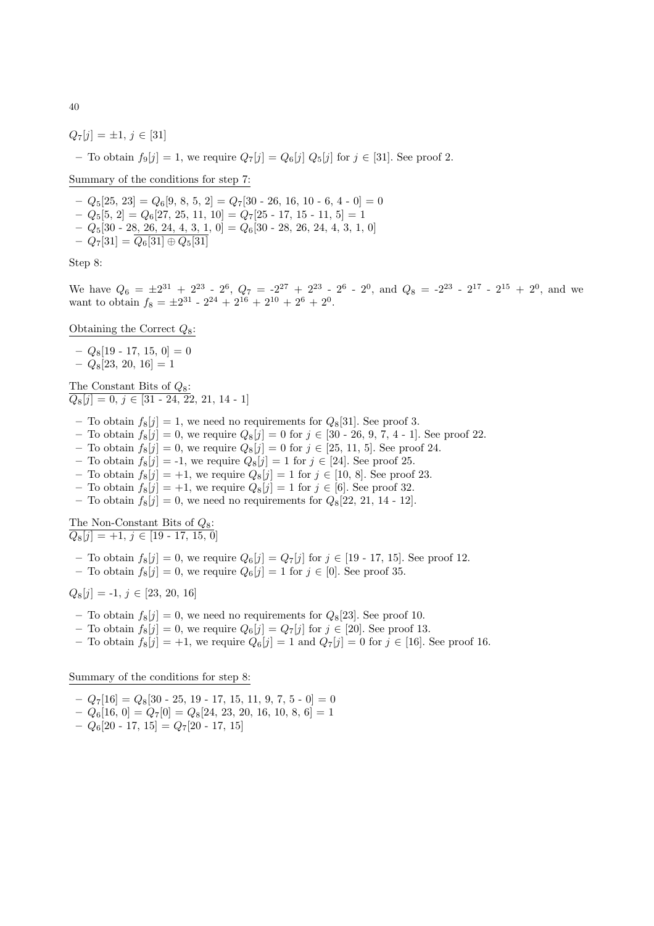$Q_7[j] = \pm 1, j \in [31]$ – To obtain  $f_9[j] = 1$ , we require  $Q_7[j] = Q_6[j] Q_5[j]$  for  $j \in [31]$ . See proof 2.

Summary of the conditions for step 7:

 $-Q_5[25, 23] = Q_6[9, 8, 5, 2] = Q_7[30 - 26, 16, 10 - 6, 4 - 0] = 0$ 

- $-Q_5[5, 2] = Q_6[27, 25, 11, 10] = Q_7[25 17, 15 11, 5] = 1$
- $Q_5[30 \t{-} 28, 26, 24, 4, 3, 1, 0] = Q_6[30 \t{-} 28, 26, 24, 4, 3, 1, 0]$
- $Q_7[31] = Q_6[31] \oplus Q_5[31]$

Step 8:

We have  $Q_6 = \pm 2^{31} + 2^{23} - 2^6$ ,  $Q_7 = -2^{27} + 2^{23} - 2^6 - 2^0$ , and  $Q_8 = -2^{23} - 2^{17} - 2^{15} + 2^0$ , and we want to obtain  $f_8 = \pm 2^{31} - 2^{24} + 2^{16} + 2^{10} + 2^6 + 2^0$ .

Obtaining the Correct  $Q_8$ :

- $Q_8[19 17, 15, 0] = 0$
- $-Q_8[23, 20, 16] = 1$

The Constant Bits of  $Q_8$ :  $\overline{Q_8[j] = 0, j \in [31 - 24, 22, 21, 14 - 1]}$ 

- To obtain  $f_8[j] = 1$ , we need no requirements for  $Q_8[31]$ . See proof 3.
- To obtain  $f_8[j] = 0$ , we require  $Q_8[j] = 0$  for  $j \in [30 26, 9, 7, 4 1]$ . See proof 22.
- To obtain  $f_8[j] = 0$ , we require  $Q_8[j] = 0$  for  $j \in [25, 11, 5]$ . See proof 24.
- To obtain  $f_8[j] = -1$ , we require  $Q_8[j] = 1$  for  $j \in [24]$ . See proof 25.
- To obtain  $f_8[j] = +1$ , we require  $Q_8[j] = 1$  for  $j \in [10, 8]$ . See proof 23.
- To obtain  $f_8[j] = +1$ , we require  $Q_8[j] = 1$  for  $j \in [6]$ . See proof 32.
- To obtain  $f_8[j] = 0$ , we need no requirements for  $Q_8[22, 21, 14 12]$ .

The Non-Constant Bits of  $Q_8$ :  $Q_8[i] = +1, i \in [19 - 17, 15, 0]$ 

- To obtain  $f_8[j] = 0$ , we require  $Q_6[j] = Q_7[j]$  for  $j \in [19 \text{ } 17, 15]$ . See proof 12.
- To obtain  $f_8[j] = 0$ , we require  $Q_6[j] = 1$  for  $j \in [0]$ . See proof 35.

 $Q_8[j] = -1, j \in [23, 20, 16]$ 

- To obtain  $f_8[j] = 0$ , we need no requirements for  $Q_8[23]$ . See proof 10.
- To obtain  $f_8[j] = 0$ , we require  $Q_6[j] = Q_7[j]$  for  $j \in [20]$ . See proof 13.
- To obtain  $f_8[j] = +1$ , we require  $Q_6[j] = 1$  and  $Q_7[j] = 0$  for  $j \in [16]$ . See proof 16.

Summary of the conditions for step 8:

 $-Q_7[16] = Q_8[30 - 25, 19 - 17, 15, 11, 9, 7, 5 - 0] = 0$ 

- $-Q_6[16, 0] = Q_7[0] = Q_8[24, 23, 20, 16, 10, 8, 6] = 1$
- $-Q_6[20 17, 15] = Q_7[20 17, 15]$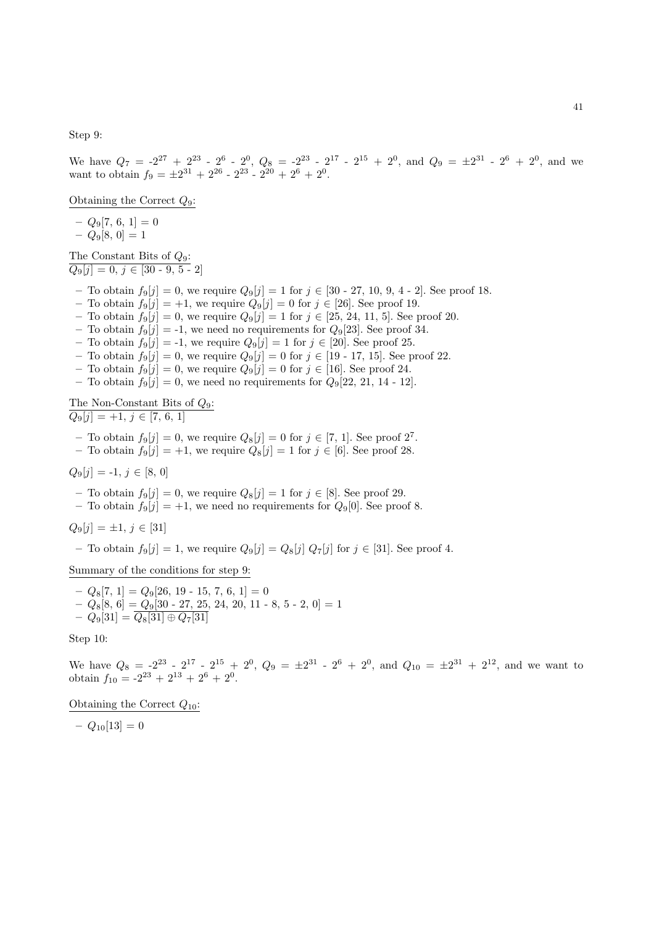Step 9:

We have  $Q_7 = -2^{27} + 2^{23} - 2^6 - 2^0$ ,  $Q_8 = -2^{23} - 2^{17} - 2^{15} + 2^0$ , and  $Q_9 = \pm 2^{31} - 2^6 + 2^0$ , and we want to obtain  $f_9 = \pm 2^{31} + 2^{26} - 2^{23} - 2^{20} + 2^6 + 2^0$ .

Obtaining the Correct  $Q_9$ :

 $-Q_9[7, 6, 1]=0$  $- Q_9[8, 0] = 1$ 

The Constant Bits of  $Q_9$ :  $Q_9[j] = 0, j \in [30 - 9, 5 - 2]$ 

- To obtain  $f_9[j] = 0$ , we require  $Q_9[j] = 1$  for  $j \in [30 27, 10, 9, 4 2]$ . See proof 18.
- To obtain  $f_9[j] = +1$ , we require  $Q_9[j] = 0$  for  $j \in [26]$ . See proof 19.

– To obtain  $f_9[j] = 0$ , we require  $Q_9[j] = 1$  for  $j \in [25, 24, 11, 5]$ . See proof 20.

- To obtain  $f_9[j] = -1$ , we need no requirements for  $Q_9[23]$ . See proof 34.
- To obtain  $f_9[j] = -1$ , we require  $Q_9[j] = 1$  for  $j \in [20]$ . See proof 25.

– To obtain  $f_9[j] = 0$ , we require  $Q_9[j] = 0$  for  $j \in [19 - 17, 15]$ . See proof 22.

- To obtain  $f_9[j] = 0$ , we require  $Q_9[j] = 0$  for  $j \in [16]$ . See proof 24.
- To obtain  $f_9[j] = 0$ , we need no requirements for  $Q_9[22, 21, 14 12]$ .

The Non-Constant Bits of  $Q_9$ :  $Q_9[j] = +1, j \in [7, 6, 1]$ 

- To obtain  $f_9[j] = 0$ , we require  $Q_8[j] = 0$  for  $j \in [7, 1]$ . See proof  $2^7$ .
- To obtain  $f_9[j] = +1$ , we require  $Q_8[j] = 1$  for  $j \in [6]$ . See proof 28.

 $Q_9[j] = -1, j \in [8, 0]$ 

- To obtain  $f_9[j] = 0$ , we require  $Q_8[j] = 1$  for  $j \in [8]$ . See proof 29.
- To obtain  $f_9[j] = +1$ , we need no requirements for  $Q_9[0]$ . See proof 8.

$$
Q_9[j] = \pm 1, \, j \in [31]
$$

– To obtain  $f_9[j] = 1$ , we require  $Q_9[j] = Q_8[j] Q_7[j]$  for  $j \in [31]$ . See proof 4.

Summary of the conditions for step 9:

$$
- Q_8[7, 1] = Q_9[26, 19 - 15, 7, 6, 1] = 0
$$
  
-  $Q_8[8, 6] = Q_9[30 - 27, 25, 24, 20, 11 - 8, 5 - 2, 0] = 1$   
-  $Q_9[31] = Q_8[31] \oplus Q_7[31]$ 

Step 10:

We have  $Q_8 = -2^{23} - 2^{17} - 2^{15} + 2^0$ ,  $Q_9 = \pm 2^{31} - 2^6 + 2^0$ , and  $Q_{10} = \pm 2^{31} + 2^{12}$ , and we want to obtain  $f_{10} = -2^{23} + 2^{13} + 2^6 + 2^0$ .

Obtaining the Correct  $Q_{10}$ :

 $- Q_{10}[13] = 0$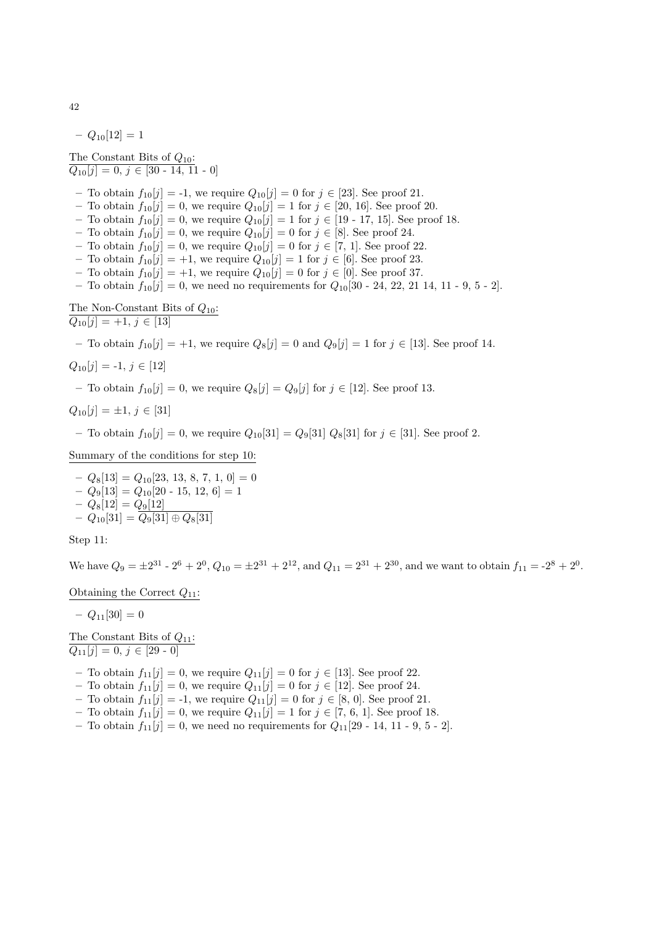$- Q_{10}[12] = 1$ 

The Constant Bits of  $Q_{10}$ :  $Q_{10}[j] = 0, j \in [30 - 14, 11 - 0]$ 

- To obtain  $f_{10}[j] = -1$ , we require  $Q_{10}[j] = 0$  for  $j \in [23]$ . See proof 21.
- To obtain  $f_{10}[j] = 0$ , we require  $Q_{10}[j] = 1$  for  $j \in [20, 16]$ . See proof 20.
- To obtain  $f_{10}[j] = 0$ , we require  $Q_{10}[j] = 1$  for  $j \in [19 17, 15]$ . See proof 18.
- To obtain  $f_{10}[j] = 0$ , we require  $Q_{10}[j] = 0$  for  $j \in [8]$ . See proof 24.
- To obtain  $f_{10}[j] = 0$ , we require  $Q_{10}[j] = 0$  for  $j \in [7, 1]$ . See proof 22.
- To obtain  $f_{10}[j] = +1$ , we require  $Q_{10}[j] = 1$  for  $j \in [6]$ . See proof 23.
- To obtain  $f_{10}[j] = +1$ , we require  $Q_{10}[j] = 0$  for  $j \in [0]$ . See proof 37.
- To obtain  $f_{10}[j] = 0$ , we need no requirements for  $Q_{10}[30 24, 22, 21 \ 14, 11 9, 5 2]$ .

The Non-Constant Bits of  $Q_{10}$ :  $Q_{10}[j] = +1, j \in [13]$ 

– To obtain  $f_{10}[j] = +1$ , we require  $Q_8[j] = 0$  and  $Q_9[j] = 1$  for  $j \in [13]$ . See proof 14.

$$
Q_{10}[j] = -1, j \in [12]
$$

– To obtain  $f_{10}[j] = 0$ , we require  $Q_8[j] = Q_9[j]$  for  $j \in [12]$ . See proof 13.

$$
Q_{10}[j] = \pm 1, \, j \in [31]
$$

– To obtain  $f_{10}[j] = 0$ , we require  $Q_{10}[31] = Q_9[31] Q_8[31]$  for  $j \in [31]$ . See proof 2.

Summary of the conditions for step 10:

 $-Q_8[13] = Q_{10}[23, 13, 8, 7, 1, 0] = 0$ –  $Q_9[13] = Q_{10}[20 - 15, 12, 6] = 1$  $- Q_8[12] = Q_9[12]$  $- \ Q_{10}[31] = Q_9[31] \oplus Q_8[31]$ 

Step 11:

We have  $Q_9 = \pm 2^{31}$  -  $2^6 + 2^0$ ,  $Q_{10} = \pm 2^{31} + 2^{12}$ , and  $Q_{11} = 2^{31} + 2^{30}$ , and we want to obtain  $f_{11} = -2^8 + 2^0$ .

Obtaining the Correct  $Q_{11}$ :

 $- Q_{11}[30] = 0$ 

The Constant Bits of  $Q_{11}$ :  $Q_{11}[j] = 0, j \in [29 - 0]$ 

- To obtain  $f_{11}[j] = 0$ , we require  $Q_{11}[j] = 0$  for  $j \in [13]$ . See proof 22.
- To obtain  $f_{11}[j] = 0$ , we require  $Q_{11}[j] = 0$  for  $j \in [12]$ . See proof 24.
- To obtain  $f_{11}[j] = -1$ , we require  $Q_{11}[j] = 0$  for  $j \in [8, 0]$ . See proof 21.
- To obtain  $f_{11}[j] = 0$ , we require  $Q_{11}[j] = 1$  for  $j \in [7, 6, 1]$ . See proof 18.
- To obtain  $f_{11}[j] = 0$ , we need no requirements for  $Q_{11}[29 14, 11 9, 5 2]$ .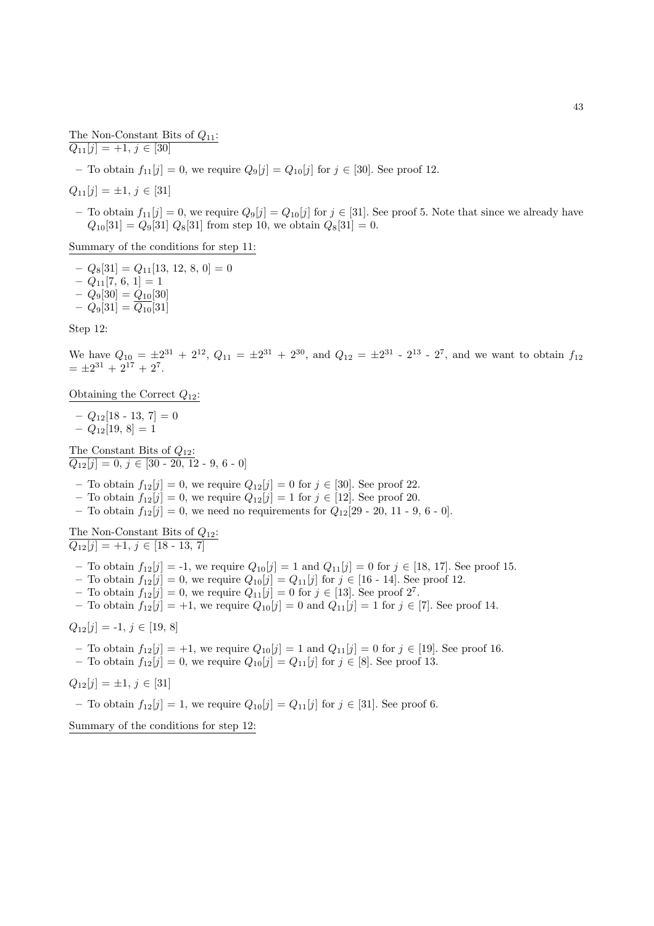The Non-Constant Bits of  $Q_{11}$ :  $Q_{11}[j] = +1, j \in [30]$ 

– To obtain  $f_{11}[j] = 0$ , we require  $Q_9[j] = Q_{10}[j]$  for  $j \in [30]$ . See proof 12.

 $Q_{11}[j] = \pm 1, j \in [31]$ 

– To obtain  $f_{11}[j] = 0$ , we require  $Q_9[j] = Q_{10}[j]$  for  $j \in [31]$ . See proof 5. Note that since we already have  $Q_{10}[31] = Q_9[31] Q_8[31]$  from step 10, we obtain  $Q_8[31] = 0$ .

Summary of the conditions for step 11:

 $-Q_8[31] = Q_{11}[13, 12, 8, 0] = 0$  $-Q_{11}[7, 6, 1] = 1$  $- Q_9[30] = Q_{10}[30]$  $- Q_9[31] = \overline{Q_{10}}[31]$ 

Step 12:

We have  $Q_{10} = \pm 2^{31} + 2^{12}$ ,  $Q_{11} = \pm 2^{31} + 2^{30}$ , and  $Q_{12} = \pm 2^{31}$  -  $2^{13}$  -  $2^7$ , and we want to obtain  $f_{12}$  $= \pm 2^{31} + 2^{17} + 2^7.$ 

Obtaining the Correct  $Q_{12}$ :

 $- Q_{12}[18 - 13, 7] = 0$  $-Q_{12}[19, 8] = 1$ 

The Constant Bits of  $Q_{12}$ :  $\overline{Q_{12}[j] = 0, j \in [30 - 20, 12 - 9, 6 - 0]}$ 

- To obtain  $f_{12}[j] = 0$ , we require  $Q_{12}[j] = 0$  for  $j \in [30]$ . See proof 22.
- To obtain  $f_{12}[j] = 0$ , we require  $Q_{12}[j] = 1$  for  $j \in [12]$ . See proof 20.
- To obtain  $f_{12}[j] = 0$ , we need no requirements for  $Q_{12}[29 20, 11 9, 6 0]$ .

The Non-Constant Bits of  $Q_{12}$ :  $Q_{12}[j] = +1, j \in [18 - 13, 7]$ 

- To obtain  $f_{12}[j] = -1$ , we require  $Q_{10}[j] = 1$  and  $Q_{11}[j] = 0$  for  $j \in [18, 17]$ . See proof 15.
- To obtain  $f_{12}[j] = 0$ , we require  $Q_{10}[j] = Q_{11}[j]$  for  $j \in [16 14]$ . See proof 12.
- To obtain  $f_{12}[j] = 0$ , we require  $Q_{11}[j] = 0$  for  $j \in [13]$ . See proof  $2^7$ .
- To obtain  $f_{12}[j] = +1$ , we require  $Q_{10}[j] = 0$  and  $Q_{11}[j] = 1$  for  $j \in [7]$ . See proof 14.

$$
Q_{12}[j] = -1, j \in [19, 8]
$$

– To obtain  $f_{12}[j] = +1$ , we require  $Q_{10}[j] = 1$  and  $Q_{11}[j] = 0$  for  $j \in [19]$ . See proof 16. – To obtain  $f_{12}[j] = 0$ , we require  $Q_{10}[j] = Q_{11}[j]$  for  $j \in [8]$ . See proof 13.

$$
Q_{12}[j] = \pm 1, \, j \in [31]
$$

– To obtain  $f_{12}[j] = 1$ , we require  $Q_{10}[j] = Q_{11}[j]$  for  $j \in [31]$ . See proof 6.

Summary of the conditions for step 12: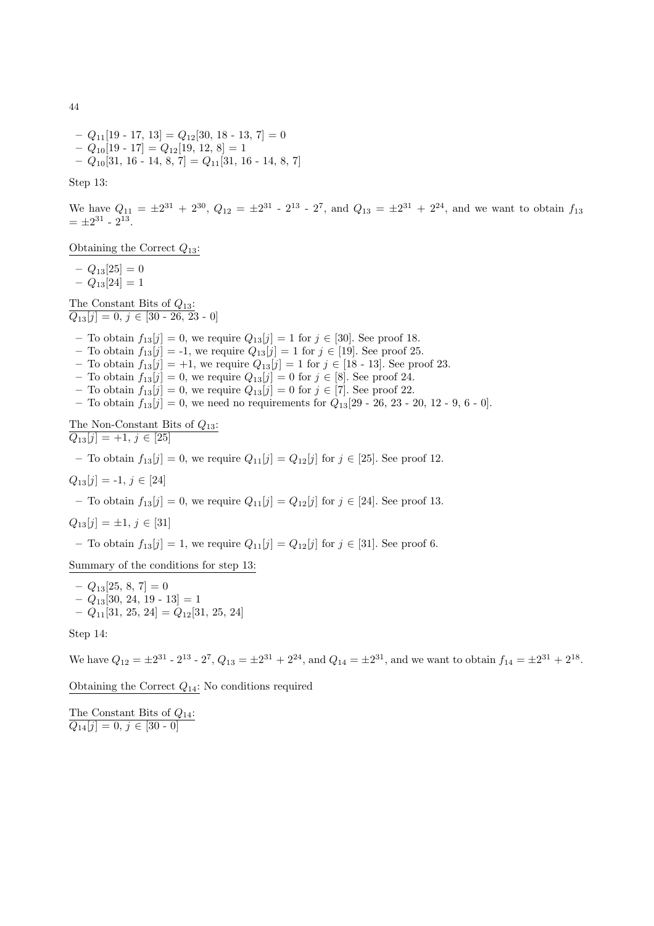–  $Q_{11}[19 - 17, 13] = Q_{12}[30, 18 - 13, 7] = 0$  $-Q_{10}[19 - 17] = Q_{12}[19, 12, 8] = 1$ –  $Q_{10}[31, 16 - 14, 8, 7] = Q_{11}[31, 16 - 14, 8, 7]$ 

Step 13:

We have  $Q_{11} = \pm 2^{31} + 2^{30}$ ,  $Q_{12} = \pm 2^{31} - 2^{13} - 2^7$ , and  $Q_{13} = \pm 2^{31} + 2^{24}$ , and we want to obtain  $f_{13}$  $= \pm 2^{31} - 2^{13}.$ 

Obtaining the Correct  $Q_{13}$ :

 $-Q_{13}[25]=0$ 

 $-Q_{13}[24]=1$ 

The Constant Bits of  $Q_{13}$ :  $Q_{13}[j] = 0, j \in [30 - 26, 23 - 0]$ 

– To obtain  $f_{13}[j] = 0$ , we require  $Q_{13}[j] = 1$  for  $j \in [30]$ . See proof 18.

- To obtain  $f_{13}[j] = -1$ , we require  $Q_{13}[j] = 1$  for  $j \in [19]$ . See proof 25.
- To obtain  $f_{13}[j] = +1$ , we require  $Q_{13}[j] = 1$  for  $j \in [18 13]$ . See proof 23.
- To obtain  $f_{13}[j] = 0$ , we require  $Q_{13}[j] = 0$  for  $j \in [8]$ . See proof 24.
- To obtain  $f_{13}[j] = 0$ , we require  $Q_{13}[j] = 0$  for  $j \in [7]$ . See proof 22.
- To obtain  $f_{13}[j] = 0$ , we need no requirements for  $Q_{13}[29 26, 23 20, 12 9, 6 0]$ .

The Non-Constant Bits of  $Q_{13}$ :  $Q_{13}[j] = +1, j \in [25]$ 

– To obtain  $f_{13}[j] = 0$ , we require  $Q_{11}[j] = Q_{12}[j]$  for  $j \in [25]$ . See proof 12.

 $Q_{13}[j] = -1, j \in [24]$ 

– To obtain  $f_{13}[j] = 0$ , we require  $Q_{11}[j] = Q_{12}[j]$  for  $j \in [24]$ . See proof 13.

 $Q_{13}[j] = \pm 1, j \in [31]$ 

– To obtain  $f_{13}[j] = 1$ , we require  $Q_{11}[j] = Q_{12}[j]$  for  $j \in [31]$ . See proof 6.

Summary of the conditions for step 13:

 $-Q_{13}[25, 8, 7]=0$  $- Q_{13}[30, 24, 19 - 13] = 1$  $-Q_{11}[31, 25, 24] = Q_{12}[31, 25, 24]$ 

Step 14:

We have  $Q_{12} = \pm 2^{31}$  -  $2^{13}$  -  $2^7$ ,  $Q_{13} = \pm 2^{31} + 2^{24}$ , and  $Q_{14} = \pm 2^{31}$ , and we want to obtain  $f_{14} = \pm 2^{31} + 2^{18}$ .

Obtaining the Correct  $Q_{14}$ : No conditions required

The Constant Bits of  $Q_{14}$ :  $Q_{14}[j] = 0, j \in [30 - 0]$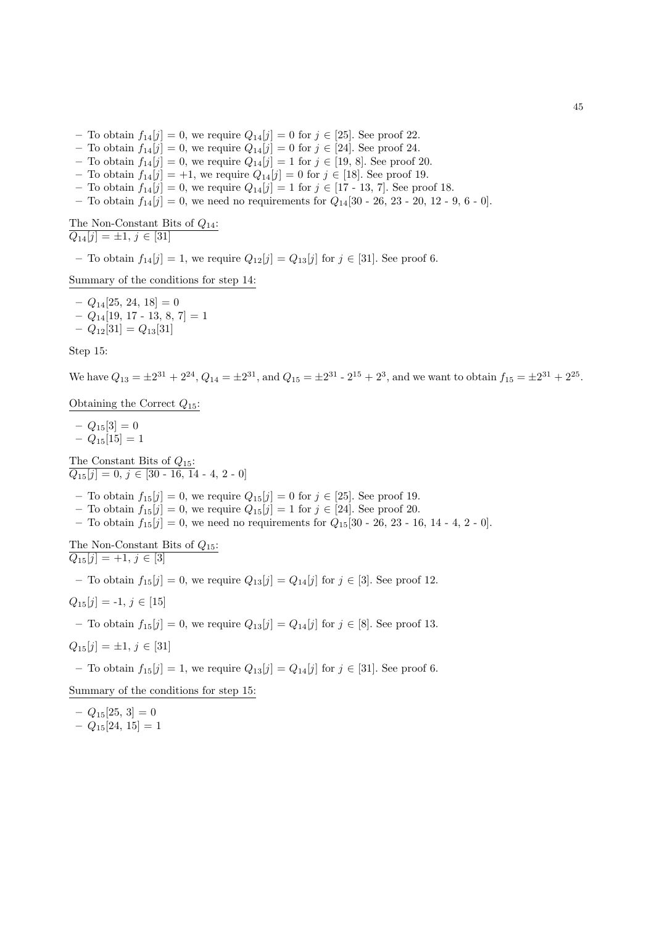- To obtain  $f_{14}[j] = 0$ , we require  $Q_{14}[j] = 0$  for  $j \in [25]$ . See proof 22.
- To obtain  $f_{14}[j] = 0$ , we require  $Q_{14}[j] = 0$  for  $j \in [24]$ . See proof 24.
- To obtain  $f_{14}[j] = 0$ , we require  $Q_{14}[j] = 1$  for  $j \in [19, 8]$ . See proof 20.
- To obtain  $f_{14}[j] = +1$ , we require  $Q_{14}[j] = 0$  for  $j \in [18]$ . See proof 19.
- To obtain  $f_{14}[j] = 0$ , we require  $Q_{14}[j] = 1$  for  $j \in [17 13, 7]$ . See proof 18.
- To obtain  $f_{14}[j] = 0$ , we need no requirements for  $Q_{14}[30 26, 23 20, 12 9, 6 0]$ .

The Non-Constant Bits of  $Q_{14}$ :

 $Q_{14}[j] = \pm 1, j \in [31]$ 

– To obtain  $f_{14}[j] = 1$ , we require  $Q_{12}[j] = Q_{13}[j]$  for  $j \in [31]$ . See proof 6.

Summary of the conditions for step 14:

 $-Q_{14}[25, 24, 18]=0$  $- Q_{14}[19, 17 - 13, 8, 7] = 1$  $- Q_{12}[31] = Q_{13}[31]$ 

Step 15:

We have  $Q_{13} = \pm 2^{31} + 2^{24}$ ,  $Q_{14} = \pm 2^{31}$ , and  $Q_{15} = \pm 2^{31} - 2^{15} + 2^3$ , and we want to obtain  $f_{15} = \pm 2^{31} + 2^{25}$ .

Obtaining the Correct  $Q_{15}$ :

 $-Q_{15}[3] = 0$  $- Q_{15}[15] = 1$ 

The Constant Bits of  $Q_{15}$ :  $Q_{15}[j] = 0, j \in [30 - 16, 14 - 4, 2 - 0]$ 

- To obtain  $f_{15}[j] = 0$ , we require  $Q_{15}[j] = 0$  for  $j \in [25]$ . See proof 19.
- To obtain  $f_{15}[j] = 0$ , we require  $Q_{15}[j] = 1$  for  $j \in [24]$ . See proof 20.
- To obtain  $f_{15}[j] = 0$ , we need no requirements for  $Q_{15}[30 26, 23 16, 14 4, 2 0]$ .

The Non-Constant Bits of  $Q_{15}$ :  $Q_{15}[j] = +1, j \in [3]$ 

– To obtain  $f_{15}[j] = 0$ , we require  $Q_{13}[j] = Q_{14}[j]$  for  $j \in [3]$ . See proof 12.

 $Q_{15}[j] = -1, j \in [15]$ 

– To obtain  $f_{15}[j] = 0$ , we require  $Q_{13}[j] = Q_{14}[j]$  for  $j \in [8]$ . See proof 13.

$$
Q_{15}[j] = \pm 1, j \in [31]
$$

– To obtain  $f_{15}[j] = 1$ , we require  $Q_{13}[j] = Q_{14}[j]$  for  $j \in [31]$ . See proof 6.

Summary of the conditions for step 15:

 $-Q_{15}[25, 3] = 0$  $- Q_{15}[24, 15] = 1$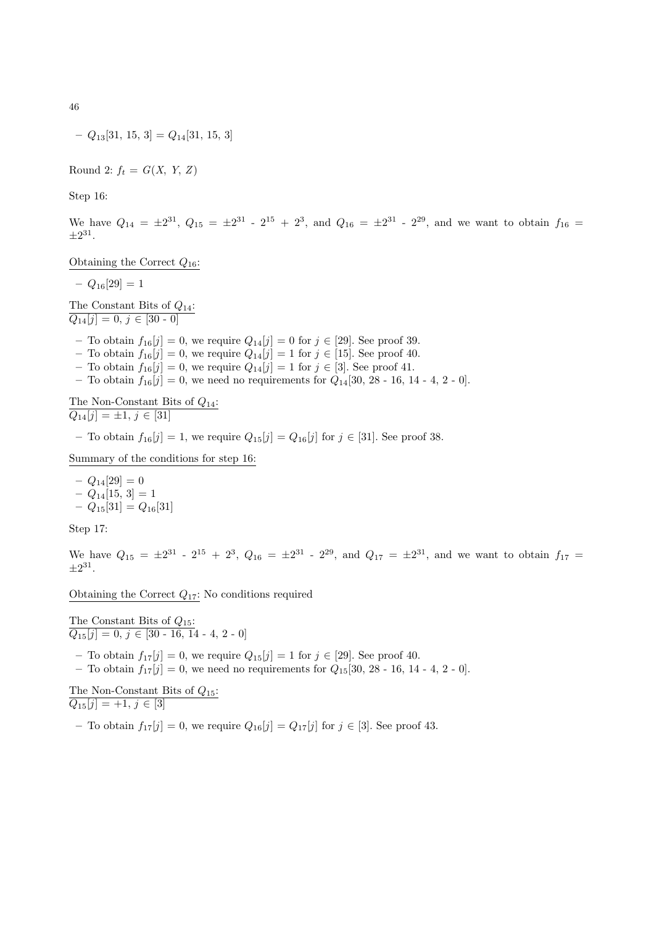46

$$
-Q_{13}[31, 15, 3] = Q_{14}[31, 15, 3]
$$

Round 2:  $f_t = G(X, Y, Z)$ 

Step 16:

We have  $Q_{14} = \pm 2^{31}$ ,  $Q_{15} = \pm 2^{31}$  -  $2^{15}$  +  $2^3$ , and  $Q_{16} = \pm 2^{31}$  -  $2^{29}$ , and we want to obtain  $f_{16}$  =  $\pm 2^{31}$ .

Obtaining the Correct  $Q_{16}$ :

 $- Q_{16}[29] = 1$ 

The Constant Bits of  $Q_{14}$ :  $Q_{14}[j] = 0, j \in [30 - 0]$ 

- To obtain  $f_{16}[j] = 0$ , we require  $Q_{14}[j] = 0$  for  $j \in [29]$ . See proof 39.
- To obtain  $f_{16}[j] = 0$ , we require  $Q_{14}[j] = 1$  for  $j \in [15]$ . See proof 40.
- To obtain  $f_{16}[j] = 0$ , we require  $Q_{14}[j] = 1$  for  $j \in [3]$ . See proof 41.
- To obtain  $f_{16}[j] = 0$ , we need no requirements for  $Q_{14}[30, 28 16, 14 4, 2 0]$ .

The Non-Constant Bits of  $Q_{14}$ :  $\overline{Q_{14}[j] = \pm 1, j \in [31]}$ 

– To obtain  $f_{16}[j] = 1$ , we require  $Q_{15}[j] = Q_{16}[j]$  for  $j \in [31]$ . See proof 38.

Summary of the conditions for step 16:

 $- Q_{14}[29] = 0$  $-Q_{14}[15, 3] = 1$  $-Q_{15}[31] = Q_{16}[31]$ 

Step 17:

We have  $Q_{15} = \pm 2^{31}$  -  $2^{15} + 2^3$ ,  $Q_{16} = \pm 2^{31}$  -  $2^{29}$ , and  $Q_{17} = \pm 2^{31}$ , and we want to obtain  $f_{17}$  $\pm 2^{31}$ .

Obtaining the Correct  $Q_{17}$ : No conditions required

The Constant Bits of  $Q_{15}$ :  $Q_{15}[j] = 0, j \in [30 - 16, 14 - 4, 2 - 0]$ – To obtain  $f_{17}[j] = 0$ , we require  $Q_{15}[j] = 1$  for  $j \in [29]$ . See proof 40. – To obtain  $f_{17}[j] = 0$ , we need no requirements for  $Q_{15}[30, 28 - 16, 14 - 4, 2 - 0]$ . The Non-Constant Bits of  $Q_{15}$ :  $\overline{Q_{15}[j] = +1, j \in [3]}$ 

– To obtain  $f_{17}[j] = 0$ , we require  $Q_{16}[j] = Q_{17}[j]$  for  $j \in [3]$ . See proof 43.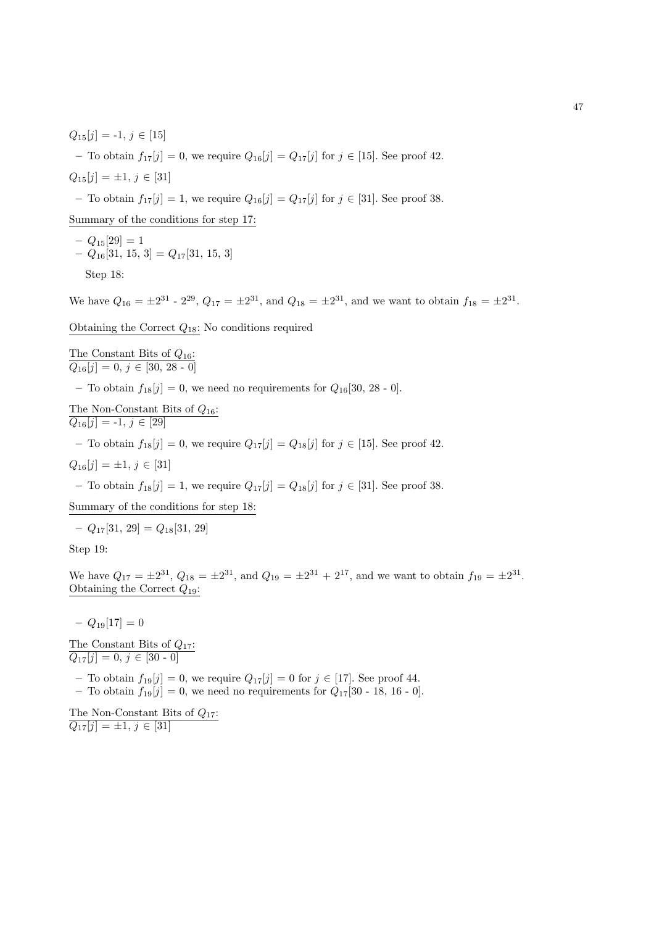$Q_{15}[j] = -1, j \in [15]$ 

– To obtain  $f_{17}[j] = 0$ , we require  $Q_{16}[j] = Q_{17}[j]$  for  $j \in [15]$ . See proof 42.

$$
Q_{15}[j] = \pm 1, \, j \in [31]
$$

– To obtain  $f_{17}[j] = 1$ , we require  $Q_{16}[j] = Q_{17}[j]$  for  $j \in [31]$ . See proof 38.

Summary of the conditions for step 17:

 $-Q_{15}[29] = 1$  $- Q_{16}[31, 15, 3] = Q_{17}[31, 15, 3]$ 

Step 18:

We have  $Q_{16} = \pm 2^{31}$  -  $2^{29}$ ,  $Q_{17} = \pm 2^{31}$ , and  $Q_{18} = \pm 2^{31}$ , and we want to obtain  $f_{18} = \pm 2^{31}$ .

Obtaining the Correct  $Q_{18}$ : No conditions required

The Constant Bits of 
$$
Q_{16}
$$
:  
 $Q_{16}[j] = 0, j \in [30, 28 - 0]$ 

– To obtain  $f_{18}[j] = 0$ , we need no requirements for  $Q_{16}[30, 28 \cdot 0]$ .

The Non-Constant Bits of 
$$
Q_{16}
$$
:  
 $Q_{16}[j] = -1, j \in [29]$ 

– To obtain  $f_{18}[j] = 0$ , we require  $Q_{17}[j] = Q_{18}[j]$  for  $j \in [15]$ . See proof 42.

 $Q_{16}[j] = \pm 1, j \in [31]$ 

– To obtain  $f_{18}[j] = 1$ , we require  $Q_{17}[j] = Q_{18}[j]$  for  $j \in [31]$ . See proof 38.

Summary of the conditions for step 18:

 $-Q_{17}[31, 29] = Q_{18}[31, 29]$ 

Step 19:

We have  $Q_{17} = \pm 2^{31}$ ,  $Q_{18} = \pm 2^{31}$ , and  $Q_{19} = \pm 2^{31} + 2^{17}$ , and we want to obtain  $f_{19} = \pm 2^{31}$ . Obtaining the Correct  $Q_{19}$ :

 $- Q_{19}[17] = 0$ 

The Constant Bits of  $Q_{17}$ :  $Q_{17}[j] = 0, j \in [30 - 0]$ 

– To obtain  $f_{19}[j] = 0$ , we require  $Q_{17}[j] = 0$  for  $j \in [17]$ . See proof 44. – To obtain  $f_{19}[j] = 0$ , we need no requirements for  $Q_{17}[30 - 18, 16 - 0]$ .

The Non-Constant Bits of  $Q_{17}$ :  $Q_{17}[j] = \pm 1, j \in [31]$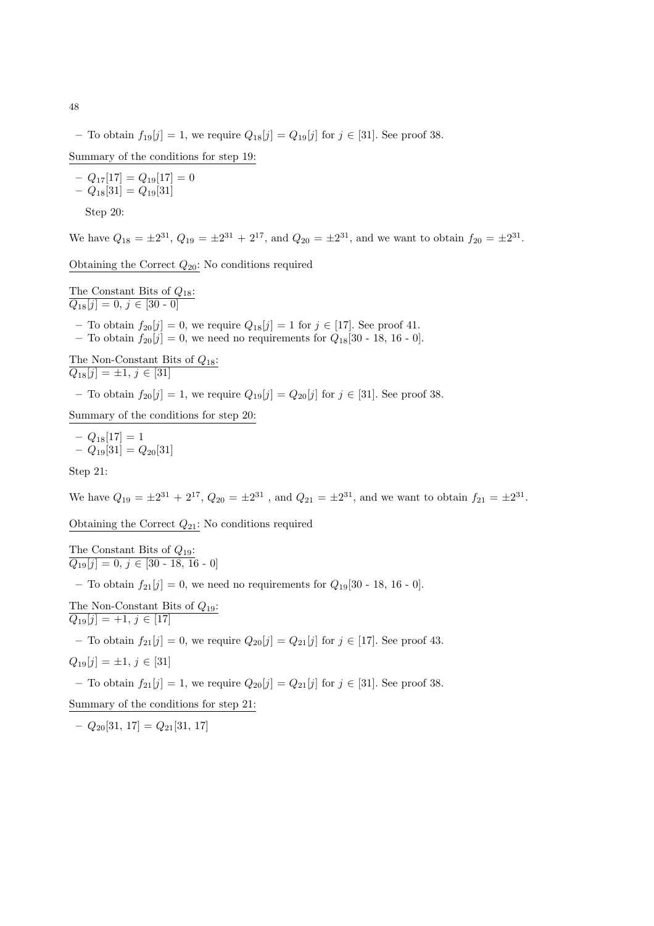– To obtain  $f_{19}[j] = 1$ , we require  $Q_{18}[j] = Q_{19}[j]$  for  $j \in [31]$ . See proof 38.

Summary of the conditions for step 19:

$$
- Q_{17}[17] = Q_{19}[17] = 0
$$
  
- 
$$
Q_{18}[31] = Q_{19}[31]
$$
  
Step 20:

We have  $Q_{18} = \pm 2^{31}$ ,  $Q_{19} = \pm 2^{31} + 2^{17}$ , and  $Q_{20} = \pm 2^{31}$ , and we want to obtain  $f_{20} = \pm 2^{31}$ .

Obtaining the Correct  $Q_{20}$ : No conditions required

The Constant Bits of  $Q_{18}$ :  $Q_{18}[j] = 0, j \in [30 - 0]$ 

- To obtain  $f_{20}[j] = 0$ , we require  $Q_{18}[j] = 1$  for  $j \in [17]$ . See proof 41.
- To obtain  $f_{20}[j] = 0$ , we need no requirements for  $Q_{18}[30 18, 16 0]$ .

The Non-Constant Bits of 
$$
Q_{18}
$$
:  
\n $Q_{18}[j] = \pm 1, j \in [31]$   
\n- To obtain  $f_{20}[j] = 1$ , we require  $Q_{19}[j] = Q_{20}[j]$  for  $j \in [31]$ . See proof 38.

Summary of the conditions for step 20:

$$
- Q_{18}[17] = 1 - Q_{19}[31] = Q_{20}[31]
$$

Step 21:

We have  $Q_{19} = \pm 2^{31} + 2^{17}$ ,  $Q_{20} = \pm 2^{31}$ , and  $Q_{21} = \pm 2^{31}$ , and we want to obtain  $f_{21} = \pm 2^{31}$ .

Obtaining the Correct  $Q_{21}$ : No conditions required

The Constant Bits of  $Q_{19}$ :  $Q_{19}[j] = 0, j \in [30 - 18, 16 - 0]$ 

– To obtain  $f_{21}[j] = 0$ , we need no requirements for  $Q_{19}[30 - 18, 16 - 0]$ .

The Non-Constant Bits of 
$$
Q_{19}
$$
:  
 $Q_{19}[j] = +1, j \in [17]$ 

– To obtain  $f_{21}[j] = 0$ , we require  $Q_{20}[j] = Q_{21}[j]$  for  $j \in [17]$ . See proof 43.

$$
Q_{19}[j] = \pm 1, \, j \in [31]
$$

– To obtain  $f_{21}[j] = 1$ , we require  $Q_{20}[j] = Q_{21}[j]$  for  $j \in [31]$ . See proof 38.

Summary of the conditions for step 21:

 $-Q_{20}[31, 17] = Q_{21}[31, 17]$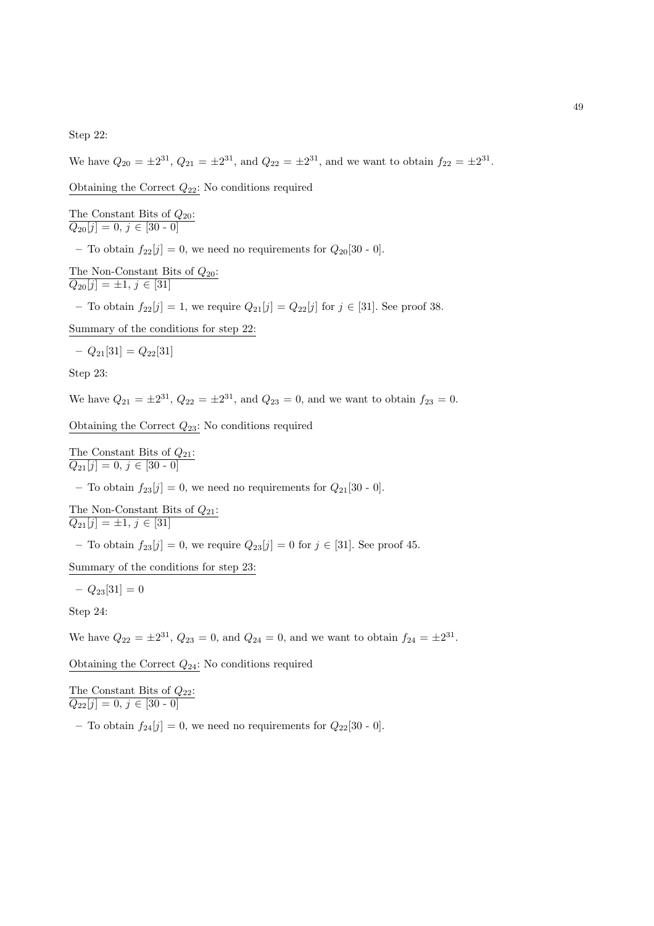Step 22:

We have  $Q_{20} = \pm 2^{31}$ ,  $Q_{21} = \pm 2^{31}$ , and  $Q_{22} = \pm 2^{31}$ , and we want to obtain  $f_{22} = \pm 2^{31}$ .

Obtaining the Correct  $Q_{22}$ : No conditions required

The Constant Bits of  $Q_{20}$ :  $Q_{20}[j] = 0, j \in [30 - 0]$ 

– To obtain  $f_{22}[j] = 0$ , we need no requirements for  $Q_{20}[30 - 0]$ .

The Non-Constant Bits of  $Q_{20}$ :  $\overline{Q_{20}[j] = \pm 1, j \in [31]}$ 

– To obtain  $f_{22}[j] = 1$ , we require  $Q_{21}[j] = Q_{22}[j]$  for  $j \in [31]$ . See proof 38.

Summary of the conditions for step 22:

$$
- Q_{21}[31] = Q_{22}[31]
$$

Step 23:

We have  $Q_{21} = \pm 2^{31}$ ,  $Q_{22} = \pm 2^{31}$ , and  $Q_{23} = 0$ , and we want to obtain  $f_{23} = 0$ .

Obtaining the Correct  $Q_{23}$ : No conditions required

The Constant Bits of  $Q_{21}$ :  $Q_{21}[j] = 0, j \in [30 - 0]$ 

– To obtain  $f_{23}[j] = 0$ , we need no requirements for  $Q_{21}[30 - 0]$ .

The Non-Constant Bits of  $Q_{21}$ :  $\overline{Q_{21}[j] = \pm 1, j \in [31]}$ 

– To obtain  $f_{23}[j] = 0$ , we require  $Q_{23}[j] = 0$  for  $j \in [31]$ . See proof 45.

Summary of the conditions for step 23:

 $-Q_{23}[31] = 0$ 

Step 24:

We have  $Q_{22} = \pm 2^{31}$ ,  $Q_{23} = 0$ , and  $Q_{24} = 0$ , and we want to obtain  $f_{24} = \pm 2^{31}$ .

Obtaining the Correct  $Q_{24}$ : No conditions required

The Constant Bits of  $Q_{22}$ :  $Q_{22}[j] = 0, j \in [30 - 0]$ 

– To obtain  $f_{24}[j] = 0$ , we need no requirements for  $Q_{22}[30 - 0]$ .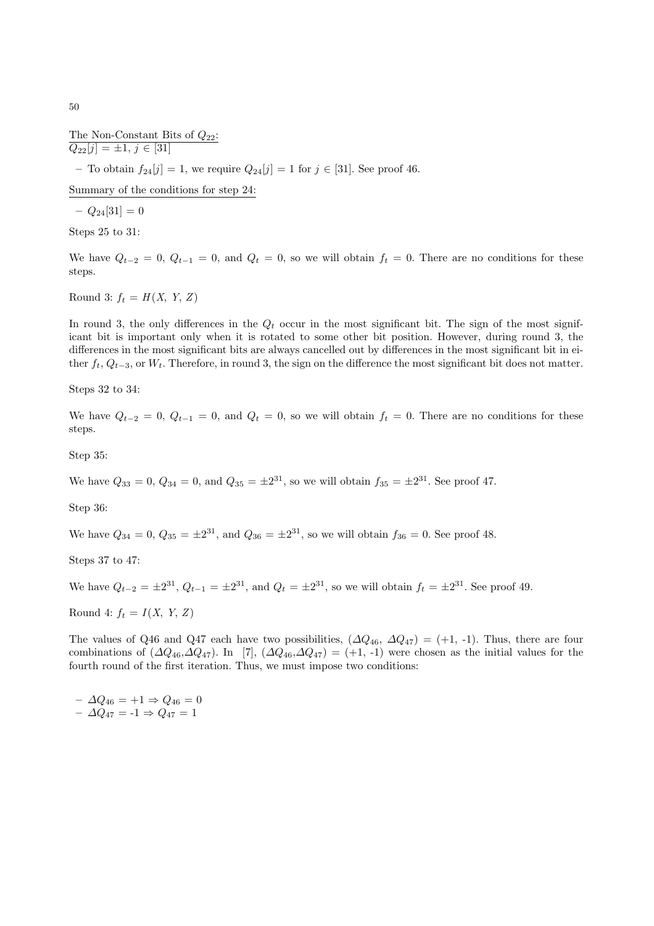The Non-Constant Bits of  $Q_{22}$ :  $Q_{22}[j] = \pm 1, j \in [31]$ – To obtain  $f_{24}[j] = 1$ , we require  $Q_{24}[j] = 1$  for  $j \in [31]$ . See proof 46.

Summary of the conditions for step 24:

 $- Q_{24}[31] = 0$ 

Steps 25 to 31:

We have  $Q_{t-2} = 0$ ,  $Q_{t-1} = 0$ , and  $Q_t = 0$ , so we will obtain  $f_t = 0$ . There are no conditions for these steps.

Round 3:  $f_t = H(X, Y, Z)$ 

In round 3, the only differences in the  $Q_t$  occur in the most significant bit. The sign of the most signifiicant bit is important only when it is rotated to some other bit position. However, during round 3, the differences in the most significant bits are always cancelled out by differences in the most significant bit in either  $f_t$ ,  $Q_{t-3}$ , or  $W_t$ . Therefore, in round 3, the sign on the difference the most significant bit does not matter.

Steps 32 to 34:

We have  $Q_{t-2} = 0$ ,  $Q_{t-1} = 0$ , and  $Q_t = 0$ , so we will obtain  $f_t = 0$ . There are no conditions for these steps.

Step 35:

We have  $Q_{33} = 0$ ,  $Q_{34} = 0$ , and  $Q_{35} = \pm 2^{31}$ , so we will obtain  $f_{35} = \pm 2^{31}$ . See proof 47.

Step 36:

We have  $Q_{34} = 0$ ,  $Q_{35} = \pm 2^{31}$ , and  $Q_{36} = \pm 2^{31}$ , so we will obtain  $f_{36} = 0$ . See proof 48.

Steps 37 to 47:

We have  $Q_{t-2} = \pm 2^{31}$ ,  $Q_{t-1} = \pm 2^{31}$ , and  $Q_t = \pm 2^{31}$ , so we will obtain  $f_t = \pm 2^{31}$ . See proof 49.

Round 4:  $f_t = I(X, Y, Z)$ 

The values of Q46 and Q47 each have two possibilities,  $(\Delta Q_{46}, \Delta Q_{47}) = (+1, -1)$ . Thus, there are four combinations of  $(\Delta Q_{46},\Delta Q_{47})$ . In [7],  $(\Delta Q_{46},\Delta Q_{47}) = (+1,-1)$  were chosen as the initial values for the fourth round of the first iteration. Thus, we must impose two conditions:

 $- \Delta Q_{46} = +1 \Rightarrow Q_{46} = 0$  $- \Delta Q_{47} = -1 \Rightarrow Q_{47} = 1$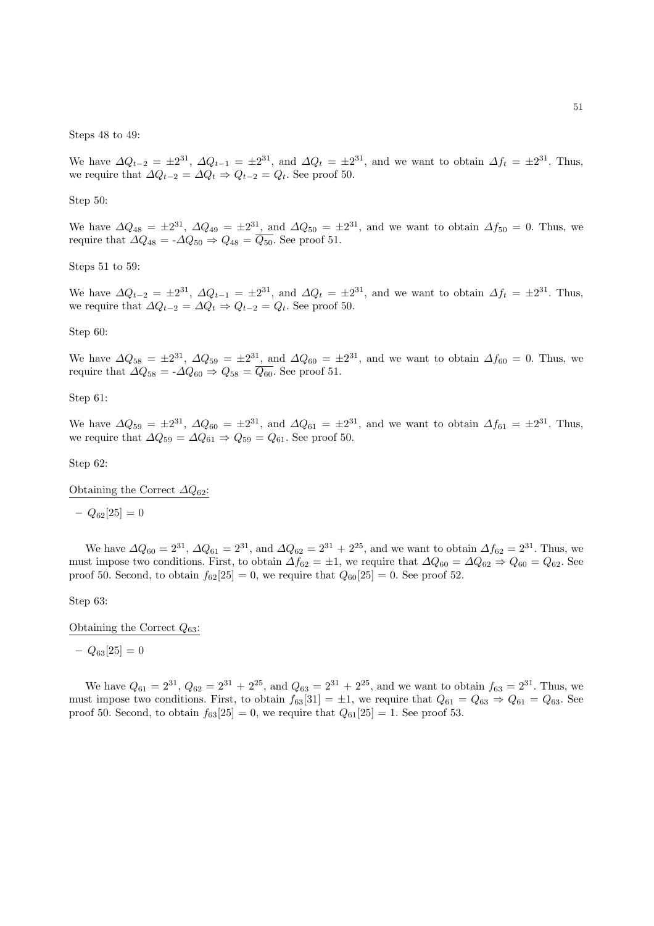Steps 48 to 49:

We have  $\Delta Q_{t-2} = \pm 2^{31}$ ,  $\Delta Q_{t-1} = \pm 2^{31}$ , and  $\Delta Q_t = \pm 2^{31}$ , and we want to obtain  $\Delta f_t = \pm 2^{31}$ . Thus, we require that  $\Delta Q_{t-2} = \Delta Q_t \Rightarrow Q_{t-2} = Q_t$ . See proof 50.

Step 50:

We have  $\Delta Q_{48} = \pm 2^{31}$ ,  $\Delta Q_{49} = \pm 2^{31}$ , and  $\Delta Q_{50} = \pm 2^{31}$ , and we want to obtain  $\Delta f_{50} = 0$ . Thus, we require that  $\Delta Q_{48} = -\Delta Q_{50} \Rightarrow Q_{48} = \overline{Q_{50}}$ . See proof 51.

Steps 51 to 59:

We have  $\Delta Q_{t-2} = \pm 2^{31}$ ,  $\Delta Q_{t-1} = \pm 2^{31}$ , and  $\Delta Q_t = \pm 2^{31}$ , and we want to obtain  $\Delta f_t = \pm 2^{31}$ . Thus, we require that  $\Delta Q_{t-2} = \Delta Q_t \Rightarrow Q_{t-2} = Q_t$ . See proof 50.

Step 60:

We have  $\Delta Q_{58} = \pm 2^{31}$ ,  $\Delta Q_{59} = \pm 2^{31}$ , and  $\Delta Q_{60} = \pm 2^{31}$ , and we want to obtain  $\Delta f_{60} = 0$ . Thus, we require that  $\Delta Q_{58} = -\Delta Q_{60} \Rightarrow Q_{58} = \overline{Q_{60}}$ . See proof 51.

Step 61:

We have  $\Delta Q_{59} = \pm 2^{31}$ ,  $\Delta Q_{60} = \pm 2^{31}$ , and  $\Delta Q_{61} = \pm 2^{31}$ , and we want to obtain  $\Delta f_{61} = \pm 2^{31}$ . Thus, we require that  $\Delta Q_{59} = \Delta Q_{61} \Rightarrow Q_{59} = Q_{61}$ . See proof 50.

Step 62:

Obtaining the Correct  $\Delta Q_{62}$ :

 $- Q_{62}[25] = 0$ 

We have  $\Delta Q_{60} = 2^{31}$ ,  $\Delta Q_{61} = 2^{31}$ , and  $\Delta Q_{62} = 2^{31} + 2^{25}$ , and we want to obtain  $\Delta f_{62} = 2^{31}$ . Thus, we must impose two conditions. First, to obtain  $\Delta f_{62} = \pm 1$ , we require that  $\Delta Q_{60} = \Delta Q_{62} \Rightarrow Q_{60} = Q_{62}$ . See proof 50. Second, to obtain  $f_{62}[25] = 0$ , we require that  $Q_{60}[25] = 0$ . See proof 52.

Step 63:

Obtaining the Correct  $Q_{63}$ :

 $- Q_{63}[25] = 0$ 

We have  $Q_{61} = 2^{31}$ ,  $Q_{62} = 2^{31} + 2^{25}$ , and  $Q_{63} = 2^{31} + 2^{25}$ , and we want to obtain  $f_{63} = 2^{31}$ . Thus, we must impose two conditions. First, to obtain  $f_{63}[31] = \pm 1$ , we require that  $Q_{61} = Q_{63} \Rightarrow Q_{61} = Q_{63}$ . See proof 50. Second, to obtain  $f_{63}[25] = 0$ , we require that  $Q_{61}[25] = 1$ . See proof 53.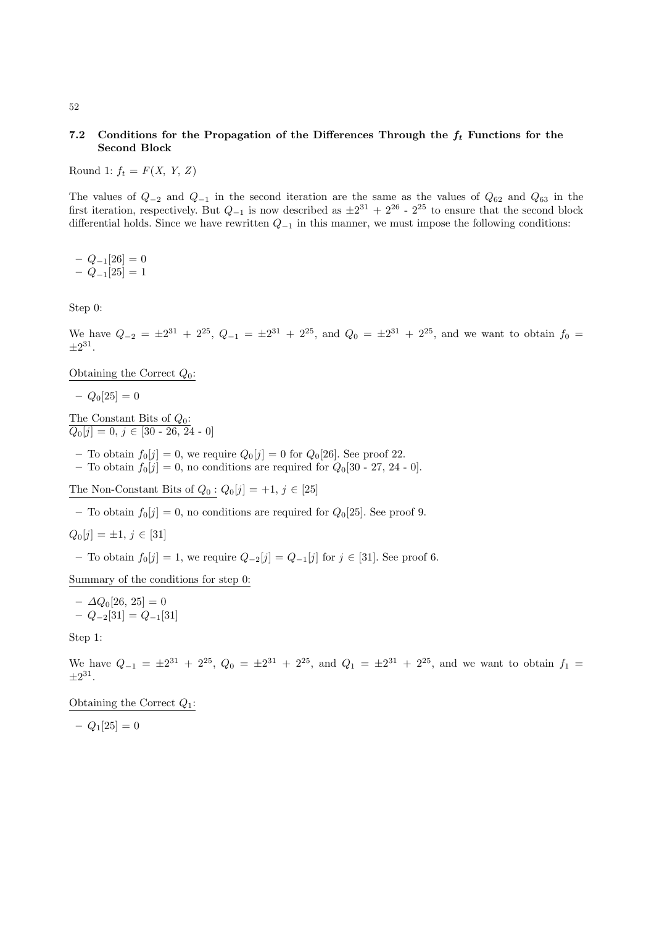## 7.2 Conditions for the Propagation of the Differences Through the  $f_t$  Functions for the Second Block

Round 1:  $f_t = F(X, Y, Z)$ 

The values of  $Q_{-2}$  and  $Q_{-1}$  in the second iteration are the same as the values of  $Q_{62}$  and  $Q_{63}$  in the first iteration, respectively. But  $Q_{-1}$  is now described as  $\pm 2^{31} + 2^{26}$  -  $2^{25}$  to ensure that the second block differential holds. Since we have rewritten  $Q_{-1}$  in this manner, we must impose the following conditions:

 $- Q_{-1}[26] = 0$  $- Q_{-1}[25] = 1$ 

Step 0:

We have  $Q_{-2} = \pm 2^{31} + 2^{25}$ ,  $Q_{-1} = \pm 2^{31} + 2^{25}$ , and  $Q_0 = \pm 2^{31} + 2^{25}$ , and we want to obtain  $f_0 =$  $\pm 2^{31}$ .

Obtaining the Correct  $Q_0$ :

 $-Q_0[25] = 0$ 

The Constant Bits of  $Q_0$ :  $Q_0[j] = 0, j \in [30 - 26, 24 - 0]$ 

– To obtain  $f_0[j] = 0$ , we require  $Q_0[j] = 0$  for  $Q_0[26]$ . See proof 22.

– To obtain  $f_0[j] = 0$ , no conditions are required for  $Q_0[30 - 27, 24 - 0]$ .

The Non-Constant Bits of  $Q_0: Q_0[j] = +1, j \in [25]$ 

– To obtain  $f_0[j] = 0$ , no conditions are required for  $Q_0[25]$ . See proof 9.

$$
Q_0[j] = \pm 1, \, j \in [31]
$$

– To obtain  $f_0[j] = 1$ , we require  $Q_{-2}[j] = Q_{-1}[j]$  for  $j \in [31]$ . See proof 6.

Summary of the conditions for step 0:

 $-\Delta Q_0[26, 25] = 0$ – Q−2[31] = Q−1[31]

Step 1:

We have  $Q_{-1} = \pm 2^{31} + 2^{25}$ ,  $Q_0 = \pm 2^{31} + 2^{25}$ , and  $Q_1 = \pm 2^{31} + 2^{25}$ , and we want to obtain  $f_1$  $\pm 2^{31}$ .

Obtaining the Correct  $Q_1$ :

 $-Q_1[25] = 0$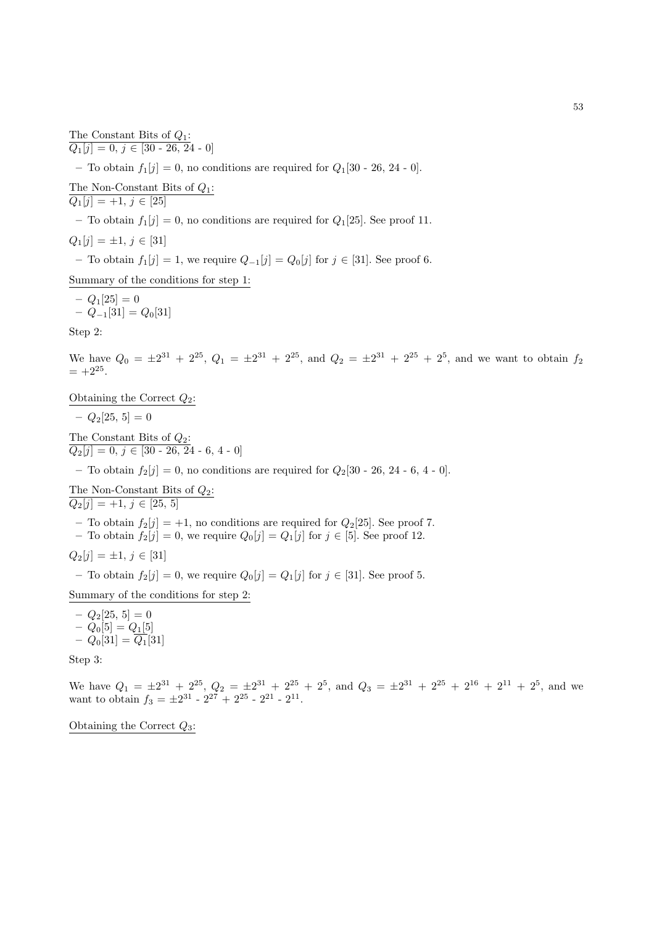$Q_1[j] = 0, j \in [30 - 26, 24 - 0]$ – To obtain  $f_1[j] = 0$ , no conditions are required for  $Q_1[30 - 26, 24 - 0]$ . The Non-Constant Bits of  $Q_1$ :  $Q_1[j] = +1, j \in [25]$ – To obtain  $f_1[j] = 0$ , no conditions are required for  $Q_1[25]$ . See proof 11.  $Q_1[j] = \pm 1, j \in [31]$ 

– To obtain  $f_1[j] = 1$ , we require  $Q_{-1}[j] = Q_0[j]$  for  $j \in [31]$ . See proof 6.

Summary of the conditions for step 1:

$$
- Q_1[25] = 0
$$
  
-  $Q_{-1}[31] = Q_0[31]$ 

The Constant Bits of  $Q_1$ :

Step 2:

We have  $Q_0 = \pm 2^{31} + 2^{25}$ ,  $Q_1 = \pm 2^{31} + 2^{25}$ , and  $Q_2 = \pm 2^{31} + 2^{25} + 2^5$ , and we want to obtain  $f_2$  $= +2^{25}.$ 

Obtaining the Correct  $Q_2$ :

 $-Q_2[25, 5] = 0$ 

The Constant Bits of  $Q_2$ :  $\overline{Q_2[j] = 0, j \in [30 - 26, 24 - 6, 4 - 0]}$ 

– To obtain  $f_2[j] = 0$ , no conditions are required for  $Q_2[30 - 26, 24 - 6, 4 - 0]$ .

The Non-Constant Bits of  $Q_2$ :  $\overline{Q_2[j] } = +1, j \in [25, 5]$ 

– To obtain  $f_2[j] = +1$ , no conditions are required for  $Q_2[25]$ . See proof 7.

– To obtain  $f_2[j] = 0$ , we require  $Q_0[j] = Q_1[j]$  for  $j \in [5]$ . See proof 12.

$$
Q_2[j] = \pm 1, \, j \in [31]
$$

– To obtain  $f_2[j] = 0$ , we require  $Q_0[j] = Q_1[j]$  for  $j \in [31]$ . See proof 5.

Summary of the conditions for step 2:

 $- Q_2[25, 5] = 0$  $- Q_0[5] = Q_1[5]$  $- Q_0[31] = \overline{Q_1}[31]$ 

Step 3:

We have  $Q_1 = \pm 2^{31} + 2^{25}$ ,  $Q_2 = \pm 2^{31} + 2^{25} + 2^5$ , and  $Q_3 = \pm 2^{31} + 2^{25} + 2^{16} + 2^{11} + 2^5$ , and we want to obtain  $f_3 = \pm 2^{31} - 2^{27} + 2^{25} - 2^{21} - 2^{11}$ .

Obtaining the Correct  $Q_3$ :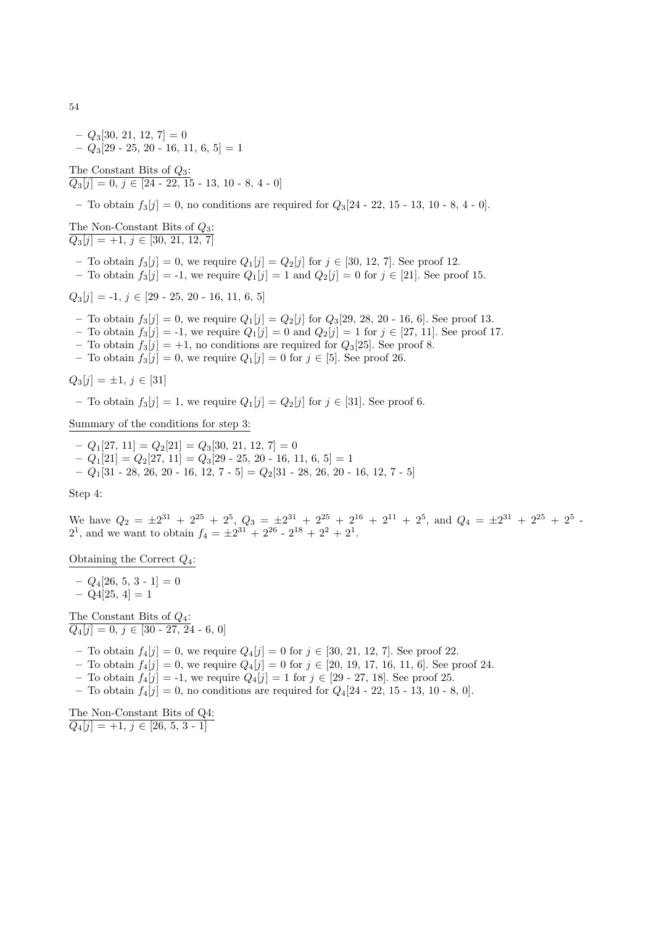$-Q_3[30, 21, 12, 7]=0$  $-Q_3[29 - 25, 20 - 16, 11, 6, 5] = 1$ 

The Constant Bits of  $Q_3$ :  $\overline{Q_3[j] = 0, j \in [24 - 22, 15 - 13, 10 - 8, 4 - 0]}$ 

– To obtain  $f_3[j] = 0$ , no conditions are required for  $Q_3[24 - 22, 15 - 13, 10 - 8, 4 - 0]$ .

The Non-Constant Bits of  $Q_3$ :  $\overline{Q_3[i] } = +1, i \in [30, 21, 12, 7]$ 

- To obtain  $f_3[j] = 0$ , we require  $Q_1[j] = Q_2[j]$  for  $j \in [30, 12, 7]$ . See proof 12.
- To obtain  $f_3[j] = -1$ , we require  $Q_1[j] = 1$  and  $Q_2[j] = 0$  for  $j \in [21]$ . See proof 15.

 $Q_3[i] = -1, i \in [29 - 25, 20 - 16, 11, 6, 5]$ 

- To obtain  $f_3[j] = 0$ , we require  $Q_1[j] = Q_2[j]$  for  $Q_3[29, 28, 20 16, 6]$ . See proof 13.
- To obtain  $f_3[j] = -1$ , we require  $Q_1[j] = 0$  and  $Q_2[j] = 1$  for  $j \in [27, 11]$ . See proof 17.
- To obtain  $f_3[j] = +1$ , no conditions are required for  $Q_3[25]$ . See proof 8.
- To obtain  $f_3[j] = 0$ , we require  $Q_1[j] = 0$  for  $j \in [5]$ . See proof 26.

$$
Q_3[j] = \pm 1, \, j \in [31]
$$

– To obtain  $f_3[j] = 1$ , we require  $Q_1[j] = Q_2[j]$  for  $j \in [31]$ . See proof 6.

Summary of the conditions for step 3:

- $-Q_1[27, 11] = Q_2[21] = Q_3[30, 21, 12, 7] = 0$
- $-Q_1[21] = Q_2[27, 11] = Q_3[29 25, 20 16, 11, 6, 5] = 1$
- Q1[31 28, 26, 20 16, 12, 7 5] = Q2[31 28, 26, 20 16, 12, 7 5]

Step 4:

We have  $Q_2 = \pm 2^{31} + 2^{25} + 2^5$ ,  $Q_3 = \pm 2^{31} + 2^{25} + 2^{16} + 2^{11} + 2^5$ , and  $Q_4 = \pm 2^{31} + 2^{25} + 2^5$ .  $2^1$ , and we want to obtain  $f_4 = \pm 2^{31} + 2^{26} - 2^{18} + 2^2 + 2^1$ .

Obtaining the Correct  $Q_4$ :

 $-Q_4[26, 5, 3 - 1] = 0$  $-$  Q4[25, 4] = 1

The Constant Bits of  $Q_4$ :  $Q_4[j] = 0, j \in [30 - 27, 24 - 6, 0]$ 

- To obtain  $f_4[j] = 0$ , we require  $Q_4[j] = 0$  for  $j \in [30, 21, 12, 7]$ . See proof 22.
- To obtain  $f_4[j] = 0$ , we require  $Q_4[j] = 0$  for  $j \in [20, 19, 17, 16, 11, 6]$ . See proof 24.
- To obtain  $f_4[j] = -1$ , we require  $Q_4[j] = 1$  for  $j \in [29 27, 18]$ . See proof 25.
- To obtain  $f_4[j] = 0$ , no conditions are required for  $Q_4[24 22, 15 13, 10 8, 0]$ .

The Non-Constant Bits of Q4:  $Q_4[j] = +1, j \in [26, 5, 3 - 1]$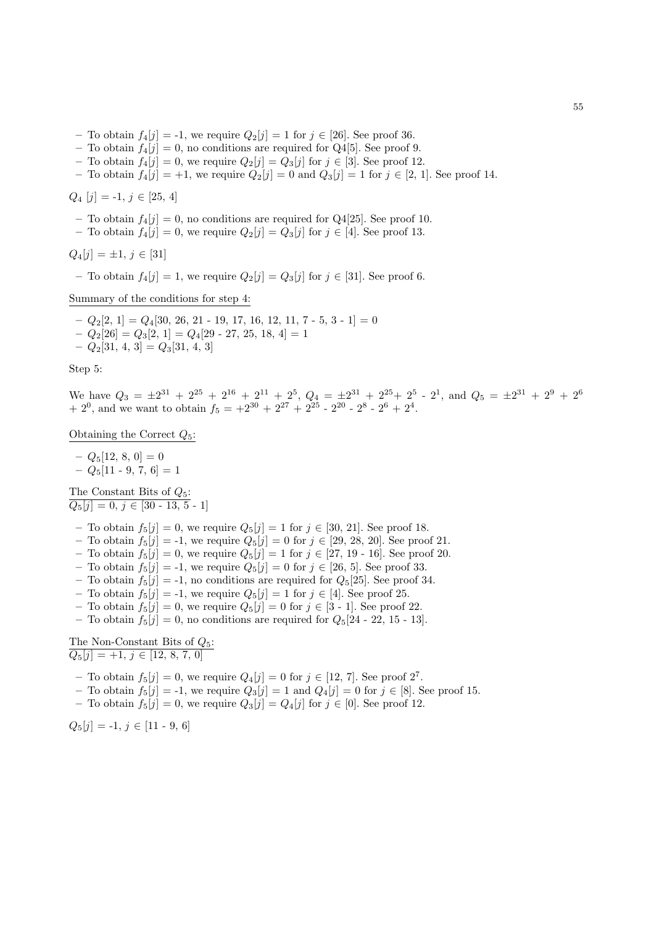- To obtain  $f_4[j] = -1$ , we require  $Q_2[j] = 1$  for  $j \in [26]$ . See proof 36.
- To obtain  $f_4[j] = 0$ , no conditions are required for Q4[5]. See proof 9.
- To obtain  $f_4[j] = 0$ , we require  $Q_2[j] = Q_3[j]$  for  $j \in [3]$ . See proof 12.
- To obtain  $f_4[j] = +1$ , we require  $Q_2[j] = 0$  and  $Q_3[j] = 1$  for  $j \in [2, 1]$ . See proof 14.

## $Q_4$  [j] = -1,  $j \in [25, 4]$

- To obtain  $f_4[j] = 0$ , no conditions are required for Q4[25]. See proof 10.
- To obtain  $f_4[j] = 0$ , we require  $Q_2[j] = Q_3[j]$  for  $j \in [4]$ . See proof 13.

 $Q_4[j] = \pm 1, j \in [31]$ 

– To obtain  $f_4[j] = 1$ , we require  $Q_2[j] = Q_3[j]$  for  $j \in [31]$ . See proof 6.

Summary of the conditions for step 4:

 $- Q_2[2, 1] = Q_4[30, 26, 21 - 19, 17, 16, 12, 11, 7 - 5, 3 - 1] = 0$  $-Q_2[26] = Q_3[2, 1] = Q_4[29 - 27, 25, 18, 4] = 1$  $-Q_2[31, 4, 3] = Q_3[31, 4, 3]$ 

Step 5:

We have  $Q_3 = \pm 2^{31} + 2^{25} + 2^{16} + 2^{11} + 2^5$ ,  $Q_4 = \pm 2^{31} + 2^{25} + 2^5$  -  $2^1$ , and  $Q_5 = \pm 2^{31} + 2^9 + 2^6$  $+ 2^0$ , and we want to obtain  $f_5 = +2^{30} + 2^{27} + 2^{25} - 2^{20} - 2^8 - 2^6 + 2^4$ .

Obtaining the Correct  $Q_5$ :

 $- Q_5[12, 8, 0] = 0$  $Q_5[11 - 9, 7, 6] = 1$ 

The Constant Bits of  $Q_5$ :  $Q_5[j] = 0, j \in [30 - 13, 5 - 1]$ 

- To obtain  $f_5[j] = 0$ , we require  $Q_5[j] = 1$  for  $j \in [30, 21]$ . See proof 18.
- To obtain  $f_5[j] = -1$ , we require  $Q_5[j] = 0$  for  $j \in [29, 28, 20]$ . See proof 21.
- To obtain  $f_5[j] = 0$ , we require  $Q_5[j] = 1$  for  $j \in [27, 19 16]$ . See proof 20.
- To obtain  $f_5[j] = -1$ , we require  $Q_5[j] = 0$  for  $j \in [26, 5]$ . See proof 33.
- To obtain  $f_5[j] = -1$ , no conditions are required for  $Q_5[25]$ . See proof 34.
- To obtain  $f_5[j] = -1$ , we require  $Q_5[j] = 1$  for  $j \in [4]$ . See proof 25.
- To obtain  $f_5[j] = 0$ , we require  $Q_5[j] = 0$  for  $j \in [3 1]$ . See proof 22.
- To obtain  $f_5[j] = 0$ , no conditions are required for  $Q_5[24 22, 15 13]$ .

The Non-Constant Bits of  $Q_5$ :  $\overline{Q_5[j] } = +1, j \in [12, 8, 7, 0]$ 

- To obtain  $f_5[j] = 0$ , we require  $Q_4[j] = 0$  for  $j \in [12, 7]$ . See proof  $2^7$ .
- To obtain  $f_5[j] = -1$ , we require  $Q_3[j] = 1$  and  $Q_4[j] = 0$  for  $j \in [8]$ . See proof 15.
- To obtain  $f_5[j] = 0$ , we require  $Q_3[j] = Q_4[j]$  for  $j \in [0]$ . See proof 12.

 $Q_5[j] = -1, j \in [11 - 9, 6]$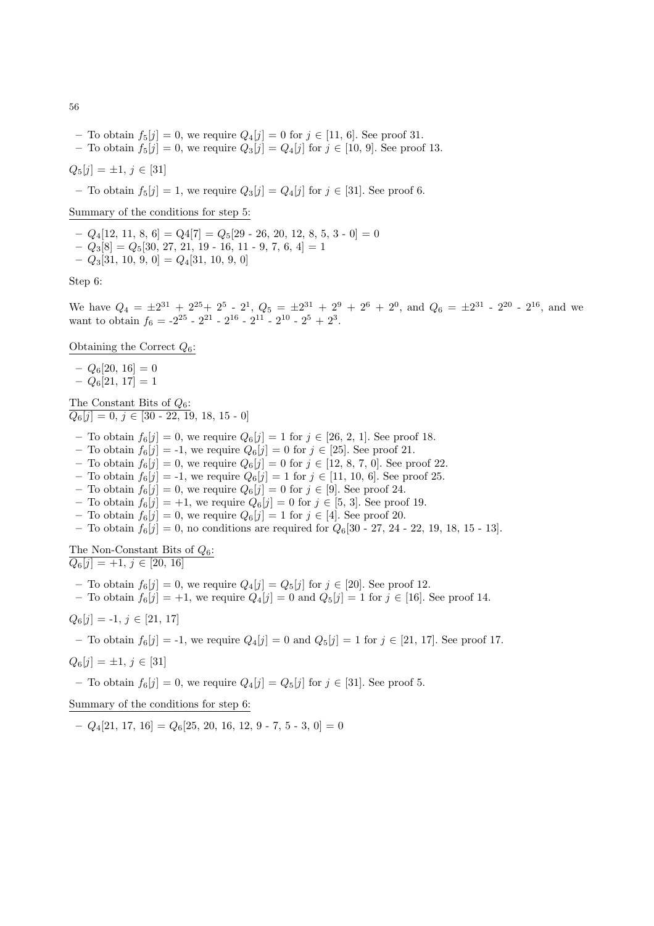- To obtain  $f_5[j] = 0$ , we require  $Q_4[j] = 0$  for  $j \in [11, 6]$ . See proof 31.
- To obtain  $f_5[j] = 0$ , we require  $Q_3[j] = Q_4[j]$  for  $j \in [10, 9]$ . See proof 13.

 $Q_5[j] = \pm 1, j \in [31]$ 

– To obtain  $f_5[j] = 1$ , we require  $Q_3[j] = Q_4[j]$  for  $j \in [31]$ . See proof 6.

Summary of the conditions for step 5:

- $Q_4[12, 11, 8, 6] = Q4[7] = Q_5[29 26, 20, 12, 8, 5, 3 0] = 0$
- $-Q_3[8] = Q_5[30, 27, 21, 19 16, 11 9, 7, 6, 4] = 1$
- $-Q_3[31, 10, 9, 0] = Q_4[31, 10, 9, 0]$

Step 6:

We have  $Q_4 = \pm 2^{31} + 2^{25} + 2^5 - 2^1$ ,  $Q_5 = \pm 2^{31} + 2^9 + 2^6 + 2^0$ , and  $Q_6 = \pm 2^{31} - 2^{20} - 2^{16}$ , and we want to obtain  $f_6 = -2^{25} - 2^{21} - 2^{16} - 2^{11} - 2^{10} - 2^5 + 2^3$ .

Obtaining the Correct  $Q_6$ :

 $- Q_6[20, 16] = 0$ 

 $- Q_6[21, 17] = 1$ 

The Constant Bits of  $Q_6$ :  $Q_6[j] = 0, j \in [30 - 22, 19, 18, 15 - 0]$ 

- To obtain  $f_6[j] = 0$ , we require  $Q_6[j] = 1$  for  $j \in [26, 2, 1]$ . See proof 18.
- To obtain  $f_6[j] = -1$ , we require  $Q_6[j] = 0$  for  $j \in [25]$ . See proof 21.

– To obtain  $f_6[j] = 0$ , we require  $Q_6[j] = 0$  for  $j \in [12, 8, 7, 0]$ . See proof 22.

- To obtain  $f_6[j] = -1$ , we require  $Q_6[j] = 1$  for  $j \in [11, 10, 6]$ . See proof 25.
- To obtain  $f_6[j] = 0$ , we require  $Q_6[j] = 0$  for  $j \in [9]$ . See proof 24.
- To obtain  $f_6[j] = +1$ , we require  $Q_6[j] = 0$  for  $j \in [5, 3]$ . See proof 19.
- To obtain  $f_6[j] = 0$ , we require  $Q_6[j] = 1$  for  $j \in [4]$ . See proof 20.
- To obtain  $f_6[j] = 0$ , no conditions are required for  $Q_6[30 27, 24 22, 19, 18, 15 13]$ .

The Non-Constant Bits of  $Q_6$ :  $Q_6[i] = +1, j \in [20, 16]$ 

– To obtain  $f_6[j] = 0$ , we require  $Q_4[j] = Q_5[j]$  for  $j \in [20]$ . See proof 12.

– To obtain  $f_6[j] = +1$ , we require  $Q_4[j] = 0$  and  $Q_5[j] = 1$  for  $j \in [16]$ . See proof 14.

$$
Q_6[j] = -1, \, j \in [21, 17]
$$

– To obtain  $f_6[j] = -1$ , we require  $Q_4[j] = 0$  and  $Q_5[j] = 1$  for  $j \in [21, 17]$ . See proof 17.

$$
Q_6[j] = \pm 1, \, j \in [31]
$$

– To obtain  $f_6[j] = 0$ , we require  $Q_4[j] = Q_5[j]$  for  $j \in [31]$ . See proof 5.

Summary of the conditions for step 6:

 $-Q_4[21, 17, 16] = Q_6[25, 20, 16, 12, 9 - 7, 5 - 3, 0] = 0$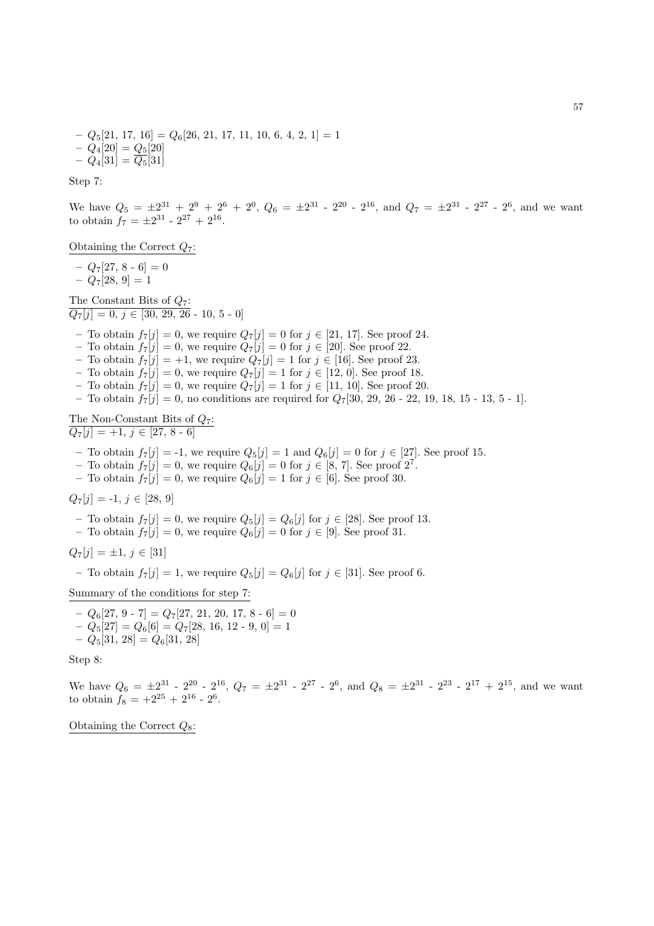$-Q_5[21, 17, 16] = Q_6[26, 21, 17, 11, 10, 6, 4, 2, 1] = 1$  $- Q_4[20] = Q_5[20]$  $- Q_4[31] = \overline{Q_5}[31]$ 

Step 7:

We have  $Q_5 = \pm 2^{31} + 2^9 + 2^6 + 2^0$ ,  $Q_6 = \pm 2^{31}$  -  $2^{20}$  -  $2^{16}$ , and  $Q_7 = \pm 2^{31}$  -  $2^{27}$  -  $2^6$ , and we want to obtain  $f_7 = \pm 2^{31} - 2^{27} + 2^{16}$ .

Obtaining the Correct  $Q_7$ :

 $- Q_7[27, 8 - 6] = 0$  $- Q_7[28, 9] = 1$ 

The Constant Bits of  $Q_7$ :  $\overline{Q_7[j] = 0, j \in [30, 29, 26 - 10, 5 - 0]}$ 

- To obtain  $f_7[j] = 0$ , we require  $Q_7[j] = 0$  for  $j \in [21, 17]$ . See proof 24.
- To obtain  $f_7[j] = 0$ , we require  $Q_7[j] = 0$  for  $j \in [20]$ . See proof 22.
- To obtain  $f_7[j] = +1$ , we require  $Q_7[j] = 1$  for  $j \in [16]$ . See proof 23.
- To obtain  $f_7[j] = 0$ , we require  $Q_7[j] = 1$  for  $j \in [12, 0]$ . See proof 18.
- To obtain  $f_7[j] = 0$ , we require  $Q_7[j] = 1$  for  $j \in [11, 10]$ . See proof 20.
- To obtain  $f_7[j] = 0$ , no conditions are required for  $Q_7[30, 29, 26 22, 19, 18, 15 13, 5 1]$ .

The Non-Constant Bits of  $Q_7$ :  $\overline{Q_7[j] = +1, j \in [27, 8 - 6]}$ 

- To obtain  $f_7[j] = -1$ , we require  $Q_5[j] = 1$  and  $Q_6[j] = 0$  for  $j \in [27]$ . See proof 15.
- To obtain  $f_7[j] = 0$ , we require  $Q_6[j] = 0$  for  $j \in [8, 7]$ . See proof  $2^7$ .
- To obtain  $f_7[j] = 0$ , we require  $Q_6[j] = 1$  for  $j \in [6]$ . See proof 30.

 $Q_7[j] = -1, j \in [28, 9]$ 

- To obtain  $f_7[j] = 0$ , we require  $Q_5[j] = Q_6[j]$  for  $j \in [28]$ . See proof 13.
- To obtain  $f_7[j] = 0$ , we require  $Q_6[j] = 0$  for  $j \in [9]$ . See proof 31.

$$
Q_7[j] = \pm 1, \, j \in [31]
$$

– To obtain  $f_7[j] = 1$ , we require  $Q_5[j] = Q_6[j]$  for  $j \in [31]$ . See proof 6.

Summary of the conditions for step 7:

 $-Q_6[27, 9 \cdot 7] = Q_7[27, 21, 20, 17, 8 \cdot 6] = 0$  $-Q_5[27] = Q_6[6] = Q_7[28, 16, 12 - 9, 0] = 1$  $-Q_5[31, 28] = Q_6[31, 28]$ 

Step 8:

We have  $Q_6 = \pm 2^{31}$  -  $2^{20}$  -  $2^{16}$ ,  $Q_7 = \pm 2^{31}$  -  $2^{27}$  -  $2^6$ , and  $Q_8 = \pm 2^{31}$  -  $2^{23}$  -  $2^{17}$  +  $2^{15}$ , and we want to obtain  $f_8 = +2^{25} + 2^{16} - 2^6$ .

Obtaining the Correct  $Q_8$ :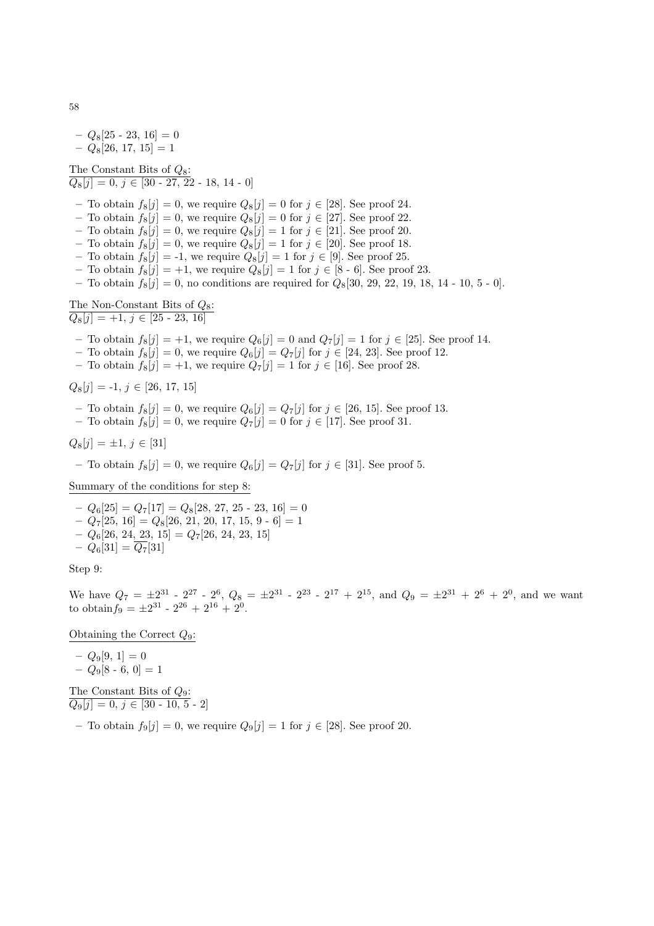$-Q_8[25 - 23, 16] = 0$  $- Q_8[26, 17, 15] = 1$ 

The Constant Bits of  $Q_8$ :  $\overline{Q_8[j] = 0, j \in [30 - 27, 22 - 18, 14 - 0]}$ 

- To obtain  $f_8[j] = 0$ , we require  $Q_8[j] = 0$  for  $j \in [28]$ . See proof 24.
- To obtain  $f_8[j] = 0$ , we require  $Q_8[j] = 0$  for  $j \in [27]$ . See proof 22.
- To obtain  $f_8[j] = 0$ , we require  $Q_8[j] = 1$  for  $j \in [21]$ . See proof 20.
- To obtain  $f_8[j] = 0$ , we require  $Q_8[j] = 1$  for  $j \in [20]$ . See proof 18.
- To obtain  $f_8[j] = -1$ , we require  $Q_8[j] = 1$  for  $j \in [9]$ . See proof 25.
- To obtain  $f_8[j] = +1$ , we require  $Q_8[j] = 1$  for  $j \in [8 \text{ } 6]$ . See proof 23.
- To obtain  $f_8[j] = 0$ , no conditions are required for  $Q_8[30, 29, 22, 19, 18, 14 10, 5 0]$ .

The Non-Constant Bits of  $Q_8$ :  $Q_8[j] = +1, j \in [25 - 23, 16]$ 

– To obtain  $f_8[j] = +1$ , we require  $Q_6[j] = 0$  and  $Q_7[j] = 1$  for  $j \in [25]$ . See proof 14.

- To obtain  $f_8[j] = 0$ , we require  $Q_6[j] = Q_7[j]$  for  $j \in [24, 23]$ . See proof 12.
- To obtain  $f_8[j] = +1$ , we require  $Q_7[j] = 1$  for  $j \in [16]$ . See proof 28.

 $Q_8[j] = -1, j \in [26, 17, 15]$ 

- To obtain  $f_8[j] = 0$ , we require  $Q_6[j] = Q_7[j]$  for  $j \in [26, 15]$ . See proof 13.
- To obtain  $f_8[j] = 0$ , we require  $Q_7[j] = 0$  for  $j \in [17]$ . See proof 31.

 $Q_8[j] = \pm 1, j \in [31]$ 

– To obtain  $f_8[j] = 0$ , we require  $Q_6[j] = Q_7[j]$  for  $j \in [31]$ . See proof 5.

Summary of the conditions for step 8:

 $-Q_6[25] = Q_7[17] = Q_8[28, 27, 25 - 23, 16] = 0$  $-Q_7[25, 16] = Q_8[26, 21, 20, 17, 15, 9, 6] = 1$  $-Q_6[26, 24, 23, 15] = Q_7[26, 24, 23, 15]$  $-Q_6[31] = \overline{Q_7}[31]$ 

Step 9:

We have  $Q_7 = \pm 2^{31}$  -  $2^{27}$  -  $2^6$ ,  $Q_8 = \pm 2^{31}$  -  $2^{23}$  -  $2^{17} + 2^{15}$ , and  $Q_9 = \pm 2^{31} + 2^6 + 2^0$ , and we want to obtain $f_9 = \pm 2^{31} - 2^{26} + 2^{16} + 2^0$ .

Obtaining the Correct  $Q_9$ :

$$
- Q_9[9, 1] = 0
$$
  

$$
- Q_9[8 - 6, 0] = 1
$$

The Constant Bits of  $Q_9$ :  $Q_9[j] = 0, j \in [30 - 10, 5 - 2]$ 

– To obtain  $f_9[j] = 0$ , we require  $Q_9[j] = 1$  for  $j \in [28]$ . See proof 20.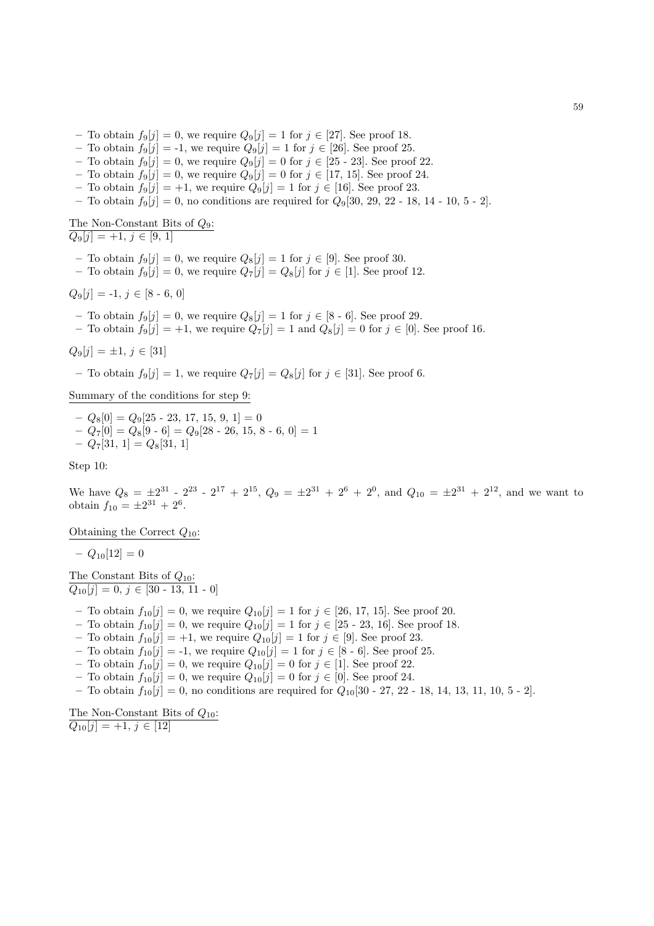- To obtain  $f_9[j] = 0$ , we require  $Q_9[j] = 1$  for  $j \in [27]$ . See proof 18.
- To obtain  $f_9[j] = -1$ , we require  $Q_9[j] = 1$  for  $j \in [26]$ . See proof 25.
- To obtain  $f_9[j] = 0$ , we require  $Q_9[j] = 0$  for  $j \in [25 \text{ } 23]$ . See proof 22.
- To obtain  $f_9[j] = 0$ , we require  $Q_9[j] = 0$  for  $j \in [17, 15]$ . See proof 24.
- To obtain  $f_9[j] = +1$ , we require  $Q_9[j] = 1$  for  $j \in [16]$ . See proof 23.
- To obtain  $f_9[j] = 0$ , no conditions are required for  $Q_9[30, 29, 22 18, 14 10, 5 2]$ .

# The Non-Constant Bits of  $Q_9$ :

 $Q_9[i] = +1, j \in [9, 1]$ 

- To obtain  $f_9[j] = 0$ , we require  $Q_8[j] = 1$  for  $j \in [9]$ . See proof 30.
- To obtain  $f_9[j] = 0$ , we require  $Q_7[j] = Q_8[j]$  for  $j \in [1]$ . See proof 12.

$$
Q_9[j] = -1, j \in [8 - 6, 0]
$$

- To obtain  $f_9[j] = 0$ , we require  $Q_8[j] = 1$  for  $j \in [8 \text{ } 6]$ . See proof 29.
- To obtain  $f_9[j] = +1$ , we require  $Q_7[j] = 1$  and  $Q_8[j] = 0$  for  $j \in [0]$ . See proof 16.

$$
Q_9[j] = \pm 1, \, j \in [31]
$$

– To obtain  $f_9[j] = 1$ , we require  $Q_7[j] = Q_8[j]$  for  $j \in [31]$ . See proof 6.

Summary of the conditions for step 9:

 $-Q_8[0] = Q_9[25 - 23, 17, 15, 9, 1] = 0$  $-Q_7[0] = Q_8[9 \cdot 6] = Q_9[28 \cdot 26, 15, 8 \cdot 6, 0] = 1$  $-Q_7[31, 1] = Q_8[31, 1]$ 

Step 10:

We have  $Q_8 = \pm 2^{31}$  -  $2^{23}$  -  $2^{17}$  +  $2^{15}$ ,  $Q_9 = \pm 2^{31}$  +  $2^6$  +  $2^0$ , and  $Q_{10} = \pm 2^{31}$  +  $2^{12}$ , and we want to obtain  $f_{10} = \pm 2^{31} + 2^6$ .

Obtaining the Correct  $Q_{10}$ :

 $- Q_{10}[12] = 0$ 

The Constant Bits of  $Q_{10}$ :  $Q_{10}[j] = 0, j \in [30 - 13, 11 - 0]$ 

- To obtain  $f_{10}[j] = 0$ , we require  $Q_{10}[j] = 1$  for  $j \in [26, 17, 15]$ . See proof 20.
- To obtain  $f_{10}[j] = 0$ , we require  $Q_{10}[j] = 1$  for  $j \in [25 \text{--} 23, 16]$ . See proof 18.
- To obtain  $f_{10}[j] = +1$ , we require  $Q_{10}[j] = 1$  for  $j \in [9]$ . See proof 23.
- To obtain  $f_{10}[j] = -1$ , we require  $Q_{10}[j] = 1$  for  $j \in [8 \text{ } 6]$ . See proof 25.
- To obtain  $f_{10}[j] = 0$ , we require  $Q_{10}[j] = 0$  for  $j \in [1]$ . See proof 22.
- To obtain  $f_{10}[j] = 0$ , we require  $Q_{10}[j] = 0$  for  $j \in [0]$ . See proof 24.
- To obtain  $f_{10}[j] = 0$ , no conditions are required for  $Q_{10}[30 27, 22 18, 14, 13, 11, 10, 5 2]$ .

The Non-Constant Bits of  $Q_{10}$ :  $Q_{10}[j] = +1, j \in [12]$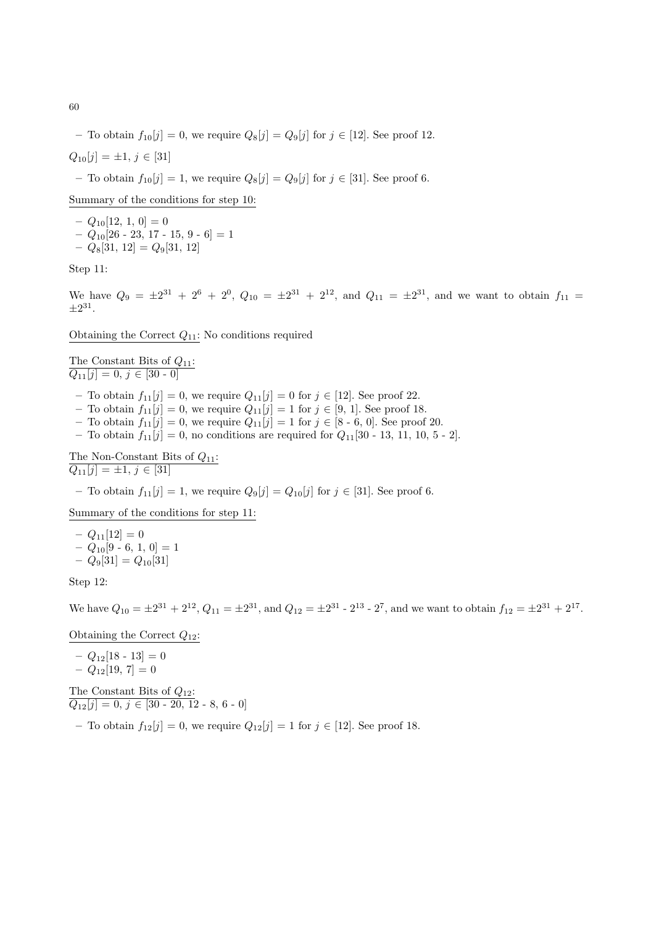– To obtain  $f_{10}[j] = 0$ , we require  $Q_8[j] = Q_9[j]$  for  $j \in [12]$ . See proof 12.

 $Q_{10}[j] = \pm 1, j \in [31]$ 

– To obtain  $f_{10}[j] = 1$ , we require  $Q_8[j] = Q_9[j]$  for  $j \in [31]$ . See proof 6.

Summary of the conditions for step 10:

 $- Q_{10}[12, 1, 0] = 0$  $-Q_{10}[26 - 23, 17 - 15, 9 - 6] = 1$  $- Q_8[31, 12] = Q_9[31, 12]$ 

Step 11:

We have  $Q_9 = \pm 2^{31} + 2^6 + 2^0$ ,  $Q_{10} = \pm 2^{31} + 2^{12}$ , and  $Q_{11} = \pm 2^{31}$ , and we want to obtain  $f_{11} =$  $\pm 2^{31}$ .

Obtaining the Correct  $Q_{11}$ : No conditions required

The Constant Bits of  $Q_{11}$ :  $Q_{11}[j] = 0, j \in [30 - 0]$ 

- To obtain  $f_{11}[j] = 0$ , we require  $Q_{11}[j] = 0$  for  $j \in [12]$ . See proof 22.
- To obtain  $f_{11}[j] = 0$ , we require  $Q_{11}[j] = 1$  for  $j \in [9, 1]$ . See proof 18.
- To obtain  $f_{11}[j] = 0$ , we require  $Q_{11}[j] = 1$  for  $j \in [8 6, 0]$ . See proof 20.
- To obtain  $f_{11}[j] = 0$ , no conditions are required for  $Q_{11}[30 13, 11, 10, 5 2]$ .

The Non-Constant Bits of  $Q_{11}$ :

 $\overline{Q_{11}[j] = \pm 1, j \in [31]}$ 

– To obtain  $f_{11}[j] = 1$ , we require  $Q_9[j] = Q_{10}[j]$  for  $j \in [31]$ . See proof 6.

Summary of the conditions for step 11:

 $- Q_{11}[12] = 0$  $-Q_{10}[9 - 6, 1, 0] = 1$  $- Q_9[31] = Q_{10}[31]$ 

Step 12:

We have  $Q_{10} = \pm 2^{31} + 2^{12}$ ,  $Q_{11} = \pm 2^{31}$ , and  $Q_{12} = \pm 2^{31}$  -  $2^{13}$  -  $2^7$ , and we want to obtain  $f_{12} = \pm 2^{31} + 2^{17}$ .

Obtaining the Correct  $Q_{12}$ :

 $- Q_{12}[18 - 13] = 0$ 

 $- Q_{12}[19, 7] = 0$ 

The Constant Bits of  $Q_{12}$ :  $Q_{12}[j] = 0, j \in [30 - 20, 12 - 8, 6 - 0]$ 

– To obtain  $f_{12}[j] = 0$ , we require  $Q_{12}[j] = 1$  for  $j \in [12]$ . See proof 18.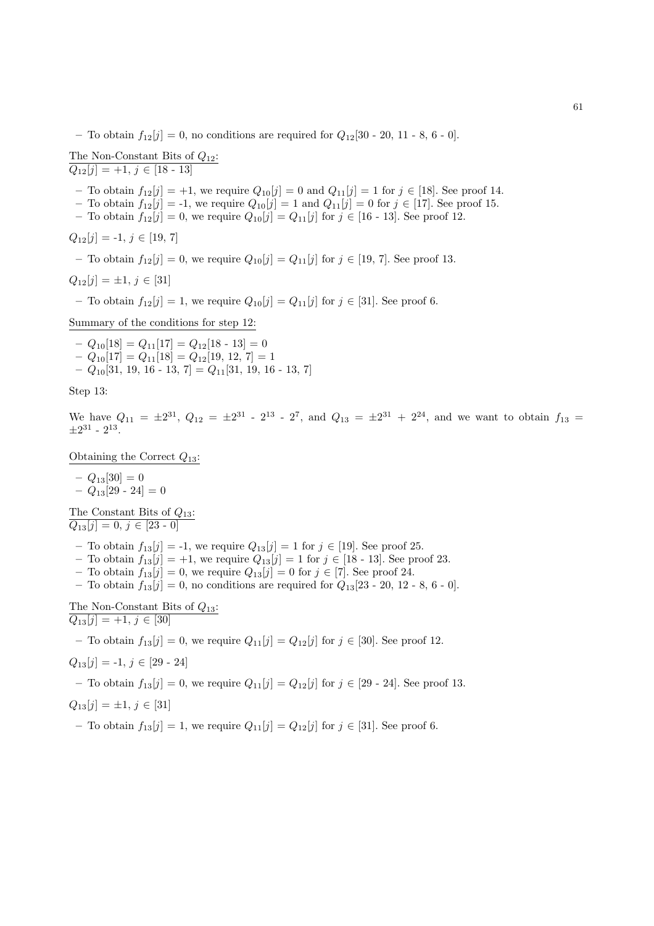– To obtain  $f_{12}[j] = 0$ , no conditions are required for  $Q_{12}[30 - 20, 11 - 8, 6 - 0]$ .

The Non-Constant Bits of  $Q_{12}$ :  $Q_{12}[j] = +1, j \in [18 - 13]$ 

– To obtain  $f_{12}[j] = +1$ , we require  $Q_{10}[j] = 0$  and  $Q_{11}[j] = 1$  for  $j \in [18]$ . See proof 14.

- To obtain  $f_{12}[j] = -1$ , we require  $Q_{10}[j] = 1$  and  $Q_{11}[j] = 0$  for  $j \in [17]$ . See proof 15.
- To obtain  $f_{12}[j] = 0$ , we require  $Q_{10}[j] = Q_{11}[j]$  for  $j \in [16 13]$ . See proof 12.

 $Q_{12}[j] = -1, j \in [19, 7]$ 

– To obtain  $f_{12}[j] = 0$ , we require  $Q_{10}[j] = Q_{11}[j]$  for  $j \in [19, 7]$ . See proof 13.

$$
Q_{12}[j] = \pm 1, j \in [31]
$$

– To obtain  $f_{12}[j] = 1$ , we require  $Q_{10}[j] = Q_{11}[j]$  for  $j \in [31]$ . See proof 6.

Summary of the conditions for step 12:

 $-Q_{10}[18] = Q_{11}[17] = Q_{12}[18 \cdot 13] = 0$  $-Q_{10}[17] = Q_{11}[18] = Q_{12}[19, 12, 7] = 1$  $-Q_{10}[31, 19, 16 - 13, 7] = Q_{11}[31, 19, 16 - 13, 7]$ 

Step 13:

We have  $Q_{11} = \pm 2^{31}$ ,  $Q_{12} = \pm 2^{31}$  -  $2^{13}$  -  $2^7$ , and  $Q_{13} = \pm 2^{31} + 2^{24}$ , and we want to obtain  $f_{13}$  $\pm 2^{31}$  -  $2^{13}$ .

Obtaining the Correct  $Q_{13}$ :

$$
- Q_{13}[30] = 0
$$
  
-  $Q_{13}[29 - 24] = 0$ 

The Constant Bits of  $Q_{13}$ :  $Q_{13}[j] = 0, j \in [23 - 0]$ 

- To obtain  $f_{13}[j] = -1$ , we require  $Q_{13}[j] = 1$  for  $j \in [19]$ . See proof 25.
- To obtain  $f_{13}[j] = +1$ , we require  $Q_{13}[j] = 1$  for  $j \in [18 13]$ . See proof 23.
- To obtain  $f_{13}[j] = 0$ , we require  $Q_{13}[j] = 0$  for  $j \in [7]$ . See proof 24.
- To obtain  $f_{13}[j] = 0$ , no conditions are required for  $Q_{13}[23 20, 12 8, 6 0]$ .

The Non-Constant Bits of  $\mathcal{Q}_{13}$  :  $\overline{Q_{13}[j] = +1, j \in [30]}$ 

– To obtain  $f_{13}[j] = 0$ , we require  $Q_{11}[j] = Q_{12}[j]$  for  $j \in [30]$ . See proof 12.

$$
Q_{13}[j] = -1, j \in [29 - 24]
$$

– To obtain  $f_{13}[j] = 0$ , we require  $Q_{11}[j] = Q_{12}[j]$  for  $j \in [29 \text{ - } 24]$ . See proof 13.

$$
Q_{13}[j] = \pm 1, \, j \in [31]
$$

– To obtain  $f_{13}[j] = 1$ , we require  $Q_{11}[j] = Q_{12}[j]$  for  $j \in [31]$ . See proof 6.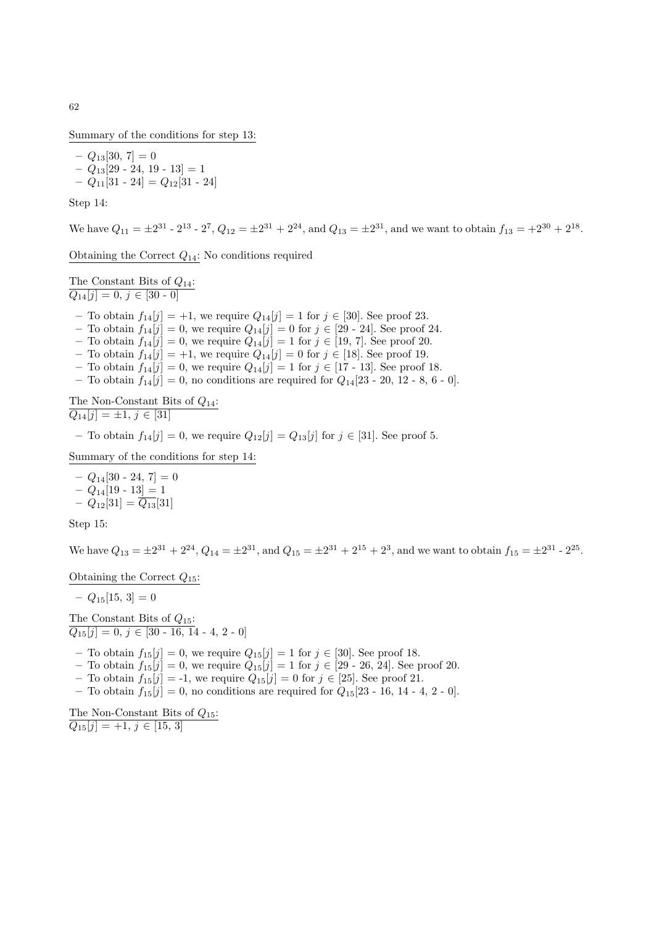Summary of the conditions for step 13:

 $- Q_{13}[30, 7] = 0$  $- Q_{13}[29 - 24, 19 - 13] = 1$  $- Q_{11}[31 \cdot 24] = Q_{12}[31 \cdot 24]$ 

Step 14:

We have  $Q_{11} = \pm 2^{31}$  -  $2^{13}$  -  $2^7$ ,  $Q_{12} = \pm 2^{31} + 2^{24}$ , and  $Q_{13} = \pm 2^{31}$ , and we want to obtain  $f_{13} = +2^{30} + 2^{18}$ .

Obtaining the Correct  $Q_{14}$ : No conditions required

The Constant Bits of  $Q_{14}$ :  $Q_{14}[j] = 0, j \in [30 - 0]$ 

- To obtain  $f_{14}[j] = +1$ , we require  $Q_{14}[j] = 1$  for  $j \in [30]$ . See proof 23.
- To obtain  $f_{14}[j] = 0$ , we require  $Q_{14}[j] = 0$  for  $j \in [29 \text{ } 24]$ . See proof 24.
- To obtain  $f_{14}[j] = 0$ , we require  $Q_{14}[j] = 1$  for  $j \in [19, 7]$ . See proof 20.
- To obtain  $f_{14}[j] = +1$ , we require  $Q_{14}[j] = 0$  for  $j \in [18]$ . See proof 19.
- To obtain  $f_{14}[j] = 0$ , we require  $Q_{14}[j] = 1$  for  $j \in [17 13]$ . See proof 18.
- To obtain  $f_{14}[j] = 0$ , no conditions are required for  $Q_{14}[23 20, 12 8, 6 0]$ .

The Non-Constant Bits of  $Q_{14}$ :  $\overline{Q_{14}[j] = \pm 1, j \in [31]}$ 

– To obtain  $f_{14}[j] = 0$ , we require  $Q_{12}[j] = Q_{13}[j]$  for  $j \in [31]$ . See proof 5.

Summary of the conditions for step 14:

 $- Q_{14}[30 - 24, 7] = 0$ –  $Q_{14}[19 - 13] = 1$  $-Q_{12}[31] = \overline{Q_{13}}[31]$ 

Step 15:

We have  $Q_{13} = \pm 2^{31} + 2^{24}$ ,  $Q_{14} = \pm 2^{31}$ , and  $Q_{15} = \pm 2^{31} + 2^{15} + 2^3$ , and we want to obtain  $f_{15} = \pm 2^{31}$  -  $2^{25}$ .

Obtaining the Correct  $Q_{15}$ :

 $- Q_{15}[15, 3] = 0$ 

The Constant Bits of  $Q_{15}$ :  $Q_{15}[j] = 0, j \in [30 - 16, 14 - 4, 2 - 0]$ 

– To obtain  $f_{15}[j] = 0$ , we require  $Q_{15}[j] = 1$  for  $j \in [30]$ . See proof 18.

- To obtain  $f_{15}[j] = 0$ , we require  $Q_{15}[j] = 1$  for  $j \in [29 \text{ } 26, 24]$ . See proof 20.
- To obtain  $f_{15}[j] = -1$ , we require  $Q_{15}[j] = 0$  for  $j \in [25]$ . See proof 21.
- To obtain  $f_{15}[j] = 0$ , no conditions are required for  $Q_{15}[23 16, 14 4, 2 0]$ .

The Non-Constant Bits of  $Q_{15}$ :  $Q_{15}[j] = +1, j \in [15, 3]$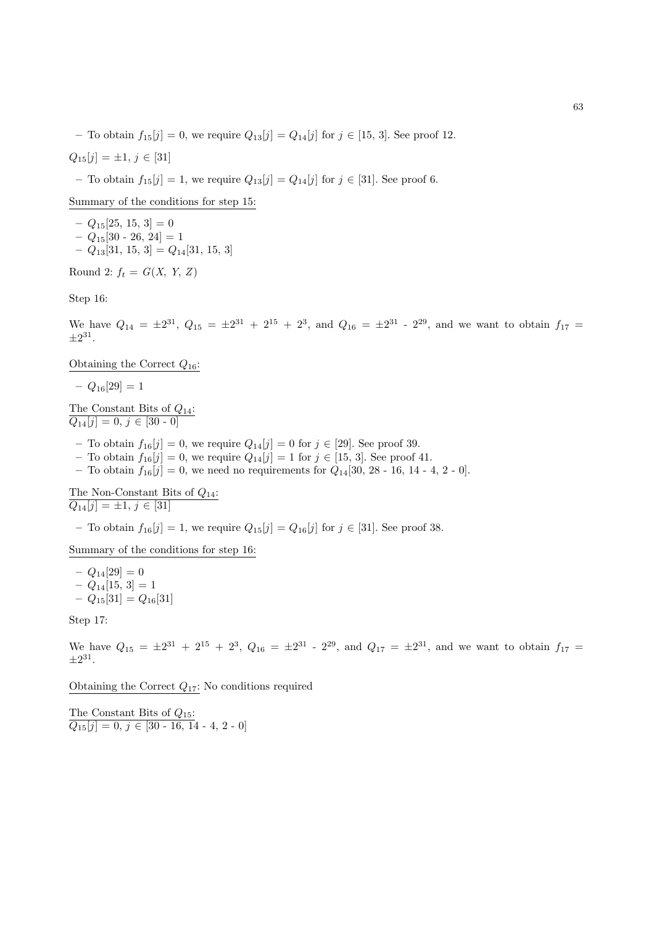– To obtain  $f_{15}[j] = 0$ , we require  $Q_{13}[j] = Q_{14}[j]$  for  $j \in [15, 3]$ . See proof 12.

$$
Q_{15}[j] = \pm 1, j \in [31]
$$

– To obtain  $f_{15}[j] = 1$ , we require  $Q_{13}[j] = Q_{14}[j]$  for  $j \in [31]$ . See proof 6.

Summary of the conditions for step 15:

 $-Q_{15}[25, 15, 3]=0$  $- Q_{15}[30 - 26, 24] = 1$  $-Q_{13}[31, 15, 3] = Q_{14}[31, 15, 3]$ 

Round 2:  $f_t = G(X, Y, Z)$ 

Step 16:

We have  $Q_{14} = \pm 2^{31}$ ,  $Q_{15} = \pm 2^{31} + 2^{15} + 2^3$ , and  $Q_{16} = \pm 2^{31}$  -  $2^{29}$ , and we want to obtain  $f_{17}$  $\pm 2^{31}$ .

Obtaining the Correct  $Q_{16}$ :

 $- Q_{16}[29] = 1$ 

The Constant Bits of  $Q_{14}$ :  $Q_{14}[j] = 0, j \in [30 - 0]$ 

- To obtain  $f_{16}[j] = 0$ , we require  $Q_{14}[j] = 0$  for  $j \in [29]$ . See proof 39.
- To obtain  $f_{16}[j] = 0$ , we require  $Q_{14}[j] = 1$  for  $j \in [15, 3]$ . See proof 41.
- To obtain  $f_{16}[j] = 0$ , we need no requirements for  $Q_{14}[30, 28 16, 14 4, 2 0]$ .

The Non-Constant Bits of  $Q_{14}$ :  $\overline{Q_{14}[j] = \pm 1, j \in [31]}$ 

– To obtain  $f_{16}[j] = 1$ , we require  $Q_{15}[j] = Q_{16}[j]$  for  $j \in [31]$ . See proof 38.

Summary of the conditions for step 16:

 $- Q_{14}[29] = 0$  $-Q_{14}[15, 3] = 1$  $- Q_{15}[31] = Q_{16}[31]$ 

Step 17:

We have  $Q_{15} = \pm 2^{31} + 2^{15} + 2^3$ ,  $Q_{16} = \pm 2^{31}$  -  $2^{29}$ , and  $Q_{17} = \pm 2^{31}$ , and we want to obtain  $f_{17}$  $\pm 2^{31}$ .

Obtaining the Correct  $Q_{17}$ : No conditions required

The Constant Bits of  $Q_{15}$ :  $Q_{15}[j] = 0, j \in [30 - 16, 14 - 4, 2 - 0]$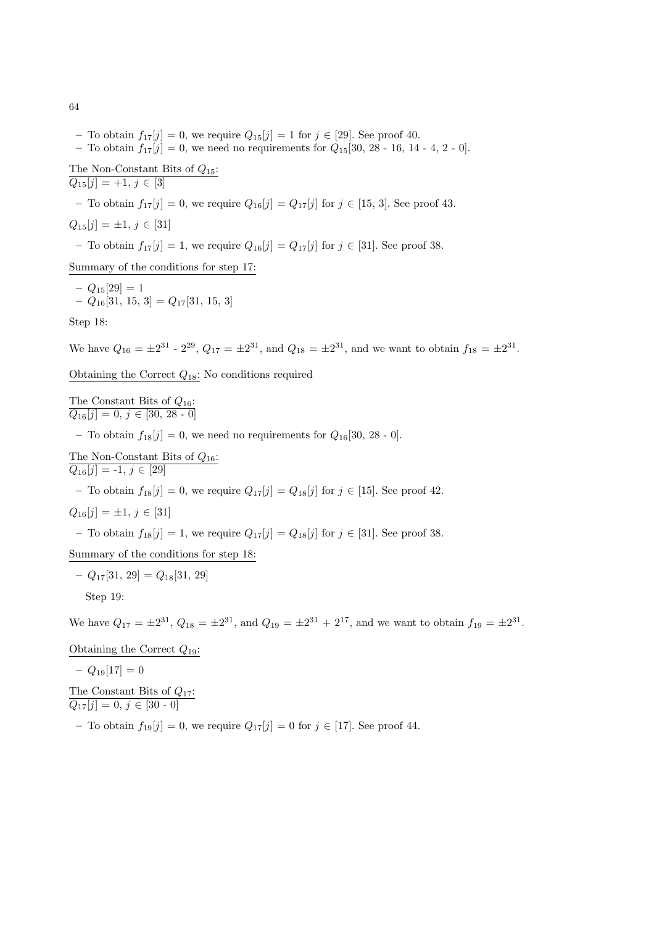- To obtain  $f_{17}[j] = 0$ , we require  $Q_{15}[j] = 1$  for  $j \in [29]$ . See proof 40.
- To obtain  $f_{17}[j] = 0$ , we need no requirements for  $Q_{15}[30, 28 16, 14 4, 2 0]$ .

The Non-Constant Bits of  $Q_{15}$ :  $Q_{15}[j] = +1, j \in [3]$ 

– To obtain  $f_{17}[j] = 0$ , we require  $Q_{16}[j] = Q_{17}[j]$  for  $j \in [15, 3]$ . See proof 43.

$$
Q_{15}[j] = \pm 1, \, j \in [31]
$$

– To obtain  $f_{17}[j] = 1$ , we require  $Q_{16}[j] = Q_{17}[j]$  for  $j \in [31]$ . See proof 38.

Summary of the conditions for step 17:

 $-Q_{15}[29]=1$  $-Q_{16}[31, 15, 3] = Q_{17}[31, 15, 3]$ 

Step 18:

We have  $Q_{16} = \pm 2^{31}$  -  $2^{29}$ ,  $Q_{17} = \pm 2^{31}$ , and  $Q_{18} = \pm 2^{31}$ , and we want to obtain  $f_{18} = \pm 2^{31}$ .

Obtaining the Correct  $Q_{18}$ : No conditions required

The Constant Bits of  $Q_{16}$ :  $Q_{16}[j] = 0, j \in [30, 28 \cdot 0]$ 

– To obtain  $f_{18}[j] = 0$ , we need no requirements for  $Q_{16}[30, 28 \cdot 0]$ .

The Non-Constant Bits of  $Q_{16}$ :  $\overline{Q_{16}[j] = -1, j \in [29]}$ 

– To obtain  $f_{18}[j] = 0$ , we require  $Q_{17}[j] = Q_{18}[j]$  for  $j \in [15]$ . See proof 42.

$$
Q_{16}[j] = \pm 1, j \in [31]
$$

– To obtain  $f_{18}[j] = 1$ , we require  $Q_{17}[j] = Q_{18}[j]$  for  $j \in [31]$ . See proof 38.

Summary of the conditions for step 18:

$$
-Q_{17}[31, 29] = Q_{18}[31, 29]
$$

Step 19:

We have  $Q_{17} = \pm 2^{31}$ ,  $Q_{18} = \pm 2^{31}$ , and  $Q_{19} = \pm 2^{31} + 2^{17}$ , and we want to obtain  $f_{19} = \pm 2^{31}$ .

Obtaining the Correct  $Q_{19}$ :

$$
- Q_{19}[17] = 0
$$

The Constant Bits of  $Q_{17}$ :  $Q_{17}[j] = 0, j \in [30 - 0]$ 

– To obtain  $f_{19}[j] = 0$ , we require  $Q_{17}[j] = 0$  for  $j \in [17]$ . See proof 44.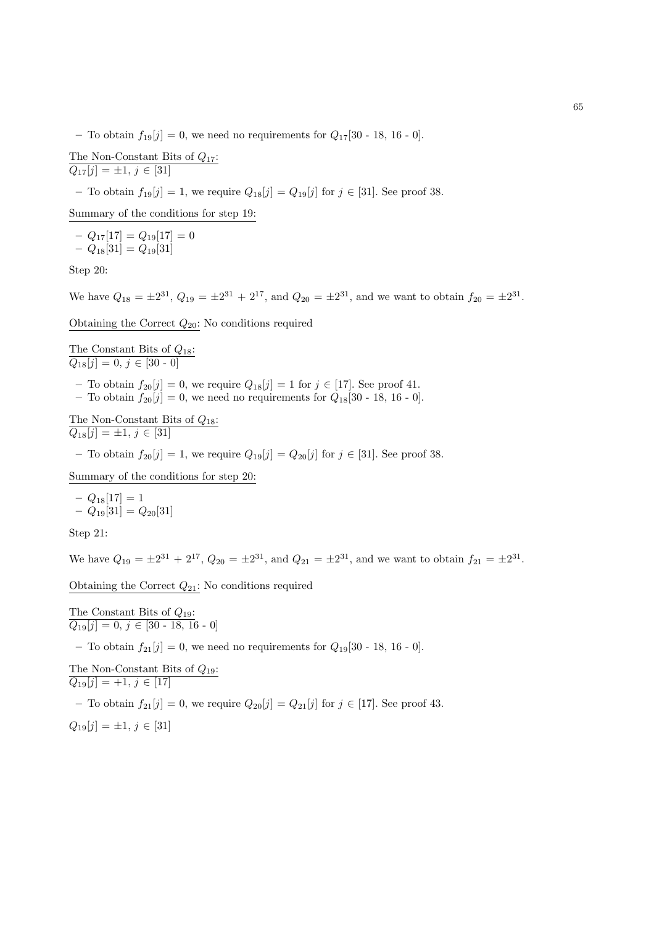– To obtain  $f_{19}[j] = 0$ , we need no requirements for  $Q_{17}[30 - 18, 16 - 0]$ .

The Non-Constant Bits of  $Q_{17}$ :  $Q_{17}[j] = \pm 1, j \in [31]$ 

– To obtain  $f_{19}[j] = 1$ , we require  $Q_{18}[j] = Q_{19}[j]$  for  $j \in [31]$ . See proof 38.

Summary of the conditions for step 19:

 $- Q_{17}[17] = Q_{19}[17] = 0$  $- Q_{18}[31] = Q_{19}[31]$ 

Step 20:

We have  $Q_{18} = \pm 2^{31}$ ,  $Q_{19} = \pm 2^{31} + 2^{17}$ , and  $Q_{20} = \pm 2^{31}$ , and we want to obtain  $f_{20} = \pm 2^{31}$ .

Obtaining the Correct  $Q_{20}$ : No conditions required

The Constant Bits of  $Q_{18}$ :  $Q_{18}[j] = 0, j \in [30 - 0]$ 

- To obtain  $f_{20}[j] = 0$ , we require  $Q_{18}[j] = 1$  for  $j \in [17]$ . See proof 41.
- To obtain  $f_{20}[j] = 0$ , we need no requirements for  $Q_{18}[30 18, 16 0]$ .

The Non-Constant Bits of  $Q_{18}$ :  $Q_{18}[j] = \pm 1, j \in [31]$ 

– To obtain  $f_{20}[j] = 1$ , we require  $Q_{19}[j] = Q_{20}[j]$  for  $j \in [31]$ . See proof 38.

Summary of the conditions for step 20:

$$
- Q_{18}[17] = 1
$$
  
-  $Q_{19}[31] = Q_{20}[31]$ 

Step 21:

We have  $Q_{19} = \pm 2^{31} + 2^{17}$ ,  $Q_{20} = \pm 2^{31}$ , and  $Q_{21} = \pm 2^{31}$ , and we want to obtain  $f_{21} = \pm 2^{31}$ .

Obtaining the Correct  $Q_{21}$ : No conditions required

The Constant Bits of  $Q_{19}$ :  $\overline{Q_{19}[j] = 0, j \in [30 - 18, 16 - 0]}$ 

– To obtain  $f_{21}[j] = 0$ , we need no requirements for  $Q_{19}[30 - 18, 16 - 0]$ .

The Non-Constant Bits of  $Q_{19}$ :  $Q_{19}[j] = +1, j \in [17]$ 

– To obtain  $f_{21}[j] = 0$ , we require  $Q_{20}[j] = Q_{21}[j]$  for  $j \in [17]$ . See proof 43.

 $Q_{19}[j] = \pm 1, j \in [31]$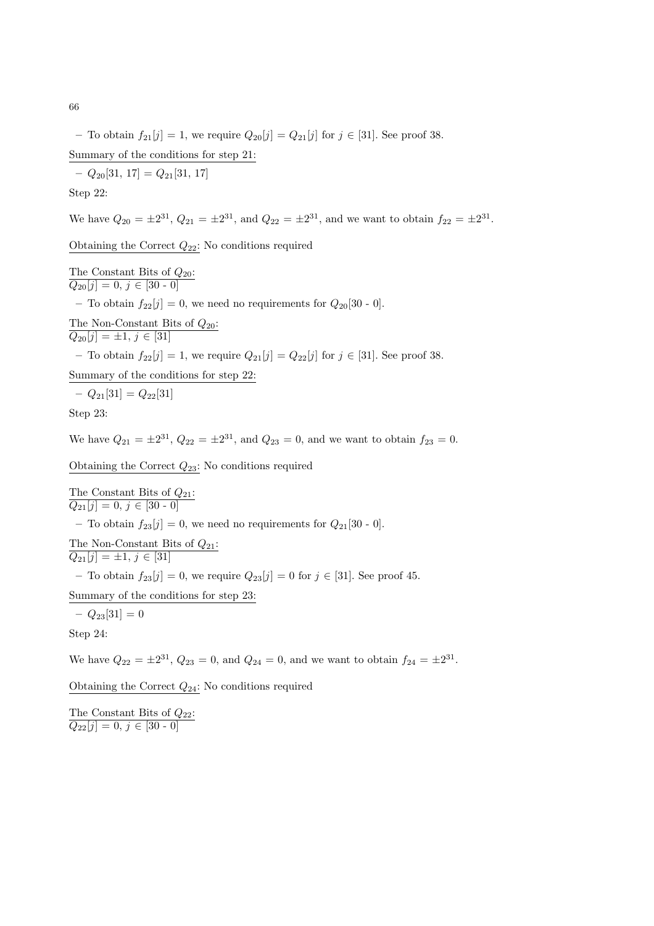– To obtain  $f_{21}[j] = 1$ , we require  $Q_{20}[j] = Q_{21}[j]$  for  $j \in [31]$ . See proof 38. Summary of the conditions for step 21:

 $-Q_{20}[31, 17] = Q_{21}[31, 17]$ Step 22:

We have  $Q_{20} = \pm 2^{31}$ ,  $Q_{21} = \pm 2^{31}$ , and  $Q_{22} = \pm 2^{31}$ , and we want to obtain  $f_{22} = \pm 2^{31}$ .

Obtaining the Correct  $Q_{22}$ : No conditions required

The Constant Bits of  $Q_{20}$ :  $Q_{20}[j] = 0, j \in [30 - 0]$ 

– To obtain  $f_{22}[j] = 0$ , we need no requirements for  $Q_{20}[30 - 0]$ .

The Non-Constant Bits of  $Q_{20}$ :  $Q_{20}[j] = \pm 1, j \in [31]$ 

– To obtain  $f_{22}[j] = 1$ , we require  $Q_{21}[j] = Q_{22}[j]$  for  $j \in [31]$ . See proof 38.

Summary of the conditions for step 22:

$$
- Q_{21}[31] = Q_{22}[31]
$$

Step 23:

We have  $Q_{21} = \pm 2^{31}$ ,  $Q_{22} = \pm 2^{31}$ , and  $Q_{23} = 0$ , and we want to obtain  $f_{23} = 0$ .

Obtaining the Correct  $Q_{23}$ : No conditions required

The Constant Bits of  $Q_{21}$ :  $Q_{21}[j] = 0, j \in [30 - 0]$ – To obtain  $f_{23}[j] = 0$ , we need no requirements for  $Q_{21}[30 - 0]$ . The Non-Constant Bits of  $Q_{21}$ :  $Q_{21}[j] = \pm 1, j \in [31]$ – To obtain  $f_{23}[j] = 0$ , we require  $Q_{23}[j] = 0$  for  $j \in [31]$ . See proof 45. Summary of the conditions for step 23:  $- Q_{23}[31] = 0$ 

Step 24:

We have  $Q_{22} = \pm 2^{31}$ ,  $Q_{23} = 0$ , and  $Q_{24} = 0$ , and we want to obtain  $f_{24} = \pm 2^{31}$ .

Obtaining the Correct  $Q_{24}$ : No conditions required

The Constant Bits of  $Q_{22}$ :  $\overline{Q_{22}[j] = 0, j \in [30 - 0]}$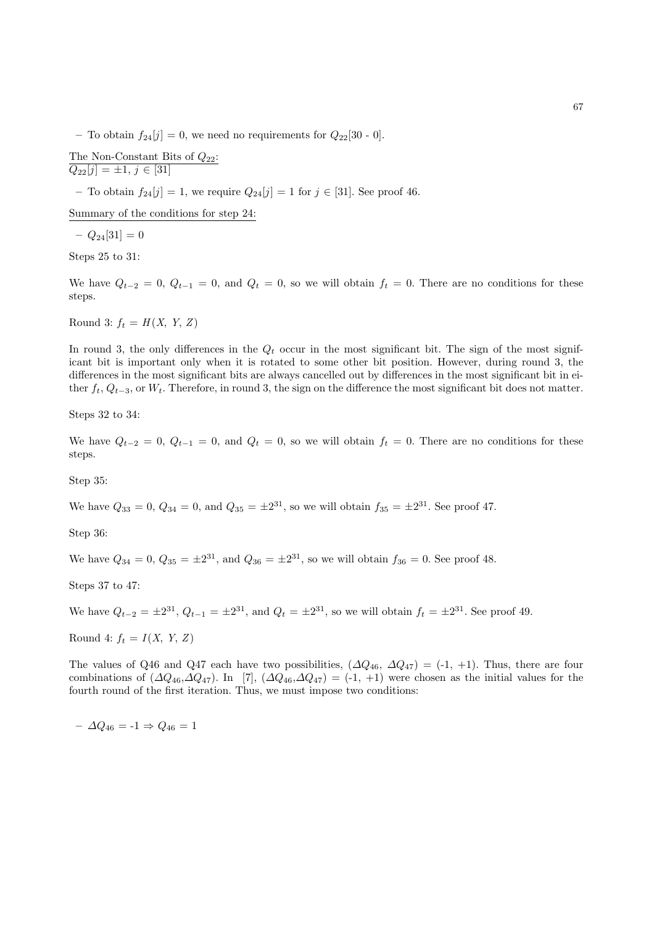– To obtain  $f_{24}[j] = 0$ , we need no requirements for  $Q_{22}[30 - 0]$ .

The Non-Constant Bits of 
$$
Q_{22}
$$
:  
 $Q_{22}[j] = \pm 1, j \in [31]$ 

– To obtain  $f_{24}[j] = 1$ , we require  $Q_{24}[j] = 1$  for  $j \in [31]$ . See proof 46.

Summary of the conditions for step 24:

 $- Q_{24}[31] = 0$ 

Steps 25 to 31:

We have  $Q_{t-2} = 0$ ,  $Q_{t-1} = 0$ , and  $Q_t = 0$ , so we will obtain  $f_t = 0$ . There are no conditions for these steps.

Round 3:  $f_t = H(X, Y, Z)$ 

In round 3, the only differences in the  $Q_t$  occur in the most significant bit. The sign of the most significant bit is important only when it is rotated to some other bit position. However, during round 3, the differences in the most significant bits are always cancelled out by differences in the most significant bit in either  $f_t$ ,  $Q_{t-3}$ , or  $W_t$ . Therefore, in round 3, the sign on the difference the most significant bit does not matter.

Steps 32 to 34:

We have  $Q_{t-2} = 0$ ,  $Q_{t-1} = 0$ , and  $Q_t = 0$ , so we will obtain  $f_t = 0$ . There are no conditions for these steps.

Step 35:

We have  $Q_{33} = 0$ ,  $Q_{34} = 0$ , and  $Q_{35} = \pm 2^{31}$ , so we will obtain  $f_{35} = \pm 2^{31}$ . See proof 47.

Step 36:

We have  $Q_{34} = 0$ ,  $Q_{35} = \pm 2^{31}$ , and  $Q_{36} = \pm 2^{31}$ , so we will obtain  $f_{36} = 0$ . See proof 48.

Steps 37 to 47:

We have  $Q_{t-2} = \pm 2^{31}$ ,  $Q_{t-1} = \pm 2^{31}$ , and  $Q_t = \pm 2^{31}$ , so we will obtain  $f_t = \pm 2^{31}$ . See proof 49.

Round 4:  $f_t = I(X, Y, Z)$ 

The values of Q46 and Q47 each have two possibilities,  $(\Delta Q_{46}, \Delta Q_{47}) = (-1, +1)$ . Thus, there are four combinations of  $(\Delta Q_{46},\Delta Q_{47})$ . In [7],  $(\Delta Q_{46},\Delta Q_{47}) = (-1, +1)$  were chosen as the initial values for the fourth round of the first iteration. Thus, we must impose two conditions:

 $- \Delta Q_{46} = -1 \Rightarrow Q_{46} = 1$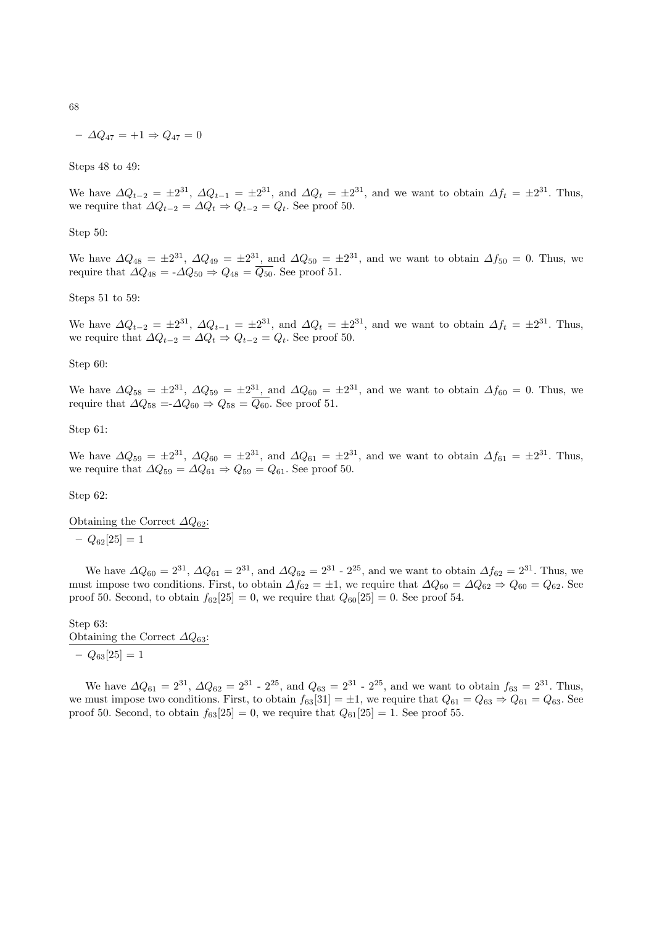$$
- \Delta Q_{47} = +1 \Rightarrow Q_{47} = 0
$$

Steps 48 to 49:

We have  $\Delta Q_{t-2} = \pm 2^{31}$ ,  $\Delta Q_{t-1} = \pm 2^{31}$ , and  $\Delta Q_t = \pm 2^{31}$ , and we want to obtain  $\Delta f_t = \pm 2^{31}$ . Thus, we require that  $\Delta Q_{t-2} = \Delta Q_t \Rightarrow Q_{t-2} = Q_t$ . See proof 50.

## Step 50:

We have  $\Delta Q_{48} = \pm 2^{31}$ ,  $\Delta Q_{49} = \pm 2^{31}$ , and  $\Delta Q_{50} = \pm 2^{31}$ , and we want to obtain  $\Delta f_{50} = 0$ . Thus, we require that  $\Delta Q_{48} = -\Delta Q_{50} \Rightarrow Q_{48} = \overline{Q_{50}}$ . See proof 51.

#### Steps 51 to 59:

We have  $\Delta Q_{t-2} = \pm 2^{31}$ ,  $\Delta Q_{t-1} = \pm 2^{31}$ , and  $\Delta Q_t = \pm 2^{31}$ , and we want to obtain  $\Delta f_t = \pm 2^{31}$ . Thus, we require that  $\Delta Q_{t-2} = \Delta Q_t \Rightarrow Q_{t-2} = Q_t$ . See proof 50.

Step 60:

We have  $\Delta Q_{58} = \pm 2^{31}$ ,  $\Delta Q_{59} = \pm 2^{31}$ , and  $\Delta Q_{60} = \pm 2^{31}$ , and we want to obtain  $\Delta f_{60} = 0$ . Thus, we require that  $\Delta Q_{58} = \Delta Q_{60} \Rightarrow Q_{58} = \overline{Q_{60}}$ . See proof 51.

Step 61:

We have  $\Delta Q_{59} = \pm 2^{31}$ ,  $\Delta Q_{60} = \pm 2^{31}$ , and  $\Delta Q_{61} = \pm 2^{31}$ , and we want to obtain  $\Delta f_{61} = \pm 2^{31}$ . Thus, we require that  $\Delta Q_{59} = \Delta Q_{61} \Rightarrow Q_{59} = Q_{61}$ . See proof 50.

Step 62:

Obtaining the Correct  $\varDelta Q_{62}$ :  $- Q_{62}[25] = 1$ 

We have  $\Delta Q_{60} = 2^{31}$ ,  $\Delta Q_{61} = 2^{31}$ , and  $\Delta Q_{62} = 2^{31}$  -  $2^{25}$ , and we want to obtain  $\Delta f_{62} = 2^{31}$ . Thus, we must impose two conditions. First, to obtain  $\Delta f_{62} = \pm 1$ , we require that  $\Delta Q_{60} = \Delta Q_{62} \Rightarrow Q_{60} = Q_{62}$ . See proof 50. Second, to obtain  $f_{62}[25] = 0$ , we require that  $Q_{60}[25] = 0$ . See proof 54.

# Step 63: Obtaining the Correct  $\Delta Q_{63}$ :  $- Q_{63}[25] = 1$

We have  $\Delta Q_{61} = 2^{31}$ ,  $\Delta Q_{62} = 2^{31}$  -  $2^{25}$ , and  $Q_{63} = 2^{31}$  -  $2^{25}$ , and we want to obtain  $f_{63} = 2^{31}$ . Thus, we must impose two conditions. First, to obtain  $f_{63}[31] = \pm 1$ , we require that  $Q_{61} = Q_{63} \Rightarrow Q_{61} = Q_{63}$ . See proof 50. Second, to obtain  $f_{63}[25] = 0$ , we require that  $Q_{61}[25] = 1$ . See proof 55.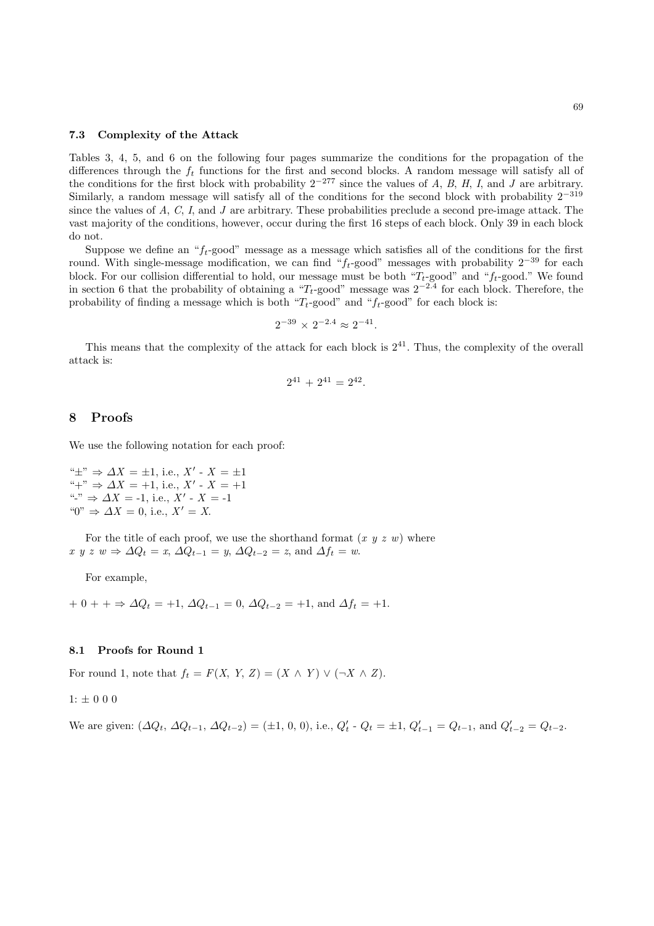#### 7.3 Complexity of the Attack

Tables 3, 4, 5, and 6 on the following four pages summarize the conditions for the propagation of the differences through the  $f_t$  functions for the first and second blocks. A random message will satisfy all of the conditions for the first block with probability  $2^{-277}$  since the values of A, B, H, I, and J are arbitrary. Similarly, a random message will satisfy all of the conditions for the second block with probability  $2^{-319}$ since the values of A, C, I, and J are arbitrary. These probabilities preclude a second pre-image attack. The vast majority of the conditions, however, occur during the first 16 steps of each block. Only 39 in each block do not.

Suppose we define an " $f_t$ -good" message as a message which satisfies all of the conditions for the first round. With single-message modification, we can find " $f_t$ -good" messages with probability  $2^{-39}$  for each block. For our collision differential to hold, our message must be both " $T_t$ -good" and " $f_t$ -good." We found in section 6 that the probability of obtaining a " $T_t$ -good" message was  $2^{-2.4}$  for each block. Therefore, the probability of finding a message which is both " $T_t$ -good" and " $f_t$ -good" for each block is:

$$
2^{-39}\,\times\,2^{-2.4}\approx 2^{-41}.
$$

This means that the complexity of the attack for each block is  $2^{41}$ . Thus, the complexity of the overall attack is:

$$
2^{41} + 2^{41} = 2^{42}.
$$

# 8 Proofs

We use the following notation for each proof:

" $\pm$ "  $\Rightarrow$   $\Delta X = \pm 1$ , i.e.,  $X'$  -  $X = \pm 1$ "+" ⇒  $\Delta X = +1$ , i.e., X' - X = +1 "-"  $\Rightarrow \Delta X = -1$ , i.e.,  $X' - X = -1$ " $0" \Rightarrow \Delta X = 0$ , i.e.,  $X' = X$ .

For the title of each proof, we use the shorthand format  $(x, y, z, w)$  where x y z w  $\Rightarrow \Delta Q_t = x$ ,  $\Delta Q_{t-1} = y$ ,  $\Delta Q_{t-2} = z$ , and  $\Delta f_t = w$ .

For example,

+ 0 + +  $\Rightarrow$   $\Delta Q_t = +1$ ,  $\Delta Q_{t-1} = 0$ ,  $\Delta Q_{t-2} = +1$ , and  $\Delta f_t = +1$ .

## 8.1 Proofs for Round 1

For round 1, note that  $f_t = F(X, Y, Z) = (X \wedge Y) \vee (\neg X \wedge Z)$ .

 $1: \pm$ 000

We are given:  $(\Delta Q_t, \Delta Q_{t-1}, \Delta Q_{t-2}) = (\pm 1, 0, 0), \text{ i.e., } Q'_t \cdot Q_t = \pm 1, Q'_{t-1} = Q_{t-1}, \text{ and } Q'_{t-2} = Q_{t-2}.$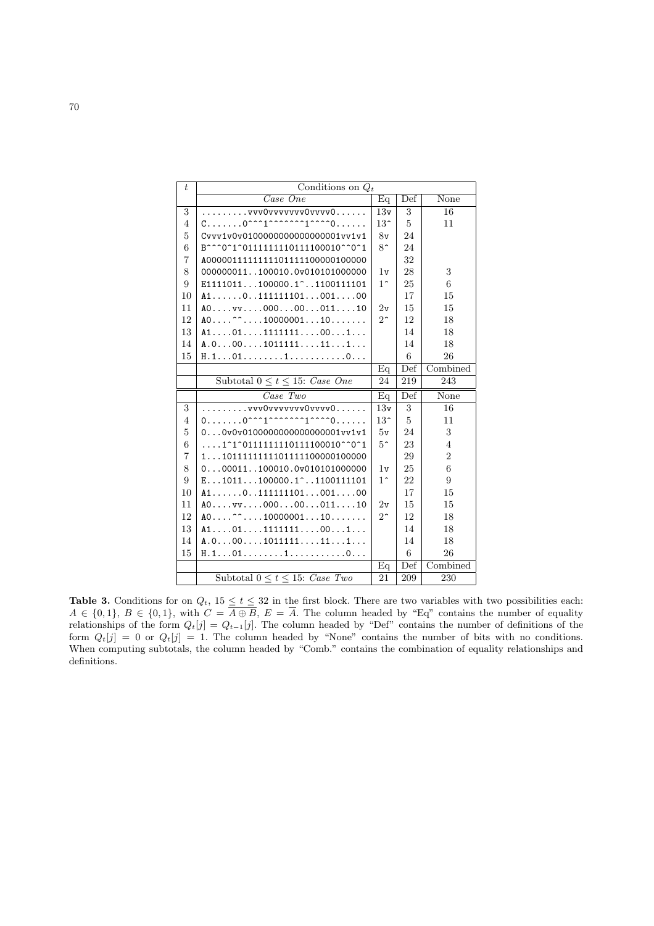| t              | Conditions on $Q_t$                                                            |                 |                  |                |  |
|----------------|--------------------------------------------------------------------------------|-----------------|------------------|----------------|--|
|                | Case One                                                                       | Eq              | Def              | None           |  |
| 3              | vvv0vvvvvvv0vvvv0                                                              | 13v             | 3                | 16             |  |
| $\overline{4}$ |                                                                                | 13 <sup>2</sup> | 5                | 11             |  |
| 5              | Cvvv1v0v01000000000000000001vv1v1                                              | 8v              | 24               |                |  |
| 6              | B^^^0^1^0111111110111100010^^0^1                                               | $8^{\circ}$     | 24               |                |  |
| 7              | A00000111111111101111100000100000                                              |                 | 32               |                |  |
| 8              | 000000011100010.0v010101000000                                                 | 1v              | 28               | 3              |  |
| 9              | $E1111011100000.1$ <sup>2</sup> 1100111101                                     | $1^{\circ}$     | 25               | 6              |  |
| 10             | $A1$ 011111110100100                                                           |                 | 17               | 15             |  |
| 11             | A0vv0000001110                                                                 | $2\rm v$        | 15               | 15             |  |
| 12             | $A0$ <sup>2</sup> 1000000110                                                   | $2^{\sim}$      | 12               | 18             |  |
| 13             | $A1 \ldots 01 \ldots 1111111 \ldots 00 \ldots 1 \ldots$                        |                 | 14               | 18             |  |
| 14             | A.0001011111111                                                                |                 | 14               | 18             |  |
| 15             | H.10110                                                                        |                 | 6                | 26             |  |
|                |                                                                                | Eq              | $\overline{Def}$ | Combined       |  |
|                | Subtotal $0 \le t \le 15$ : Case One                                           | 24              | 219              | 243            |  |
|                |                                                                                |                 |                  |                |  |
|                | $\overline{Case\,}$ Two                                                        | Eq              | Def              | None           |  |
| 3              | vvv0vvvvvvv0vvv0                                                               | 13v             | 3                | 16             |  |
| $\overline{4}$ |                                                                                | 13 <sup>2</sup> | 5                | 11             |  |
| 5              | $0.10000000000000000000001$ vv1v1                                              | 5v              | 24               | 3              |  |
| 6              | $\ldots$ .1 <sup>~</sup> 1 <sup>~</sup> 01111111110111100010 <sup>^</sup> ^0^1 | $5^{\circ}$     | 23               | $\overline{4}$ |  |
| 7              | 110111111111101111100000100000                                                 |                 | 29               | $\overline{2}$ |  |
| 8              | $0. 00011. . 100010. 0v010101000000$                                           | 1v              | 25               | 6              |  |
| 9              | $E1011100000.1$ <sup>2</sup> 1100111101                                        | $1^{\circ}$     | 22               | 9              |  |
| 10             | $A1$ 011111110100100                                                           |                 | 17               | 15             |  |
| 11             | A0vv0000001110                                                                 | 2v              | 15               | 15             |  |
| 12             | $A0$ <sup>2</sup> 1000000110                                                   | $2^{\sim}$      | 12               | 18             |  |
| 13             | $A1 \ldots 01 \ldots 1111111 \ldots 00 \ldots 1 \ldots$                        |                 | 14               | 18             |  |
| 14             | A.0001011111111                                                                |                 | 14               | 18             |  |
| 15             | H.101110                                                                       |                 | 6                | 26             |  |
|                |                                                                                | Eq              | Def              | Combined       |  |

**Table 3.** Conditions for on  $Q_t$ ,  $15 \le t \le 32$  in the first block. There are two variables with two possibilities each:  $A \in \{0,1\}, B \in \{0,1\},\$  with  $C = A \oplus B$ ,  $E = A$ . The column headed by "Eq" contains the number of equality relationships of the form  $Q_t[j] = Q_{t-1}[j]$ . The column headed by "Def" contains the number of definitions of the form  $Q_t[j] = 0$  or  $Q_t[j] = 1$ . The column headed by "None" contains the number of bits with no conditions. When computing subtotals, the column headed by "Comb." contains the combination of equality relationships and definitions.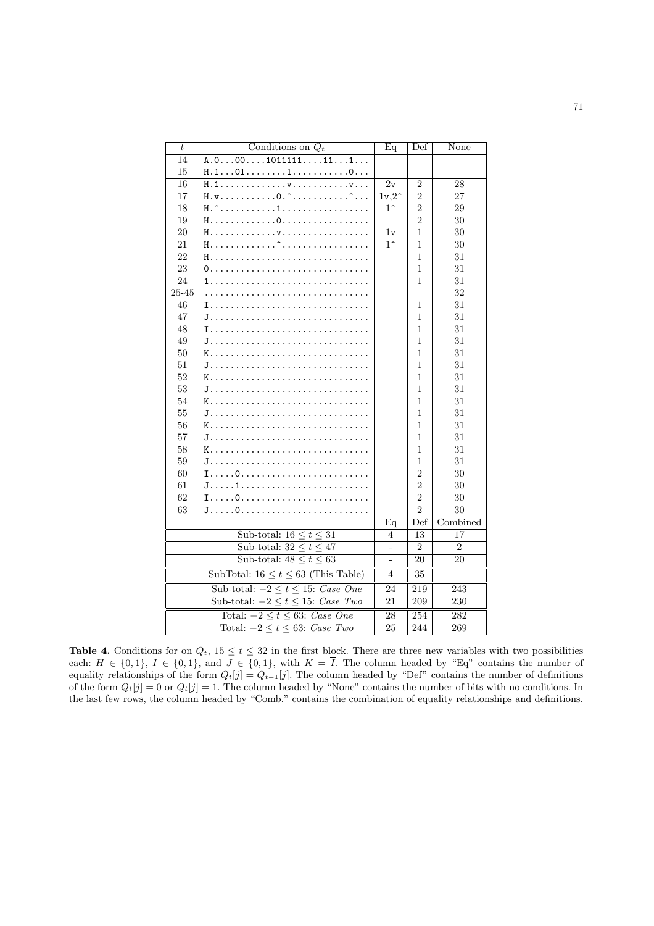| $\boldsymbol{t}$ | Conditions on $Q_t$                      | Eq            | Def            | None           |
|------------------|------------------------------------------|---------------|----------------|----------------|
| 14               | $A.0001011\overline{111111}$             |               |                |                |
| 15               | H.10110                                  |               |                |                |
| 16               | H.1v                                     | 2v            | $\overline{2}$ | 28             |
| 17               |                                          | $1v,2^{\sim}$ | $\overline{2}$ | 27             |
| 18               |                                          | $1^{\sim}$    | $\mathfrak{D}$ | 29             |
| 19               |                                          |               | $\overline{2}$ | 30             |
| 20               |                                          | 1v            | 1              | 30             |
| 21               | H.<br><del>^</del>                       | $1^{\sim}$    | 1              | 30             |
| 22               | H.                                       |               | 1              | 31             |
| 23               |                                          |               | 1              | 31             |
| 24               |                                          |               | 1              | 31             |
| 25-45            |                                          |               |                | 32             |
| 46               |                                          |               | 1              | 31             |
| 47               | J.                                       |               | 1              | 31             |
| 48               |                                          |               | $\mathbf{1}$   | 31             |
| 49               |                                          |               | 1              | 31             |
| 50               | K.                                       |               | 1              | 31             |
| $51\,$           |                                          |               | 1              | 31             |
| 52               | K.                                       |               | 1              | 31             |
| 53               |                                          |               | 1              | 31             |
| 54               |                                          |               | 1              | 31             |
| 55               |                                          |               | 1              | 31             |
| 56               |                                          |               | 1              | 31             |
| 57               |                                          |               | 1              | 31             |
| 58               | K.                                       |               | 1              | 31             |
| 59               |                                          |               | 1              | 31             |
| 60               |                                          |               | $\overline{2}$ | 30             |
| 61               |                                          |               | $\overline{2}$ | 30             |
| 62               |                                          |               | $\overline{2}$ | 30             |
| 63               |                                          |               | $\overline{2}$ | 30             |
|                  |                                          | Eq            | Def            | Combined       |
|                  | Sub-total: $16 \le t \le 31$             | 4             | 13             | 17             |
|                  | Sub-total: $32 \le t \le 47$             | ÷,            | $\overline{2}$ | $\overline{2}$ |
|                  | Sub-total: $48 \le t \le 63$             | ÷,            | 20             | 20             |
|                  | SubTotal: $16 \le t \le 63$ (This Table) | 4             | 35             |                |
|                  | Sub-total: $-2 \le t \le 15$ : Case One  | 24            | 219            | 243            |
|                  | Sub-total: $-2 \le t \le 15$ : Case Two  | 21            | 209            | 230            |
|                  | Total: $-2 \le t \le 63$ : Case One      | 28            | 254            | 282            |
|                  | Total: $-2 \le t \le 63$ : Case Two      | 25            | 244            | 269            |
|                  |                                          |               |                |                |

**Table 4.** Conditions for on  $Q_t$ ,  $15 \le t \le 32$  in the first block. There are three new variables with two possibilities each:  $H \in \{0,1\}$ ,  $I \in \{0,1\}$ , and  $J \in \{0,1\}$ , with  $K = I$ . The column headed by "Eq" contains the number of equality relationships of the form  $Q_t[j] = Q_{t-1}[j]$ . The column headed by "Def" contains the number of definitions of the form  $Q_t[j] = 0$  or  $Q_t[j] = 1$ . The column headed by "None" contains the number of bits with no conditions. In the last few rows, the column headed by "Comb." contains the combination of equality relationships and definitions.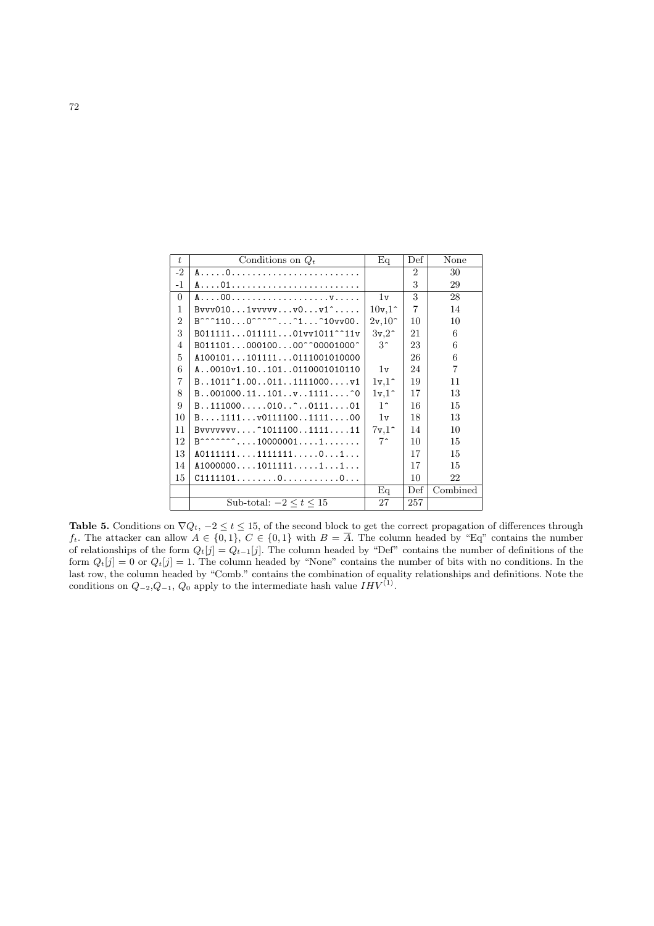| t              | Conditions on $Q_t$                                   | Eq                   | Def            | None           |
|----------------|-------------------------------------------------------|----------------------|----------------|----------------|
| $-2$           |                                                       |                      | $\mathfrak{D}$ | 30             |
| $-1$           |                                                       |                      | 3              | 29             |
| $\Omega$       |                                                       | 1v                   | 3              | 28             |
| $\mathbf{1}$   | $Bvvv0101vvvvvv0v1^$                                  | $10v,1^{\circ}$      | $\overline{7}$ | 14             |
| $\overline{2}$ | $B^{\sim}$ 110 $0^{\sim}$ $\sim$ 1 10vv00.            | $2v,10$ <sup>~</sup> | 10             | 10             |
| 3              | B01111101111101vv1011 <sup>--</sup> 11v               | 3v,2                 | 21             | 6              |
| 4              | B01110100010000^^00001000^                            | $3^{\circ}$          | 23             | 6              |
| $\frac{5}{2}$  | A1001011011110111001010000                            |                      | 26             | 6              |
| 6              | A0010v1.101010110001010110                            | 1v                   | 24             | $\overline{7}$ |
| 7              | $B1011^{\circ}1.000111111000v1$                       | $1v,1^{\sim}$        | 19             | 11             |
| 8              | $B. .001000.11. .101. .v. .1111. ^0$                  | $1v,1^{\sim}$        | 17             | 13             |
| 9              | B111000010010                                         | $1^{\circ}$          | 16             | 15             |
| 10             | $B \ldots 1111 \ldots v0111100 \ldots 1111 \ldots 00$ | 1v                   | 18             | 13             |
| 11             | $Bvvvvvvv^1011100111111$                              | 7v,1                 | 14             | 10             |
| 12             | $B^{n n n n n n n}$ 100000011                         | $7^{\degree}$        | 10             | 15             |
| 13             | A0111111111111101                                     |                      | 17             | 15             |
| 14             | A1000000101111111                                     |                      | 17             | 15             |
| 15             | C111110100                                            |                      | 10             | 22             |
|                |                                                       | Eq                   | Def            | Combined       |
|                | Sub-total: $-2 < t < 15$                              | 27                   | 257            |                |

Table 5. Conditions on  $\nabla Q_t$ ,  $-2 \le t \le 15$ , of the second block to get the correct propagation of differences through ft. The attacker can allow  $A \in \{0,1\}$ ,  $C \in \{0,1\}$  with  $B = \overline{A}$ . The column headed by "Eq" contains the number of relationships of the form  $Q_t[j] = Q_{t-1}[j]$ . The column headed by "Def" contains the number of definitions of the form  $Q_t[j] = 0$  or  $Q_t[j] = 1$ . The column headed by "None" contains the number of bits with no conditions. In the last row, the column headed by "Comb." contains the combination of equality relationships and definitions. Note the conditions on  $Q_{-2}, Q_{-1}, Q_0$  apply to the intermediate hash value  $IHV^{(1)}$ .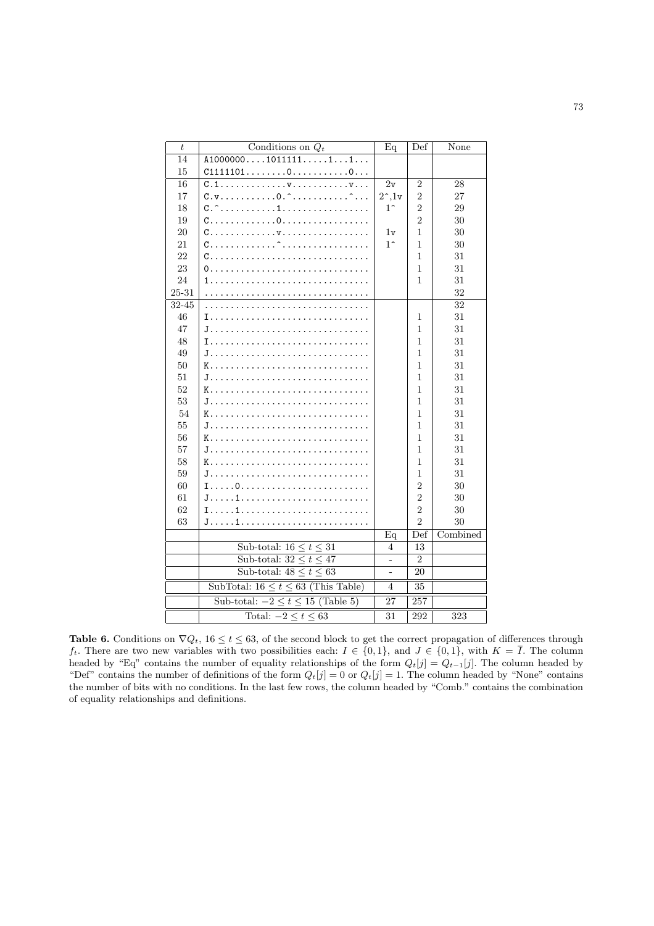| $\boldsymbol{t}$ | Conditions on $Q_t$                                                       | Eq              | Def            | None     |
|------------------|---------------------------------------------------------------------------|-----------------|----------------|----------|
| 14               | A100000010111111                                                          |                 |                |          |
| 15               | C111110100                                                                |                 |                |          |
| 16               | $C.1.$ $v.$ $v.$                                                          | 2v              | $\overline{2}$ | 28       |
| 17               | $C. v. \ldots \ldots \ldots 0 \cdot \hat{c} \ldots \ldots \hat{c} \ldots$ | $2^{\sim}$ , 1v | $\overline{2}$ | 27       |
| 18               |                                                                           | $1^{\circ}$     | $\overline{2}$ | 29       |
| 19               |                                                                           |                 | $\overline{2}$ | 30       |
| $20\,$           |                                                                           | 1v              | 1              | 30       |
| 21               |                                                                           | $1^{\sim}$      | 1              | 30       |
| 22               | C.<br>a a a a a a a                                                       |                 | $\mathbf{1}$   | 31       |
| 23               | 0.                                                                        |                 | $\mathbf{1}$   | 31       |
| 24               | 1.                                                                        |                 | 1              | 31       |
| 25-31            |                                                                           |                 |                | 32       |
| $32 - 45$        | .<br><u>.</u>                                                             |                 |                | 32       |
| 46               |                                                                           |                 | 1              | 31       |
| 47               |                                                                           |                 | 1              | 31       |
| 48               |                                                                           |                 | 1              | 31       |
| 49               |                                                                           |                 | $\mathbf{1}$   | 31       |
| 50               | K.                                                                        |                 | 1              | 31       |
| 51               | J.                                                                        |                 | $\mathbf{1}$   | 31       |
| 52               | K.                                                                        |                 | 1              | 31       |
| 53               | J.                                                                        |                 | 1              | 31       |
| 54               | K.                                                                        |                 | 1              | 31       |
| 55               | J.                                                                        |                 | $\overline{1}$ | 31       |
| 56               | K.                                                                        |                 | $\mathbf{1}$   | 31       |
| 57               | J.                                                                        |                 | $\mathbf{1}$   | 31       |
| 58               | K.                                                                        |                 | 1              | 31       |
| 59               |                                                                           |                 | 1              | 31       |
| 60               |                                                                           |                 | $\overline{2}$ | 30       |
| 61               |                                                                           |                 | $\overline{2}$ | 30       |
| 62               |                                                                           |                 | $\overline{2}$ | 30       |
| 63               |                                                                           |                 | $\overline{2}$ | 30       |
|                  |                                                                           | $\overline{Eq}$ | Def            | Combined |
|                  | Sub-total: $16 \le t \le 31$                                              | $\overline{4}$  | 13             |          |
|                  | Sub-total: $32 \le t \le 47$                                              | $\overline{a}$  | $\overline{2}$ |          |
|                  | Sub-total: $48 \le t \le 63$                                              |                 | 20             |          |
|                  | SubTotal: $16 \le t \le 63$ (This Table)                                  | $\overline{4}$  | 35             |          |
|                  | Sub-total: $-2 \le t \le 15$ (Table 5)                                    | 27              | 257            |          |
|                  | Total: $-2 \le t \le 63$                                                  | 31              | 292            | 323      |
|                  |                                                                           |                 |                |          |

Table 6. Conditions on  $\nabla Q_t$ ,  $16 \le t \le 63$ , of the second block to get the correct propagation of differences through  $f_t$ . There are two new variables with two possibilities each:  $I \in \{0,1\}$ , and  $J \in \{0,1\}$ , with  $K = \overline{I}$ . The column headed by "Eq" contains the number of equality relationships of the form  $Q_t[j] = Q_{t-1}[j]$ . The column headed by "Def" contains the number of definitions of the form  $Q_t[j] = 0$  or  $Q_t[j] = 1$ . The column headed by "None" contains the number of bits with no conditions. In the last few rows, the column headed by "Comb." contains the combination of equality relationships and definitions.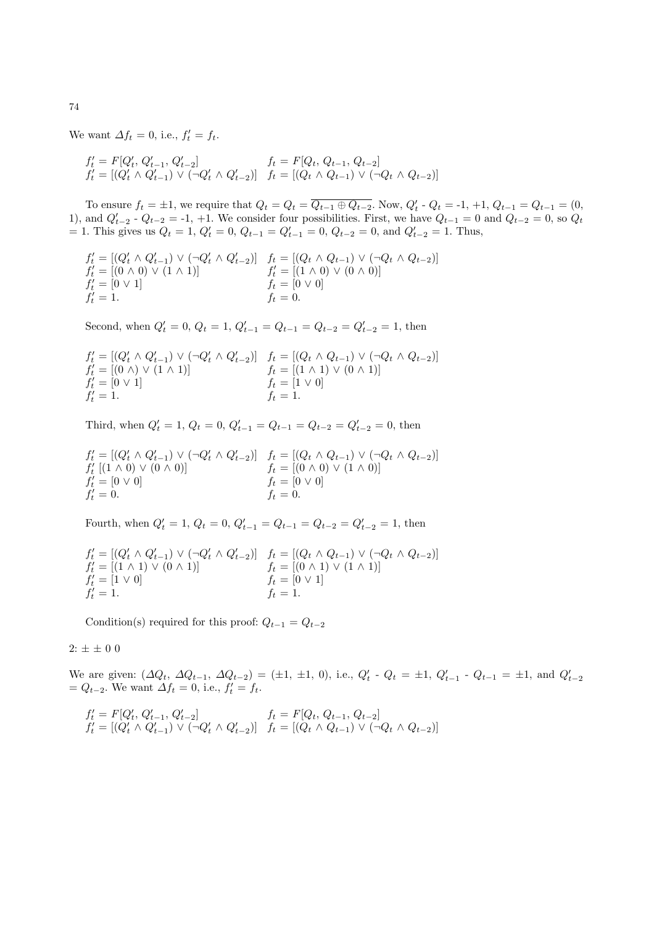We want  $\Delta f_t = 0$ , i.e.,  $f'_t = f_t$ .

$$
f'_t = F[Q'_t, Q'_{t-1}, Q'_{t-2}] \t f_t = F[Q_t, Q_{t-1}, Q_{t-2}]
$$
  
\n
$$
f'_t = [(Q'_t \land Q'_{t-1}) \lor (\neg Q'_t \land Q'_{t-2})] \t f_t = [(Q_t \land Q_{t-1}) \lor (\neg Q_t \land Q_{t-2})]
$$

To ensure  $f_t = \pm 1$ , we require that  $Q_t = Q_t = \overline{Q_{t-1} \oplus Q_{t-2}}$ . Now,  $Q'_t \cdot Q_t = -1, +1, Q_{t-1} = Q_{t-1} = (0,$ 1), and  $Q'_{t-2}$  -  $Q_{t-2}$  = -1, +1. We consider four possibilities. First, we have  $Q_{t-1} = 0$  and  $Q_{t-2} = 0$ , so  $Q_t$  $= 1$ . This gives us  $Q_t = 1$ ,  $Q'_t = 0$ ,  $Q_{t-1} = Q'_{t-1} = 0$ ,  $Q_{t-2} = 0$ , and  $Q'_{t-2} = 1$ . Thus,

$$
f'_t = [(Q'_t \wedge Q'_{t-1}) \vee (\neg Q'_t \wedge Q'_{t-2})] \quad f_t = [(Q_t \wedge Q_{t-1}) \vee (\neg Q_t \wedge Q_{t-2})] f'_t = [(0 \wedge 0) \vee (1 \wedge 1)] \quad f'_t = [(1 \wedge 0) \vee (0 \wedge 0)] f'_t = [0 \vee 1] \quad f_t = [0 \vee 0] f'_t = 1.
$$

Second, when  $Q'_t = 0$ ,  $Q_t = 1$ ,  $Q'_{t-1} = Q_{t-1} = Q_{t-2} = Q'_{t-2} = 1$ , then

$$
f'_t = [(Q'_t \land Q'_{t-1}) \lor (\neg Q'_t \land Q'_{t-2})] \quad f_t = [(Q_t \land Q_{t-1}) \lor (\neg Q_t \land Q_{t-2})] f'_t = [(0 \land) \lor (1 \land 1)] \quad f_t = [(1 \land 1) \lor (0 \land 1)] f'_t = [0 \lor 1] \quad f_t = [1 \lor 0] f'_t = 1.
$$

Third, when  $Q'_t = 1$ ,  $Q_t = 0$ ,  $Q'_{t-1} = Q_{t-1} = Q_{t-2} = Q'_{t-2} = 0$ , then

$$
f'_{t} = [(Q'_{t} \land Q'_{t-1}) \lor (\neg Q'_{t} \land Q'_{t-2})] \quad f_{t} = [(Q_{t} \land Q_{t-1}) \lor (\neg Q_{t} \land Q_{t-2})] f'_{t} [(1 \land 0) \lor (0 \land 0)] \quad f_{t} = [(0 \land 0) \lor (1 \land 0)] f'_{t} = [0 \lor 0] \quad f_{t} = [0 \lor 0] f'_{t} = 0.
$$

Fourth, when  $Q'_t = 1$ ,  $Q_t = 0$ ,  $Q'_{t-1} = Q_{t-1} = Q_{t-2} = Q'_{t-2} = 1$ , then

$$
f'_t = [(Q'_t \land Q'_{t-1}) \lor (\neg Q'_t \land Q'_{t-2})] \quad f_t = [(Q_t \land Q_{t-1}) \lor (\neg Q_t \land Q_{t-2})] f'_t = [(1 \land 1) \lor (0 \land 1)] \quad f_t = [(0 \land 1) \lor (1 \land 1)] f'_t = [1 \lor 0] \quad f_t = [0 \lor 1] f'_t = 1.
$$

Condition(s) required for this proof:  $Q_{t-1} = Q_{t-2}$ 

# $2: \pm\,\pm\,0$ 0

We are given:  $(\Delta Q_t, \Delta Q_{t-1}, \Delta Q_{t-2}) = (\pm 1, \pm 1, 0), \text{ i.e., } Q'_t \cdot Q_t = \pm 1, Q'_{t-1} \cdot Q_{t-1} = \pm 1, \text{ and } Q'_{t-2}$  $= Q_{t-2}$ . We want  $\Delta f_t = 0$ , i.e.,  $f'_t = f_t$ .

$$
f'_t = F[Q'_t, Q'_{t-1}, Q'_{t-2}] \qquad f_t = F[Q_t, Q_{t-1}, Q_{t-2}] f'_t = [(Q'_t \land Q'_{t-1}) \lor (\neg Q'_t \land Q'_{t-2})] \quad f_t = [(Q_t \land Q_{t-1}) \lor (\neg Q_t \land Q_{t-2})]
$$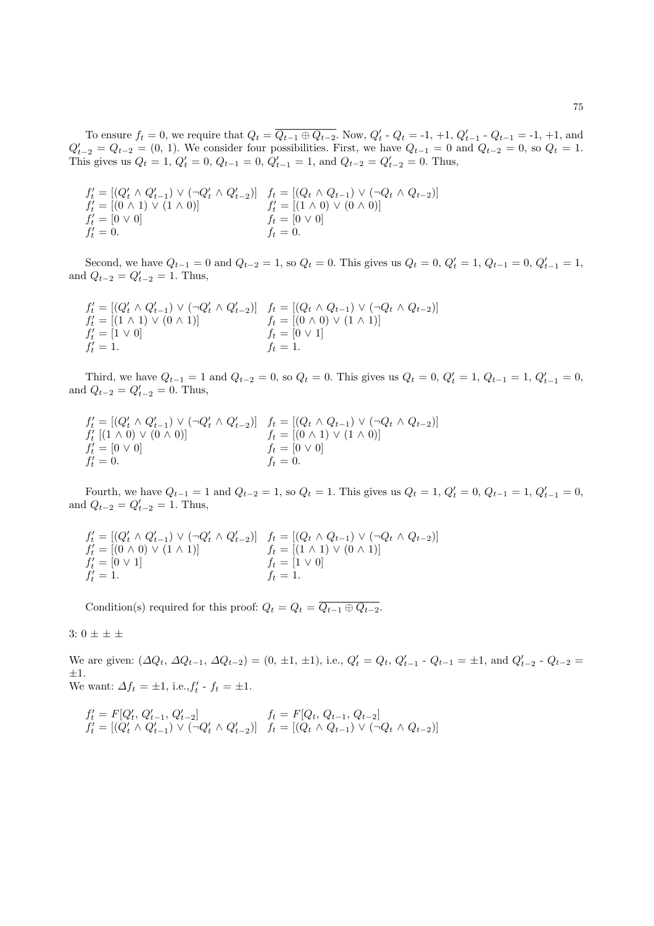To ensure  $f_t = 0$ , we require that  $Q_t = \overline{Q_{t-1} \oplus Q_{t-2}}$ . Now,  $Q'_t \cdot Q_t = -1, +1, Q'_{t-1} \cdot Q_{t-1} = -1, +1$ , and  $Q'_{t-2} = Q_{t-2} = (0, 1)$ . We consider four possibilities. First, we have  $Q_{t-1} = 0$  and  $Q_{t-2} = 0$ , so  $Q_t = 1$ . This gives us  $Q_t = 1$ ,  $Q'_t = 0$ ,  $Q_{t-1} = 0$ ,  $Q'_{t-1} = 1$ , and  $Q_{t-2} = Q'_{t-2} = 0$ . Thus,

$$
f'_t = [(Q'_t \wedge Q'_{t-1}) \vee (\neg Q'_t \wedge Q'_{t-2})] \quad f_t = [(Q_t \wedge Q_{t-1}) \vee (\neg Q_t \wedge Q_{t-2})] f'_t = [(0 \wedge 1) \vee (1 \wedge 0)] \quad f'_t = [(1 \wedge 0) \vee (0 \wedge 0)] f'_t = [0 \vee 0] \quad f_t = [0 \vee 0] f'_t = 0.
$$

Second, we have  $Q_{t-1} = 0$  and  $Q_{t-2} = 1$ , so  $Q_t = 0$ . This gives us  $Q_t = 0$ ,  $Q'_t = 1$ ,  $Q_{t-1} = 0$ ,  $Q'_{t-1} = 1$ , and  $Q_{t-2} = Q'_{t-2} = 1$ . Thus,

$$
f'_{t} = [(Q'_{t} \land Q'_{t-1}) \lor (\neg Q'_{t} \land Q'_{t-2})] \quad f_{t} = [(Q_{t} \land Q_{t-1}) \lor (\neg Q_{t} \land Q_{t-2})] f'_{t} = [(1 \land 1) \lor (0 \land 1)] \quad f_{t} = [(0 \land 0) \lor (1 \land 1)] f'_{t} = [1 \lor 0] \quad f_{t} = [0 \lor 1] f'_{t} = 1.
$$

Third, we have  $Q_{t-1} = 1$  and  $Q_{t-2} = 0$ , so  $Q_t = 0$ . This gives us  $Q_t = 0$ ,  $Q'_t = 1$ ,  $Q_{t-1} = 1$ ,  $Q'_{t-1} = 0$ , and  $Q_{t-2} = Q'_{t-2} = 0$ . Thus,

$$
f'_{t} = [(Q'_{t} \land Q'_{t-1}) \lor (\neg Q'_{t} \land Q'_{t-2})] \quad f_{t} = [(Q_{t} \land Q_{t-1}) \lor (\neg Q_{t} \land Q_{t-2})] f'_{t} [(1 \land 0) \lor (0 \land 0)] \quad f_{t} = [(0 \land 1) \lor (1 \land 0)] f'_{t} = [0 \lor 0] \quad f_{t} = [0 \lor 0] f'_{t} = 0.
$$

Fourth, we have  $Q_{t-1} = 1$  and  $Q_{t-2} = 1$ , so  $Q_t = 1$ . This gives us  $Q_t = 1$ ,  $Q'_t = 0$ ,  $Q_{t-1} = 1$ ,  $Q'_{t-1} = 0$ , and  $Q_{t-2} = Q'_{t-2} = 1$ . Thus,

$$
f'_t = [(Q'_t \land Q'_{t-1}) \lor (\neg Q'_t \land Q'_{t-2})] \quad f_t = [(Q_t \land Q_{t-1}) \lor (\neg Q_t \land Q_{t-2})] f'_t = [(0 \land 0) \lor (1 \land 1)] \quad f_t = [(1 \land 1) \lor (0 \land 1)] f'_t = [0 \lor 1] \quad f_t = [1 \lor 0] f'_t = 1.
$$

Condition(s) required for this proof:  $Q_t = Q_t = \overline{Q_{t-1} \oplus Q_{t-2}}$ .

3: 0 ± ± ±

We are given:  $(\Delta Q_t, \Delta Q_{t-1}, \Delta Q_{t-2}) = (0, \pm 1, \pm 1), \text{ i.e., } Q'_t = Q_t, Q'_{t-1} - Q_{t-1} = \pm 1, \text{ and } Q'_{t-2} - Q_{t-2} =$ ±1. We want:  $\Delta f_t = \pm 1$ , i.e.,  $f'_t - f_t = \pm 1$ .

$$
f'_t = F[Q'_t, Q'_{t-1}, Q'_{t-2}] \qquad f_t = F[Q_t, Q_{t-1}, Q_{t-2}] f'_t = [(Q'_t \land Q'_{t-1}) \lor (\neg Q'_t \land Q'_{t-2})] \quad f_t = [(Q_t \land Q_{t-1}) \lor (\neg Q_t \land Q_{t-2})]
$$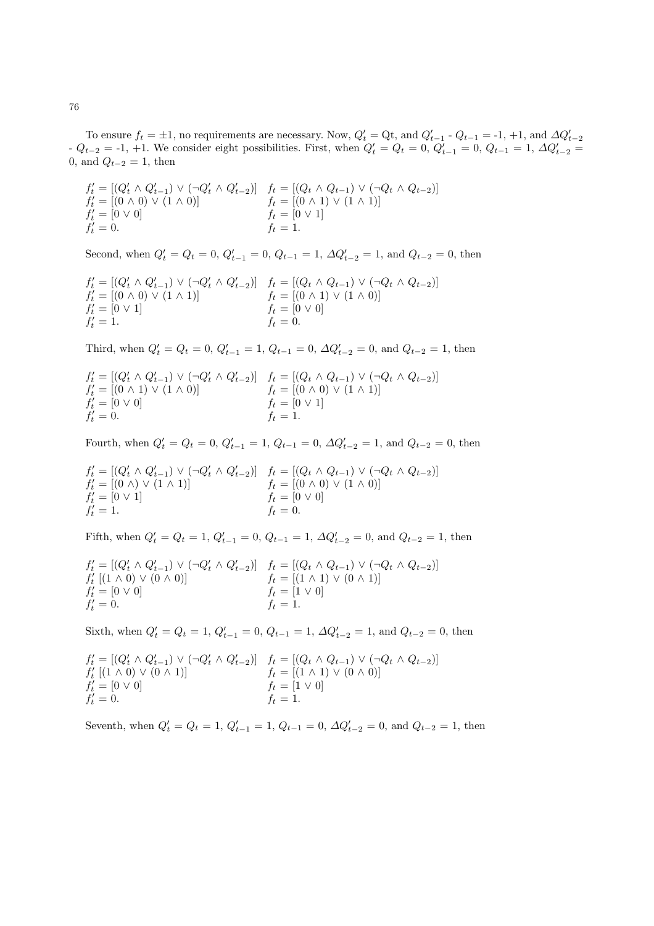To ensure  $f_t = \pm 1$ , no requirements are necessary. Now,  $Q'_t = Q_t$ , and  $Q'_{t-1} - Q_{t-1} = -1$ ,  $+1$ , and  $\Delta Q'_{t-2}$  $- Q_{t-2} = -1, +1.$  We consider eight possibilities. First, when  $Q'_t = Q_t = 0, Q'_{t-1} = 0, Q_{t-1} = 1, \Delta Q'_{t-2} = 0$ 0, and  $Q_{t-2} = 1$ , then

$$
f'_{t} = [(Q'_{t} \land Q'_{t-1}) \lor (\neg Q'_{t} \land Q'_{t-2})] \quad f_{t} = [(Q_{t} \land Q_{t-1}) \lor (\neg Q_{t} \land Q_{t-2})] f'_{t} = [(0 \land 0) \lor (1 \land 0)] \quad f_{t} = [(0 \land 1) \lor (1 \land 1)] f'_{t} = [0 \lor 0] \quad f_{t} = [0 \lor 1] f'_{t} = 0.
$$

Second, when  $Q'_t = Q_t = 0$ ,  $Q'_{t-1} = 0$ ,  $Q_{t-1} = 1$ ,  $\Delta Q'_{t-2} = 1$ , and  $Q_{t-2} = 0$ , then

$$
f'_t = [(Q'_t \land Q'_{t-1}) \lor (\neg Q'_t \land Q'_{t-2})] \quad f_t = [(Q_t \land Q_{t-1}) \lor (\neg Q_t \land Q_{t-2})]
$$
  
\n
$$
f'_t = [(0 \land 0) \lor (1 \land 1)] \quad f_t = [(0 \land 1) \lor (1 \land 0)]
$$
  
\n
$$
f'_t = [0 \lor 1] \quad f_t = [0 \lor 0]
$$
  
\n
$$
f'_t = 1.
$$

Third, when  $Q'_t = Q_t = 0$ ,  $Q'_{t-1} = 1$ ,  $Q_{t-1} = 0$ ,  $\Delta Q'_{t-2} = 0$ , and  $Q_{t-2} = 1$ , then

$$
f'_t = [(Q'_t \wedge Q'_{t-1}) \vee (\neg Q'_t \wedge Q'_{t-2})] \quad f_t = [(Q_t \wedge Q_{t-1}) \vee (\neg Q_t \wedge Q_{t-2})] f'_t = [(0 \wedge 1) \vee (1 \wedge 0)] \quad f_t = [(0 \wedge 0) \vee (1 \wedge 1)] f'_t = [0 \vee 0] \quad f_t = [0 \vee 1] f'_t = 0.
$$

Fourth, when  $Q'_t = Q_t = 0$ ,  $Q'_{t-1} = 1$ ,  $Q_{t-1} = 0$ ,  $\Delta Q'_{t-2} = 1$ , and  $Q_{t-2} = 0$ , then

$$
f'_{t} = [(Q'_{t} \land Q'_{t-1}) \lor (\neg Q'_{t} \land Q'_{t-2})] \quad f_{t} = [(Q_{t} \land Q_{t-1}) \lor (\neg Q_{t} \land Q_{t-2})] f'_{t} = [(0 \land) \lor (1 \land 1)] \quad f_{t} = [(0 \land 0) \lor (1 \land 0)] f'_{t} = [0 \lor 1] \quad f_{t} = [0 \lor 0] f'_{t} = 1.
$$

Fifth, when  $Q'_t = Q_t = 1$ ,  $Q'_{t-1} = 0$ ,  $Q_{t-1} = 1$ ,  $\Delta Q'_{t-2} = 0$ , and  $Q_{t-2} = 1$ , then

$$
f'_{t} = [(Q'_{t} \land Q'_{t-1}) \lor (\neg Q'_{t} \land Q'_{t-2})] \quad f_{t} = [(Q_{t} \land Q_{t-1}) \lor (\neg Q_{t} \land Q_{t-2})] f'_{t} [(1 \land 0) \lor (0 \land 0)] \quad f_{t} = [(1 \land 1) \lor (0 \land 1)] f'_{t} = [0 \lor 0] \quad f_{t} = [1 \lor 0] f'_{t} = 0.
$$

Sixth, when  $Q'_t = Q_t = 1, Q'_{t-1} = 0, Q_{t-1} = 1, \Delta Q'_{t-2} = 1$ , and  $Q_{t-2} = 0$ , then

$$
f'_{t} = [(Q'_{t} \land Q'_{t-1}) \lor (\neg Q'_{t} \land Q'_{t-2})] \quad f_{t} = [(Q_{t} \land Q_{t-1}) \lor (\neg Q_{t} \land Q_{t-2})] f'_{t} [(1 \land 0) \lor (0 \land 1)] \quad f_{t} = [(1 \land 1) \lor (0 \land 0)] f'_{t} = [0 \lor 0] \quad f_{t} = [1 \lor 0] f'_{t} = 0.
$$

Seventh, when  $Q'_t = Q_t = 1$ ,  $Q'_{t-1} = 1$ ,  $Q_{t-1} = 0$ ,  $\Delta Q'_{t-2} = 0$ , and  $Q_{t-2} = 1$ , then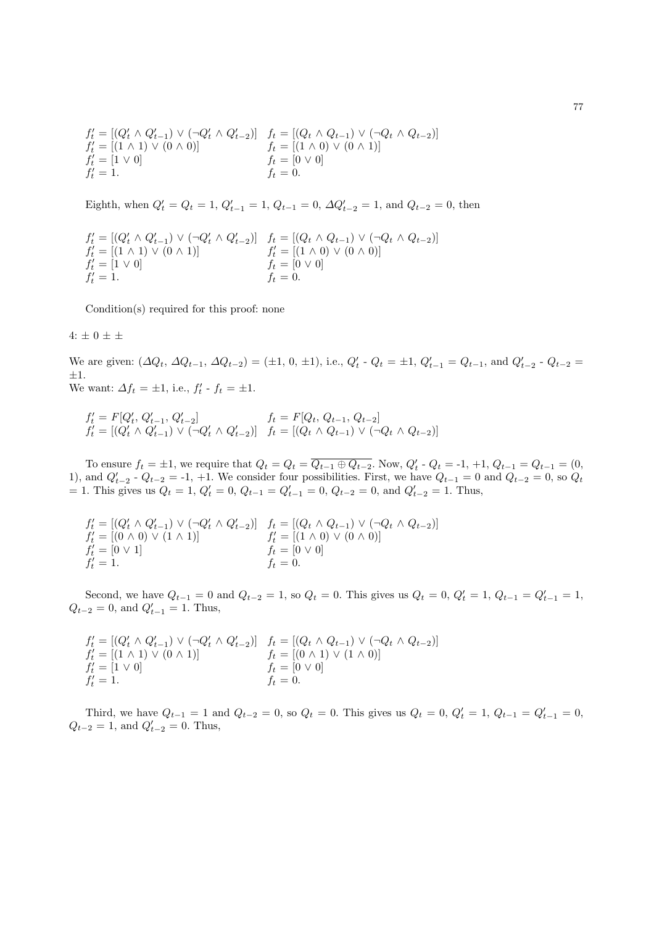$$
f'_t = [(Q'_t \wedge Q'_{t-1}) \vee (\neg Q'_t \wedge Q'_{t-2})] \quad f_t = [(Q_t \wedge Q_{t-1}) \vee (\neg Q_t \wedge Q_{t-2})] f'_t = [(1 \wedge 1) \vee (0 \wedge 0)] \quad f_t = [(1 \wedge 0) \vee (0 \wedge 1)] f'_t = [1 \vee 0] \quad f_t = [0 \vee 0] f'_t = 1.
$$

Eighth, when  $Q'_t = Q_t = 1$ ,  $Q'_{t-1} = 1$ ,  $Q_{t-1} = 0$ ,  $\Delta Q'_{t-2} = 1$ , and  $Q_{t-2} = 0$ , then

$$
f'_{t} = [(Q'_{t} \land Q'_{t-1}) \lor (\neg Q'_{t} \land Q'_{t-2})] \quad f_{t} = [(Q_{t} \land Q_{t-1}) \lor (\neg Q_{t} \land Q_{t-2})] f'_{t} = [(1 \land 1) \lor (0 \land 1)] \quad f'_{t} = [(1 \land 0) \lor (0 \land 0)] f'_{t} = [1 \lor 0] \quad f_{t} = [0 \lor 0] f'_{t} = 1.
$$

Condition(s) required for this proof: none

4:  $\pm$  0  $\pm$   $\pm$ 

We are given:  $(\Delta Q_t, \Delta Q_{t-1}, \Delta Q_{t-2}) = (\pm 1, 0, \pm 1), \text{ i.e., } Q'_t \cdot Q_t = \pm 1, Q'_{t-1} = Q_{t-1}, \text{ and } Q'_{t-2} \cdot Q_{t-2} =$  $\pm 1.$ We want:  $\Delta f_t = \pm 1$ , i.e.,  $f'_t$  -  $f_t = \pm 1$ .

$$
f'_t = F[Q'_t, Q'_{t-1}, Q'_{t-2}] \qquad f_t = F[Q_t, Q_{t-1}, Q_{t-2}] f'_t = [(Q'_t \wedge Q'_{t-1}) \vee (\neg Q'_t \wedge Q'_{t-2})] \quad f_t = [(Q_t \wedge Q_{t-1}) \vee (\neg Q_t \wedge Q_{t-2})]
$$

To ensure  $f_t = \pm 1$ , we require that  $Q_t = Q_t = \overline{Q_{t-1} \oplus Q_{t-2}}$ . Now,  $Q'_t \cdot Q_t = -1, +1, Q_{t-1} = Q_{t-1} = (0,$ 1), and  $Q'_{t-2}$  -  $Q_{t-2}$  = -1, +1. We consider four possibilities. First, we have  $Q_{t-1} = 0$  and  $Q_{t-2} = 0$ , so  $Q_t$ = 1. This gives us  $Q_t = 1$ ,  $Q'_t = 0$ ,  $Q_{t-1} = Q'_{t-1} = 0$ ,  $Q_{t-2} = 0$ , and  $Q'_{t-2} = 1$ . Thus,

$$
f'_t = [(Q'_t \land Q'_{t-1}) \lor (\neg Q'_t \land Q'_{t-2})] \quad f_t = [(Q_t \land Q_{t-1}) \lor (\neg Q_t \land Q_{t-2})]
$$
  
\n
$$
f'_t = [(0 \land 0) \lor (1 \land 1)] \quad f'_t = [(1 \land 0) \lor (0 \land 0)]
$$
  
\n
$$
f'_t = [0 \lor 1] \quad f_t = [0 \lor 0]
$$
  
\n
$$
f'_t = 1.
$$

Second, we have  $Q_{t-1} = 0$  and  $Q_{t-2} = 1$ , so  $Q_t = 0$ . This gives us  $Q_t = 0$ ,  $Q'_t = 1$ ,  $Q_{t-1} = Q'_{t-1} = 1$ ,  $Q_{t-2} = 0$ , and  $Q'_{t-1} = 1$ . Thus,

$$
f'_t = [(Q'_t \land Q'_{t-1}) \lor (\neg Q'_t \land Q'_{t-2})] \quad f_t = [(Q_t \land Q_{t-1}) \lor (\neg Q_t \land Q_{t-2})] f'_t = [(1 \land 1) \lor (0 \land 1)] \quad f_t = [(0 \land 1) \lor (1 \land 0)] f'_t = [1 \lor 0] \quad f_t = [0 \lor 0] f'_t = 1.
$$

Third, we have  $Q_{t-1} = 1$  and  $Q_{t-2} = 0$ , so  $Q_t = 0$ . This gives us  $Q_t = 0$ ,  $Q'_t = 1$ ,  $Q_{t-1} = Q'_{t-1} = 0$ ,  $Q_{t-2} = 1$ , and  $Q'_{t-2} = 0$ . Thus,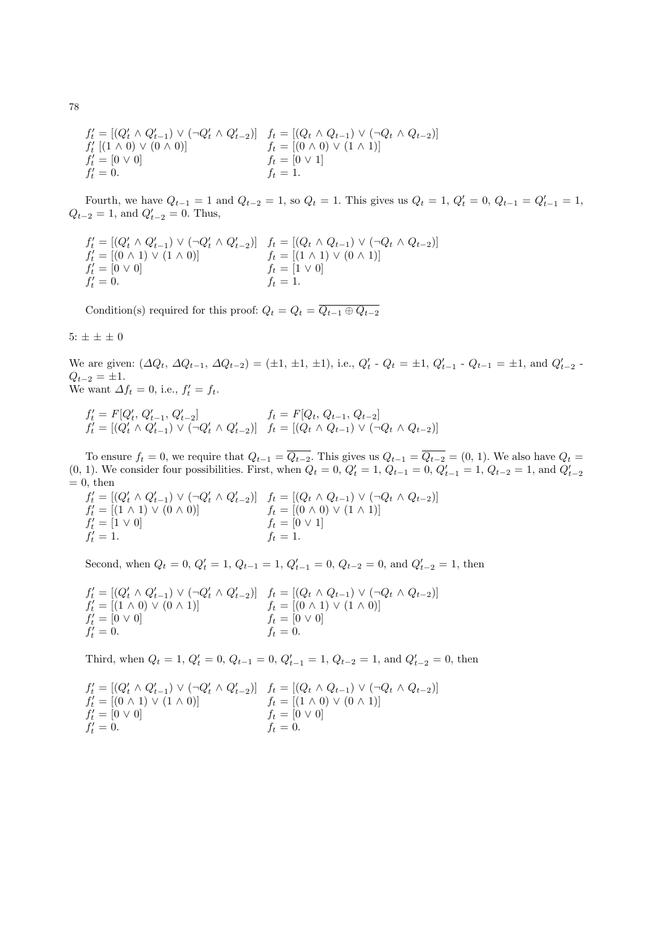$$
f'_{t} = [(Q'_{t} \land Q'_{t-1}) \lor (\neg Q'_{t} \land Q'_{t-2})] \quad f_{t} = [(Q_{t} \land Q_{t-1}) \lor (\neg Q_{t} \land Q_{t-2})] f'_{t} [(1 \land 0) \lor (0 \land 0)] \quad f_{t} = [(0 \land 0) \lor (1 \land 1)] f'_{t} = [0 \lor 0] \quad f_{t} = [0 \lor 1] f'_{t} = 0.
$$

Fourth, we have  $Q_{t-1} = 1$  and  $Q_{t-2} = 1$ , so  $Q_t = 1$ . This gives us  $Q_t = 1$ ,  $Q'_t = 0$ ,  $Q_{t-1} = Q'_{t-1} = 1$ ,  $Q_{t-2} = 1$ , and  $Q'_{t-2} = 0$ . Thus,

$$
f'_t = [(Q'_t \wedge Q'_{t-1}) \vee (\neg Q'_t \wedge Q'_{t-2})] \quad f_t = [(Q_t \wedge Q_{t-1}) \vee (\neg Q_t \wedge Q_{t-2})] f'_t = [(0 \wedge 1) \vee (1 \wedge 0)] \quad f_t = [(1 \wedge 1) \vee (0 \wedge 1)] f'_t = [0 \vee 0] \quad f_t = [1 \vee 0] f'_t = 0.
$$

Condition(s) required for this proof:  $Q_t = Q_t = \overline{Q_{t-1} \oplus Q_{t-2}}$ 

5:  $\pm\,\pm\,\pm\,0$ 

We are given:  $(\Delta Q_t, \Delta Q_{t-1}, \Delta Q_{t-2}) = (\pm 1, \pm 1, \pm 1), \text{ i.e., } Q'_t \cdot Q_t = \pm 1, Q'_{t-1} \cdot Q_{t-1} = \pm 1, \text{ and } Q'_{t-2} \cdot Q_t = \pm 1$  $Q_{t-2} = \pm 1.$ We want  $\Delta f_t = 0$ , i.e.,  $f'_t = f_t$ .

$$
\begin{array}{ll}\nf_t' = F[Q_t', Q_{t-1}', Q_{t-2}'] & f_t = F[Q_t, Q_{t-1}, Q_{t-2}] \\
f_t' = [(Q_t' \land Q_{t-1}') \lor (\neg Q_t' \land Q_{t-2}')] & f_t = [(Q_t \land Q_{t-1}) \lor (\neg Q_t \land Q_{t-2})]\n\end{array}
$$

To ensure  $f_t = 0$ , we require that  $Q_{t-1} = \overline{Q_{t-2}}$ . This gives us  $Q_{t-1} = \overline{Q_{t-2}} = (0, 1)$ . We also have  $Q_t =$ (0, 1). We consider four possibilities. First, when  $Q_t = 0$ ,  $Q'_t = 1$ ,  $Q_{t-1} = 0$ ,  $Q'_{t-1} = 1$ ,  $Q_{t-2} = 1$ , and  $Q'_{t-2}$  $= 0$ , then

 $f'_{t} = [(Q'_{t} \wedge Q'_{t-1}) \vee (\neg Q'_{t} \wedge Q'_{t-2})]$   $f_{t} = [(Q_{t} \wedge Q_{t-1}) \vee (\neg Q_{t} \wedge Q_{t-2})]$  $f'_t = [(1 \wedge 1) \vee (0 \wedge 0)]$   $f_t = [(0 \wedge 0) \vee (1 \wedge 1)]$  $f'_t = [1 \vee 0]$   $f_t = [0 \vee 1]$  $f'_t = 1.$   $f_t = 1.$ 

Second, when  $Q_t = 0$ ,  $Q'_t = 1$ ,  $Q_{t-1} = 1$ ,  $Q'_{t-1} = 0$ ,  $Q_{t-2} = 0$ , and  $Q'_{t-2} = 1$ , then

$$
f'_t = [(Q'_t \wedge Q'_{t-1}) \vee (\neg Q'_t \wedge Q'_{t-2})] \quad f_t = [(Q_t \wedge Q_{t-1}) \vee (\neg Q_t \wedge Q_{t-2})] f'_t = [(1 \wedge 0) \vee (0 \wedge 1)] \quad f_t = [(0 \wedge 1) \vee (1 \wedge 0)] f'_t = [0 \vee 0] \quad f_t = [0 \vee 0] f'_t = 0.
$$

Third, when  $Q_t = 1$ ,  $Q'_t = 0$ ,  $Q_{t-1} = 0$ ,  $Q'_{t-1} = 1$ ,  $Q_{t-2} = 1$ , and  $Q'_{t-2} = 0$ , then

$$
f'_t = [(Q'_t \wedge Q'_{t-1}) \vee (\neg Q'_t \wedge Q'_{t-2})] \quad f_t = [(Q_t \wedge Q_{t-1}) \vee (\neg Q_t \wedge Q_{t-2})] f'_t = [(0 \wedge 1) \vee (1 \wedge 0)] \quad f_t = [(1 \wedge 0) \vee (0 \wedge 1)] f'_t = [0 \vee 0] \quad f_t = [0 \vee 0] f'_t = 0.
$$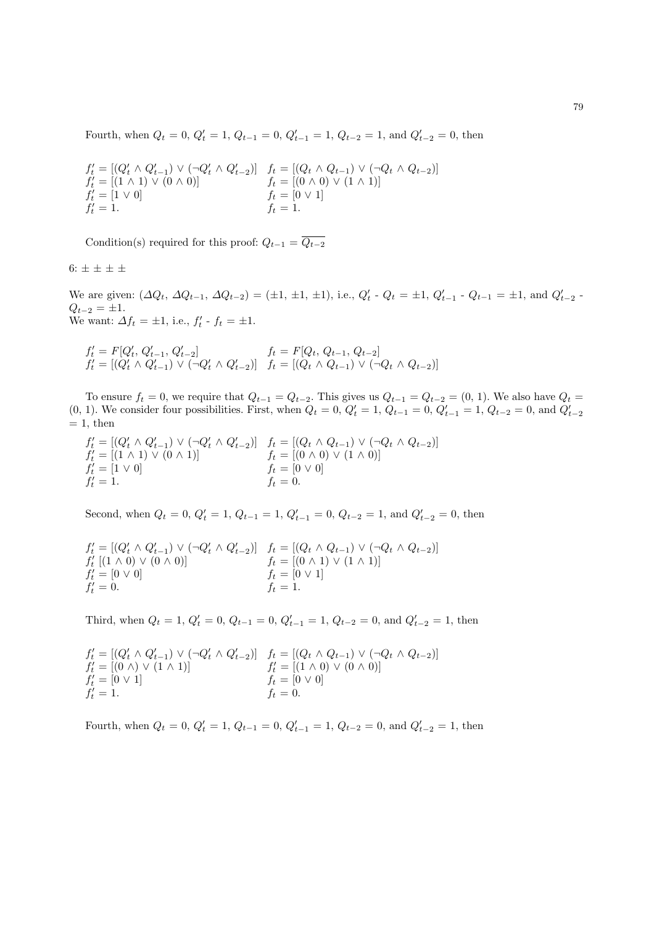Fourth, when  $Q_t = 0$ ,  $Q'_t = 1$ ,  $Q_{t-1} = 0$ ,  $Q'_{t-1} = 1$ ,  $Q_{t-2} = 1$ , and  $Q'_{t-2} = 0$ , then

$$
f'_{t} = [(Q'_{t} \land Q'_{t-1}) \lor (\neg Q'_{t} \land Q'_{t-2})] \quad f_{t} = [(Q_{t} \land Q_{t-1}) \lor (\neg Q_{t} \land Q_{t-2})] f'_{t} = [(1 \land 1) \lor (0 \land 0)] \quad f_{t} = [(0 \land 0) \lor (1 \land 1)] f'_{t} = [1 \lor 0] \quad f_{t} = [0 \lor 1] f'_{t} = 1.
$$

Condition(s) required for this proof:  $Q_{t-1} = \overline{Q_{t-2}}$ 

6:  $\pm$   $\pm$   $\pm$   $\pm$ 

We are given:  $(\Delta Q_t, \Delta Q_{t-1}, \Delta Q_{t-2}) = (\pm 1, \pm 1, \pm 1), \text{ i.e., } Q'_t \cdot Q_t = \pm 1, Q'_{t-1} \cdot Q_{t-1} = \pm 1, \text{ and } Q'_{t-2} \cdot Q_t = \pm 1$  $Q_{t-2} = \pm 1.$ We want:  $\Delta f_t = \pm 1$ , i.e.,  $f'_t$  -  $f_t = \pm 1$ .

$$
f'_t = F[Q'_t, Q'_{t-1}, Q'_{t-2}] \t f_t = F[Q_t, Q_{t-1}, Q_{t-2}]
$$
  

$$
f'_t = [(Q'_t \land Q'_{t-1}) \lor (\neg Q'_t \land Q'_{t-2})] \t f_t = [(Q_t \land Q_{t-1}) \lor (\neg Q_t \land Q_{t-2})]
$$

To ensure  $f_t = 0$ , we require that  $Q_{t-1} = Q_{t-2}$ . This gives us  $Q_{t-1} = Q_{t-2} = (0, 1)$ . We also have  $Q_t =$ (0, 1). We consider four possibilities. First, when  $Q_t = 0$ ,  $Q'_t = 1$ ,  $Q_{t-1} = 0$ ,  $Q'_{t-1} = 1$ ,  $Q_{t-2} = 0$ , and  $Q'_{t-2}$  $= 1$ , then

$$
f'_t = [(Q'_t \wedge Q'_{t-1}) \vee (\neg Q'_t \wedge Q'_{t-2})] \quad f_t = [(Q_t \wedge Q_{t-1}) \vee (\neg Q_t \wedge Q_{t-2})] f'_t = [(1 \wedge 1) \vee (0 \wedge 1)] \quad f_t = [(0 \wedge 0) \vee (1 \wedge 0)] f'_t = [1 \vee 0] \quad f_t = [0 \vee 0] f'_t = 1.
$$

Second, when  $Q_t = 0$ ,  $Q'_t = 1$ ,  $Q_{t-1} = 1$ ,  $Q'_{t-1} = 0$ ,  $Q_{t-2} = 1$ , and  $Q'_{t-2} = 0$ , then

$$
f'_{t} = [(Q'_{t} \land Q'_{t-1}) \lor (\neg Q'_{t} \land Q'_{t-2})] \quad f_{t} = [(Q_{t} \land Q_{t-1}) \lor (\neg Q_{t} \land Q_{t-2})] f'_{t} [(1 \land 0) \lor (0 \land 0)] \quad f_{t} = [(0 \land 1) \lor (1 \land 1)] f'_{t} = [0 \lor 0] \quad f_{t} = [0 \lor 1] f'_{t} = 0.
$$

Third, when  $Q_t = 1$ ,  $Q'_t = 0$ ,  $Q_{t-1} = 0$ ,  $Q'_{t-1} = 1$ ,  $Q_{t-2} = 0$ , and  $Q'_{t-2} = 1$ , then

$$
f'_t = [(Q'_t \land Q'_{t-1}) \lor (\neg Q'_t \land Q'_{t-2})] \quad f_t = [(Q_t \land Q_{t-1}) \lor (\neg Q_t \land Q_{t-2})]
$$
  
\n
$$
f'_t = [(0 \land) \lor (1 \land 1)] \quad f'_t = [(1 \land 0) \lor (0 \land 0)]
$$
  
\n
$$
f'_t = [0 \lor 1] \quad f_t = [0 \lor 0]
$$
  
\n
$$
f'_t = 1.
$$

Fourth, when  $Q_t = 0$ ,  $Q'_t = 1$ ,  $Q_{t-1} = 0$ ,  $Q'_{t-1} = 1$ ,  $Q_{t-2} = 0$ , and  $Q'_{t-2} = 1$ , then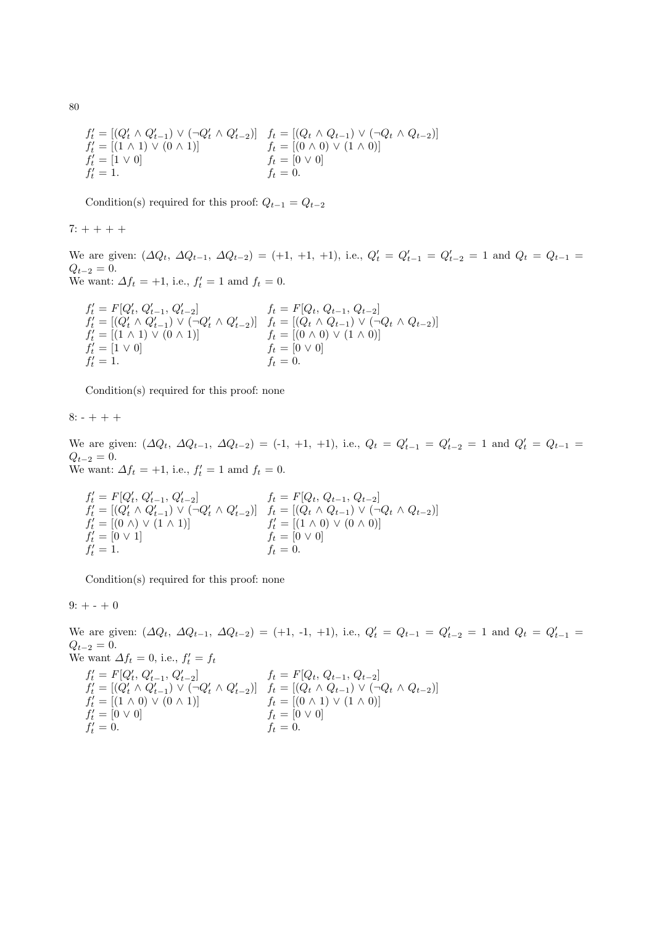$$
f'_t = [(Q'_t \land Q'_{t-1}) \lor (\neg Q'_t \land Q'_{t-2})] \quad f_t = [(Q_t \land Q_{t-1}) \lor (\neg Q_t \land Q_{t-2})] f'_t = [(1 \land 1) \lor (0 \land 1)] \quad f_t = [(0 \land 0) \lor (1 \land 0)] f'_t = [1 \lor 0] \quad f_t = [0 \lor 0] f'_t = 1.
$$

Condition(s) required for this proof:  $Q_{t-1} = Q_{t-2}$ 

 $7: + + + +$ 

We are given:  $(\Delta Q_t, \Delta Q_{t-1}, \Delta Q_{t-2}) = (+1, +1, +1)$ , i.e.,  $Q'_t = Q'_{t-1} = Q'_{t-2} = 1$  and  $Q_t = Q_{t-1} = Q'_{t-1}$  $Q_{t-2} = 0.$ We want:  $\Delta f_t = +1$ , i.e.,  $f'_t = 1$  amd  $f_t = 0$ .

$$
f'_t = F[Q'_t, Q'_{t-1}, Q'_{t-2}] \t f_t = F[Q_t, Q_{t-1}, Q_{t-2}] f'_t = [(Q'_t \wedge Q'_{t-1}) \vee (\neg Q'_t \wedge Q'_{t-2})] \t f_t = [(Q_t \wedge Q_{t-1}) \vee (\neg Q_t \wedge Q_{t-2})] f'_t = [(1 \wedge 1) \vee (0 \wedge 1)] \t f_t = [(0 \wedge 0) \vee (1 \wedge 0)] f'_t = [1 \vee 0] \t f'_t = 1.
$$

Condition(s) required for this proof: none

 $8: - + + +$ 

We are given:  $(\Delta Q_t, \Delta Q_{t-1}, \Delta Q_{t-2}) = (-1, +1, +1)$ , i.e.,  $Q_t = Q'_{t-1} = Q'_{t-2} = 1$  and  $Q'_{t} = Q_{t-1} =$  $Q_{t-2} = 0.$ We want:  $\Delta f_t = +1$ , i.e.,  $f'_t = 1$  amd  $f_t = 0$ .

$$
\begin{array}{ll} f'_t = F[Q'_t,\, Q'_{t-1},\, Q'_{t-2}] & f_t = F[Q_t,\, Q_{t-1},\, Q_{t-2}]\\ f'_t = [(Q'_t \wedge Q'_{t-1}) \vee (\neg Q'_t \wedge Q'_{t-2})] & f_t = [(Q_t \wedge Q_{t-1}) \vee (\neg Q_t \wedge Q_{t-2})]\\ f'_t = [(0 \wedge) \vee (1 \wedge 1)] & f'_t = [(1 \wedge 0) \vee (0 \wedge 0)]\\ f'_t = [0 \vee 1] & f_t = [0 \vee 0]\\ f'_t = 1. & f_t = 0. \end{array}
$$

Condition(s) required for this proof: none

 $9: + - + 0$ 

We are given:  $(\Delta Q_t, \Delta Q_{t-1}, \Delta Q_{t-2}) = (+1, -1, +1)$ , i.e.,  $Q'_t = Q_{t-1} = Q'_{t-2} = 1$  and  $Q_t = Q'_{t-1} =$  $Q_{t-2} = 0.$ We want  $\Delta f_t = 0$ , i.e.,  $f'_t = f_t$  $f'_t = F[Q'_t, Q'_{t-1}, Q'_{t-2}]$   $f_t = F[Q_t, Q_{t-1}, Q_{t-2}]$  $f'_t = [(Q'_t \wedge Q'_{t-1}) \vee (\neg Q'_t \wedge Q'_{t-2})]$   $f_t = [(Q_t \wedge Q_{t-1}) \vee (\neg Q_t \wedge Q_{t-2})]$  $f'_t = [(1 \wedge 0) \vee (0 \wedge 1)]$   $f_t = [(0 \wedge 1) \vee (1 \wedge 0)]$  $f'_t = [0 \vee 0]$  ft =  $[0 \vee 0]$  $f'_t = 0.$   $f_t = 0.$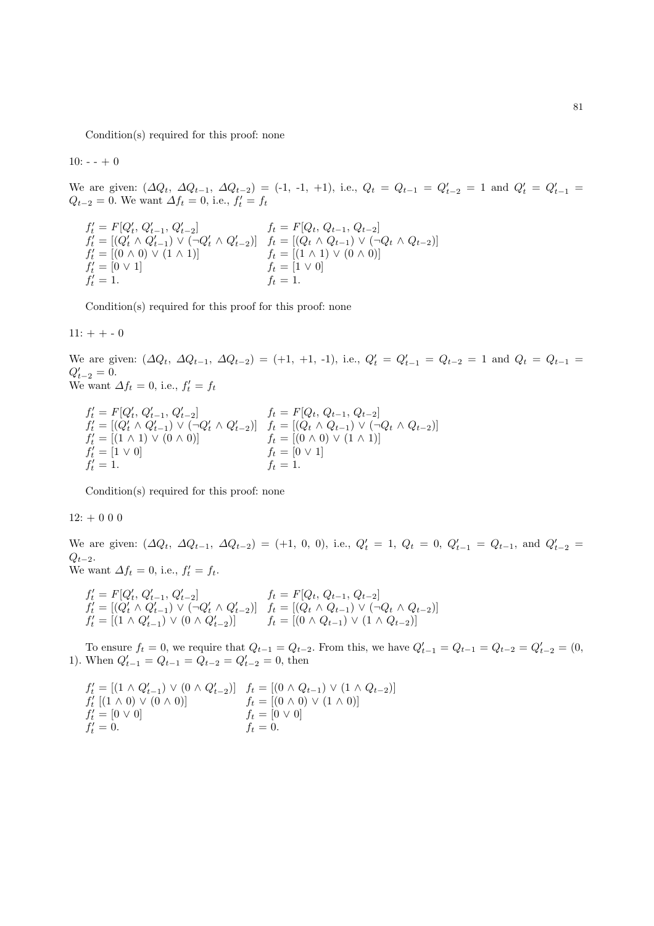Condition(s) required for this proof: none

 $10: - + 0$ 

We are given:  $(\Delta Q_t, \Delta Q_{t-1}, \Delta Q_{t-2}) = (-1, -1, +1)$ , i.e.,  $Q_t = Q_{t-1} = Q'_{t-2} = 1$  and  $Q'_t = Q'_{t-1} =$  $Q_{t-2} = 0$ . We want  $\Delta f_t = 0$ , i.e.,  $f'_t = f_t$ 

$$
f'_t = F[Q'_t, Q'_{t-1}, Q'_{t-2}] \qquad f_t = F[Q_t, Q_{t-1}, Q_{t-2}] f'_t = [(Q'_t \land Q'_{t-1}) \lor (\neg Q'_t \land Q'_{t-2})] \qquad f_t = [(Q_t \land Q_{t-1}) \lor (\neg Q_t \land Q_{t-2})] f'_t = [(0 \land 0) \lor (1 \land 1)] \qquad f_t = [(1 \land 1) \lor (0 \land 0)] f'_t = [0 \lor 1] \qquad f_t = [1 \lor 0] f'_t = 1.
$$

Condition(s) required for this proof for this proof: none

 $11: + + - 0$ 

We are given:  $(\Delta Q_t, \Delta Q_{t-1}, \Delta Q_{t-2}) = (+1, +1, -1)$ , i.e.,  $Q'_t = Q'_{t-1} = Q_{t-2} = 1$  and  $Q_t = Q_{t-1} =$  $Q'_{t-2} = 0.$ We want  $\Delta f_t = 0$ , i.e.,  $f'_t = f_t$ 

$$
f'_t = F[Q'_t, Q'_{t-1}, Q'_{t-2}] \t f_t = F[Q_t, Q_{t-1}, Q_{t-2}] f'_t = [(Q'_t \land Q'_{t-1}) \lor (\neg Q'_t \land Q'_{t-2})] \t f_t = [(Q_t \land Q_{t-1}) \lor (\neg Q_t \land Q_{t-2})] f'_t = [(1 \land 1) \lor (0 \land 0)] \t f_t = [(0 \land 0) \lor (1 \land 1)] f'_t = [1 \lor 0] \t f_t = 1.
$$

Condition(s) required for this proof: none

 $12: + 0 0 0$ 

We are given:  $(\Delta Q_t, \Delta Q_{t-1}, \Delta Q_{t-2}) = (+1, 0, 0),$  i.e.,  $Q'_t = 1, Q_t = 0, Q'_{t-1} = Q_{t-1}$ , and  $Q'_{t-2} =$  $Q_{t-2}$ . We want  $\Delta f_t = 0$ , i.e.,  $f'_t = f_t$ .

$$
f'_t = F[Q'_t, Q'_{t-1}, Q'_{t-2}] \t f_t = F[Q_t, Q_{t-1}, Q_{t-2}]
$$
  
\n
$$
f'_t = [(Q'_t \land Q'_{t-1}) \lor (\neg Q'_t \land Q'_{t-2})] \t f_t = [(Q_t \land Q_{t-1}) \lor (\neg Q_t \land Q_{t-2})]
$$
  
\n
$$
f'_t = [(1 \land Q'_{t-1}) \lor (0 \land Q'_{t-2})] \t f_t = [(0 \land Q_{t-1}) \lor (1 \land Q_{t-2})]
$$

To ensure  $f_t = 0$ , we require that  $Q_{t-1} = Q_{t-2}$ . From this, we have  $Q'_{t-1} = Q_{t-1} = Q_{t-2} = Q'_{t-2} = (0, 0)$ 1). When  $Q'_{t-1} = Q_{t-1} = Q_{t-2} = Q'_{t-2} = 0$ , then

$$
f'_{t} = [(1 \land Q'_{t-1}) \lor (0 \land Q'_{t-2})] \quad f_{t} = [(0 \land Q_{t-1}) \lor (1 \land Q_{t-2})] f'_{t} [(1 \land 0) \lor (0 \land 0)] \quad f_{t} = [(0 \land 0) \lor (1 \land 0)] f'_{t} = [0 \lor 0] \quad f_{t} = [0 \lor 0] f'_{t} = 0.
$$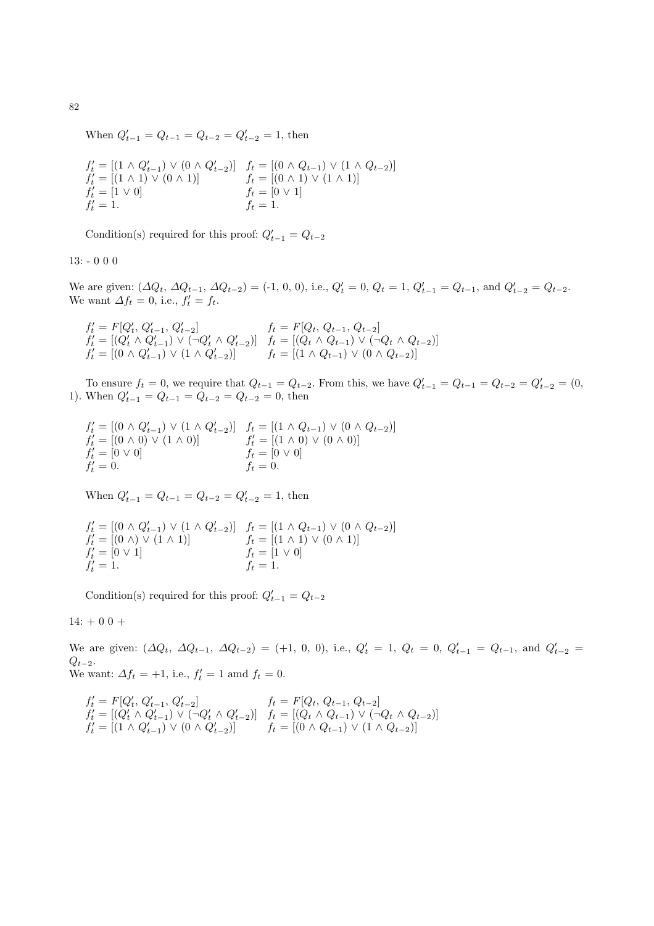When  $Q'_{t-1} = Q_{t-1} = Q_{t-2} = Q'_{t-2} = 1$ , then

$$
f'_t = [(1 \land Q'_{t-1}) \lor (0 \land Q'_{t-2})] \quad f_t = [(0 \land Q_{t-1}) \lor (1 \land Q_{t-2})] f'_t = [(1 \land 1) \lor (0 \land 1)] \quad f_t = [(0 \land 1) \lor (1 \land 1)] f'_t = [1 \lor 0] \quad f_t = [0 \lor 1] f'_t = 1. \quad f_t = 1.
$$

Condition(s) required for this proof:  $Q'_{t-1} = Q_{t-2}$ 

13: - 0 0 0

We are given:  $(\Delta Q_t, \Delta Q_{t-1}, \Delta Q_{t-2}) = (-1, 0, 0), \text{ i.e., } Q'_t = 0, Q_t = 1, Q'_{t-1} = Q_{t-1}, \text{ and } Q'_{t-2} = Q_{t-2}.$ We want  $\Delta f_t = 0$ , i.e.,  $f'_t = f_t$ .

 $f'_t = F[Q'_t, Q'_{t-1}, Q'_{t-2}]$   $f_t = F[Q_t, Q_{t-1}, Q_{t-2}]$  $f'_{t} = [(Q'_{t} \wedge Q'_{t-1}) \vee (\neg Q'_{t} \wedge Q'_{t-2})]$   $f_{t} = [(Q_{t} \wedge Q_{t-1}) \vee (\neg Q_{t} \wedge Q_{t-2})]$  $f'_t = [(0 \wedge Q'_{t-1}) \vee (1 \wedge Q'_{t-2})]$   $f_t = [(1 \wedge Q_{t-1}) \vee (0 \wedge Q_{t-2})]$ 

To ensure  $f_t = 0$ , we require that  $Q_{t-1} = Q_{t-2}$ . From this, we have  $Q'_{t-1} = Q_{t-1} = Q_{t-2} = Q'_{t-2} = (0, 0)$ 1). When  $Q'_{t-1} = Q_{t-1} = Q_{t-2} = Q_{t-2} = 0$ , then

 $f'_t = [(0 \wedge Q'_{t-1}) \vee (1 \wedge Q'_{t-2})]$   $f_t = [(1 \wedge Q_{t-1}) \vee (0 \wedge Q_{t-2})]$  $f'_t = [(0 \wedge 0) \vee (1 \wedge 0)]$   $f'_t = [(1 \wedge 0) \vee (0 \wedge 0)]$  $f'_t = [0 \vee 0]$   $f_t = [0 \vee 0]$  $f'_t = 0.$   $f_t = 0.$ 

When  $Q'_{t-1} = Q_{t-1} = Q_{t-2} = Q'_{t-2} = 1$ , then

 $f'_t = [(0 \wedge Q'_{t-1}) \vee (1 \wedge Q'_{t-2})]$   $f_t = [(1 \wedge Q_{t-1}) \vee (0 \wedge Q_{t-2})]$  $f'_t = [(0 \land) \lor (1 \land 1)]$   $f_t = [(1 \land 1) \lor (0 \land 1)]$  $f'_t = [0 \vee 1]$   $f_t = [1 \vee 0]$  $f'_t = 1.$   $f_t = 1.$ 

Condition(s) required for this proof:  $Q'_{t-1} = Q_{t-2}$ 

 $14: + 0 0 +$ 

We are given:  $(\Delta Q_t, \Delta Q_{t-1}, \Delta Q_{t-2}) = (+1, 0, 0),$  i.e.,  $Q'_t = 1, Q_t = 0, Q'_{t-1} = Q_{t-1}$ , and  $Q'_{t-2} =$  $Q_{t-2}$ . We want:  $\Delta f_t = +1$ , i.e.,  $f'_t = 1$  amd  $f_t = 0$ .

$$
f'_t = F[Q'_t, Q'_{t-1}, Q'_{t-2}] \t f_t = F[Q_t, Q_{t-1}, Q_{t-2}]
$$
  
\n
$$
f'_t = [(Q'_t \land Q'_{t-1}) \lor (\neg Q'_t \land Q'_{t-2})] \t f_t = [(Q_t \land Q_{t-1}) \lor (\neg Q_t \land Q_{t-2})]
$$
  
\n
$$
f'_t = [(1 \land Q'_{t-1}) \lor (0 \land Q'_{t-2})] \t f_t = [(0 \land Q_{t-1}) \lor (1 \land Q_{t-2})]
$$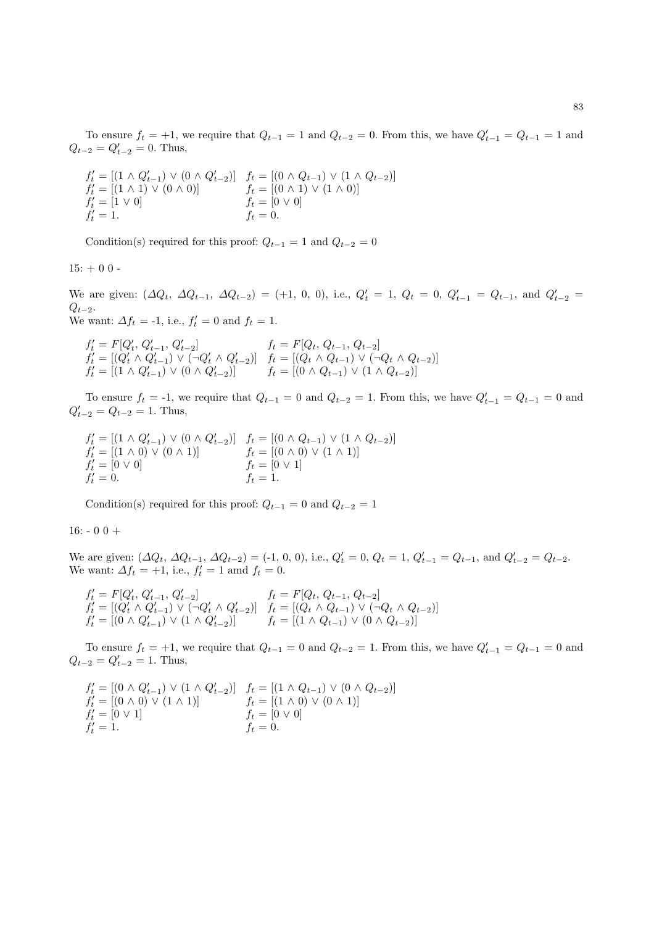To ensure  $f_t = +1$ , we require that  $Q_{t-1} = 1$  and  $Q_{t-2} = 0$ . From this, we have  $Q'_{t-1} = Q_{t-1} = 1$  and  $Q_{t-2} = Q'_{t-2} = 0$ . Thus,

$$
f'_t = [(1 \land Q'_{t-1}) \lor (0 \land Q'_{t-2})] \quad f_t = [(0 \land Q_{t-1}) \lor (1 \land Q_{t-2})] f'_t = [(1 \land 1) \lor (0 \land 0)] \quad f_t = [(0 \land 1) \lor (1 \land 0)] f'_t = [1 \lor 0] \quad f_t = [0 \lor 0] f'_t = 1. \quad f_t = 0.
$$

Condition(s) required for this proof:  $Q_{t-1} = 1$  and  $Q_{t-2} = 0$ 

 $15: + 00 -$ 

We are given:  $(\Delta Q_t, \Delta Q_{t-1}, \Delta Q_{t-2}) = (+1, 0, 0),$  i.e.,  $Q'_t = 1, Q_t = 0, Q'_{t-1} = Q_{t-1}$ , and  $Q'_{t-2} =$  $Q_{t-2}$ . We want:  $\Delta f_t = -1$ , i.e.,  $f'_t = 0$  and  $f_t = 1$ .

$$
\begin{array}{ll} f'_t = F[Q'_t,\, Q'_{t-1},\, Q'_{t-2}] & f_t = F[Q_t,\, Q_{t-1},\, Q_{t-2}]\\ f'_t = [(Q'_t \wedge Q'_{t-1}) \vee (\neg Q'_t \wedge Q'_{t-2})] & f_t = [(Q_t \wedge Q_{t-1}) \vee (\neg Q_t \wedge Q_{t-2})]\\ f'_t = [(1 \wedge Q'_{t-1}) \vee (0 \wedge Q'_{t-2})] & f_t = [(0 \wedge Q_{t-1}) \vee (1 \wedge Q_{t-2})] \end{array}
$$

To ensure  $f_t = -1$ , we require that  $Q_{t-1} = 0$  and  $Q_{t-2} = 1$ . From this, we have  $Q'_{t-1} = Q_{t-1} = 0$  and  $Q'_{t-2} = Q_{t-2} = 1$ . Thus,

$$
f'_t = [(1 \land Q'_{t-1}) \lor (0 \land Q'_{t-2})] \quad f_t = [(0 \land Q_{t-1}) \lor (1 \land Q_{t-2})]
$$
  
\n
$$
f'_t = [(1 \land 0) \lor (0 \land 1)] \quad f_t = [(0 \land 0) \lor (1 \land 1)]
$$
  
\n
$$
f'_t = [0 \lor 0] \quad f_t = [0 \lor 1]
$$
  
\n
$$
f'_t = 0.
$$

Condition(s) required for this proof:  $Q_{t-1} = 0$  and  $Q_{t-2} = 1$ 

#### $16: -00 +$

We are given:  $(\Delta Q_t, \Delta Q_{t-1}, \Delta Q_{t-2}) = (-1, 0, 0), \text{ i.e., } Q'_t = 0, Q_t = 1, Q'_{t-1} = Q_{t-1}, \text{ and } Q'_{t-2} = Q_{t-2}.$ We want:  $\Delta f_t = +1$ , i.e.,  $f'_t = 1$  amd  $f_t = 0$ .

$$
\begin{array}{ll}\nf_t' = F[Q_t', Q_{t-1}', Q_{t-2}'] & f_t = F[Q_t, Q_{t-1}, Q_{t-2}] \\
f_t' = [(Q_t' \land Q_{t-1}') \lor (\neg Q_t' \land Q_{t-2}')] & f_t = [(Q_t \land Q_{t-1}) \lor (\neg Q_t \land Q_{t-2})] \\
f_t' = [(0 \land Q_{t-1}') \lor (1 \land Q_{t-2}')] & f_t = [(1 \land Q_{t-1}) \lor (0 \land Q_{t-2})]\n\end{array}
$$

To ensure  $f_t = +1$ , we require that  $Q_{t-1} = 0$  and  $Q_{t-2} = 1$ . From this, we have  $Q'_{t-1} = Q_{t-1} = 0$  and  $Q_{t-2} = Q'_{t-2} = 1$ . Thus,

$$
f'_t = [(0 \land Q'_{t-1}) \lor (1 \land Q'_{t-2})] \quad f_t = [(1 \land Q_{t-1}) \lor (0 \land Q_{t-2})]
$$
  
\n
$$
f'_t = [(0 \land 0) \lor (1 \land 1)] \quad f_t = [(1 \land 0) \lor (0 \land 1)]
$$
  
\n
$$
f'_t = [0 \lor 1] \quad f_t = [0 \lor 0]
$$
  
\n
$$
f'_t = 1.
$$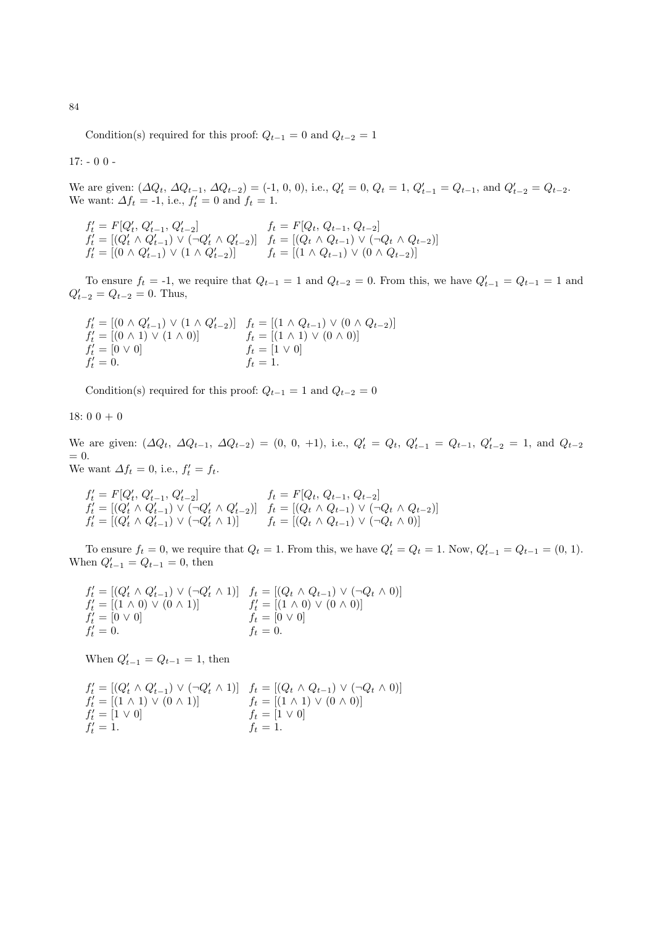Condition(s) required for this proof:  $Q_{t-1} = 0$  and  $Q_{t-2} = 1$ 

 $17: -00 -$ 

We are given:  $(\Delta Q_t, \Delta Q_{t-1}, \Delta Q_{t-2}) = (-1, 0, 0), \text{ i.e., } Q'_t = 0, Q_t = 1, Q'_{t-1} = Q_{t-1}, \text{ and } Q'_{t-2} = Q_{t-2}.$ We want:  $\Delta f_t = -1$ , i.e.,  $f'_t = 0$  and  $f_t = 1$ .

$$
f'_t = F[Q'_t, Q'_{t-1}, Q'_{t-2}] \t f_t = F[Q_t, Q_{t-1}, Q_{t-2}] f'_t = [(Q'_t \wedge Q'_{t-1}) \vee (\neg Q'_t \wedge Q'_{t-2})] \t f_t = [(Q_t \wedge Q_{t-1}) \vee (\neg Q_t \wedge Q_{t-2})] f'_t = [(0 \wedge Q'_{t-1}) \vee (1 \wedge Q'_{t-2})] \t f_t = [(1 \wedge Q_{t-1}) \vee (0 \wedge Q_{t-2})]
$$

To ensure  $f_t = -1$ , we require that  $Q_{t-1} = 1$  and  $Q_{t-2} = 0$ . From this, we have  $Q'_{t-1} = Q_{t-1} = 1$  and  $Q'_{t-2} = Q_{t-2} = 0$ . Thus,

$$
f'_t = [(0 \land Q'_{t-1}) \lor (1 \land Q'_{t-2})] \quad f_t = [(1 \land Q_{t-1}) \lor (0 \land Q_{t-2})]
$$
  
\n
$$
f'_t = [(0 \land 1) \lor (1 \land 0)] \quad f_t = [(1 \land 1) \lor (0 \land 0)]
$$
  
\n
$$
f'_t = [0 \lor 0] \quad f_t = [1 \lor 0]
$$
  
\n
$$
f_t = 0.
$$

Condition(s) required for this proof:  $Q_{t-1} = 1$  and  $Q_{t-2} = 0$ 

18:  $0\ 0\ + 0$ 

We are given:  $(\Delta Q_t, \Delta Q_{t-1}, \Delta Q_{t-2}) = (0, 0, +1),$  i.e.,  $Q'_t = Q_t, Q'_{t-1} = Q_{t-1}, Q'_{t-2} = 1$ , and  $Q_{t-2}$  $= 0.$ 

We want  $\Delta f_t = 0$ , i.e.,  $f'_t = f_t$ .

$$
\begin{array}{ll}\nf_t' = F[Q_t', Q_{t-1}', Q_{t-2}'] & f_t = F[Q_t, Q_{t-1}, Q_{t-2}] \\
f_t' = [(Q_t' \land Q_{t-1}') \lor (\neg Q_t' \land Q_{t-2}')] & f_t = [(Q_t \land Q_{t-1}) \lor (\neg Q_t \land Q_{t-2})] \\
f_t' = [(Q_t' \land Q_{t-1}') \lor (\neg Q_t' \land 1)] & f_t = [(Q_t \land Q_{t-1}) \lor (\neg Q_t \land 0)]\n\end{array}
$$

To ensure  $f_t = 0$ , we require that  $Q_t = 1$ . From this, we have  $Q'_t = Q_t = 1$ . Now,  $Q'_{t-1} = Q_{t-1} = (0, 1)$ . When  $Q'_{t-1} = Q_{t-1} = 0$ , then

$$
f'_t = [(Q'_t \wedge Q'_{t-1}) \vee (\neg Q'_t \wedge 1)] \quad f_t = [(Q_t \wedge Q_{t-1}) \vee (\neg Q_t \wedge 0)] f'_t = [(1 \wedge 0) \vee (0 \wedge 1)] \quad f'_t = [(1 \wedge 0) \vee (0 \wedge 0)] f'_t = [0 \vee 0] \quad f_t = [0 \vee 0] f'_t = 0.
$$

When  $Q'_{t-1} = Q_{t-1} = 1$ , then

$$
f'_t = [(Q'_t \wedge Q'_{t-1}) \vee (\neg Q'_t \wedge 1)] \quad f_t = [(Q_t \wedge Q_{t-1}) \vee (\neg Q_t \wedge 0)] f'_t = [(1 \wedge 1) \vee (0 \wedge 1)] \quad f_t = [(1 \wedge 1) \vee (0 \wedge 0)] f'_t = [1 \vee 0] \quad f_t = [1 \vee 0] f'_t = 1. \quad f_t = 1.
$$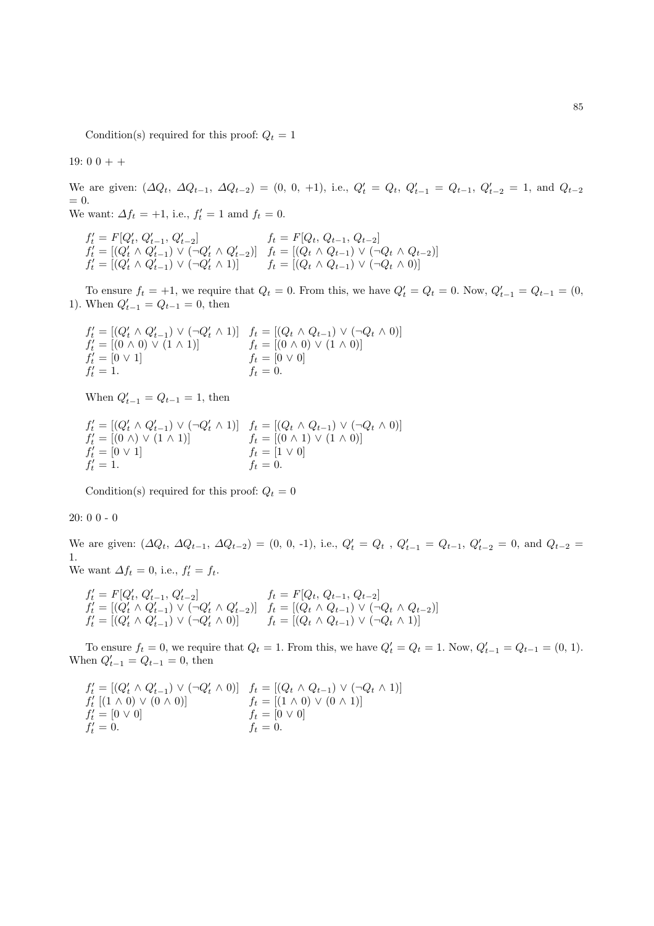Condition(s) required for this proof:  $Q_t = 1$ 

19:  $0\ 0\ +\ +$ 

We are given:  $(\Delta Q_t, \Delta Q_{t-1}, \Delta Q_{t-2}) = (0, 0, +1),$  i.e.,  $Q'_t = Q_t, Q'_{t-1} = Q_{t-1}, Q'_{t-2} = 1$ , and  $Q_{t-2}$  $= 0.$ We want:  $\Delta f_t = +1$ , i.e.,  $f'_t = 1$  amd  $f_t = 0$ .

 $f'_t = F[Q'_t, Q'_{t-1}, Q'_{t-2}]$   $f_t = F[Q_t, Q_{t-1}, Q_{t-2}]$  $f'_t = [(Q'_t \wedge Q'_{t-1}) \vee (\neg Q'_t \wedge Q'_{t-2})]$   $f_t = [(Q_t \wedge Q_{t-1}) \vee (\neg Q_t \wedge Q_{t-2})]$  $f'_t = [(Q'_t \wedge Q'_{t-1}) \vee (\neg Q'_t \wedge 1)]$   $f_t = [(Q_t \wedge Q_{t-1}) \vee (\neg Q_t \wedge 0)]$ 

To ensure  $f_t = +1$ , we require that  $Q_t = 0$ . From this, we have  $Q'_t = Q_t = 0$ . Now,  $Q'_{t-1} = Q_{t-1} = (0,$ 1). When  $Q'_{t-1} = Q_{t-1} = 0$ , then

$$
f'_t = [(Q'_t \land Q'_{t-1}) \lor (\neg Q'_t \land 1)] \quad f_t = [(Q_t \land Q_{t-1}) \lor (\neg Q_t \land 0)] f'_t = [(0 \land 0) \lor (1 \land 1)] \quad f_t = [(0 \land 0) \lor (1 \land 0)] f'_t = [0 \lor 1] \quad f_t = [0 \lor 0] f'_t = 1. \quad f_t = 0.
$$

When  $Q'_{t-1} = Q_{t-1} = 1$ , then

$$
f'_t = [(Q'_t \land Q'_{t-1}) \lor (\neg Q'_t \land 1)] \quad f_t = [(Q_t \land Q_{t-1}) \lor (\neg Q_t \land 0)] f'_t = [(0 \land) \lor (1 \land 1)] \quad f_t = [(0 \land 1) \lor (1 \land 0)] f'_t = [0 \lor 1] \quad f_t = [1 \lor 0] f'_t = 1. \quad f_t = 0.
$$

Condition(s) required for this proof:  $Q_t = 0$ 

20: 0 0 - 0

We are given:  $(\Delta Q_t, \Delta Q_{t-1}, \Delta Q_{t-2}) = (0, 0, -1),$  i.e.,  $Q'_t = Q_t$ ,  $Q'_{t-1} = Q_{t-1}, Q'_{t-2} = 0$ , and  $Q_{t-2} =$ 1. We want  $\Delta f_t = 0$ , i.e.,  $f'_t = f_t$ .

$$
f'_t = F[Q'_t, Q'_{t-1}, Q'_{t-2}] \t f_t = F[Q_t, Q_{t-1}, Q_{t-2}] f'_t = [(Q'_t \wedge Q'_{t-1}) \vee (\neg Q'_t \wedge Q'_{t-2})] \t f_t = [(Q_t \wedge Q_{t-1}) \vee (\neg Q_t \wedge Q_{t-2})] f'_t = [(Q'_t \wedge Q'_{t-1}) \vee (\neg Q'_t \wedge 0)] \t f_t = [(Q_t \wedge Q_{t-1}) \vee (\neg Q_t \wedge 1)]
$$

To ensure  $f_t = 0$ , we require that  $Q_t = 1$ . From this, we have  $Q'_t = Q_t = 1$ . Now,  $Q'_{t-1} = Q_{t-1} = (0, 1)$ . When  $Q'_{t-1} = Q_{t-1} = 0$ , then

$$
f'_{t} = [(Q'_{t} \land Q'_{t-1}) \lor (\neg Q'_{t} \land 0)] \quad f_{t} = [(Q_{t} \land Q_{t-1}) \lor (\neg Q_{t} \land 1)] f'_{t} [(1 \land 0) \lor (0 \land 0)] \quad f_{t} = [(1 \land 0) \lor (0 \land 1)] f'_{t} = [0 \lor 0] \quad f_{t} = [0 \lor 0] f'_{t} = 0.
$$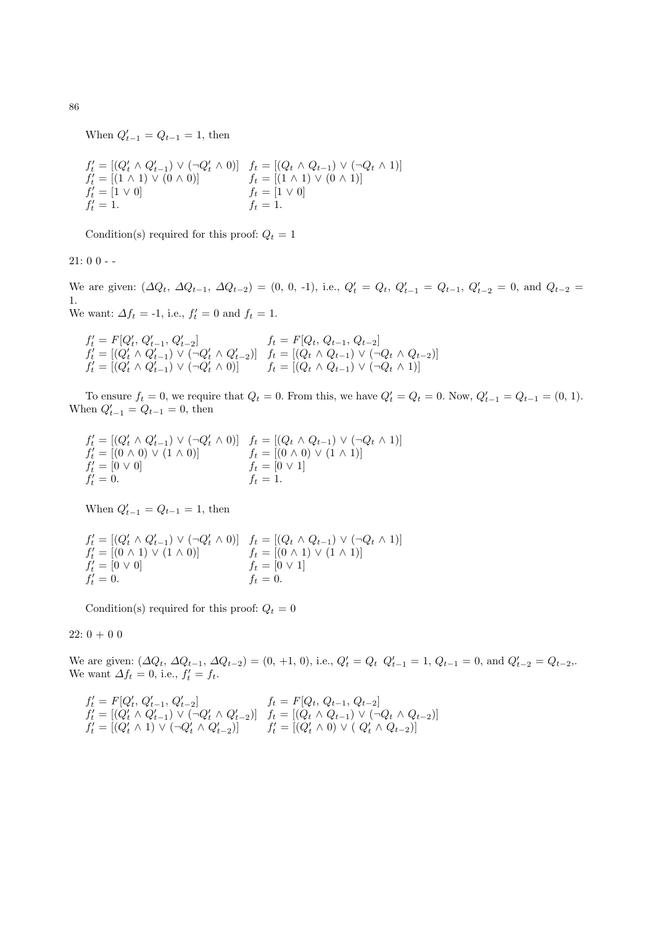When  $Q'_{t-1} = Q_{t-1} = 1$ , then

$$
f'_t = [(Q'_t \land Q'_{t-1}) \lor (\neg Q'_t \land 0)] \quad f_t = [(Q_t \land Q_{t-1}) \lor (\neg Q_t \land 1)] f'_t = [(1 \land 1) \lor (0 \land 0)] \quad f_t = [(1 \land 1) \lor (0 \land 1)] f'_t = [1 \lor 0] \quad f_t = [1 \lor 0] f'_t = 1. \quad f_t = 1.
$$

Condition(s) required for this proof:  $Q_t = 1$ 

 $21:00-$ 

We are given:  $(\Delta Q_t, \Delta Q_{t-1}, \Delta Q_{t-2}) = (0, 0, -1),$  i.e.,  $Q'_t = Q_t, Q'_{t-1} = Q_{t-1}, Q'_{t-2} = 0$ , and  $Q_{t-2} =$ 1. We want:  $\Delta f_t = -1$ , i.e.,  $f'_t = 0$  and  $f_t = 1$ .

 $f'_t = F[Q'_t, Q'_{t-1}, Q'_{t-2}]$   $f_t = F[Q_t, Q_{t-1}, Q_{t-2}]$  $f'_t = [(Q'_t \wedge Q'_{t-1}) \vee (\neg Q'_t \wedge Q'_{t-2})]$   $f_t = [(Q_t \wedge Q_{t-1}) \vee (\neg Q_t \wedge Q_{t-2})]$  $f'_t = [(Q'_t \wedge Q'_{t-1}) \vee (\neg Q'_t \wedge 0)]$   $f_t = [(Q_t \wedge Q_{t-1}) \vee (\neg Q_t \wedge 1)]$ 

To ensure  $f_t = 0$ , we require that  $Q_t = 0$ . From this, we have  $Q'_t = Q_t = 0$ . Now,  $Q'_{t-1} = Q_{t-1} = (0, 1)$ . When  $Q'_{t-1} = Q_{t-1} = 0$ , then

$$
f'_{t} = [(Q'_{t} \land Q'_{t-1}) \lor (\neg Q'_{t} \land 0)] \quad f_{t} = [(Q_{t} \land Q_{t-1}) \lor (\neg Q_{t} \land 1)] f'_{t} = [(0 \land 0) \lor (1 \land 0)] \quad f_{t} = [(0 \land 0) \lor (1 \land 1)] f'_{t} = [0 \lor 0] \quad f_{t} = [0 \lor 1] f'_{t} = 0.
$$

When  $Q'_{t-1} = Q_{t-1} = 1$ , then

$$
f'_t = [(Q'_t \wedge Q'_{t-1}) \vee (\neg Q'_t \wedge 0)] \quad f_t = [(Q_t \wedge Q_{t-1}) \vee (\neg Q_t \wedge 1)] f'_t = [(0 \wedge 1) \vee (1 \wedge 0)] \quad f_t = [(0 \wedge 1) \vee (1 \wedge 1)] f'_t = [0 \vee 0] \quad f_t = [0 \vee 1] f'_t = 0.
$$

Condition(s) required for this proof:  $Q_t = 0$ 

 $22: 0 + 0 0$ 

We are given:  $(\Delta Q_t, \Delta Q_{t-1}, \Delta Q_{t-2}) = (0, +1, 0),$  i.e.,  $Q'_t = Q_t \ Q'_{t-1} = 1, Q_{t-1} = 0$ , and  $Q'_{t-2} = Q_{t-2}$ . We want  $\Delta f_t = 0$ , i.e.,  $f'_t = f_t$ .

$$
f'_t = F[Q'_t, Q'_{t-1}, Q'_{t-2}] \t f_t = F[Q_t, Q_{t-1}, Q_{t-2}] f'_t = [(Q'_t \wedge Q'_{t-1}) \vee (\neg Q'_t \wedge Q'_{t-2})] \t f_t = [(Q_t \wedge Q_{t-1}) \vee (\neg Q_t \wedge Q_{t-2})] f'_t = [(Q'_t \wedge 1) \vee (\neg Q'_t \wedge Q'_{t-2})] \t f'_t = [(Q'_t \wedge 0) \vee (Q'_t \wedge Q_{t-2})]
$$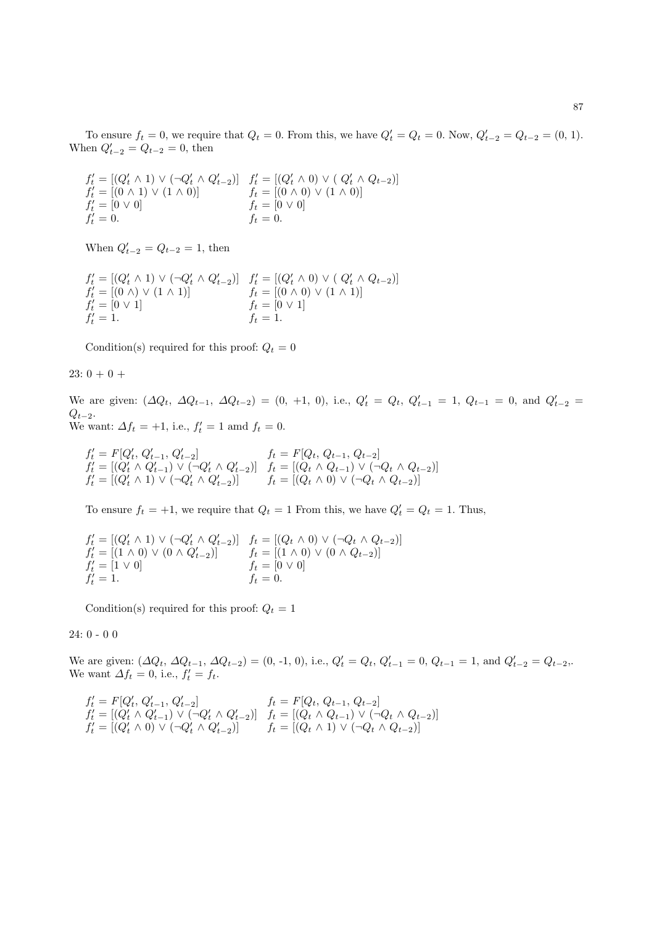To ensure  $f_t = 0$ , we require that  $Q_t = 0$ . From this, we have  $Q'_t = Q_t = 0$ . Now,  $Q'_{t-2} = Q_{t-2} = (0, 1)$ . When  $Q'_{t-2} = Q_{t-2} = 0$ , then

 $f'_{t} = [(Q'_{t} \wedge 1) \vee (\neg Q'_{t} \wedge Q'_{t-2})]$   $f'_{t} = [(Q'_{t} \wedge 0) \vee (Q'_{t} \wedge Q_{t-2})]$  $f'_t = [(0 \wedge 1) \vee (1 \wedge 0)]$   $f_t = [(0 \wedge 0) \vee (1 \wedge 0)]$  $f'_t = [0 \vee 0]$   $f_t = [0 \vee 0]$  $f'_t = 0.$   $f_t = 0.$ 

When  $Q'_{t-2} = Q_{t-2} = 1$ , then

$$
f'_{t} = [(Q'_{t} \land 1) \lor (\neg Q'_{t} \land Q'_{t-2})] \quad f'_{t} = [(Q'_{t} \land 0) \lor (Q'_{t} \land Q_{t-2})] f'_{t} = [(0 \land) \lor (1 \land 1)] \quad f_{t} = [(0 \land 0) \lor (1 \land 1)] f'_{t} = [0 \lor 1] \quad f_{t} = [0 \lor 1] f'_{t} = 1.
$$

Condition(s) required for this proof:  $Q_t = 0$ 

23:  $0 + 0 +$ 

We are given:  $(\Delta Q_t, \Delta Q_{t-1}, \Delta Q_{t-2}) = (0, +1, 0),$  i.e.,  $Q'_t = Q_t, Q'_{t-1} = 1, Q_{t-1} = 0$ , and  $Q'_{t-2} =$  $Q_{t-2}$ . We want:  $\Delta f_t = +1$ , i.e.,  $f'_t = 1$  amd  $f_t = 0$ .

$$
f'_t = F[Q'_t, Q'_{t-1}, Q'_{t-2}] \t f_t = F[Q_t, Q_{t-1}, Q_{t-2}] f'_t = [(Q'_t \wedge Q'_{t-1}) \vee (\neg Q'_t \wedge Q'_{t-2})] \t f_t = [(Q_t \wedge Q_{t-1}) \vee (\neg Q_t \wedge Q_{t-2})] f'_t = [(Q'_t \wedge 1) \vee (\neg Q'_t \wedge Q'_{t-2})] \t f_t = [(Q_t \wedge 0) \vee (\neg Q_t \wedge Q_{t-2})]
$$

To ensure  $f_t = +1$ , we require that  $Q_t = 1$  From this, we have  $Q'_t = Q_t = 1$ . Thus,

$$
f'_t = [(Q'_t \wedge 1) \vee (\neg Q'_t \wedge Q'_{t-2})] \quad f_t = [(Q_t \wedge 0) \vee (\neg Q_t \wedge Q_{t-2})] f'_t = [(1 \wedge 0) \vee (0 \wedge Q'_{t-2})] \quad f_t = [(1 \wedge 0) \vee (0 \wedge Q_{t-2})] f'_t = [1 \vee 0] \quad f_t = [0 \vee 0] f'_t = 1. \quad f_t = 0.
$$

Condition(s) required for this proof:  $Q_t = 1$ 

24: 0 - 0 0

We are given:  $(\Delta Q_t, \Delta Q_{t-1}, \Delta Q_{t-2}) = (0, -1, 0),$  i.e.,  $Q'_t = Q_t, Q'_{t-1} = 0, Q_{t-1} = 1$ , and  $Q'_{t-2} = Q_{t-2}$ . We want  $\Delta f_t = 0$ , i.e.,  $f'_t = f_t$ .

$$
f'_t = F[Q'_t, Q'_{t-1}, Q'_{t-2}] \t f_t = F[Q_t, Q_{t-1}, Q_{t-2}] f'_t = [(Q'_t \wedge Q'_{t-1}) \vee (\neg Q'_t \wedge Q'_{t-2})] \t f_t = [(Q_t \wedge Q_{t-1}) \vee (\neg Q_t \wedge Q_{t-2})] f'_t = [(Q'_t \wedge 0) \vee (\neg Q'_t \wedge Q'_{t-2})] \t f_t = [(Q_t \wedge 1) \vee (\neg Q_t \wedge Q_{t-2})]
$$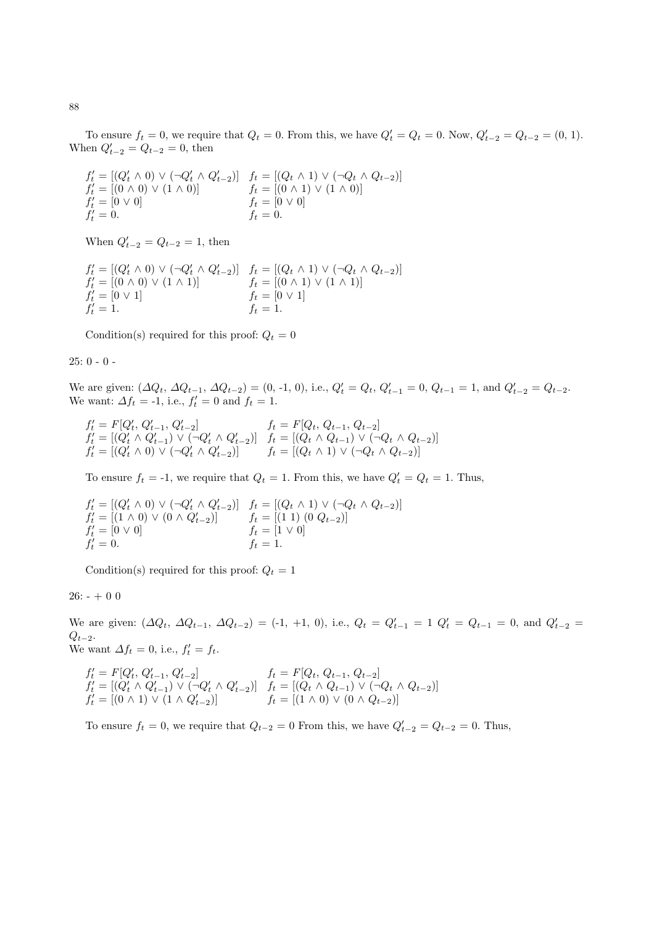To ensure  $f_t = 0$ , we require that  $Q_t = 0$ . From this, we have  $Q'_t = Q_t = 0$ . Now,  $Q'_{t-2} = Q_{t-2} = (0, 1)$ . When  $Q'_{t-2} = Q_{t-2} = 0$ , then

 $f'_{t} = [(Q'_{t} \wedge 0) \vee (\neg Q'_{t} \wedge Q'_{t-2})]$   $f_{t} = [(Q_{t} \wedge 1) \vee (\neg Q_{t} \wedge Q_{t-2})]$  $f'_t = [(0 \land 0) \lor (1 \land 0)]$   $f_t = [(0 \land 1) \lor (1 \land 0)]$  $f'_t = [0 \vee 0]$   $f_t = [0 \vee 0]$  $f'_t = 0.$   $f_t = 0.$ 

When  $Q'_{t-2} = Q_{t-2} = 1$ , then

$$
f'_t = [(Q'_t \wedge 0) \vee (\neg Q'_t \wedge Q'_{t-2})] \quad f_t = [(Q_t \wedge 1) \vee (\neg Q_t \wedge Q_{t-2})] f'_t = [(0 \wedge 0) \vee (1 \wedge 1)] \quad f_t = [(0 \wedge 1) \vee (1 \wedge 1)] f'_t = [0 \vee 1] \quad f_t = [0 \vee 1] f'_t = 1.
$$

Condition(s) required for this proof:  $Q_t = 0$ 

### 25: 0 - 0 -

We are given:  $(\Delta Q_t, \Delta Q_{t-1}, \Delta Q_{t-2}) = (0, -1, 0),$  i.e.,  $Q'_t = Q_t, Q'_{t-1} = 0, Q_{t-1} = 1$ , and  $Q'_{t-2} = Q_{t-2}$ . We want:  $\Delta f_t = -1$ , i.e.,  $f'_t = 0$  and  $f_t = 1$ .

$$
f'_t = F[Q'_t, Q'_{t-1}, Q'_{t-2}] \t f_t = F[Q_t, Q_{t-1}, Q_{t-2}] f'_t = [(Q'_t \wedge Q'_{t-1}) \vee (\neg Q'_t \wedge Q'_{t-2})] \t f_t = [(Q_t \wedge Q_{t-1}) \vee (\neg Q_t \wedge Q_{t-2})] f'_t = [(Q'_t \wedge 0) \vee (\neg Q'_t \wedge Q'_{t-2})] \t f_t = [(Q_t \wedge 1) \vee (\neg Q_t \wedge Q_{t-2})]
$$

To ensure  $f_t = -1$ , we require that  $Q_t = 1$ . From this, we have  $Q'_t = Q_t = 1$ . Thus,

$$
f'_t = [(Q'_t \wedge 0) \vee (\neg Q'_t \wedge Q'_{t-2})] \quad f_t = [(Q_t \wedge 1) \vee (\neg Q_t \wedge Q_{t-2})]
$$
  
\n
$$
f'_t = [(1 \wedge 0) \vee (0 \wedge Q'_{t-2})] \quad f_t = [(1 \ 1) \ (0 \ Q_{t-2})]
$$
  
\n
$$
f'_t = [0 \vee 0] \quad f_t = [1 \vee 0]
$$
  
\n
$$
f'_t = 0.
$$

Condition(s) required for this proof:  $Q_t = 1$ 

# $26: - + 0 0$

We are given:  $(\Delta Q_t, \Delta Q_{t-1}, \Delta Q_{t-2}) = (-1, +1, 0),$  i.e.,  $Q_t = Q'_{t-1} = 1$   $Q'_t = Q_{t-1} = 0$ , and  $Q'_{t-2} =$  $Q_{t-2}$ . We want  $\Delta f_t = 0$ , i.e.,  $f'_t = f_t$ .

$$
f'_t = F[Q'_t, Q'_{t-1}, Q'_{t-2}] \t f_t = F[Q_t, Q_{t-1}, Q_{t-2}] f'_t = [(Q'_t \land Q'_{t-1}) \lor (\neg Q'_t \land Q'_{t-2})] \t f_t = [(Q_t \land Q_{t-1}) \lor (\neg Q_t \land Q_{t-2})] f'_t = [(0 \land 1) \lor (1 \land Q'_{t-2})] \t f_t = [(1 \land 0) \lor (0 \land Q_{t-2})]
$$

To ensure  $f_t = 0$ , we require that  $Q_{t-2} = 0$  From this, we have  $Q'_{t-2} = Q_{t-2} = 0$ . Thus,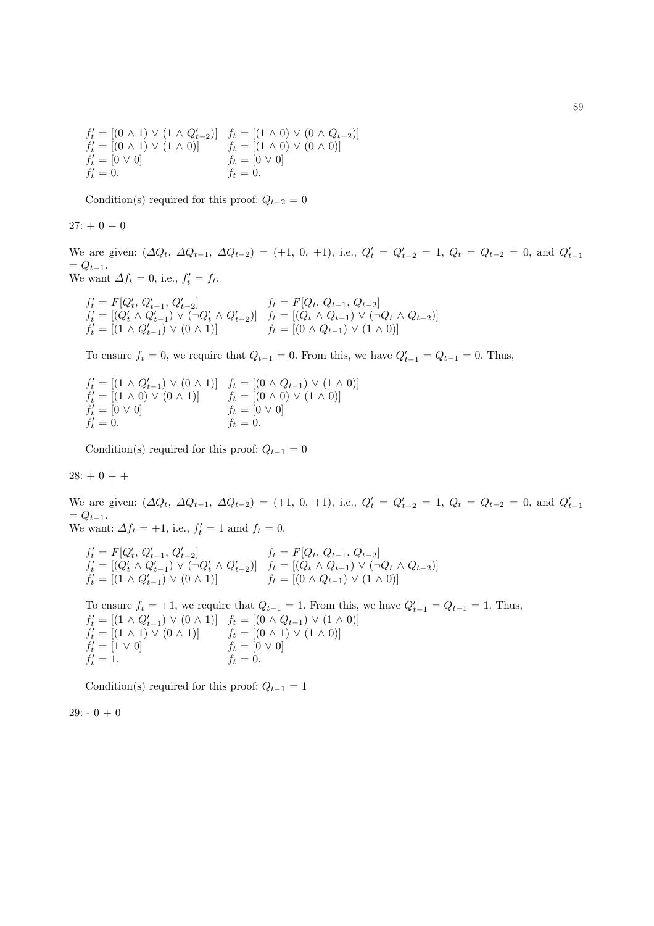$f'_t = [(0 \wedge 1) \vee (1 \wedge Q'_{t-2})]$   $f_t = [(1 \wedge 0) \vee (0 \wedge Q_{t-2})]$  $f'_t = [(0 \wedge 1) \vee (1 \wedge 0)]$   $f_t = [(1 \wedge 0) \vee (0 \wedge 0)]$  $f'_t = [0 \vee 0]$   $f_t = [0 \vee 0]$  $f_t'$  $f_t = 0.$ 

Condition(s) required for this proof:  $Q_{t-2} = 0$ 

$$
27: +0\,+\,0
$$

We are given:  $(\Delta Q_t, \Delta Q_{t-1}, \Delta Q_{t-2}) = (+1, 0, +1)$ , i.e.,  $Q'_t = Q'_{t-2} = 1$ ,  $Q_t = Q_{t-2} = 0$ , and  $Q'_{t-1}$  $= Q_{t-1}.$ We want  $\Delta f_t = 0$ , i.e.,  $f'_t = f_t$ .

$$
f'_t = F[Q'_t, Q'_{t-1}, Q'_{t-2}] \t f_t = F[Q_t, Q_{t-1}, Q_{t-2}] f'_t = [(Q'_t \wedge Q'_{t-1}) \vee (\neg Q'_t \wedge Q'_{t-2})] \t f_t = [(Q_t \wedge Q_{t-1}) \vee (\neg Q_t \wedge Q_{t-2})] f'_t = [(1 \wedge Q'_{t-1}) \vee (0 \wedge 1)] \t f_t = [(0 \wedge Q_{t-1}) \vee (1 \wedge 0)]
$$

To ensure  $f_t = 0$ , we require that  $Q_{t-1} = 0$ . From this, we have  $Q'_{t-1} = Q_{t-1} = 0$ . Thus,

 $f'_t = [(1 \wedge Q'_{t-1}) \vee (0 \wedge 1)] \quad f_t = [(0 \wedge Q_{t-1}) \vee (1 \wedge 0)]$  $f_t'$  $f_t = [(0 \land 0) \lor (1 \land 0)]$ <br>  $f_t = [0 \lor 0]$ <br>  $f_t = 0.$  $f'_t = [0 \vee 0]$   $f_t = [0 \vee 0]$  $f'_t = 0.$   $f_t = 0.$ 

Condition(s) required for this proof:  $Q_{t-1} = 0$ 

 $28: + 0 + +$ 

We are given:  $(\Delta Q_t, \Delta Q_{t-1}, \Delta Q_{t-2}) = (+1, 0, +1)$ , i.e.,  $Q'_t = Q'_{t-2} = 1$ ,  $Q_t = Q_{t-2} = 0$ , and  $Q'_{t-1}$  $= Q_{t-1}.$ We want:  $\Delta f_t = +1$ , i.e.,  $f'_t = 1$  amd  $f_t = 0$ .

 $f'_t = F[Q'_t, Q'_{t-1}, Q'_{t-2}]$   $f_t = F[Q_t, Q_{t-1}, Q_{t-2}]$ 

 $f'_{t} = [(Q'_{t} \wedge Q'_{t-1}) \vee (\neg Q'_{t} \wedge Q'_{t-2})]$   $f_{t} = [(Q_{t} \wedge Q_{t-1}) \vee (\neg Q_{t} \wedge Q_{t-2})]$  $f'_t = [(1 \wedge Q'_{t-1}) \vee (0 \wedge 1)]$   $f_t = [(0 \wedge Q_{t-1}) \vee (1 \wedge 0)]$ 

To ensure  $f_t = +1$ , we require that  $Q_{t-1} = 1$ . From this, we have  $Q'_{t-1} = Q_{t-1} = 1$ . Thus,  $f'_t = [(1 \wedge Q'_{t-1}) \vee (0 \wedge 1)] \quad f_t = [(0 \wedge Q_{t-1}) \vee (1 \wedge 0)]$  $f_t'$  $t'_{t} = [(1 \wedge 1) \vee (0 \wedge 1)]$   $f_{t} = [(0 \wedge 1) \vee (1 \wedge 0)]$  $f_t'$  $t'_{t} = [1 \vee 0]$  f<sub>t</sub> = [0  $\vee$  0]  $f'_t = 1.$   $f_t = 0.$ 

Condition(s) required for this proof:  $Q_{t-1} = 1$ 

 $29: -0 + 0$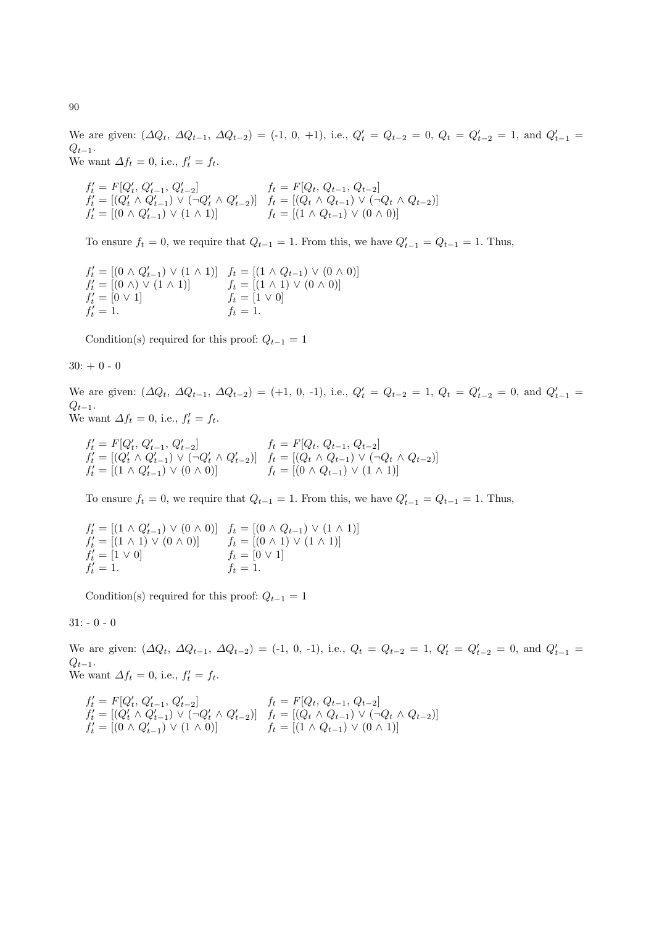We are given:  $(\Delta Q_t, \Delta Q_{t-1}, \Delta Q_{t-2}) = (-1, 0, +1), \text{ i.e., } Q'_t = Q_{t-2} = 0, Q_t = Q'_{t-2} = 1, \text{ and } Q'_{t-1} =$  $Q_{t-1}$ . We want  $\Delta f_t = 0$ , i.e.,  $f'_t = f_t$ .

$$
f'_t = F[Q'_t, Q'_{t-1}, Q'_{t-2}] \t f_t = F[Q_t, Q_{t-1}, Q_{t-2}]
$$
  
\n
$$
f'_t = [(Q'_t \land Q'_{t-1}) \lor (\neg Q'_t \land Q'_{t-2})] \t f_t = [(Q_t \land Q_{t-1}) \lor (\neg Q_t \land Q_{t-2})]
$$
  
\n
$$
f'_t = [(0 \land Q'_{t-1}) \lor (1 \land 1)] \t f_t = [(1 \land Q_{t-1}) \lor (0 \land 0)]
$$

To ensure  $f_t = 0$ , we require that  $Q_{t-1} = 1$ . From this, we have  $Q'_{t-1} = Q_{t-1} = 1$ . Thus,

$$
f'_t = [(0 \land Q'_{t-1}) \lor (1 \land 1)] \quad f_t = [(1 \land Q_{t-1}) \lor (0 \land 0)] f'_t = [(0 \land) \lor (1 \land 1)] \quad f_t = [(1 \land 1) \lor (0 \land 0)] f'_t = [0 \lor 1] \quad f_t = [1 \lor 0] f'_t = 1.
$$

Condition(s) required for this proof:  $Q_{t-1} = 1$ 

 $30: + 0 - 0$ 

We are given:  $(\Delta Q_t, \Delta Q_{t-1}, \Delta Q_{t-2}) = (+1, 0, -1), \text{ i.e., } Q'_t = Q_{t-2} = 1, Q_t = Q'_{t-2} = 0, \text{ and } Q'_{t-1} =$  $Q_{t-1}$ . We want  $\Delta f_t = 0$ , i.e.,  $f'_t = f_t$ .

 $f'_t = F[Q'_t, Q'_{t-1}, Q'_{t-2}]$   $f_t = F[Q_t, Q_{t-1}, Q_{t-2}]$  $f'_t = [(Q'_t \wedge Q'_{t-1}) \vee (\neg Q'_t \wedge Q'_{t-2})]$   $f_t = [(Q_t \wedge Q_{t-1}) \vee (\neg Q_t \wedge Q_{t-2})]$  $f'_t = [(1 \wedge Q'_{t-1}) \vee (0 \wedge 0)]$   $f_t = [(0 \wedge Q_{t-1}) \vee (1 \wedge 1)]$ 

To ensure  $f_t = 0$ , we require that  $Q_{t-1} = 1$ . From this, we have  $Q'_{t-1} = Q_{t-1} = 1$ . Thus,

$$
f'_t = [(1 \land Q'_{t-1}) \lor (0 \land 0)] \quad f_t = [(0 \land Q_{t-1}) \lor (1 \land 1)] f'_t = [(1 \land 1) \lor (0 \land 0)] \quad f_t = [(0 \land 1) \lor (1 \land 1)] f'_t = [1 \lor 0] \quad f_t = [0 \lor 1] f'_t = 1.
$$

Condition(s) required for this proof:  $Q_{t-1} = 1$ 

 $31: -0 - 0$ 

We are given:  $(\Delta Q_t, \Delta Q_{t-1}, \Delta Q_{t-2}) = (-1, 0, -1), \text{ i.e., } Q_t = Q_{t-2} = 1, Q'_t = Q'_{t-2} = 0, \text{ and } Q'_{t-1} =$  $Q_{t-1}$ . We want  $\Delta f_t = 0$ , i.e.,  $f'_t = f_t$ .

$$
f'_t = F[Q'_t, Q'_{t-1}, Q'_{t-2}] \qquad f_t = F[Q_t, Q_{t-1}, Q_{t-2}] f'_t = [(Q'_t \land Q'_{t-1}) \lor (\neg Q'_t \land Q'_{t-2})] \qquad f_t = [(Q_t \land Q_{t-1}) \lor (\neg Q_t \land Q_{t-2})] f'_t = [(0 \land Q'_{t-1}) \lor (1 \land 0)] \qquad f_t = [(1 \land Q_{t-1}) \lor (0 \land 1)]
$$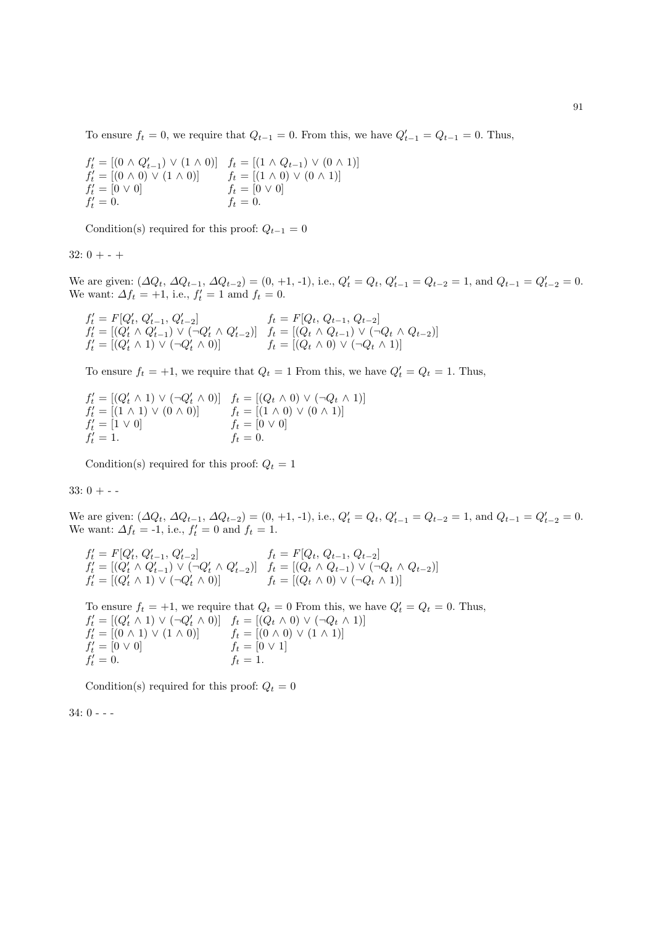To ensure  $f_t = 0$ , we require that  $Q_{t-1} = 0$ . From this, we have  $Q'_{t-1} = Q_{t-1} = 0$ . Thus,

$$
f'_t = [(0 \land Q'_{t-1}) \lor (1 \land 0)] \quad f_t = [(1 \land Q_{t-1}) \lor (0 \land 1)] f'_t = [(0 \land 0) \lor (1 \land 0)] \quad f_t = [(1 \land 0) \lor (0 \land 1)] f'_t = [0 \lor 0] \quad f_t = [0 \lor 0] f'_t = 0.
$$

Condition(s) required for this proof:  $Q_{t-1} = 0$ 

 $32: 0 + - +$ 

We are given:  $(\Delta Q_t, \Delta Q_{t-1}, \Delta Q_{t-2}) = (0, +1, -1),$  i.e.,  $Q'_t = Q_t, Q'_{t-1} = Q_{t-2} = 1$ , and  $Q_{t-1} = Q'_{t-2} = 0$ . We want:  $\Delta f_t = +1$ , i.e.,  $f'_t = 1$  amd  $f_t = 0$ .

 $f'_t = F[Q'_t, Q'_{t-1}, Q'_{t-2}]$   $f_t = F[Q_t, Q_{t-1}, Q_{t-2}]$  $f'_t = [(Q'_t \wedge Q'_{t-1}) \vee (\neg Q'_t \wedge Q'_{t-2})]$   $f_t = [(Q_t \wedge Q_{t-1}) \vee (\neg Q_t \wedge Q_{t-2})]$  $f'_t = [(Q'_t \wedge 1) \vee (\neg Q'_t \wedge 0)]$   $f_t = [(Q_t \wedge 0) \vee (\neg Q_t \wedge 1)]$ 

To ensure  $f_t = +1$ , we require that  $Q_t = 1$  From this, we have  $Q'_t = Q_t = 1$ . Thus,

 $f'_t = [(Q'_t \wedge 1) \vee (\neg Q'_t \wedge 0)] \quad f_t = [(Q_t \wedge 0) \vee (\neg Q_t \wedge 1)]$  $f'_t = [(1 \wedge 1) \vee (0 \wedge 0)]$   $f_t = [(1 \wedge 0) \vee (0 \wedge 1)]$  $f'_t = [1 \vee 0]$   $f_t = [0 \vee 0]$  $f'_t = 1.$   $f_t = 0.$ 

Condition(s) required for this proof:  $Q_t = 1$ 

 $33:0 + - -$ 

We are given:  $(\Delta Q_t, \Delta Q_{t-1}, \Delta Q_{t-2}) = (0, +1, -1),$  i.e.,  $Q'_t = Q_t, Q'_{t-1} = Q_{t-2} = 1$ , and  $Q_{t-1} = Q'_{t-2} = 0$ . We want:  $\Delta f_t = -1$ , i.e.,  $f'_t = 0$  and  $f_t = 1$ .

$$
f'_t = F[Q'_t, Q'_{t-1}, Q'_{t-2}] \t f_t = F[Q_t, Q_{t-1}, Q_{t-2}] f'_t = [(Q'_t \wedge Q'_{t-1}) \vee (\neg Q'_t \wedge Q'_{t-2})] \t f_t = [(Q_t \wedge Q_{t-1}) \vee (\neg Q_t \wedge Q_{t-2})] f'_t = [(Q'_t \wedge 1) \vee (\neg Q'_t \wedge 0)] \t f_t = [(Q_t \wedge 0) \vee (\neg Q_t \wedge 1)]
$$

To ensure  $f_t = +1$ , we require that  $Q_t = 0$  From this, we have  $Q'_t = Q_t = 0$ . Thus,  $f'_t = [(Q'_t \wedge 1) \vee (\neg Q'_t \wedge 0)] \quad f_t = [(Q_t \wedge 0) \vee (\neg Q_t \wedge 1)]$  $f'_t = [(0 \wedge 1) \vee (1 \wedge 0)]$   $f_t = [(0 \wedge 0) \vee (1 \wedge 1)]$  $f'_t = [0 \vee 0]$   $f_t = [0 \vee 1]$  $f'_t = 0.$   $f_t = 1.$ 

Condition(s) required for this proof:  $Q_t = 0$ 

34: 0 - - -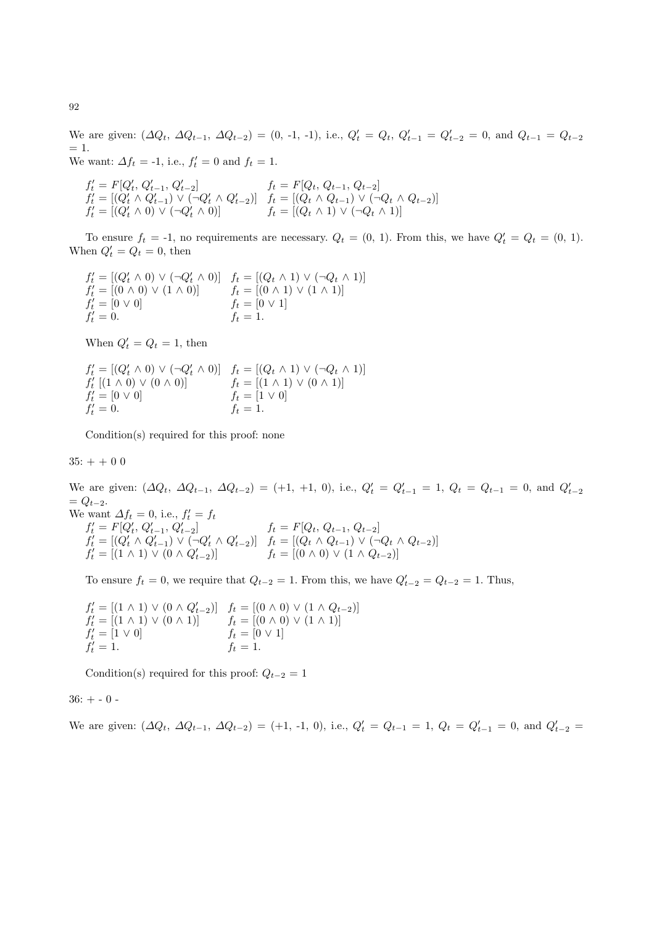We are given:  $(\Delta Q_t, \Delta Q_{t-1}, \Delta Q_{t-2}) = (0, -1, -1),$  i.e.,  $Q'_t = Q_t, Q'_{t-1} = Q'_{t-2} = 0$ , and  $Q_{t-1} = Q_{t-2}$  $= 1.$ We want:  $\Delta f_t = -1$ , i.e.,  $f'_t = 0$  and  $f_t = 1$ .

 $f'_t = F[Q'_t, Q'_{t-1}, Q'_{t-2}]$   $f_t = F[Q_t, Q_{t-1}, Q_{t-2}]$  $f'_{t} = [(Q'_{t} \wedge Q'_{t-1}) \vee (\neg Q'_{t} \wedge Q'_{t-2})]$   $f_{t} = [(Q_{t} \wedge Q_{t-1}) \vee (\neg Q_{t} \wedge Q_{t-2})]$  $f'_t = [(Q'_t \wedge 0) \vee (\neg Q'_t \wedge 0)]$   $f_t = [(Q_t \wedge 1) \vee (\neg Q_t \wedge 1)]$ 

To ensure  $f_t = -1$ , no requirements are necessary.  $Q_t = (0, 1)$ . From this, we have  $Q'_t = Q_t = (0, 1)$ . When  $Q'_t = Q_t = 0$ , then

 $f'_{t} = [(Q'_{t} \wedge 0) \vee (\neg Q'_{t} \wedge 0)] \quad f_{t} = [(Q_{t} \wedge 1) \vee (\neg Q_{t} \wedge 1)]$  $f'_t = [(0 \wedge 0) \vee (1 \wedge 0)]$   $f_t = [(0 \wedge 1) \vee (1 \wedge 1)]$  $f'_t = [0 \vee 0]$   $f_t = [0 \vee 1]$  $f'_t = 0.$   $f_t = 1.$ 

When  $Q'_t = Q_t = 1$ , then

$$
f'_{t} = [(Q'_{t} \wedge 0) \vee (\neg Q'_{t} \wedge 0)] \quad f_{t} = [(Q_{t} \wedge 1) \vee (\neg Q_{t} \wedge 1)] f'_{t} [(1 \wedge 0) \vee (0 \wedge 0)] \quad f_{t} = [(1 \wedge 1) \vee (0 \wedge 1)] f'_{t} = [0 \vee 0] \quad f_{t} = [1 \vee 0] f'_{t} = 0.
$$

Condition(s) required for this proof: none

 $35: + + 0 0$ 

We are given:  $(\Delta Q_t, \Delta Q_{t-1}, \Delta Q_{t-2}) = (+1, +1, 0),$  i.e.,  $Q'_t = Q'_{t-1} = 1, Q_t = Q_{t-1} = 0$ , and  $Q'_{t-2}$  $= Q_{t-2}.$ 

We want  $\Delta f_t = 0$ , i.e.,  $f'_t = f_t$  $f'_t = F[Q'_t, Q'_{t-1}, Q'_{t-2}]$   $f_t = F[Q_t, Q_{t-1}, Q_{t-2}]$  $f'_t = [(Q'_t \wedge Q'_{t-1}) \vee (\neg Q'_t \wedge Q'_{t-2})]$   $f_t = [(Q_t \wedge Q_{t-1}) \vee (\neg Q_t \wedge Q_{t-2})]$  $f'_t = [(1 \wedge 1) \vee (0 \wedge Q'_{t-2})]$   $f_t = [(0 \wedge 0) \vee (1 \wedge Q_{t-2})]$ 

To ensure  $f_t = 0$ , we require that  $Q_{t-2} = 1$ . From this, we have  $Q'_{t-2} = Q_{t-2} = 1$ . Thus,

 $f'_t = [(1 \wedge 1) \vee (0 \wedge Q'_{t-2})]$   $f_t = [(0 \wedge 0) \vee (1 \wedge Q_{t-2})]$  $f'_t = [(1 \wedge 1) \vee (0 \wedge 1)]$   $f_t = [(0 \wedge 0) \vee (1 \wedge 1)]$  $f'_t = [1 \vee 0]$   $f_t = [0 \vee 1]$  $f'_t = 1.$   $f_t = 1.$ 

Condition(s) required for this proof:  $Q_{t-2} = 1$ 

 $36: + - 0 -$ 

We are given: 
$$
(\Delta Q_t, \Delta Q_{t-1}, \Delta Q_{t-2}) = (+1, -1, 0)
$$
, i.e.,  $Q'_t = Q_{t-1} = 1$ ,  $Q_t = Q'_{t-1} = 0$ , and  $Q'_{t-2} =$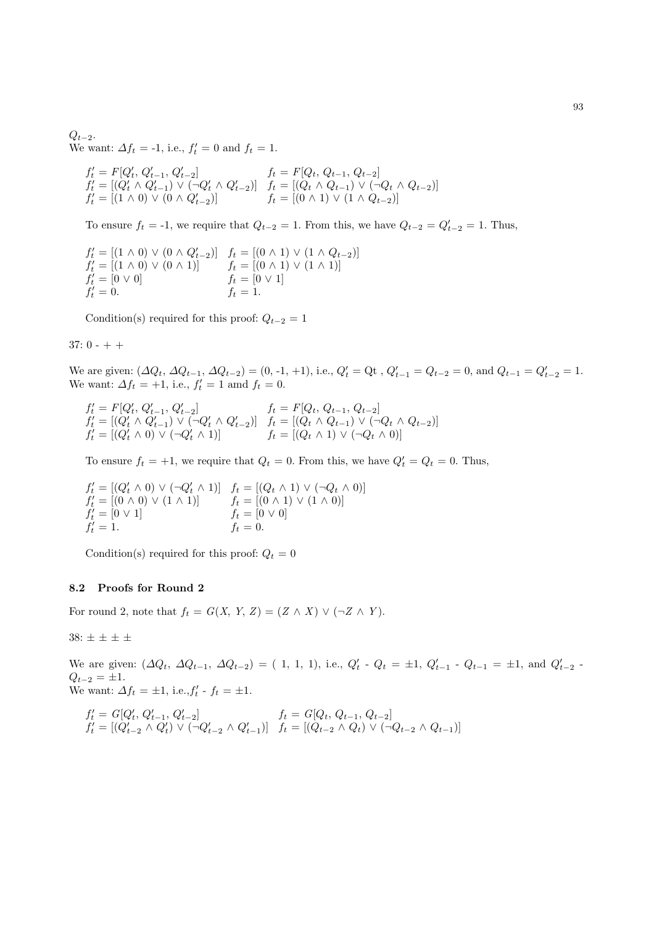$Q_{t-2}$ . We want:  $\Delta f_t = -1$ , i.e.,  $f'_t = 0$  and  $f_t = 1$ .

$$
f'_t = F[Q'_t, Q'_{t-1}, Q'_{t-2}] \t f_t = F[Q_t, Q_{t-1}, Q_{t-2}] f'_t = [(Q'_t \wedge Q'_{t-1}) \vee (\neg Q'_t \wedge Q'_{t-2})] \t f_t = [(Q_t \wedge Q_{t-1}) \vee (\neg Q_t \wedge Q_{t-2})] f'_t = [(1 \wedge 0) \vee (0 \wedge Q'_{t-2})] \t f_t = [(0 \wedge 1) \vee (1 \wedge Q_{t-2})]
$$

To ensure  $f_t = -1$ , we require that  $Q_{t-2} = 1$ . From this, we have  $Q_{t-2} = Q'_{t-2} = 1$ . Thus,

$$
f'_t = [(1 \land 0) \lor (0 \land Q'_{t-2})] \quad f_t = [(0 \land 1) \lor (1 \land Q_{t-2})] f'_t = [(1 \land 0) \lor (0 \land 1)] \quad f_t = [(0 \land 1) \lor (1 \land 1)] f'_t = [0 \lor 0] \quad f_t = [0 \lor 1] f'_t = 0. \quad f_t = 1.
$$

Condition(s) required for this proof:  $Q_{t-2} = 1$ 

# $37: 0 - + +$

We are given:  $(\Delta Q_t, \Delta Q_{t-1}, \Delta Q_{t-2}) = (0, -1, +1), \text{ i.e., } Q'_t = Q_t, Q'_{t-1} = Q_{t-2} = 0, \text{ and } Q_{t-1} = Q'_{t-2} = 1.$ We want:  $\Delta f_t = +1$ , i.e.,  $f'_t = 1$  amd  $f_t = 0$ .

 $f'_t = F[Q'_t, Q'_{t-1}, Q'_{t-2}]$   $f_t = F[Q_t, Q_{t-1}, Q_{t-2}]$  $f'_{t} = [(Q'_{t} \wedge Q'_{t-1}) \vee (\neg Q'_{t} \wedge Q'_{t-2})]$   $f_{t} = [(Q_{t} \wedge Q_{t-1}) \vee (\neg Q_{t} \wedge Q_{t-2})]$  $f'_t = [(Q'_t \wedge 0) \vee (\neg Q'_t \wedge 1)]$   $f_t = [(Q_t \wedge 1) \vee (\neg Q_t \wedge 0)]$ 

To ensure  $f_t = +1$ , we require that  $Q_t = 0$ . From this, we have  $Q'_t = Q_t = 0$ . Thus,

$$
f'_t = [(Q'_t \wedge 0) \vee (\neg Q'_t \wedge 1)] \quad f_t = [(Q_t \wedge 1) \vee (\neg Q_t \wedge 0)] f'_t = [(0 \wedge 0) \vee (1 \wedge 1)] \quad f_t = [(0 \wedge 1) \vee (1 \wedge 0)] f'_t = [0 \vee 1] \quad f_t = [0 \vee 0] f'_t = 1. \quad f_t = 0.
$$

Condition(s) required for this proof:  $Q_t = 0$ 

### 8.2 Proofs for Round 2

For round 2, note that  $f_t = G(X, Y, Z) = (Z \wedge X) \vee (\neg Z \wedge Y)$ .

38:  $\pm \pm \pm \pm$ 

We are given:  $(\Delta Q_t, \Delta Q_{t-1}, \Delta Q_{t-2}) = (1, 1, 1),$  i.e.,  $Q'_t$  -  $Q_t = \pm 1, Q'_{t-1}$  -  $Q_{t-1} = \pm 1$ , and  $Q'_{t-2}$  - $Q_{t-2} = \pm 1.$ We want:  $\Delta f_t = \pm 1$ , i.e.,  $f'_t - f_t = \pm 1$ .

$$
f'_t = G[Q'_t, Q'_{t-1}, Q'_{t-2}] \qquad f_t = G[Q_t, Q_{t-1}, Q_{t-2}]
$$
  

$$
f'_t = [(Q'_{t-2} \land Q'_t) \lor (\neg Q'_{t-2} \land Q'_{t-1})] \qquad f_t = [(Q_{t-2} \land Q_t) \lor (\neg Q_{t-2} \land Q_{t-1})]
$$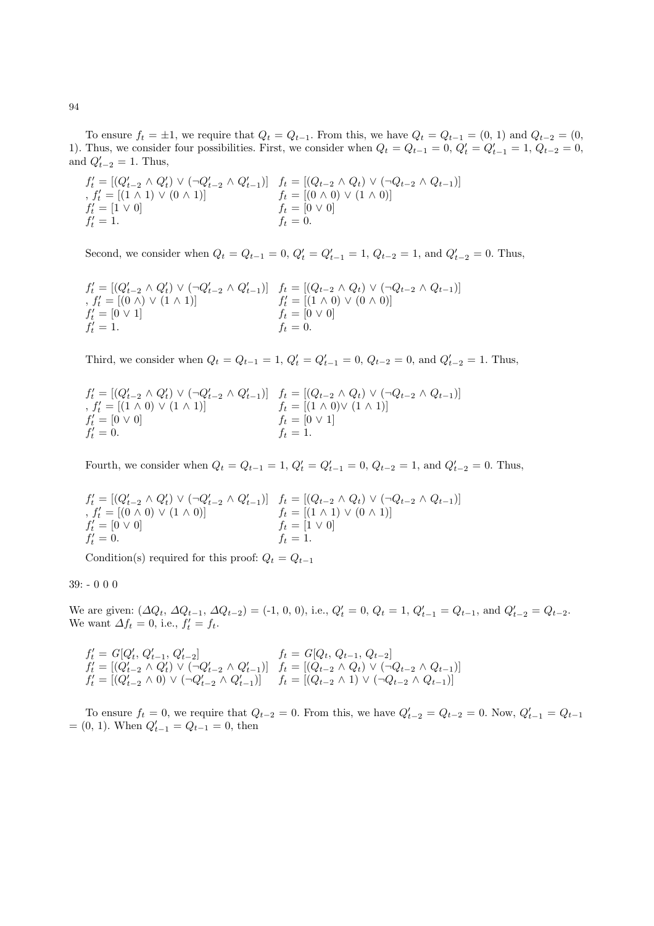To ensure  $f_t = \pm 1$ , we require that  $Q_t = Q_{t-1}$ . From this, we have  $Q_t = Q_{t-1} = (0, 1)$  and  $Q_{t-2} = (0, 1)$ 1). Thus, we consider four possibilities. First, we consider when  $Q_t = Q_{t-1} = 0$ ,  $Q'_t = Q'_{t-1} = 1$ ,  $Q_{t-2} = 0$ , and  $Q'_{t-2} = 1$ . Thus,

$$
f'_t = [(Q'_{t-2} \land Q'_t) \lor (\neg Q'_{t-2} \land Q'_{t-1})] \quad f_t = [(Q_{t-2} \land Q_t) \lor (\neg Q_{t-2} \land Q_{t-1})]
$$
  
,  $f'_t = [(1 \land 1) \lor (0 \land 1)] \quad f_t = [(0 \land 0) \lor (1 \land 0)]$   
 $f'_t = [1 \lor 0] \quad f_t = [0 \lor 0]$   
 $f'_t = 1.$ 

Second, we consider when  $Q_t = Q_{t-1} = 0$ ,  $Q'_t = Q'_{t-1} = 1$ ,  $Q_{t-2} = 1$ , and  $Q'_{t-2} = 0$ . Thus,

$$
f'_{t} = [(Q'_{t-2} \land Q'_{t}) \lor (\neg Q'_{t-2} \land Q'_{t-1})] \quad f_{t} = [(Q_{t-2} \land Q_{t}) \lor (\neg Q_{t-2} \land Q_{t-1})]
$$
  
\n
$$
f'_{t} = [(0 \land) \lor (1 \land 1)] \quad f'_{t} = [(1 \land 0) \lor (0 \land 0)]
$$
  
\n
$$
f'_{t} = [0 \lor 1] \quad f_{t} = [0 \lor 0]
$$
  
\n
$$
f_{t} = 0.
$$

Third, we consider when  $Q_t = Q_{t-1} = 1$ ,  $Q'_t = Q'_{t-1} = 0$ ,  $Q_{t-2} = 0$ , and  $Q'_{t-2} = 1$ . Thus,

$$
f'_{t} = [(Q'_{t-2} \land Q'_{t}) \lor (\neg Q'_{t-2} \land Q'_{t-1})] \quad f_{t} = [(Q_{t-2} \land Q_{t}) \lor (\neg Q_{t-2} \land Q_{t-1})]
$$
  
\n
$$
f'_{t} = [(1 \land 0) \lor (1 \land 1)] \quad f_{t} = [(1 \land 0) \lor (1 \land 1)]
$$
  
\n
$$
f'_{t} = [0 \lor 0]
$$
  
\n
$$
f_{t} = [0 \lor 1]
$$
  
\n
$$
f_{t} = 1.
$$

Fourth, we consider when  $Q_t = Q_{t-1} = 1$ ,  $Q'_t = Q'_{t-1} = 0$ ,  $Q_{t-2} = 1$ , and  $Q'_{t-2} = 0$ . Thus,

$$
f'_{t} = [(Q'_{t-2} \land Q'_{t}) \lor (\neg Q'_{t-2} \land Q'_{t-1})] \quad f_{t} = [(Q_{t-2} \land Q_{t}) \lor (\neg Q_{t-2} \land Q_{t-1})]
$$
  
,  $f'_{t} = [(0 \land 0) \lor (1 \land 0)] \quad f_{t} = [(1 \land 1) \lor (0 \land 1)]$   
 $f'_{t} = [0 \lor 0] \quad f_{t} = [1 \lor 0]$   
 $f_{t} = 0.$ 

Condition(s) required for this proof:  $Q_t = Q_{t-1}$ 

### 39: - 0 0 0

We are given:  $(\Delta Q_t, \Delta Q_{t-1}, \Delta Q_{t-2}) = (-1, 0, 0), \text{ i.e., } Q'_t = 0, Q_t = 1, Q'_{t-1} = Q_{t-1}, \text{ and } Q'_{t-2} = Q_{t-2}.$ We want  $\Delta f_t = 0$ , i.e.,  $f'_t = f_t$ .

$$
f'_t = G[Q'_t, Q'_{t-1}, Q'_{t-2}] \qquad f_t = G[Q_t, Q_{t-1}, Q_{t-2}] f'_t = [(Q'_{t-2} \land Q'_t) \lor (\neg Q'_{t-2} \land Q'_{t-1})] \qquad f_t = [(Q_{t-2} \land Q_t) \lor (\neg Q_{t-2} \land Q_{t-1})] f'_t = [(Q'_{t-2} \land 0) \lor (\neg Q'_{t-2} \land Q'_{t-1})] \qquad f_t = [(Q_{t-2} \land 1) \lor (\neg Q_{t-2} \land Q_{t-1})]
$$

To ensure  $f_t = 0$ , we require that  $Q_{t-2} = 0$ . From this, we have  $Q'_{t-2} = Q_{t-2} = 0$ . Now,  $Q'_{t-1} = Q_{t-1}$  $=(0, 1)$ . When  $Q'_{t-1} = Q_{t-1} = 0$ , then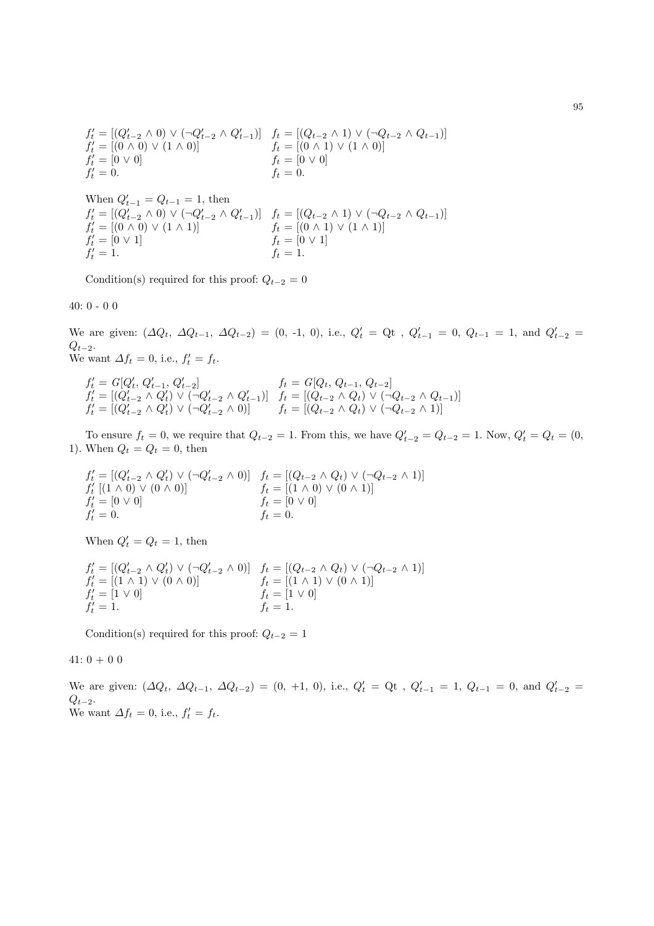$$
f'_t = [(Q'_{t-2} \land 0) \lor (\neg Q'_{t-2} \land Q'_{t-1})] \quad f_t = [(Q_{t-2} \land 1) \lor (\neg Q_{t-2} \land Q_{t-1})] f'_t = [(0 \land 0) \lor (1 \land 0)] \quad f_t = [(0 \land 1) \lor (1 \land 0)] f'_t = [0 \lor 0] \quad f_t = [0 \lor 0] f'_t = 0.
$$

When  $Q'_{t-1} = Q_{t-1} = 1$ , then  $f'_{t} = [(Q'_{t-2} \wedge 0) \vee (\neg Q'_{t-2} \wedge Q'_{t-1})]$   $f_{t} = [(Q_{t-2} \wedge 1) \vee (\neg Q_{t-2} \wedge Q_{t-1})]$  $f'_t = [(0 \wedge 0) \vee (1 \wedge 1)]$   $f_t = [(0 \wedge 1) \vee (1 \wedge 1)]$  $f'_t = [0 \vee 1]$   $f_t = [0 \vee 1]$  $f'_t = 1.$   $f_t = 1.$ 

Condition(s) required for this proof:  $Q_{t-2} = 0$ 

40: 0 - 0 0

We are given:  $(\Delta Q_t, \Delta Q_{t-1}, \Delta Q_{t-2}) = (0, -1, 0),$  i.e.,  $Q'_t = Q_t$ ,  $Q'_{t-1} = 0, Q_{t-1} = 1$ , and  $Q'_{t-2} =$  $Q_{t-2}$ . We want  $\Delta f_t = 0$ , i.e.,  $f'_t = f_t$ .

 $f'_t = G[Q'_t, Q'_{t-1}, Q'_{t-2}]$   $f_t = G[Q_t, Q_{t-1}, Q_{t-2}]$  $f'_t = [(Q'_{t-2} \wedge Q'_t) \vee (\neg Q'_{t-2} \wedge Q'_{t-1})]$   $f_t = [(Q_{t-2} \wedge Q_t) \vee (\neg Q_{t-2} \wedge Q_{t-1})]$  $f'_t = [(Q'_{t-2} \wedge Q'_t) \vee (\neg Q'_{t-2} \wedge 0)]$   $f_t = [(Q_{t-2} \wedge Q_t) \vee (\neg Q_{t-2} \wedge 1)]$ 

To ensure  $f_t = 0$ , we require that  $Q_{t-2} = 1$ . From this, we have  $Q'_{t-2} = Q_{t-2} = 1$ . Now,  $Q'_t = Q_t = (0,$ 1). When  $Q_t = Q_t = 0$ , then

$$
f'_t = [(Q'_{t-2} \land Q'_t) \lor (\neg Q'_{t-2} \land 0)] \quad f_t = [(Q_{t-2} \land Q_t) \lor (\neg Q_{t-2} \land 1)] f'_t [(1 \land 0) \lor (0 \land 0)] \quad f_t = [(1 \land 0) \lor (0 \land 1)] f'_t = [0 \lor 0] \quad f_t = [0 \lor 0] f'_t = 0.
$$

When  $Q'_t = Q_t = 1$ , then

$$
f'_t = [(Q'_{t-2} \land Q'_t) \lor (\neg Q'_{t-2} \land 0)] \quad f_t = [(Q_{t-2} \land Q_t) \lor (\neg Q_{t-2} \land 1)] f'_t = [(1 \land 1) \lor (0 \land 0)] \quad f_t = [(1 \land 1) \lor (0 \land 1)] f'_t = [1 \lor 0] \quad f_t = [1 \lor 0] f'_t = 1. \quad f_t = 1.
$$

Condition(s) required for this proof:  $Q_{t-2} = 1$ 

 $41: 0 + 0 0$ 

We are given:  $(\Delta Q_t, \Delta Q_{t-1}, \Delta Q_{t-2}) = (0, +1, 0),$  i.e.,  $Q'_t = Q_t$ ,  $Q'_{t-1} = 1, Q_{t-1} = 0$ , and  $Q'_{t-2} =$  $Q_{t-2}$ . We want  $\Delta f_t = 0$ , i.e.,  $f'_t = f_t$ .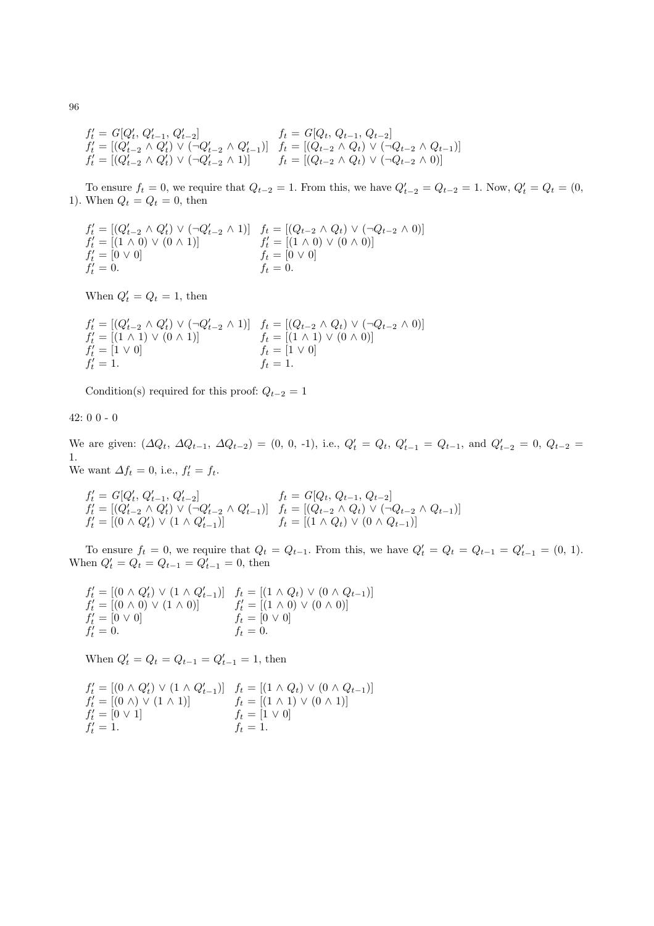$$
f'_t = G[Q'_t, Q'_{t-1}, Q'_{t-2}] \qquad f_t = G[Q_t, Q_{t-1}, Q_{t-2}] f'_t = [(Q'_{t-2} \land Q'_t) \lor (\neg Q'_{t-2} \land Q'_{t-1})] \qquad f_t = [(Q_{t-2} \land Q_t) \lor (\neg Q_{t-2} \land Q_{t-1})] f'_t = [(Q'_{t-2} \land Q'_t) \lor (\neg Q'_{t-2} \land 1)] \qquad f_t = [(Q_{t-2} \land Q_t) \lor (\neg Q_{t-2} \land 0)]
$$

To ensure  $f_t = 0$ , we require that  $Q_{t-2} = 1$ . From this, we have  $Q'_{t-2} = Q_{t-2} = 1$ . Now,  $Q'_t = Q_t = (0,$ 1). When  $Q_t = Q_t = 0$ , then

$$
f'_t = [(Q'_{t-2} \land Q'_t) \lor (\neg Q'_{t-2} \land 1)] \quad f_t = [(Q_{t-2} \land Q_t) \lor (\neg Q_{t-2} \land 0)] f'_t = [(1 \land 0) \lor (0 \land 1)] \quad f'_t = [(1 \land 0) \lor (0 \land 0)] f'_t = [0 \lor 0] \quad f_t = [0 \lor 0] f'_t = 0.
$$

When  $Q'_t = Q_t = 1$ , then

$$
f'_{t} = [(Q'_{t-2} \land Q'_{t}) \lor (\neg Q'_{t-2} \land 1)] \quad f_{t} = [(Q_{t-2} \land Q_{t}) \lor (\neg Q_{t-2} \land 0)] f'_{t} = [(1 \land 1) \lor (0 \land 1)] \quad f_{t} = [(1 \land 1) \lor (0 \land 0)] f'_{t} = [1 \lor 0] \quad f_{t} = [1 \lor 0] f'_{t} = 1.
$$

Condition(s) required for this proof:  $Q_{t-2} = 1$ 

42: 0 0 - 0

We are given:  $(\Delta Q_t, \Delta Q_{t-1}, \Delta Q_{t-2}) = (0, 0, -1),$  i.e.,  $Q'_t = Q_t, Q'_{t-1} = Q_{t-1}$ , and  $Q'_{t-2} = 0, Q_{t-2} =$ 1.

We want  $\Delta f_t = 0$ , i.e.,  $f'_t = f_t$ .

$$
\begin{array}{ll}\nf_t' = G[Q_t', Q_{t-1}', Q_{t-2}'] & f_t = G[Q_t, Q_{t-1}, Q_{t-2}] \\
f_t' = [(Q_{t-2}' \land Q_t') \lor (\neg Q_{t-2}' \land Q_{t-1}')] & f_t = [(Q_{t-2} \land Q_t) \lor (\neg Q_{t-2} \land Q_{t-1})] \\
f_t' = [(0 \land Q_t') \lor (1 \land Q_{t-1}')] & f_t = [(1 \land Q_t) \lor (0 \land Q_{t-1})]\n\end{array}
$$

To ensure  $f_t = 0$ , we require that  $Q_t = Q_{t-1}$ . From this, we have  $Q'_t = Q_t = Q_{t-1} = Q'_{t-1} = (0, 1)$ . When  $Q'_t = Q_t = Q_{t-1} = Q'_{t-1} = 0$ , then

$$
f'_t = [(0 \land Q'_t) \lor (1 \land Q'_{t-1})] \quad f_t = [(1 \land Q_t) \lor (0 \land Q_{t-1})]
$$
  
\n
$$
f'_t = [(0 \land 0) \lor (1 \land 0)] \quad f'_t = [(1 \land 0) \lor (0 \land 0)]
$$
  
\n
$$
f'_t = [0 \lor 0] \quad f_t = [0 \lor 0]
$$
  
\n
$$
f'_t = 0.
$$

When  $Q'_t = Q_t = Q_{t-1} = Q'_{t-1} = 1$ , then

$$
f'_t = [(0 \land Q'_t) \lor (1 \land Q'_{t-1})] \quad f_t = [(1 \land Q_t) \lor (0 \land Q_{t-1})] f'_t = [(0 \land) \lor (1 \land 1)] \quad f_t = [(1 \land 1) \lor (0 \land 1)] f'_t = [0 \lor 1] \quad f_t = [1 \lor 0] f'_t = 1.
$$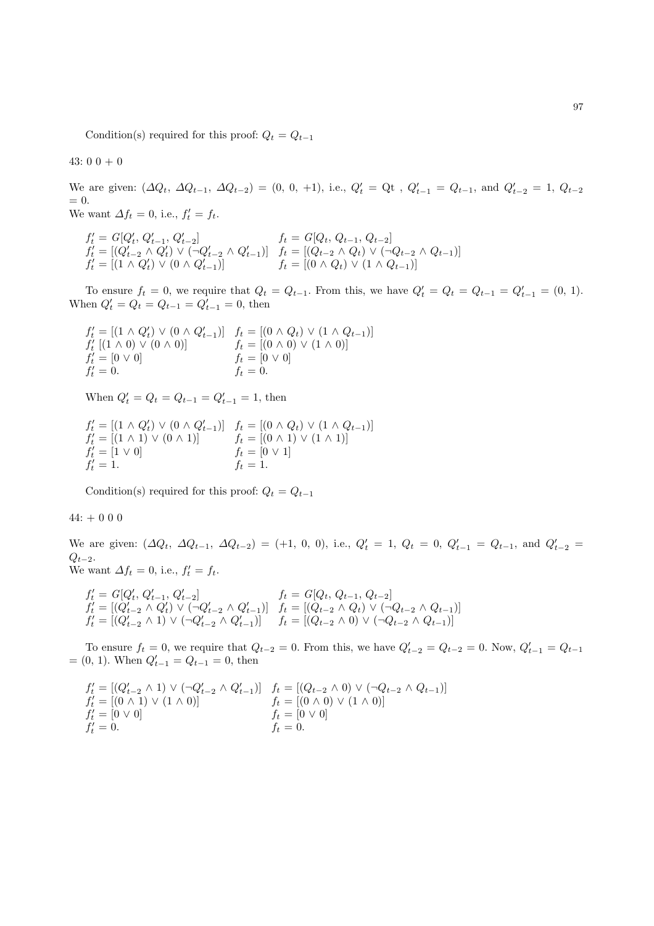Condition(s) required for this proof:  $Q_t = Q_{t-1}$ 

43:  $0\ 0\ + 0$ 

We are given:  $(\Delta Q_t, \Delta Q_{t-1}, \Delta Q_{t-2}) = (0, 0, +1),$  i.e.,  $Q'_t = Q_t$ ,  $Q'_{t-1} = Q_{t-1}$ , and  $Q'_{t-2} = 1, Q_{t-2}$  $= 0.$ We want  $\Delta f_t = 0$ , i.e.,  $f'_t = f_t$ .

 $f'_t = G[Q'_t, Q'_{t-1}, Q'_{t-2}]$   $f_t = G[Q_t, Q_{t-1}, Q_{t-2}]$  $f'_t = [(Q'_{t-2} \wedge Q'_t) \vee (\neg Q'_{t-2} \wedge Q'_{t-1})]$   $f_t = [(Q_{t-2} \wedge Q_t) \vee (\neg Q_{t-2} \wedge Q_{t-1})]$  $f'_t = [(1 \wedge Q'_t) \vee (0 \wedge Q'_{t-1})]$   $f_t = [(0 \wedge Q_t) \vee (1 \wedge Q_{t-1})]$ 

To ensure  $f_t = 0$ , we require that  $Q_t = Q_{t-1}$ . From this, we have  $Q'_t = Q_t = Q_{t-1} = Q'_{t-1} = (0, 1)$ . When  $Q'_t = Q_t = Q_{t-1} = Q'_{t-1} = 0$ , then

$$
f'_{t} = [(1 \land Q'_{t}) \lor (0 \land Q'_{t-1})] \quad f_{t} = [(0 \land Q_{t}) \lor (1 \land Q_{t-1})] f'_{t} [(1 \land 0) \lor (0 \land 0)] \quad f_{t} = [(0 \land 0) \lor (1 \land 0)] f'_{t} = [0 \lor 0] \quad f_{t} = [0 \lor 0] f'_{t} = 0.
$$

When  $Q'_t = Q_t = Q_{t-1} = Q'_{t-1} = 1$ , then

$$
f'_t = [(1 \land Q'_t) \lor (0 \land Q'_{t-1})] \quad f_t = [(0 \land Q_t) \lor (1 \land Q_{t-1})] f'_t = [(1 \land 1) \lor (0 \land 1)] \quad f_t = [(0 \land 1) \lor (1 \land 1)] f'_t = [1 \lor 0] \quad f_t = [0 \lor 1] f'_t = 1. \quad f_t = 1.
$$

Condition(s) required for this proof:  $Q_t = Q_{t-1}$ 

#### $44: + 0 0 0$

We are given:  $(\Delta Q_t, \Delta Q_{t-1}, \Delta Q_{t-2}) = (+1, 0, 0),$  i.e.,  $Q'_t = 1, Q_t = 0, Q'_{t-1} = Q_{t-1}$ , and  $Q'_{t-2} =$  $Q_{t-2}$ . We want  $\Delta f_t = 0$ , i.e.,  $f'_t = f_t$ .

$$
\begin{array}{ll} f'_t = G[Q'_t,\, Q'_{t-1},\, Q'_{t-2}] & f_t = G[Q_t,\, Q_{t-1},\, Q_{t-2}]\\ f'_t = [(Q'_{t-2} \land Q'_t) \lor (\neg Q'_{t-2} \land Q'_{t-1})] & f_t = [(Q_{t-2} \land Q_t) \lor (\neg Q_{t-2} \land Q_{t-1})]\\ f'_t = [(Q'_{t-2} \land 1) \lor (\neg Q'_{t-2} \land Q'_{t-1})] & f_t = [(Q_{t-2} \land 0) \lor (\neg Q_{t-2} \land Q_{t-1})] \end{array}
$$

To ensure  $f_t = 0$ , we require that  $Q_{t-2} = 0$ . From this, we have  $Q'_{t-2} = Q_{t-2} = 0$ . Now,  $Q'_{t-1} = Q_{t-1}$  $=(0, 1)$ . When  $Q'_{t-1} = Q_{t-1} = 0$ , then

$$
f'_t = [(Q'_{t-2} \land 1) \lor (\neg Q'_{t-2} \land Q'_{t-1})] \quad f_t = [(Q_{t-2} \land 0) \lor (\neg Q_{t-2} \land Q_{t-1})] f'_t = [(0 \land 1) \lor (1 \land 0)] \quad f_t = [(0 \land 0) \lor (1 \land 0)] f'_t = [0 \lor 0] \quad f_t = [0 \lor 0] f'_t = 0.
$$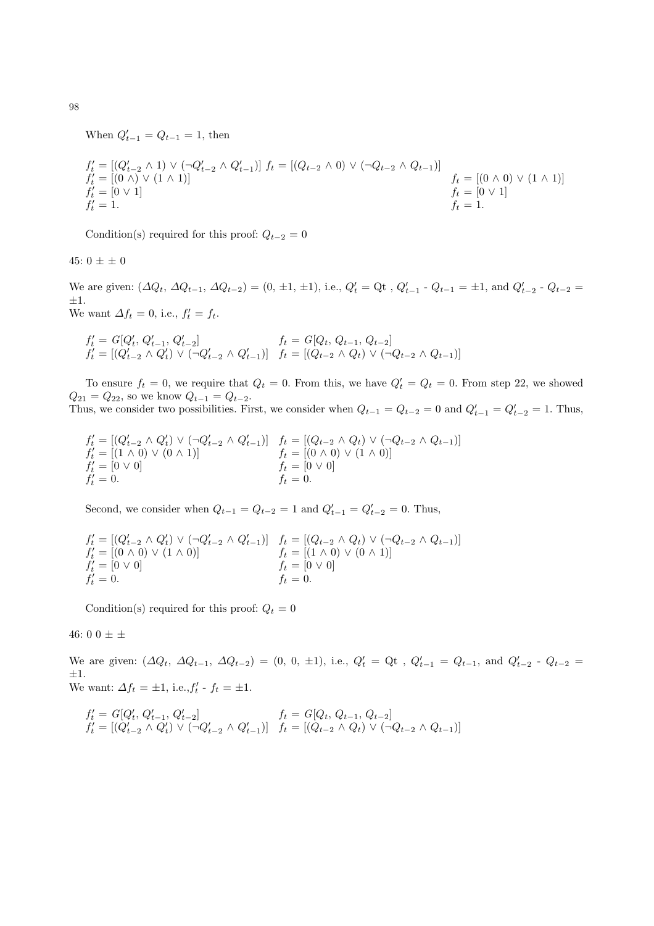When  $Q'_{t-1} = Q_{t-1} = 1$ , then

$$
f'_{t} = [(Q'_{t-2} \land 1) \lor (\neg Q'_{t-2} \land Q'_{t-1})] f_{t} = [(Q_{t-2} \land 0) \lor (\neg Q_{t-2} \land Q_{t-1})] f'_{t} = [(0 \land) \lor (1 \land 1)] f'_{t} = [0 \lor 1] f'_{t} = [0 \lor 1] f'_{t} = 1.
$$

Condition(s) required for this proof:  $Q_{t-2} = 0$ 

45:  $0 \pm \pm 0$ 

We are given:  $(\Delta Q_t, \Delta Q_{t-1}, \Delta Q_{t-2}) = (0, \pm 1, \pm 1), \text{ i.e., } Q'_t = Q_t, Q'_{t-1} - Q_{t-1} = \pm 1, \text{ and } Q'_{t-2} - Q_{t-2} =$  $\pm 1.$ 

We want  $\Delta f_t = 0$ , i.e.,  $f'_t = f_t$ .

$$
f'_t = G[Q'_t, Q'_{t-1}, Q'_{t-2}] \qquad f_t = G[Q_t, Q_{t-1}, Q_{t-2}]
$$
  
\n
$$
f'_t = [(Q'_{t-2} \land Q'_t) \lor (\neg Q'_{t-2} \land Q'_{t-1})] \qquad f_t = [(Q_{t-2} \land Q_t) \lor (\neg Q_{t-2} \land Q_{t-1})]
$$

To ensure  $f_t = 0$ , we require that  $Q_t = 0$ . From this, we have  $Q'_t = Q_t = 0$ . From step 22, we showed  $Q_{21} = Q_{22}$ , so we know  $Q_{t-1} = Q_{t-2}$ . Thus, we consider two possibilities. First, we consider when  $Q_{t-1} = Q_{t-2} = 0$  and  $Q'_{t-1} = Q'_{t-2} = 1$ . Thus,

$$
f'_t = [(Q'_{t-2} \land Q'_t) \lor (\neg Q'_{t-2} \land Q'_{t-1})] \quad f_t = [(Q_{t-2} \land Q_t) \lor (\neg Q_{t-2} \land Q_{t-1})] f'_t = [(1 \land 0) \lor (0 \land 1)] \quad f_t = [(0 \land 0) \lor (1 \land 0)] f'_t = [0 \lor 0] \quad f_t = [0 \lor 0] f'_t = 0.
$$

Second, we consider when  $Q_{t-1} = Q_{t-2} = 1$  and  $Q'_{t-1} = Q'_{t-2} = 0$ . Thus,

$$
f'_t = [(Q'_{t-2} \land Q'_t) \lor (\neg Q'_{t-2} \land Q'_{t-1})] \quad f_t = [(Q_{t-2} \land Q_t) \lor (\neg Q_{t-2} \land Q_{t-1})] f'_t = [(0 \land 0) \lor (1 \land 0)] \quad f_t = [(1 \land 0) \lor (0 \land 1)] f'_t = [0 \lor 0] \quad f_t = [0 \lor 0] f'_t = 0.
$$

Condition(s) required for this proof:  $Q_t = 0$ 

46: 0 0  $\pm$   $\pm$ 

We are given:  $(\Delta Q_t, \Delta Q_{t-1}, \Delta Q_{t-2}) = (0, 0, \pm 1), \text{ i.e., } Q'_t = Q_t, Q'_{t-1} = Q_{t-1}, \text{ and } Q'_{t-2} - Q_{t-2} = Q_t$ ±1. We want:  $\Delta f_t = \pm 1$ , i.e.,  $f'_t - f_t = \pm 1$ .

$$
f'_t = G[Q'_t, Q'_{t-1}, Q'_{t-2}] \qquad f_t = G[Q_t, Q_{t-1}, Q_{t-2}]
$$
  

$$
f'_t = [(Q'_{t-2} \land Q'_t) \lor (\neg Q'_{t-2} \land Q'_{t-1})] \qquad f_t = [(Q_{t-2} \land Q_t) \lor (\neg Q_{t-2} \land Q_{t-1})]
$$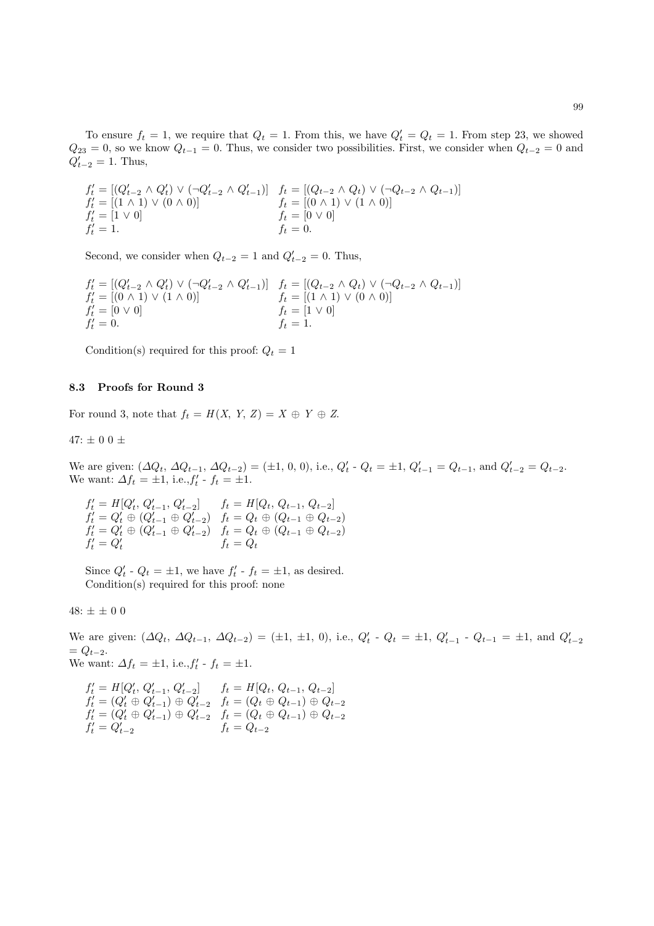To ensure  $f_t = 1$ , we require that  $Q_t = 1$ . From this, we have  $Q'_t = Q_t = 1$ . From step 23, we showed  $Q_{23} = 0$ , so we know  $Q_{t-1} = 0$ . Thus, we consider two possibilities. First, we consider when  $Q_{t-2} = 0$  and  $Q'_{t-2} = 1$ . Thus,

$$
f'_t = [(Q'_{t-2} \land Q'_t) \lor (\neg Q'_{t-2} \land Q'_{t-1})] \quad f_t = [(Q_{t-2} \land Q_t) \lor (\neg Q_{t-2} \land Q_{t-1})] f'_t = [(1 \land 1) \lor (0 \land 0)] \quad f_t = [(0 \land 1) \lor (1 \land 0)] f'_t = [1 \lor 0] \quad f_t = [0 \lor 0] f'_t = 1.
$$

Second, we consider when  $Q_{t-2} = 1$  and  $Q'_{t-2} = 0$ . Thus,

$$
f'_{t} = [(Q'_{t-2} \land Q'_{t}) \lor (\neg Q'_{t-2} \land Q'_{t-1})] \quad f_{t} = [(Q_{t-2} \land Q_{t}) \lor (\neg Q_{t-2} \land Q_{t-1})] f'_{t} = [(0 \land 1) \lor (1 \land 0)] \quad f_{t} = [(1 \land 1) \lor (0 \land 0)] f'_{t} = [0 \lor 0] \quad f_{t} = [1 \lor 0] f'_{t} = 0.
$$

Condition(s) required for this proof:  $Q_t = 1$ 

### 8.3 Proofs for Round 3

For round 3, note that  $f_t = H(X, Y, Z) = X \oplus Y \oplus Z$ .

47:  $\pm$  0 0  $\pm$ 

We are given:  $(\Delta Q_t, \Delta Q_{t-1}, \Delta Q_{t-2}) = (\pm 1, 0, 0), \text{ i.e., } Q'_t \cdot Q_t = \pm 1, Q'_{t-1} = Q_{t-1}, \text{ and } Q'_{t-2} = Q_{t-2}.$ We want:  $\Delta f_t = \pm 1$ , i.e.,  $f'_t - f_t = \pm 1$ .

$$
f'_t = H[Q'_t, Q'_{t-1}, Q'_{t-2}] \qquad f_t = H[Q_t, Q_{t-1}, Q_{t-2}] f'_t = Q'_t \oplus (Q'_{t-1} \oplus Q'_{t-2}) \qquad f_t = Q_t \oplus (Q_{t-1} \oplus Q_{t-2}) f'_t = Q'_t \oplus (Q'_{t-1} \oplus Q'_{t-2}) \qquad f_t = Q_t \oplus (Q_{t-1} \oplus Q_{t-2}) f'_t = Q'_t \qquad f_t = Q_t
$$

Since  $Q'_t$  -  $Q_t = \pm 1$ , we have  $f'_t$  -  $f_t = \pm 1$ , as desired. Condition(s) required for this proof: none

48:  $\pm \pm 0.0$ 

We are given:  $(\Delta Q_t, \Delta Q_{t-1}, \Delta Q_{t-2}) = (\pm 1, \pm 1, 0), \text{ i.e., } Q'_t \cdot Q_t = \pm 1, Q'_{t-1} \cdot Q_{t-1} = \pm 1, \text{ and } Q'_{t-2}$  $= Q_{t-2}.$ We want:  $\Delta f_t = \pm 1$ , i.e.,  $f'_t - f_t = \pm 1$ .

$$
f'_t = H[Q'_t, Q'_{t-1}, Q'_{t-2}] \qquad f_t = H[Q_t, Q_{t-1}, Q_{t-2}] f'_t = (Q'_t \oplus Q'_{t-1}) \oplus Q'_{t-2} \qquad f_t = (Q_t \oplus Q_{t-1}) \oplus Q_{t-2} f'_t = (Q'_t \oplus Q'_{t-1}) \oplus Q'_{t-2} \qquad f_t = (Q_t \oplus Q_{t-1}) \oplus Q_{t-2} f'_t = Q'_{t-2} \qquad f_t = Q_{t-2}
$$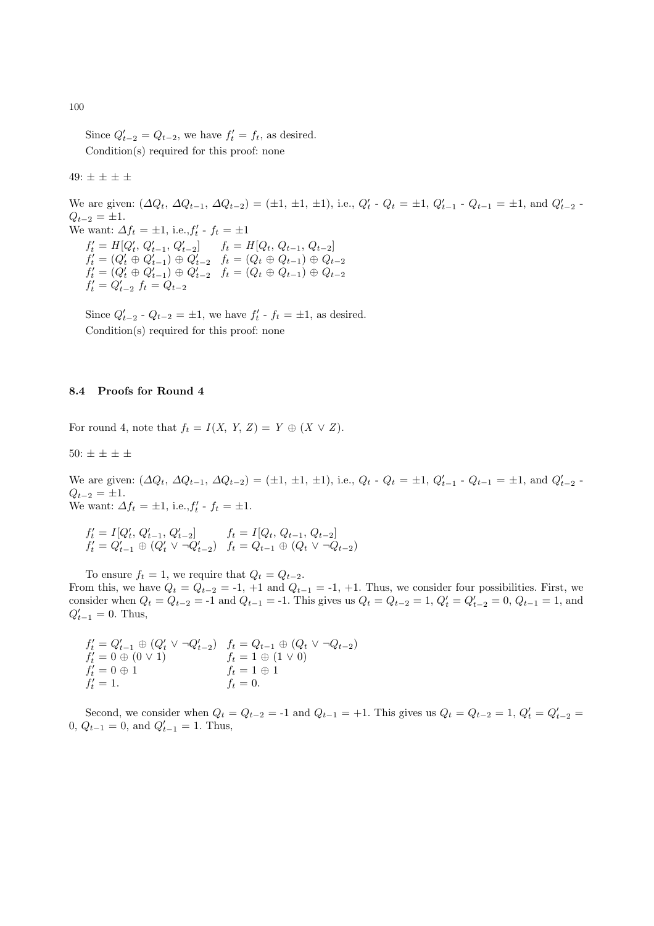Since  $Q'_{t-2} = Q_{t-2}$ , we have  $f'_t = f_t$ , as desired. Condition(s) required for this proof: none

# 49:  $\pm \pm \pm \pm$

We are given:  $(\Delta Q_t, \Delta Q_{t-1}, \Delta Q_{t-2}) = (\pm 1, \pm 1, \pm 1), \text{ i.e., } Q'_t \cdot Q_t = \pm 1, Q'_{t-1} \cdot Q_{t-1} = \pm 1, \text{ and } Q'_{t-2} \cdot Q_t = \pm 1$  $Q_{t-2} = \pm 1.$ We want:  $\Delta f_t = \pm 1$ , i.e.,  $f'_t - f_t = \pm 1$  $f'_t = H[Q'_t, Q'_{t-1}, Q'_{t-2}]$   $f_t = H[Q_t, Q_{t-1}, Q_{t-2}]$  $f'_t = (Q'_t \oplus Q'_{t-1}) \oplus Q'_{t-2}$   $f_t = (Q_t \oplus Q_{t-1}) \oplus Q_{t-2}$  $f'_t = (Q'_t \oplus Q'_{t-1}) \oplus Q'_{t-2}$   $f_t = (Q_t \oplus Q_{t-1}) \oplus Q_{t-2}$  $f'_t = Q'_{t-2} \, f_t = Q_{t-2}$ 

Since  $Q'_{t-2}$  -  $Q_{t-2} = \pm 1$ , we have  $f'_{t}$  -  $f_{t} = \pm 1$ , as desired. Condition(s) required for this proof: none

#### 8.4 Proofs for Round 4

For round 4, note that  $f_t = I(X, Y, Z) = Y \oplus (X \vee Z)$ .

50:  $\pm \pm \pm \pm \pm$ 

We are given:  $(\Delta Q_t, \Delta Q_{t-1}, \Delta Q_{t-2}) = (\pm 1, \pm 1, \pm 1), \text{ i.e., } Q_t - Q_t = \pm 1, Q'_{t-1} - Q_{t-1} = \pm 1, \text{ and } Q'_{t-2} - Q_t = Q_t - Q_t$  $Q_{t-2} = \pm 1.$ We want:  $\Delta f_t = \pm 1$ , i.e.,  $f'_t - f_t = \pm 1$ .

$$
f'_t = I[Q'_t, Q'_{t-1}, Q'_{t-2}] \qquad f_t = I[Q_t, Q_{t-1}, Q_{t-2}] f'_t = Q'_{t-1} \oplus (Q'_t \vee \neg Q'_{t-2}) \quad f_t = Q_{t-1} \oplus (Q_t \vee \neg Q_{t-2})
$$

To ensure  $f_t = 1$ , we require that  $Q_t = Q_{t-2}$ . From this, we have  $Q_t = Q_{t-2} = -1$ , +1 and  $Q_{t-1} = -1$ , +1. Thus, we consider four possibilities. First, we consider when  $Q_t = Q_{t-2} = -1$  and  $Q_{t-1} = -1$ . This gives us  $Q_t = Q_{t-2} = 1$ ,  $Q'_t = Q'_{t-2} = 0$ ,  $Q_{t-1} = 1$ , and  $Q'_{t-1} = 0$ . Thus,

$$
f'_t = Q'_{t-1} \oplus (Q'_t \vee \neg Q'_{t-2}) \quad f_t = Q_{t-1} \oplus (Q_t \vee \neg Q_{t-2}) f'_t = 0 \oplus (0 \vee 1) \quad f_t = 1 \oplus (1 \vee 0) f'_t = 0 \oplus 1 \quad f'_t = 1 \oplus 1 f'_t = 0.
$$

Second, we consider when  $Q_t = Q_{t-2} = -1$  and  $Q_{t-1} = +1$ . This gives us  $Q_t = Q_{t-2} = 1$ ,  $Q'_t = Q'_{t-2} =$ 0,  $Q_{t-1} = 0$ , and  $Q'_{t-1} = 1$ . Thus,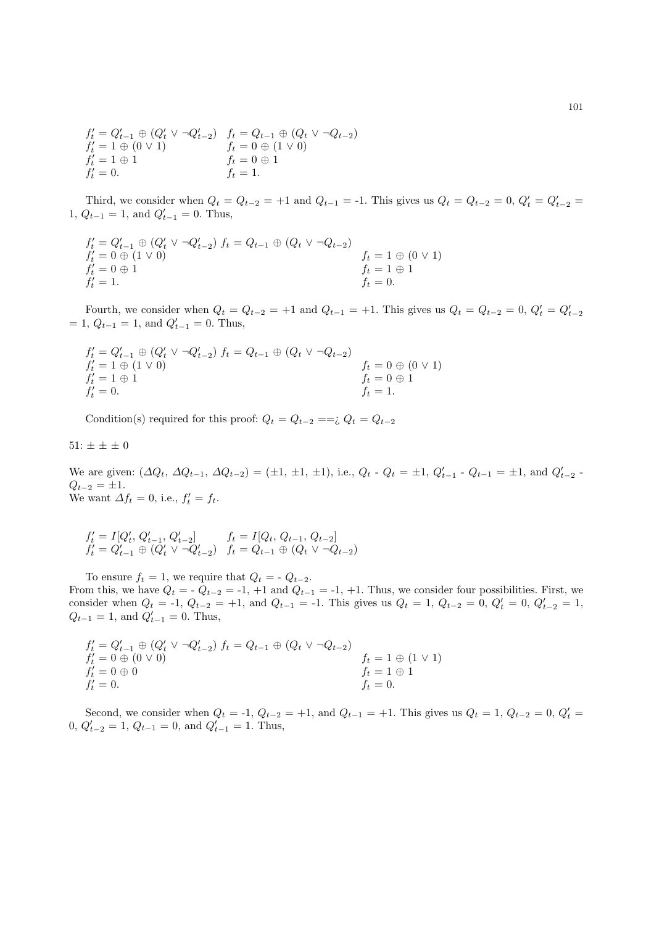$f'_t = Q'_{t-1} \oplus (Q'_t \vee \neg Q'_{t-2})$   $f_t = Q_{t-1} \oplus (Q_t \vee \neg Q_{t-2})$  $f'_t = 1 \oplus (0 \vee 1)$   $f_t = 0 \oplus (1 \vee 0)$  $f_t'$  $f_t = 0 \oplus 1$  $f_t'$  $f_t = 1.$ 

Third, we consider when  $Q_t = Q_{t-2} = +1$  and  $Q_{t-1} = -1$ . This gives us  $Q_t = Q_{t-2} = 0$ ,  $Q'_t = Q'_{t-2} = 0$ 1,  $Q_{t-1} = 1$ , and  $Q'_{t-1} = 0$ . Thus,  $t_{t-1} = 0$ . Thus,

 $f'_{t} = Q'_{t-1} \oplus (Q'_{t} \vee \neg Q'_{t-2}) f_{t} = Q_{t-1} \oplus (Q_{t} \vee \neg Q_{t-2})$  $f'_t = 0 \oplus (1 \vee 0)$  ft = 1  $\oplus$  (0  $\vee$  1)  $f'_t = 0 \oplus 1$  ft  $t = 1 \oplus 1$  $f'_t = 1.$   $f_t = 0.$ 

Fourth, we consider when  $Q_t = Q_{t-2} = +1$  and  $Q_{t-1} = +1$ . This gives us  $Q_t = Q_{t-2} = 0$ ,  $Q'_t = Q'_{t-2}$  $= 1, Q_{t-1} = 1$ , and  $Q'_{t-1} = 0$ . Thus,

$$
f'_t = Q'_{t-1} \oplus (Q'_t \vee \neg Q'_{t-2}) f_t = Q_{t-1} \oplus (Q_t \vee \neg Q_{t-2})
$$
  
\n
$$
f'_t = 1 \oplus (1 \vee 0)
$$
  
\n
$$
f'_t = 1 \oplus 1
$$
  
\n
$$
f'_t = 0 \oplus (0 \vee 1)
$$
  
\n
$$
f_t = 0 \oplus 1
$$
  
\n
$$
f_t = 0 \oplus 1
$$
  
\n
$$
f_t = 1.
$$

Condition(s) required for this proof:  $Q_t = Q_{t-2} = =i$ ,  $Q_t = Q_{t-2}$ 

 $51: \pm \pm \pm 0$ 

We are given:  $(\Delta Q_t, \Delta Q_{t-1}, \Delta Q_{t-2}) = (\pm 1, \pm 1, \pm 1), \text{ i.e., } Q_t - Q_t = \pm 1, Q'_{t-1} - Q_{t-1} = \pm 1, \text{ and } Q'_{t-2} - Q_t = Q_t - Q_t$  $Q_{t-2} = \pm 1.$ We want  $\Delta f_t = 0$ , i.e.,  $f'_t = f_t$ .

$$
f'_t = I[Q'_t, Q'_{t-1}, Q'_{t-2}] \qquad f_t = I[Q_t, Q_{t-1}, Q_{t-2}] f'_t = Q'_{t-1} \oplus (Q'_t \vee \neg Q'_{t-2}) \quad f_t = Q_{t-1} \oplus (Q_t \vee \neg Q_{t-2})
$$

To ensure  $f_t = 1$ , we require that  $Q_t = -Q_{t-2}$ . From this, we have  $Q_t = -Q_{t-2} = -1, +1$  and  $Q_{t-1} = -1, +1$ . Thus, we consider four possibilities. First, we consider when  $Q_t = -1$ ,  $Q_{t-2} = +1$ , and  $Q_{t-1} = -1$ . This gives us  $Q_t = 1$ ,  $Q_{t-2} = 0$ ,  $Q'_t = 0$ ,  $Q'_{t-2} = 1$ ,  $Q_{t-1} = 1$ , and  $Q'_{t-1} = 0$ . Thus,

$$
f'_t = Q'_{t-1} \oplus (Q'_t \vee \neg Q'_{t-2}) f_t = Q_{t-1} \oplus (Q_t \vee \neg Q_{t-2})
$$
  
\n
$$
f'_t = 0 \oplus (0 \vee 0)
$$
  
\n
$$
f'_t = 0 \oplus 0
$$
  
\n
$$
f'_t = 1 \oplus (1 \vee 1)
$$
  
\n
$$
f_t = 1 \oplus (1 \vee 1)
$$
  
\n
$$
f_t = 1 \oplus 1
$$
  
\n
$$
f_t = 0.
$$

Second, we consider when  $Q_t = -1$ ,  $Q_{t-2} = +1$ , and  $Q_{t-1} = +1$ . This gives us  $Q_t = 1$ ,  $Q_{t-2} = 0$ ,  $Q'_t =$  $0, Q'_{t-2} = 1, Q_{t-1} = 0, \text{ and } Q'_{t-1} = 1. \text{ Thus,}$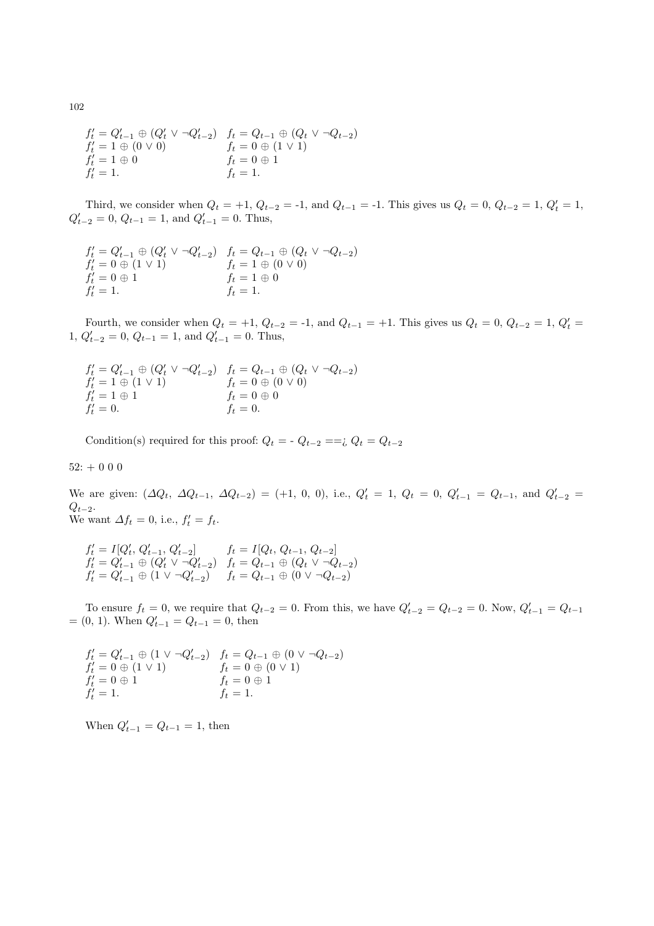$$
f'_t = Q'_{t-1} \oplus (Q'_t \vee \neg Q'_{t-2}) \quad f_t = Q_{t-1} \oplus (Q_t \vee \neg Q_{t-2}) f'_t = 1 \oplus (0 \vee 0) \quad f_t = 0 \oplus (1 \vee 1) f'_t = 1 \oplus 0 \quad f_t = 0 \oplus 1 f'_t = 1.
$$

Third, we consider when  $Q_t = +1$ ,  $Q_{t-2} = -1$ , and  $Q_{t-1} = -1$ . This gives us  $Q_t = 0$ ,  $Q_{t-2} = 1$ ,  $Q'_t = 1$ ,  $Q'_{t-2} = 0, Q_{t-1} = 1, \text{ and } Q'_{t-1} = 0.$  Thus,

$$
f'_t = Q'_{t-1} \oplus (Q'_t \vee \neg Q'_{t-2}) \quad f_t = Q_{t-1} \oplus (Q_t \vee \neg Q_{t-2}) f'_t = 0 \oplus (1 \vee 1) \quad f_t = 1 \oplus (0 \vee 0) f'_t = 0 \oplus 1 \quad f_t = 1 \oplus 0 f'_t = 1.
$$

Fourth, we consider when  $Q_t = +1$ ,  $Q_{t-2} = -1$ , and  $Q_{t-1} = +1$ . This gives us  $Q_t = 0$ ,  $Q_{t-2} = 1$ ,  $Q'_t =$  $1, Q'_{t-2} = 0, Q_{t-1} = 1, \text{ and } Q'_{t-1} = 0.$  Thus,

 $f'_{t} = Q'_{t-1} \oplus (Q'_{t} \vee \neg Q'_{t-2})$   $f_{t} = Q_{t-1} \oplus (Q_{t} \vee \neg Q_{t-2})$  $f'_t = 1 \oplus (1 \vee 1)$   $f_t = 0 \oplus (0 \vee 0)$  $f'_t = 1 \oplus 1$   $f_t = 0 \oplus 0$  $f'_t = 0.$   $f_t = 0.$ 

Condition(s) required for this proof:  $Q_t = -Q_{t-2} == \mathcal{Q}_t = Q_{t-2}$ 

 $52: + 000$ 

We are given:  $(\Delta Q_t, \Delta Q_{t-1}, \Delta Q_{t-2}) = (+1, 0, 0),$  i.e.,  $Q'_t = 1, Q_t = 0, Q'_{t-1} = Q_{t-1}$ , and  $Q'_{t-2} =$  $Q_{t-2}$ . We want  $\Delta f_t = 0$ , i.e.,  $f'_t = f_t$ .

$$
f'_t = I[Q'_t, Q'_{t-1}, Q'_{t-2}] \qquad f_t = I[Q_t, Q_{t-1}, Q_{t-2}] f'_t = Q'_{t-1} \oplus (Q'_t \vee \neg Q'_{t-2}) \qquad f_t = Q_{t-1} \oplus (Q_t \vee \neg Q_{t-2}) f'_t = Q'_{t-1} \oplus (1 \vee \neg Q'_{t-2}) \qquad f_t = Q_{t-1} \oplus (0 \vee \neg Q_{t-2})
$$

To ensure  $f_t = 0$ , we require that  $Q_{t-2} = 0$ . From this, we have  $Q'_{t-2} = Q_{t-2} = 0$ . Now,  $Q'_{t-1} = Q_{t-1}$  $=(0, 1)$ . When  $Q'_{t-1} = Q_{t-1} = 0$ , then

$$
f'_t = Q'_{t-1} \oplus (1 \vee \neg Q'_{t-2}) \quad f_t = Q_{t-1} \oplus (0 \vee \neg Q_{t-2}) f'_t = 0 \oplus (1 \vee 1) \quad f_t = 0 \oplus (0 \vee 1) f'_t = 0 \oplus 1 \quad f_t = 0 \oplus 1 f'_t = 1.
$$

When  $Q'_{t-1} = Q_{t-1} = 1$ , then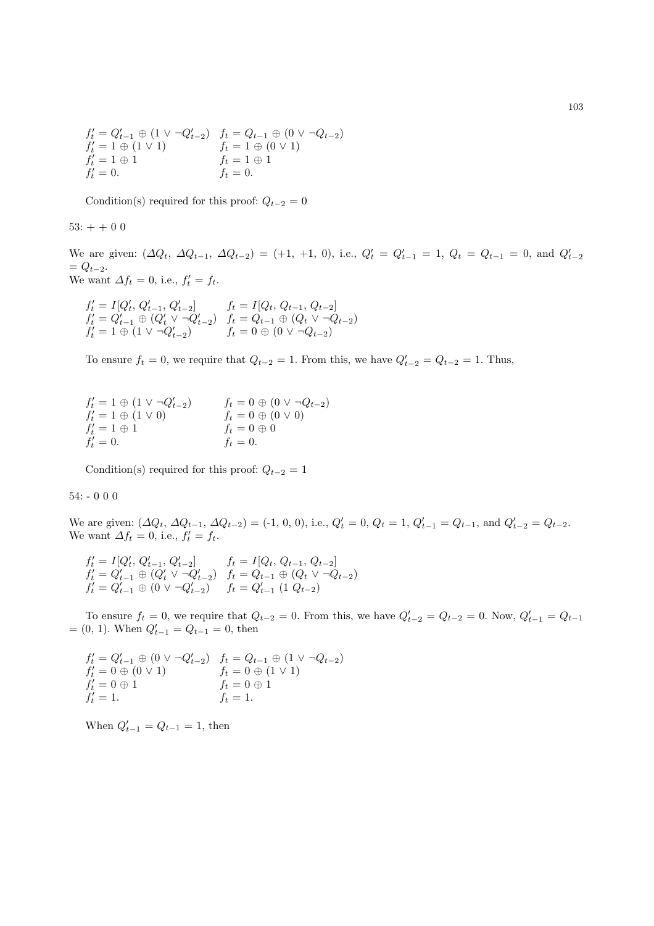$$
f'_t = Q'_{t-1} \oplus (1 \vee \neg Q'_{t-2}) \quad f_t = Q_{t-1} \oplus (0 \vee \neg Q_{t-2}) f'_t = 1 \oplus (1 \vee 1) \quad f_t = 1 \oplus (0 \vee 1) f'_t = 1 \oplus 1 \quad f_t = 1 \oplus 1 f'_t = 0.
$$

Condition(s) required for this proof:  $Q_{t-2} = 0$ 

 $53: + + 0 0$ 

We are given:  $(\Delta Q_t, \Delta Q_{t-1}, \Delta Q_{t-2}) = (+1, +1, 0),$  i.e.,  $Q'_t = Q'_{t-1} = 1, Q_t = Q_{t-1} = 0$ , and  $Q'_{t-2}$  $= Q_{t-2}.$ We want  $\Delta f_t = 0$ , i.e.,  $f'_t = f_t$ .

 $f'_t = I[Q'_t, Q'_{t-1}, Q'_{t-2}]$   $f_t = I[Q_t, Q_{t-1}, Q_{t-2}]$  $f'_t = Q'_{t-1} \oplus (Q'_t \vee \neg Q'_{t-2})$   $f_t = Q_{t-1} \oplus (Q_t \vee \neg Q_{t-2})$  $f'_t = 1 \oplus (1 \vee \neg Q'_{t-2})$   $f_t = 0 \oplus (0 \vee \neg Q_{t-2})$ 

To ensure  $f_t = 0$ , we require that  $Q_{t-2} = 1$ . From this, we have  $Q'_{t-2} = Q_{t-2} = 1$ . Thus,

| $f'_t = 1 \oplus (1 \vee \neg Q'_{t-2})$ | $f_t = 0 \oplus (0 \vee \neg Q_{t-2})$ |
|------------------------------------------|----------------------------------------|
| $f'_t = 1 \oplus (1 \vee 0)$             | $f_t = 0 \oplus (0 \vee 0)$            |
| $f_t' = 1 \oplus 1$                      | $f_t = 0 \oplus 0$                     |
| $f'_t = 0.$                              | $f_t = 0.$                             |

Condition(s) required for this proof:  $Q_{t-2} = 1$ 

#### 54: - 0 0 0

We are given:  $(\Delta Q_t, \Delta Q_{t-1}, \Delta Q_{t-2}) = (-1, 0, 0), \text{ i.e., } Q'_t = 0, Q_t = 1, Q'_{t-1} = Q_{t-1}, \text{ and } Q'_{t-2} = Q_{t-2}.$ We want  $\Delta f_t = 0$ , i.e.,  $f'_t = f_t$ .

 $f'_t = I[Q'_t, Q'_{t-1}, Q'_{t-2}]$   $f_t = I[Q_t, Q_{t-1}, Q_{t-2}]$  $f'_t = Q'_{t-1} \oplus (Q'_t \vee \neg Q'_{t-2})$   $f_t = Q_{t-1} \oplus (Q_t \vee \neg Q_{t-2})$  $f'_t = Q'_{t-1} \oplus (0 \vee \neg Q'_{t-2})$   $f_t = Q'_{t-1} (1 Q_{t-2})$ 

To ensure  $f_t = 0$ , we require that  $Q_{t-2} = 0$ . From this, we have  $Q'_{t-2} = Q_{t-2} = 0$ . Now,  $Q'_{t-1} = Q_{t-1}$  $=(0, 1)$ . When  $Q'_{t-1} = Q_{t-1} = 0$ , then

 $f'_t = Q'_{t-1} \oplus (0 \vee \neg Q'_{t-2})$   $f_t = Q_{t-1} \oplus (1 \vee \neg Q_{t-2})$  $f'_t = 0 \oplus (0 \vee 1)$   $f_t = 0 \oplus (1 \vee 1)$  $f'_t = 0 \oplus 1$   $f_t = 0 \oplus 1$  $f'_t = 1.$   $f_t = 1.$ 

When  $Q'_{t-1} = Q_{t-1} = 1$ , then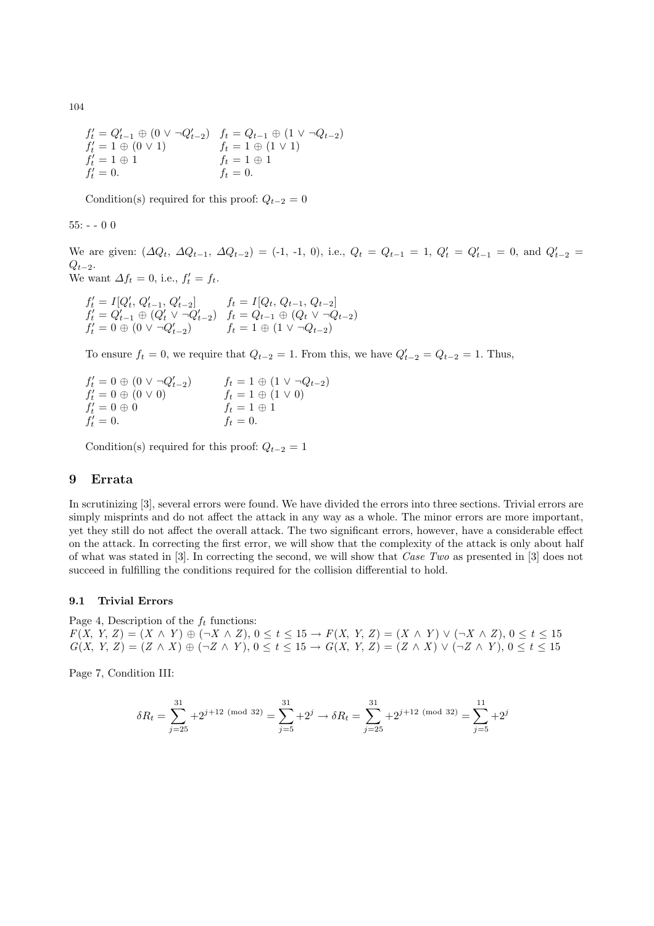104

$$
f'_t = Q'_{t-1} \oplus (0 \vee \neg Q'_{t-2}) \quad f_t = Q_{t-1} \oplus (1 \vee \neg Q_{t-2}) f'_t = 1 \oplus (0 \vee 1) \quad f_t = 1 \oplus (1 \vee 1) f'_t = 1 \oplus 1 \quad f_t = 1 \oplus 1 f'_t = 0.
$$

Condition(s) required for this proof:  $Q_{t-2} = 0$ 

 $55: - 00$ 

We are given:  $(\Delta Q_t, \Delta Q_{t-1}, \Delta Q_{t-2}) = (-1, -1, 0),$  i.e.,  $Q_t = Q_{t-1} = 1, Q'_t = Q'_{t-1} = 0$ , and  $Q'_{t-2} =$  $Q_{t-2}$ . We want  $\Delta f_t = 0$ , i.e.,  $f'_t = f_t$ .

$$
f'_t = I[Q'_t, Q'_{t-1}, Q'_{t-2}] \t f_t = I[Q_t, Q_{t-1}, Q_{t-2}] f'_t = Q'_{t-1} \oplus (Q'_t \vee \neg Q'_{t-2}) \t f_t = Q_{t-1} \oplus (Q_t \vee \neg Q_{t-2}) f'_t = 0 \oplus (0 \vee \neg Q'_{t-2}) \t f_t = 1 \oplus (1 \vee \neg Q_{t-2})
$$

To ensure  $f_t = 0$ , we require that  $Q_{t-2} = 1$ . From this, we have  $Q'_{t-2} = Q_{t-2} = 1$ . Thus,

 $f'_t = 0 \oplus (0 \vee \neg Q'_{t-2})$   $f_t = 1 \oplus (1 \vee \neg Q'_{t-1})$ <br>  $f'_t = 0 \oplus (0 \vee 0)$   $f_t = 1 \oplus (1 \vee 0)$  $f_t = 1 \oplus (1 \vee \neg Q_{t-2})$ <br>  $f_t = 1 \oplus (1 \vee 0)$ <br>  $f_t = 1 \oplus 1$ <br>  $f_t = 0$ .  $f'_t = 0 \oplus 0$   $f_t = 1 \oplus 1$  $f'_t = 0.$   $f_t = 0.$ 

Condition(s) required for this proof:  $Q_{t-2} = 1$ 

# 9 Errata

In scrutinizing [3], several errors were found. We have divided the errors into three sections. Trivial errors are simply misprints and do not affect the attack in any way as a whole. The minor errors are more important, yet they still do not affect the overall attack. The two significant errors, however, have a considerable effect on the attack. In correcting the first error, we will show that the complexity of the attack is only about half of what was stated in [3]. In correcting the second, we will show that Case Two as presented in [3] does not succeed in fulfilling the conditions required for the collision differential to hold.

#### 9.1 Trivial Errors

Page 4, Description of the  $f_t$  functions:  $F(X, Y, Z) = (X \wedge Y) \oplus (\neg X \wedge Z), 0 \le t \le 15 \rightarrow F(X, Y, Z) = (X \wedge Y) \vee (\neg X \wedge Z), 0 \le t \le 15$  $G(X, Y, Z) = (Z \wedge X) \oplus (\neg Z \wedge Y), 0 \leq t \leq 15 \rightarrow G(X, Y, Z) = (Z \wedge X) \vee (\neg Z \wedge Y), 0 \leq t \leq 15$ 

Page 7, Condition III:

$$
\delta R_t = \sum_{j=25}^{31} +2^{j+12 \pmod{32}} = \sum_{j=5}^{31} +2^j \to \delta R_t = \sum_{j=25}^{31} +2^{j+12 \pmod{32}} = \sum_{j=5}^{11} +2^j
$$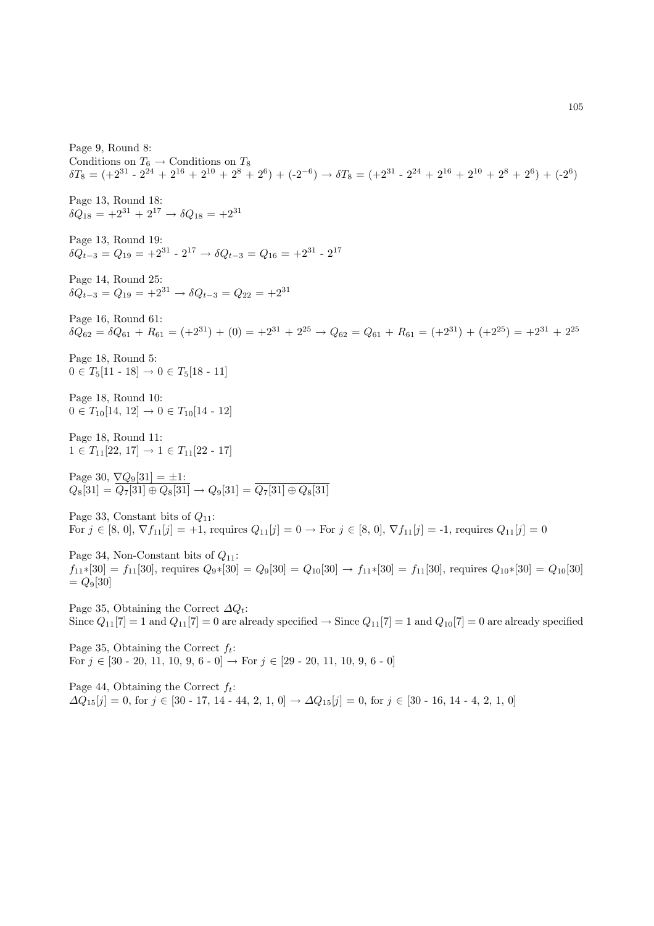Page 9, Round 8: Conditions on  $T_6 \rightarrow$  Conditions on  $T_8$  $\delta T_8 = (+2^{31} - 2^{24} + 2^{16} + 2^{10} + 2^8 + 2^6) + (-2^{-6}) \rightarrow \delta T_8 = (+2^{31} - 2^{24} + 2^{16} + 2^{10} + 2^8 + 2^6) + (-2^6)$ Page 13, Round 18:  $\delta Q_{18} = +2^{31} + 2^{17} \rightarrow \delta Q_{18} = +2^{31}$ Page 13, Round 19:  $\delta Q_{t-3} = Q_{19} = +2^{31} - 2^{17} \rightarrow \delta Q_{t-3} = Q_{16} = +2^{31} - 2^{17}$ Page 14, Round 25:  $\delta Q_{t-3} = Q_{19} = +2^{31} \rightarrow \delta Q_{t-3} = Q_{22} = +2^{31}$ Page 16, Round 61:  $\delta\ddot{Q}_{62} = \delta Q_{61} + R_{61} = (+2^{31}) + (0) = +2^{31} + 2^{25} \rightarrow Q_{62} = Q_{61} + R_{61} = (+2^{31}) + (+2^{25}) = +2^{31} + 2^{25}$ Page 18, Round 5:  $0 \in T_5[11 - 18] \to 0 \in T_5[18 - 11]$ Page 18, Round 10:  $0 \in T_{10}[14, 12] \rightarrow 0 \in T_{10}[14 - 12]$ Page 18, Round 11:  $1 \in T_{11}[22, 17] \rightarrow 1 \in T_{11}[22 - 17]$ Page 30,  $\nabla Q_9[31] = \pm 1$ :  $Q_8[31] = Q_7[31] \oplus Q_8[31] \rightarrow Q_9[31] = Q_7[31] \oplus Q_8[31]$ Page 33, Constant bits of  $Q_{11}$ : For  $j \in [8, 0], \nabla f_{11}[j] = +1$ , requires  $Q_{11}[j] = 0 \rightarrow$  For  $j \in [8, 0], \nabla f_{11}[j] = -1$ , requires  $Q_{11}[j] = 0$ Page 34, Non-Constant bits of  $Q_{11}$ :  $f_{11}*[30] = f_{11}[30]$ , requires  $Q_9*[30] = Q_9[30] = Q_{10}[30] \rightarrow f_{11}*[30] = f_{11}[30]$ , requires  $Q_{10}*[30] = Q_{10}[30]$  $= Q_9[30]$ Page 35, Obtaining the Correct  $\Delta Q_t$ : Since  $Q_{11}[7] = 1$  and  $Q_{11}[7] = 0$  are already specified  $\rightarrow$  Since  $Q_{11}[7] = 1$  and  $Q_{10}[7] = 0$  are already specified Page 35, Obtaining the Correct  $f_t$ : For  $j \in [30 - 20, 11, 10, 9, 6 - 0] \rightarrow$  For  $j \in [29 - 20, 11, 10, 9, 6 - 0]$ 

Page 44, Obtaining the Correct  $f_t$ :  $\Delta Q_{15}[j] = 0$ , for  $j \in [30 - 17, 14 - 44, 2, 1, 0] \rightarrow \Delta Q_{15}[j] = 0$ , for  $j \in [30 - 16, 14 - 4, 2, 1, 0]$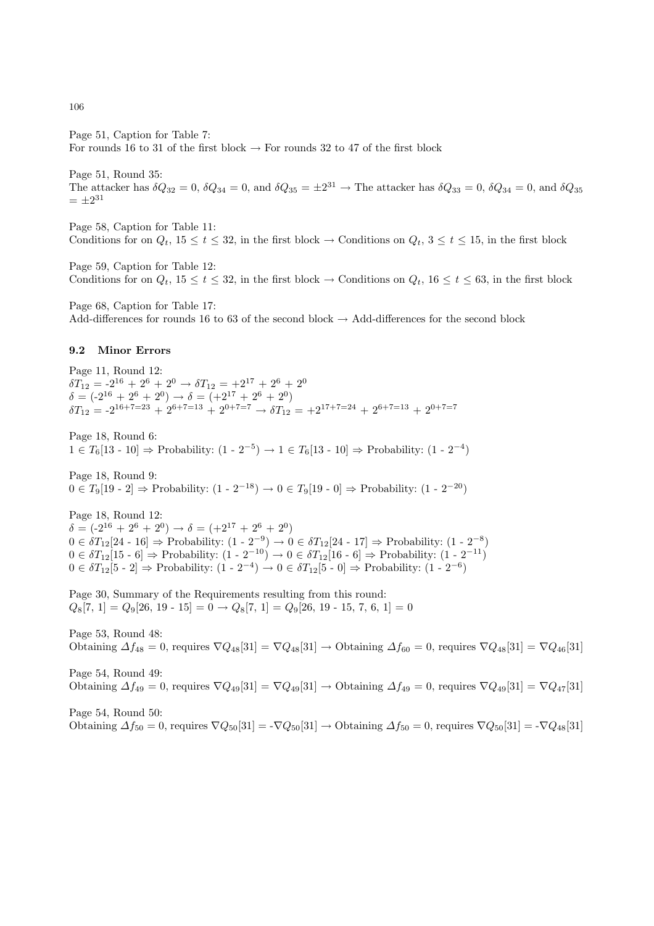Page 51, Caption for Table 7:

For rounds 16 to 31 of the first block  $\rightarrow$  For rounds 32 to 47 of the first block

Page 51, Round 35: The attacker has  $\delta Q_{32} = 0$ ,  $\delta Q_{34} = 0$ , and  $\delta Q_{35} = \pm 2^{31} \rightarrow$  The attacker has  $\delta Q_{33} = 0$ ,  $\delta Q_{34} = 0$ , and  $\delta Q_{35}$  $= \pm 2^{31}$ 

Page 58, Caption for Table 11: Conditions for on  $Q_t$ ,  $15 \le t \le 32$ , in the first block  $\rightarrow$  Conditions on  $Q_t$ ,  $3 \le t \le 15$ , in the first block

Page 59, Caption for Table 12: Conditions for on  $Q_t$ ,  $15 \le t \le 32$ , in the first block  $\rightarrow$  Conditions on  $Q_t$ ,  $16 \le t \le 63$ , in the first block

Page 68, Caption for Table 17: Add-differences for rounds 16 to 63 of the second block  $\rightarrow$  Add-differences for the second block

### 9.2 Minor Errors

Page 11, Round 12:  $\delta T_{12} = -2^{16} + 2^6 + 2^0 \rightarrow \delta T_{12} = +2^{17} + 2^6 + 2^0$  $\delta = (-2^{16} + 2^6 + 2^0) \rightarrow \delta = (+2^{17} + 2^6 + 2^0)$  $\delta T_{12} = -2^{16+7=23} + 2^{6+7=13} + 2^{0+7=7} \rightarrow \delta T_{12} = +2^{17+7=24} + 2^{6+7=13} + 2^{0+7=7}$ 

Page 18, Round 6:  $1 \in T_6[13 - 10] \Rightarrow$  Probability:  $(1 - 2^{-5}) \rightarrow 1 \in T_6[13 - 10] \Rightarrow$  Probability:  $(1 - 2^{-4})$ 

Page 18, Round 9:  $0 \in T_9[19-2] \Rightarrow$  Probability:  $(1-2^{-18}) \rightarrow 0 \in T_9[19-0] \Rightarrow$  Probability:  $(1-2^{-20})$ 

Page 18, Round 12:  $\delta = (-2^{16} + 2^6 + 2^0) \rightarrow \delta = (+2^{17} + 2^6 + 2^0)$  $0 \in \delta T_{12}[24 - 16] \Rightarrow$  Probability:  $(1 - 2^{-9}) \rightarrow 0 \in \delta T_{12}[24 - 17] \Rightarrow$  Probability:  $(1 - 2^{-8})$  $0 \in \delta T_{12}[15 \cdot 6] \Rightarrow$  Probability:  $(1 - 2^{-10}) \rightarrow 0 \in \delta T_{12}[16 \cdot 6] \Rightarrow$  Probability:  $(1 - 2^{-11})$  $0 \in \delta T_{12}[5 \cdot 2] \Rightarrow$  Probability:  $(1 - 2^{-4}) \rightarrow 0 \in \delta T_{12}[5 \cdot 0] \Rightarrow$  Probability:  $(1 - 2^{-6})$ 

Page 30, Summary of the Requirements resulting from this round:  $Q_8[7, 1] = Q_9[26, 19 - 15] = 0 \rightarrow Q_8[7, 1] = Q_9[26, 19 - 15, 7, 6, 1] = 0$ 

Page 53, Round 48: Obtaining  $\Delta f_{48} = 0$ , requires  $\nabla Q_{48}[31] = \nabla Q_{48}[31] \rightarrow$  Obtaining  $\Delta f_{60} = 0$ , requires  $\nabla Q_{48}[31] = \nabla Q_{46}[31]$ 

Page 54, Round 49: Obtaining  $\Delta f_{49} = 0$ , requires  $\nabla Q_{49}[31] = \nabla Q_{49}[31] \rightarrow$  Obtaining  $\Delta f_{49} = 0$ , requires  $\nabla Q_{49}[31] = \nabla Q_{47}[31]$ 

Page 54, Round 50: Obtaining  $\Delta f_{50} = 0$ , requires  $\nabla Q_{50}[31] = -\nabla Q_{50}[31] \rightarrow$  Obtaining  $\Delta f_{50} = 0$ , requires  $\nabla Q_{50}[31] = -\nabla Q_{48}[31]$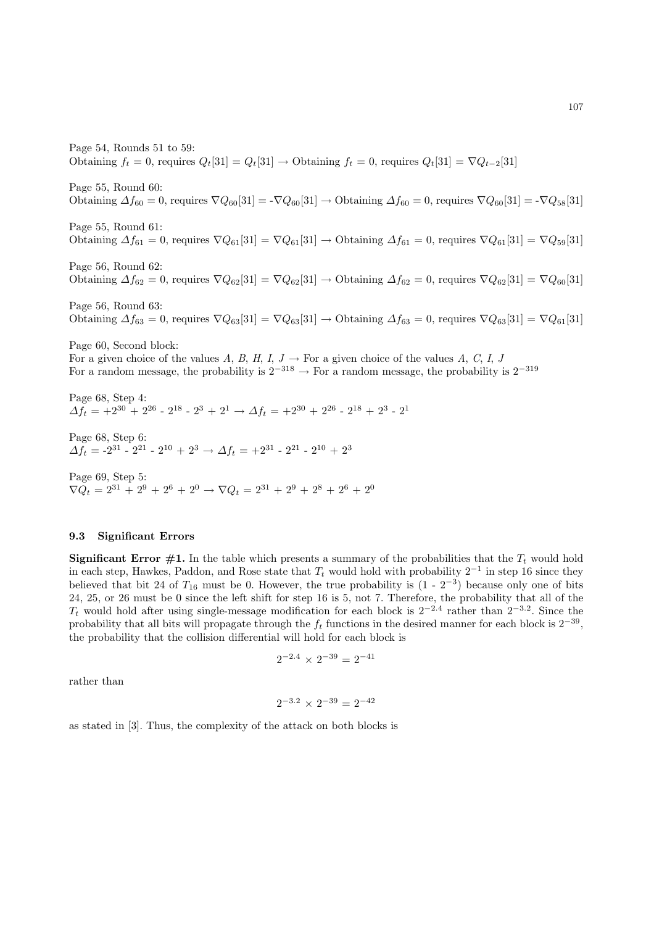Page 54, Rounds 51 to 59: Obtaining  $f_t = 0$ , requires  $Q_t[31] = Q_t[31] \rightarrow$  Obtaining  $f_t = 0$ , requires  $Q_t[31] = \nabla Q_{t-2}[31]$ Page 55, Round 60: Obtaining  $\Delta f_{60} = 0$ , requires  $\nabla Q_{60}[31] = -\nabla Q_{60}[31] \rightarrow$  Obtaining  $\Delta f_{60} = 0$ , requires  $\nabla Q_{60}[31] = -\nabla Q_{58}[31]$ Page 55, Round 61: Obtaining  $\Delta f_{61} = 0$ , requires  $\nabla Q_{61}[31] = \nabla Q_{61}[31] \rightarrow$  Obtaining  $\Delta f_{61} = 0$ , requires  $\nabla Q_{61}[31] = \nabla Q_{59}[31]$ Page 56, Round 62: Obtaining  $\Delta f_{62} = 0$ , requires  $\nabla Q_{62}[31] = \nabla Q_{62}[31] \rightarrow$  Obtaining  $\Delta f_{62} = 0$ , requires  $\nabla Q_{62}[31] = \nabla Q_{60}[31]$ Page 56, Round 63: Obtaining  $\Delta f_{63} = 0$ , requires  $\nabla Q_{63}[31] = \nabla Q_{63}[31] \rightarrow$  Obtaining  $\Delta f_{63} = 0$ , requires  $\nabla Q_{63}[31] = \nabla Q_{61}[31]$ Page 60, Second block: For a given choice of the values A, B, H, I,  $J \rightarrow$  For a given choice of the values A, C, I, J For a random message, the probability is  $2^{-318} \rightarrow$  For a random message, the probability is  $2^{-319}$ Page 68, Step 4:  $\Delta f_t = +2^{30} + 2^{26} - 2^{18} - 2^3 + 2^1 \rightarrow \Delta f_t = +2^{30} + 2^{26} - 2^{18} + 2^3 - 2^1$ Page 68, Step 6:  $\Delta f_t = -2^{31} - 2^{21} - 2^{10} + 2^3 \rightarrow \Delta f_t = +2^{31} - 2^{21} - 2^{10} + 2^3$ 

Page 69, Step 5:  $\nabla Q_t = 2^{31} + 2^9 + 2^6 + 2^0 \rightarrow \nabla Q_t = 2^{31} + 2^9 + 2^8 + 2^6 + 2^0$ 

### 9.3 Significant Errors

**Significant Error #1.** In the table which presents a summary of the probabilities that the  $T_t$  would hold in each step, Hawkes, Paddon, and Rose state that  $T_t$  would hold with probability  $2^{-1}$  in step 16 since they believed that bit 24 of  $T_{16}$  must be 0. However, the true probability is  $(1 - 2^{-3})$  because only one of bits 24, 25, or 26 must be 0 since the left shift for step 16 is 5, not 7. Therefore, the probability that all of the  $T_t$  would hold after using single-message modification for each block is  $2^{-2.4}$  rather than  $2^{-3.2}$ . Since the probability that all bits will propagate through the  $f_t$  functions in the desired manner for each block is  $2^{-39}$ , the probability that the collision differential will hold for each block is

$$
2^{-2.4}\,\times\,2^{-39} = 2^{-41}
$$

rather than

$$
2^{-3.2}\,\times\,2^{-39}=2^{-42}
$$

as stated in [3]. Thus, the complexity of the attack on both blocks is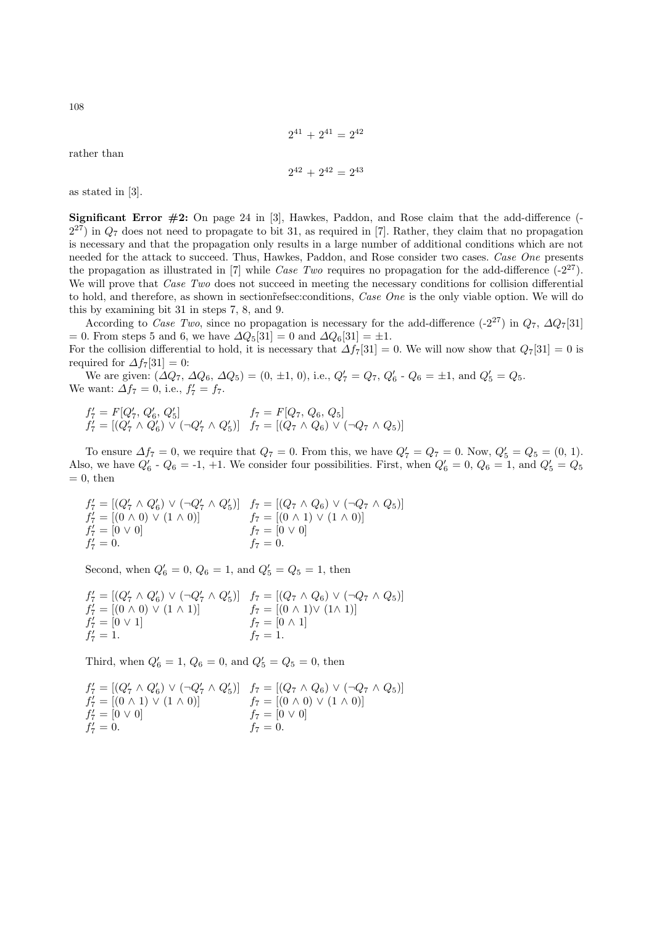$$
2^{41} + 2^{41} = 2^{42}
$$

rather than

$$
2^{42} + 2^{42} = 2^{43}
$$

as stated in [3].

**Significant Error**  $\#2$ **:** On page 24 in [3], Hawkes, Paddon, and Rose claim that the add-difference (- $2^{27}$ ) in  $Q_7$  does not need to propagate to bit 31, as required in [7]. Rather, they claim that no propagation is necessary and that the propagation only results in a large number of additional conditions which are not needed for the attack to succeed. Thus, Hawkes, Paddon, and Rose consider two cases. Case One presents the propagation as illustrated in [7] while Case Two requires no propagation for the add-difference  $(-2^{27})$ . We will prove that *Case Two* does not succeed in meeting the necessary conditions for collision differential to hold, and therefore, as shown in section refsec: conditions, Case One is the only viable option. We will do this by examining bit 31 in steps 7, 8, and 9.

According to Case Two, since no propagation is necessary for the add-difference (-2<sup>27</sup>) in  $Q_7$ ,  $\Delta Q_7[31]$ = 0. From steps 5 and 6, we have  $\Delta Q_5[31] = 0$  and  $\Delta Q_6[31] = \pm 1$ .

For the collision differential to hold, it is necessary that  $\Delta f_7[31] = 0$ . We will now show that  $Q_7[31] = 0$  is required for  $\Delta f_7[31] = 0$ :

We are given:  $(\Delta Q_7, \Delta Q_6, \Delta Q_5) = (0, \pm 1, 0), \text{ i.e., } Q_7' = Q_7, Q_6' - Q_6 = \pm 1, \text{ and } Q_5' = Q_5.$ We want:  $\Delta f_7 = 0$ , i.e.,  $f'_7 = f_7$ .

$$
\begin{array}{ll}\nf_7' = F[Q_7', Q_6', Q_5'] & f_7 = F[Q_7, Q_6, Q_5] \\
f_7' = [(Q_7' \land Q_6') \lor (\neg Q_7' \land Q_5')] & f_7 = [(Q_7 \land Q_6) \lor (\neg Q_7 \land Q_5)]\n\end{array}
$$

To ensure  $\Delta f_7 = 0$ , we require that  $Q_7 = 0$ . From this, we have  $Q'_7 = Q_7 = 0$ . Now,  $Q'_5 = Q_5 = (0, 1)$ . Also, we have  $Q'_6$  -  $Q_6$  = -1, +1. We consider four possibilities. First, when  $Q'_6 = 0$ ,  $Q_6 = 1$ , and  $Q'_5 = Q_5$  $= 0$ , then

$$
f'_7 = [(Q'_7 \wedge Q'_6) \vee (\neg Q'_7 \wedge Q'_5)] \quad f_7 = [(Q_7 \wedge Q_6) \vee (\neg Q_7 \wedge Q_5)] f'_7 = [(0 \wedge 0) \vee (1 \wedge 0)] \quad f_7 = [(0 \wedge 1) \vee (1 \wedge 0)] f'_7 = [0 \vee 0] \quad f_7 = [0 \vee 0] f'_7 = 0.
$$

Second, when  $Q'_6 = 0, Q_6 = 1$ , and  $Q'_5 = Q_5 = 1$ , then

$$
f'_7 = [(Q'_7 \wedge Q'_6) \vee (\neg Q'_7 \wedge Q'_5)] \quad f_7 = [(Q_7 \wedge Q_6) \vee (\neg Q_7 \wedge Q_5)] f'_7 = [(0 \wedge 0) \vee (1 \wedge 1)] \quad f_7 = [(0 \wedge 1) \vee (1 \wedge 1)] f'_7 = [0 \vee 1] \quad f_7 = [0 \wedge 1] f'_7 = 1. \quad f_7 = 1.
$$

Third, when  $Q'_6 = 1, Q_6 = 0$ , and  $Q'_5 = Q_5 = 0$ , then

$$
f'_7 = [(Q'_7 \wedge Q'_6) \vee (\neg Q'_7 \wedge Q'_5)] \quad f_7 = [(Q_7 \wedge Q_6) \vee (\neg Q_7 \wedge Q_5)] f'_7 = [(0 \wedge 1) \vee (1 \wedge 0)] \quad f_7 = [(0 \wedge 0) \vee (1 \wedge 0)] f'_7 = [0 \vee 0] \quad f_7 = [0 \vee 0] f'_7 = 0.
$$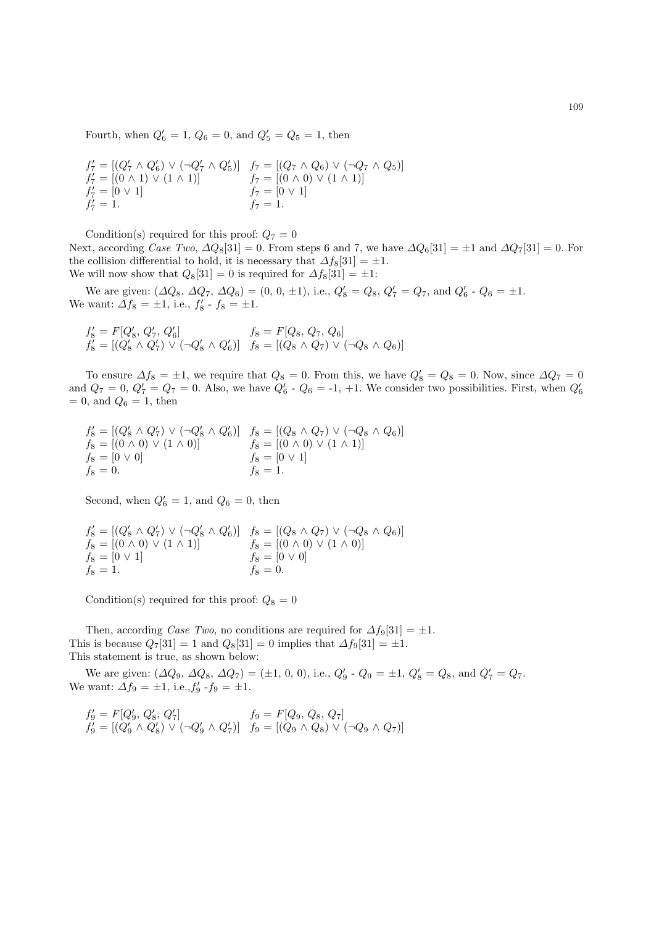Fourth, when  $Q'_6 = 1, Q_6 = 0$ , and  $Q'_5 = Q_5 = 1$ , then

$$
f'_7 = [(Q'_7 \land Q'_6) \lor (\neg Q'_7 \land Q'_5)] \quad f_7 = [(Q_7 \land Q_6) \lor (\neg Q_7 \land Q_5)] f'_7 = [(0 \land 1) \lor (1 \land 1)] \quad f_7 = [(0 \land 0) \lor (1 \land 1)] f'_7 = [0 \lor 1] \quad f_7 = [0 \lor 1] f'_7 = 1.
$$

Condition(s) required for this proof:  $Q_7 = 0$ Next, according Case Two,  $\Delta Q_8[31] = 0$ . From steps 6 and 7, we have  $\Delta Q_6[31] = \pm 1$  and  $\Delta Q_7[31] = 0$ . For the collision differential to hold, it is necessary that  $\Delta f_8[31] = \pm 1$ . We will now show that  $Q_8[31] = 0$  is required for  $\Delta f_8[31] = \pm 1$ :

We are given:  $(\Delta Q_8, \Delta Q_7, \Delta Q_6) = (0, 0, \pm 1)$ , i.e.,  $Q'_8 = Q_8$ ,  $Q'_7 = Q_7$ , and  $Q'_6$  -  $Q_6 = \pm 1$ . We want:  $\Delta f_8 = \pm 1$ , i.e.,  $f'_8 - f_8 = \pm 1$ .

$$
f'_8 = F[Q'_8, Q'_7, Q'_6] \qquad f_8 = F[Q_8, Q_7, Q_6]
$$
  

$$
f'_8 = [(Q'_8 \land Q'_7) \lor (\neg Q'_8 \land Q'_6)] \qquad f_8 = [(Q_8 \land Q_7) \lor (\neg Q_8 \land Q_6)]
$$

To ensure  $\Delta f_8 = \pm 1$ , we require that  $Q_8 = 0$ . From this, we have  $Q'_8 = Q_8 = 0$ . Now, since  $\Delta Q_7 = 0$ and  $Q_7 = 0$ ,  $Q'_7 = Q_7 = 0$ . Also, we have  $Q'_6$  -  $Q_6 = -1$ ,  $+1$ . We consider two possibilities. First, when  $Q'_6$  $= 0$ , and  $Q_6 = 1$ , then

$$
f'_{8} = [(Q'_{8} \land Q'_{7}) \lor (\neg Q'_{8} \land Q'_{6})] \quad f_{8} = [(Q_{8} \land Q_{7}) \lor (\neg Q_{8} \land Q_{6})] f_{8} = [(0 \land 0) \lor (1 \land 0)] \quad f_{8} = [(0 \land 0) \lor (1 \land 1)] f_{8} = [0 \lor 0] \quad f_{8} = [0 \lor 1] f_{8} = 0. \quad f_{8} = 1.
$$

Second, when  $Q'_6 = 1$ , and  $Q_6 = 0$ , then

$$
f'_{8} = [(Q'_{8} \land Q'_{7}) \lor (\neg Q'_{8} \land Q'_{6})] \quad f_{8} = [(Q_{8} \land Q_{7}) \lor (\neg Q_{8} \land Q_{6})] f_{8} = [(0 \land 0) \lor (1 \land 1)] \quad f_{8} = [(0 \land 0) \lor (1 \land 0)] f_{8} = [0 \lor 1] \quad f_{8} = [0 \lor 0] f_{8} = 1. \quad f_{8} = 0.
$$

Condition(s) required for this proof:  $Q_8 = 0$ 

Then, according Case Two, no conditions are required for  $\Delta f_9[31] = \pm 1$ . This is because  $Q_7[31] = 1$  and  $Q_8[31] = 0$  implies that  $\Delta f_9[31] = \pm 1$ . This statement is true, as shown below:

We are given:  $(\Delta Q_9, \Delta Q_8, \Delta Q_7) = (\pm 1, 0, 0), \text{ i.e., } Q'_9 - Q_9 = \pm 1, Q'_8 = Q_8, \text{ and } Q'_7 = Q_7.$ We want:  $\Delta f_9 = \pm 1$ , i.e.,  $f'_9 - f_9 = \pm 1$ .

$$
f_9' = F[Q_9', Q_8', Q_7'] \qquad f_9 = F[Q_9, Q_8, Q_7]
$$
  
\n
$$
f_9' = [(Q_9' \land Q_8') \lor (\neg Q_9' \land Q_7')] \qquad f_9 = [(Q_9 \land Q_8) \lor (\neg Q_9 \land Q_7)]
$$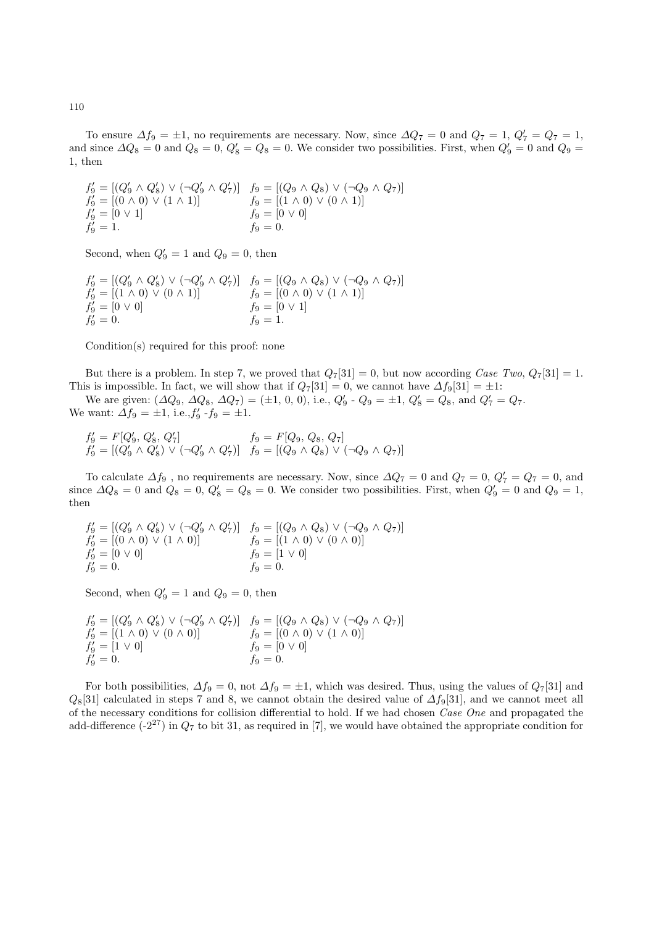To ensure  $\Delta f_9 = \pm 1$ , no requirements are necessary. Now, since  $\Delta Q_7 = 0$  and  $Q_7 = 1$ ,  $Q'_7 = Q_7 = 1$ , and since  $\Delta Q_8 = 0$  and  $Q_8 = 0$ ,  $Q'_8 = Q_8 = 0$ . We consider two possibilities. First, when  $Q'_9 = 0$  and  $Q_9 = 0$ 1, then

 $f'_9 = [(Q'_9 \wedge Q'_8) \vee (\neg Q'_9 \wedge Q'_7)]$   $f_9 = [(Q_9 \wedge Q_8) \vee (\neg Q_9 \wedge Q_7)]$  $f_9' = [(0 \land 0) \lor (1 \land 1)]$   $f_9 = [(1 \land 0) \lor (0 \land 1)]$  $f_9 = [0 \vee 1]$   $f_9 = [0 \vee 0]$  $f'_9 = 1.$   $f_9 = 0.$ 

Second, when  $Q'_9 = 1$  and  $Q_9 = 0$ , then

$$
f'_9 = [(Q'_9 \land Q'_8) \lor (\neg Q'_9 \land Q'_7)] \quad f_9 = [(Q_9 \land Q_8) \lor (\neg Q_9 \land Q_7)] f'_9 = [(1 \land 0) \lor (0 \land 1)] \quad f_9 = [(0 \land 0) \lor (1 \land 1)] f'_9 = [0 \lor 0] \quad f_9 = [0 \lor 1] f'_9 = 0. \quad f_9 = 1.
$$

Condition(s) required for this proof: none

But there is a problem. In step 7, we proved that  $Q_7[31] = 0$ , but now according Case Two,  $Q_7[31] = 1$ . This is impossible. In fact, we will show that if  $Q_7[31] = 0$ , we cannot have  $\Delta f_9[31] = \pm 1$ :

We are given:  $(\Delta Q_9, \Delta Q_8, \Delta Q_7) = (\pm 1, 0, 0), \text{ i.e., } Q'_9 - Q_9 = \pm 1, Q'_8 = Q_8, \text{ and } Q'_7 = Q_7.$ We want:  $\Delta f_9 = \pm 1$ , i.e.,  $f'_9 - f_9 = \pm 1$ .

$$
f_9' = F[Q_9', Q_8', Q_7'] \qquad f_9 = F[Q_9, Q_8, Q_7]
$$
  
\n
$$
f_9' = [(Q_9' \land Q_8') \lor (\neg Q_9' \land Q_7')] \qquad f_9 = [(Q_9 \land Q_8) \lor (\neg Q_9 \land Q_7)]
$$

To calculate  $\Delta f_9$ , no requirements are necessary. Now, since  $\Delta Q_7 = 0$  and  $Q_7 = 0$ ,  $Q'_7 = Q_7 = 0$ , and since  $\Delta Q_8 = 0$  and  $Q_8 = 0$ ,  $Q'_8 = Q_8 = 0$ . We consider two possibilities. First, when  $Q'_9 = 0$  and  $Q_9 = 1$ , then

$$
f'_9 = [(Q'_9 \land Q'_8) \lor (\neg Q'_9 \land Q'_7)] \quad f_9 = [(Q_9 \land Q_8) \lor (\neg Q_9 \land Q_7)] f'_9 = [(0 \land 0) \lor (1 \land 0)] \quad f_9 = [(1 \land 0) \lor (0 \land 0)] f'_9 = [0 \lor 0] \quad f_9 = [1 \lor 0] f'_9 = 0.
$$

Second, when  $Q'_9 = 1$  and  $Q_9 = 0$ , then

$$
f'_9 = [(Q'_9 \land Q'_8) \lor (\neg Q'_9 \land Q'_7)] \quad f_9 = [(Q_9 \land Q_8) \lor (\neg Q_9 \land Q_7)] f'_9 = [(1 \land 0) \lor (0 \land 0)] \quad f_9 = [(0 \land 0) \lor (1 \land 0)] f'_9 = [1 \lor 0] \quad f_9 = [0 \lor 0] f'_9 = 0.
$$

For both possibilities,  $\Delta f_9 = 0$ , not  $\Delta f_9 = \pm 1$ , which was desired. Thus, using the values of  $Q_7[31]$  and  $Q_8[31]$  calculated in steps 7 and 8, we cannot obtain the desired value of  $\Delta f_9[31]$ , and we cannot meet all of the necessary conditions for collision differential to hold. If we had chosen Case One and propagated the add-difference  $(-2^{27})$  in  $Q_7$  to bit 31, as required in [7], we would have obtained the appropriate condition for

110